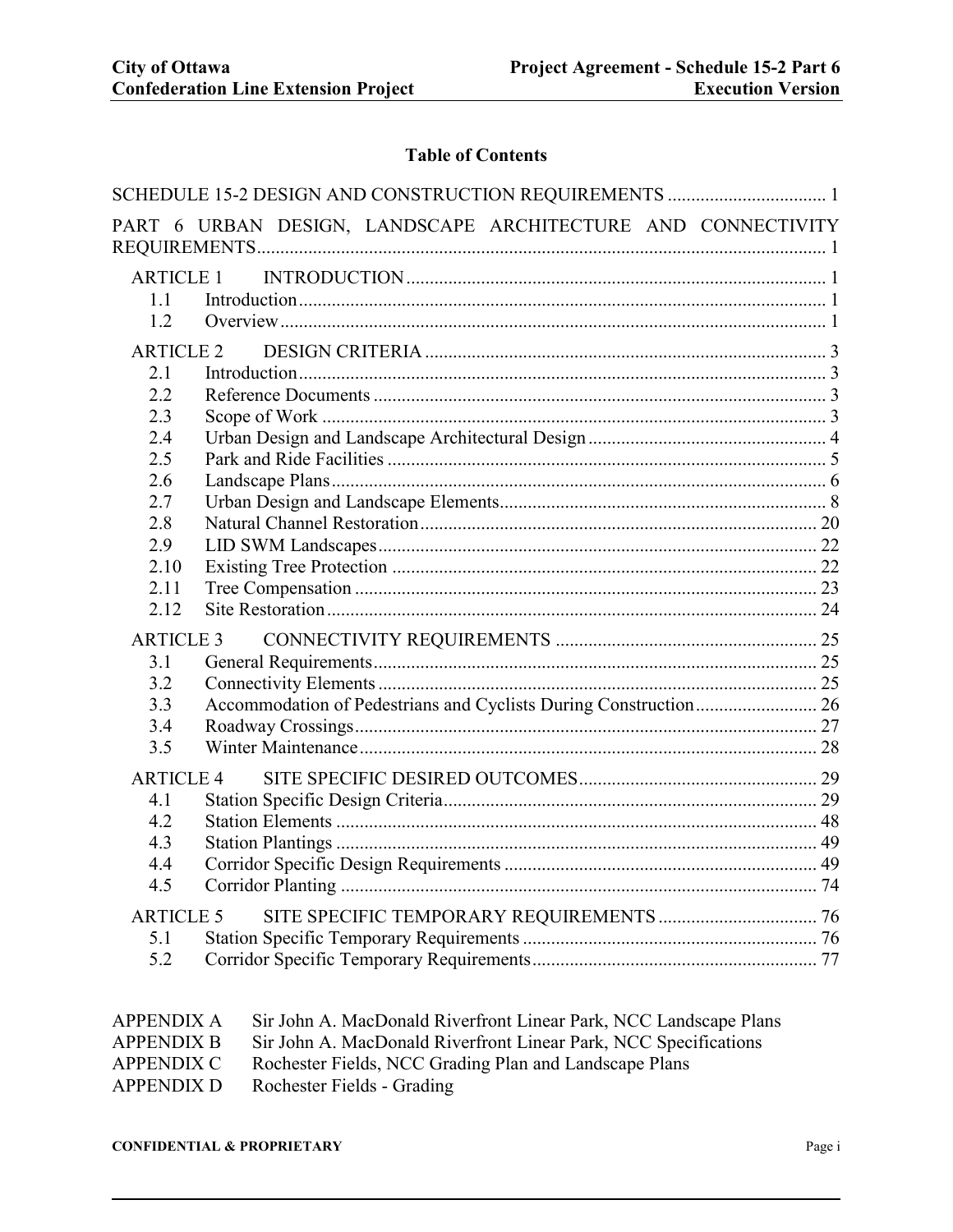# **Table of Contents**

|                   | SCHEDULE 15-2 DESIGN AND CONSTRUCTION REQUIREMENTS  1             |  |
|-------------------|-------------------------------------------------------------------|--|
|                   | PART 6 URBAN DESIGN, LANDSCAPE ARCHITECTURE AND CONNECTIVITY      |  |
| <b>ARTICLE 1</b>  |                                                                   |  |
| 1.1               |                                                                   |  |
| 1.2               |                                                                   |  |
| <b>ARTICLE 2</b>  |                                                                   |  |
| 2.1               |                                                                   |  |
| 2.2               |                                                                   |  |
| 2.3               |                                                                   |  |
| 2.4               |                                                                   |  |
| 2.5               |                                                                   |  |
| 2.6               |                                                                   |  |
| 2.7               |                                                                   |  |
| 2.8               |                                                                   |  |
| 2.9               |                                                                   |  |
| 2.10              |                                                                   |  |
| 2.11              |                                                                   |  |
| 2.12              |                                                                   |  |
| <b>ARTICLE 3</b>  |                                                                   |  |
| 3.1               |                                                                   |  |
| 3.2               |                                                                   |  |
| 3.3               | Accommodation of Pedestrians and Cyclists During Construction 26  |  |
| 3.4               |                                                                   |  |
| 3.5               |                                                                   |  |
| <b>ARTICLE 4</b>  |                                                                   |  |
| 4.1               |                                                                   |  |
| 4.2               |                                                                   |  |
| 4.3               |                                                                   |  |
| 4.4               |                                                                   |  |
| 4.5               |                                                                   |  |
| <b>ARTICLE 5</b>  |                                                                   |  |
| 5.1               |                                                                   |  |
| 5.2               |                                                                   |  |
| <b>APPENDIX A</b> | Sir John A. MacDonald Riverfront Linear Park, NCC Landscape Plans |  |
| <b>APPENDIX B</b> | Sir John A. MacDonald Riverfront Linear Park, NCC Specifications  |  |
|                   |                                                                   |  |

- APPENDIX C Rochester Fields, NCC Grading Plan and Landscape Plans
- APPENDIX D Rochester Fields Grading

#### **CONFIDENTIAL & PROPRIETARY** Page i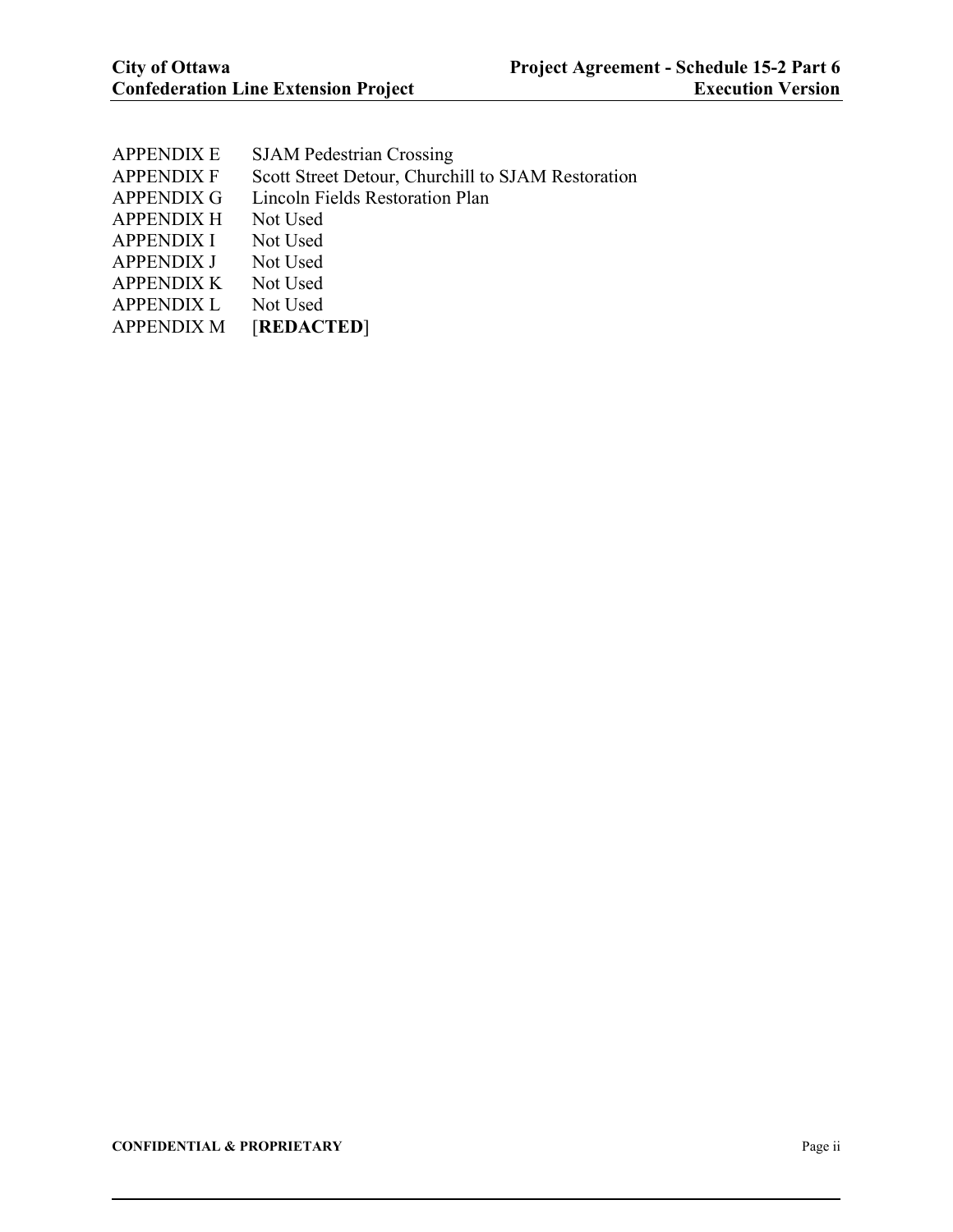| <b>SJAM Pedestrian Crossing</b>                    |
|----------------------------------------------------|
| Scott Street Detour, Churchill to SJAM Restoration |
| Lincoln Fields Restoration Plan                    |
| Not Used                                           |
| Not Used                                           |
| Not Used                                           |
| Not Used                                           |
| Not Used                                           |
| [REDACTED]                                         |
|                                                    |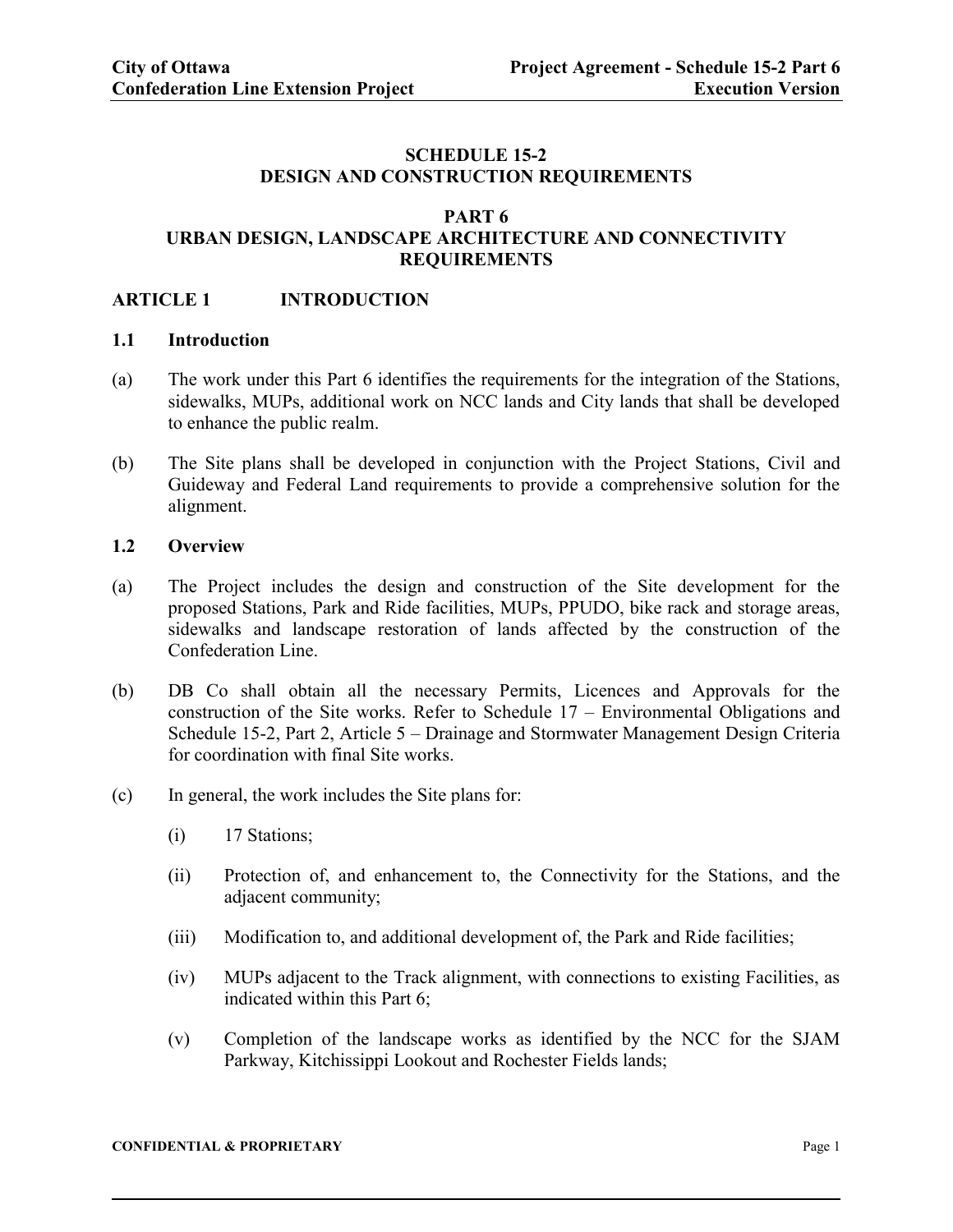# **SCHEDULE 15-2 DESIGN AND CONSTRUCTION REQUIREMENTS**

# <span id="page-2-1"></span><span id="page-2-0"></span>**PART 6 URBAN DESIGN, LANDSCAPE ARCHITECTURE AND CONNECTIVITY REQUIREMENTS**

# <span id="page-2-2"></span>**ARTICLE 1 INTRODUCTION**

#### <span id="page-2-3"></span>**1.1 Introduction**

- (a) The work under this Part 6 identifies the requirements for the integration of the Stations, sidewalks, MUPs, additional work on NCC lands and City lands that shall be developed to enhance the public realm.
- (b) The Site plans shall be developed in conjunction with the Project Stations, Civil and Guideway and Federal Land requirements to provide a comprehensive solution for the alignment.

## <span id="page-2-4"></span>**1.2 Overview**

- (a) The Project includes the design and construction of the Site development for the proposed Stations, Park and Ride facilities, MUPs, PPUDO, bike rack and storage areas, sidewalks and landscape restoration of lands affected by the construction of the Confederation Line.
- (b) DB Co shall obtain all the necessary Permits, Licences and Approvals for the construction of the Site works. Refer to Schedule 17 – Environmental Obligations and Schedule 15-2, Part 2, Article 5 – Drainage and Stormwater Management Design Criteria for coordination with final Site works.
- (c) In general, the work includes the Site plans for:
	- (i) 17 Stations;
	- (ii) Protection of, and enhancement to, the Connectivity for the Stations, and the adjacent community;
	- (iii) Modification to, and additional development of, the Park and Ride facilities;
	- (iv) MUPs adjacent to the Track alignment, with connections to existing Facilities, as indicated within this Part 6;
	- (v) Completion of the landscape works as identified by the NCC for the SJAM Parkway, Kitchissippi Lookout and Rochester Fields lands;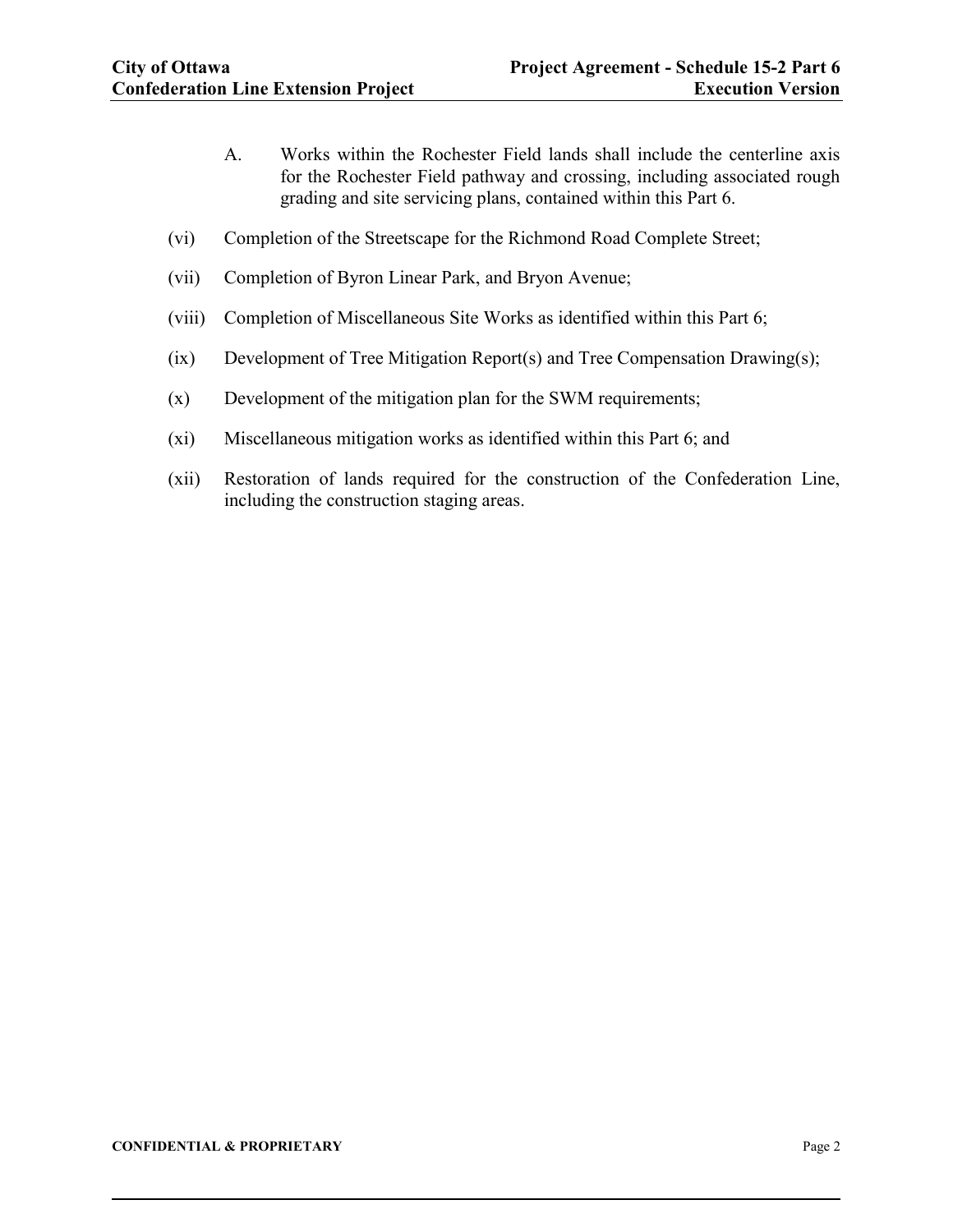- A. Works within the Rochester Field lands shall include the centerline axis for the Rochester Field pathway and crossing, including associated rough grading and site servicing plans, contained within this Part 6.
- (vi) Completion of the Streetscape for the Richmond Road Complete Street;
- (vii) Completion of Byron Linear Park, and Bryon Avenue;
- (viii) Completion of Miscellaneous Site Works as identified within this Part 6;
- (ix) Development of Tree Mitigation Report(s) and Tree Compensation Drawing(s);
- (x) Development of the mitigation plan for the SWM requirements;
- (xi) Miscellaneous mitigation works as identified within this Part 6; and
- (xii) Restoration of lands required for the construction of the Confederation Line, including the construction staging areas.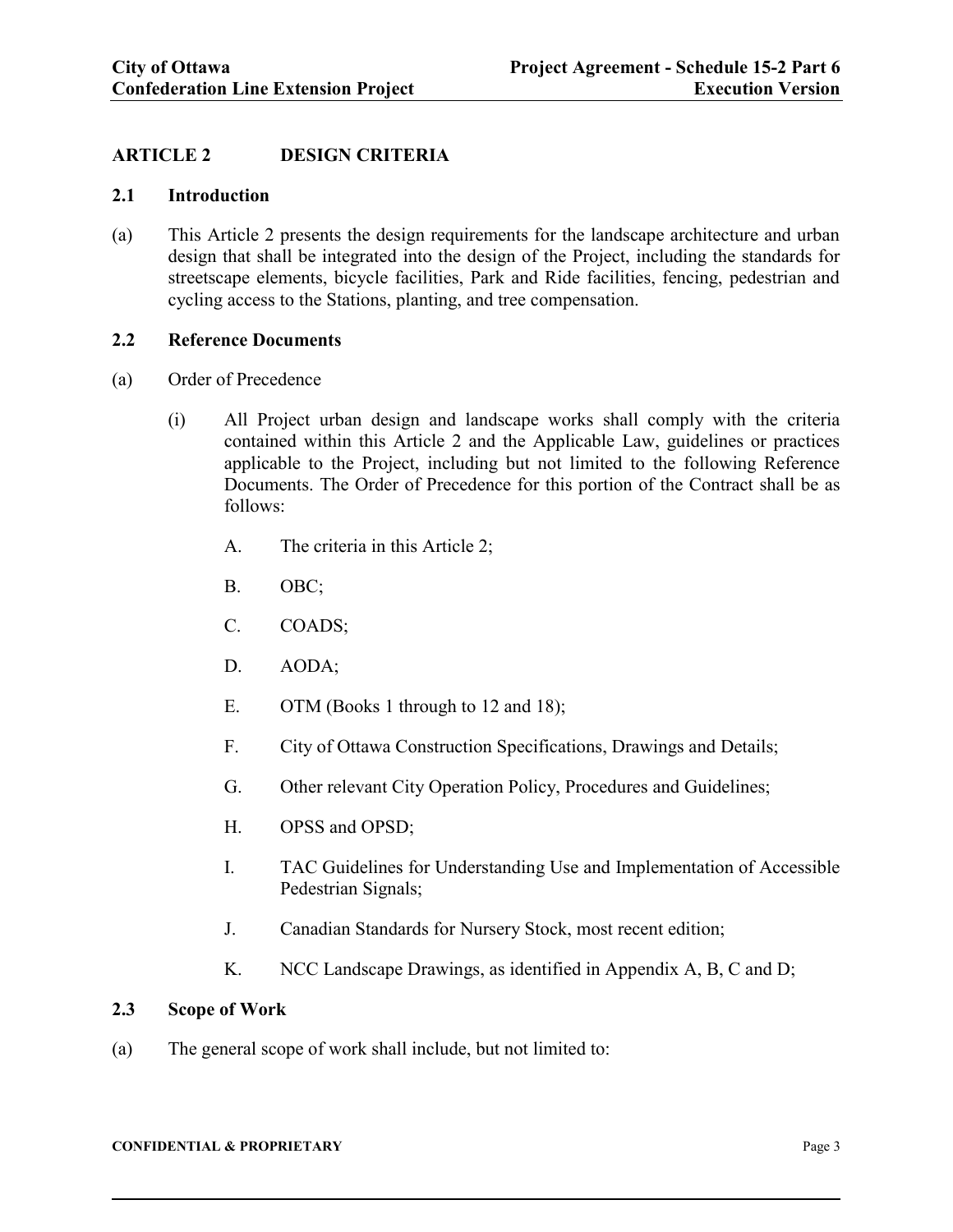# <span id="page-4-0"></span>**ARTICLE 2 DESIGN CRITERIA**

## <span id="page-4-1"></span>**2.1 Introduction**

(a) This Article 2 presents the design requirements for the landscape architecture and urban design that shall be integrated into the design of the Project, including the standards for streetscape elements, bicycle facilities, Park and Ride facilities, fencing, pedestrian and cycling access to the Stations, planting, and tree compensation.

## <span id="page-4-2"></span>**2.2 Reference Documents**

- (a) Order of Precedence
	- (i) All Project urban design and landscape works shall comply with the criteria contained within this Article 2 and the Applicable Law, guidelines or practices applicable to the Project, including but not limited to the following Reference Documents. The Order of Precedence for this portion of the Contract shall be as follows:
		- A. The criteria in this Article 2;
		- B. OBC;
		- C. COADS;
		- D. AODA;
		- E. OTM (Books 1 through to 12 and 18);
		- F. City of Ottawa Construction Specifications, Drawings and Details;
		- G. Other relevant City Operation Policy, Procedures and Guidelines;
		- H. OPSS and OPSD;
		- I. TAC Guidelines for Understanding Use and Implementation of Accessible Pedestrian Signals;
		- J. Canadian Standards for Nursery Stock, most recent edition;
		- K. NCC Landscape Drawings, as identified in Appendix A, B, C and D;

## <span id="page-4-3"></span>**2.3 Scope of Work**

(a) The general scope of work shall include, but not limited to: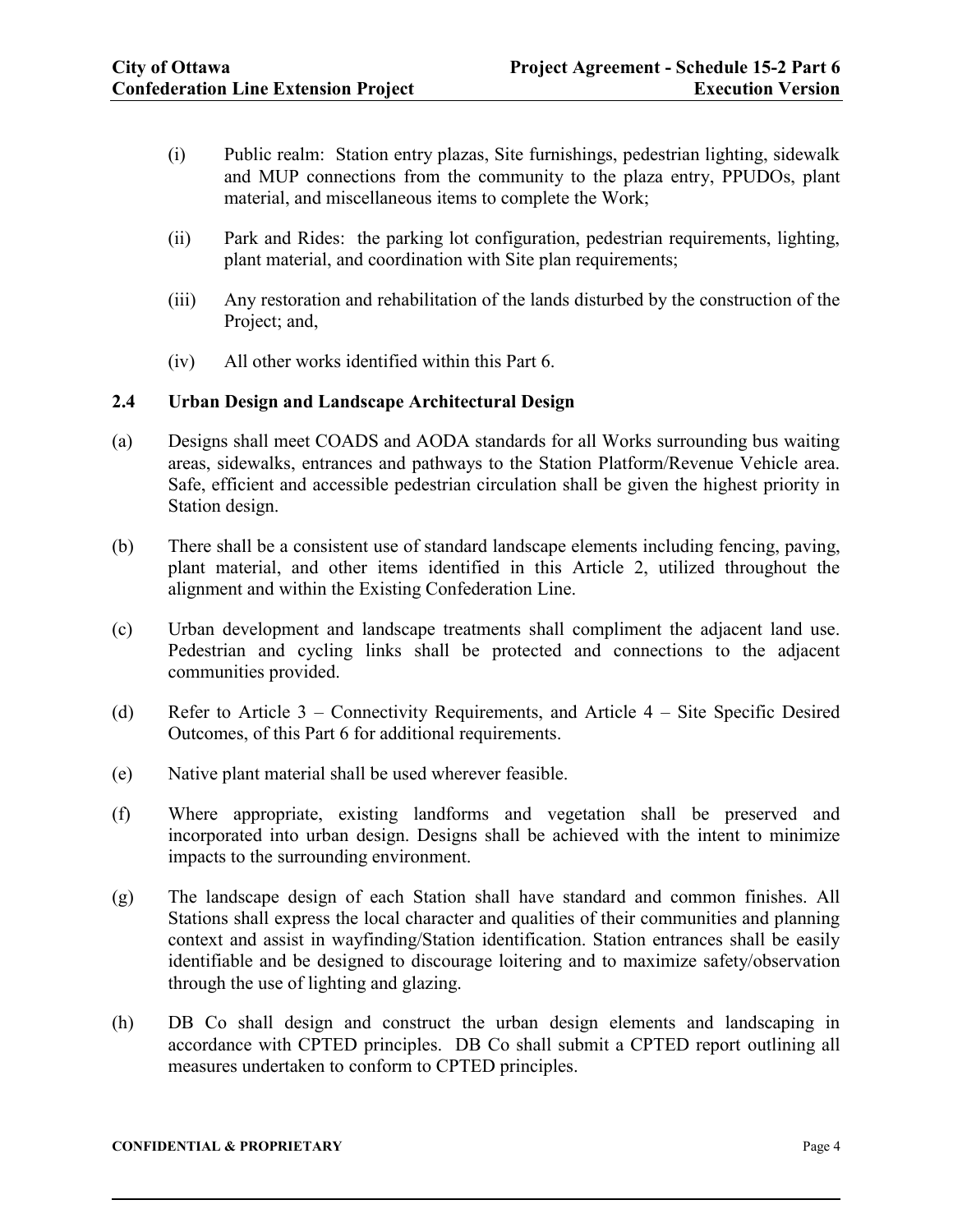- (i) Public realm: Station entry plazas, Site furnishings, pedestrian lighting, sidewalk and MUP connections from the community to the plaza entry, PPUDOs, plant material, and miscellaneous items to complete the Work;
- (ii) Park and Rides: the parking lot configuration, pedestrian requirements, lighting, plant material, and coordination with Site plan requirements;
- (iii) Any restoration and rehabilitation of the lands disturbed by the construction of the Project; and,
- (iv) All other works identified within this Part 6.

# <span id="page-5-0"></span>**2.4 Urban Design and Landscape Architectural Design**

- (a) Designs shall meet COADS and AODA standards for all Works surrounding bus waiting areas, sidewalks, entrances and pathways to the Station Platform/Revenue Vehicle area. Safe, efficient and accessible pedestrian circulation shall be given the highest priority in Station design.
- (b) There shall be a consistent use of standard landscape elements including fencing, paving, plant material, and other items identified in this Article 2, utilized throughout the alignment and within the Existing Confederation Line.
- (c) Urban development and landscape treatments shall compliment the adjacent land use. Pedestrian and cycling links shall be protected and connections to the adjacent communities provided.
- (d) Refer to Article 3 Connectivity Requirements, and Article 4 Site Specific Desired Outcomes, of this Part 6 for additional requirements.
- (e) Native plant material shall be used wherever feasible.
- (f) Where appropriate, existing landforms and vegetation shall be preserved and incorporated into urban design. Designs shall be achieved with the intent to minimize impacts to the surrounding environment.
- (g) The landscape design of each Station shall have standard and common finishes. All Stations shall express the local character and qualities of their communities and planning context and assist in wayfinding/Station identification. Station entrances shall be easily identifiable and be designed to discourage loitering and to maximize safety/observation through the use of lighting and glazing.
- (h) DB Co shall design and construct the urban design elements and landscaping in accordance with CPTED principles. DB Co shall submit a CPTED report outlining all measures undertaken to conform to CPTED principles.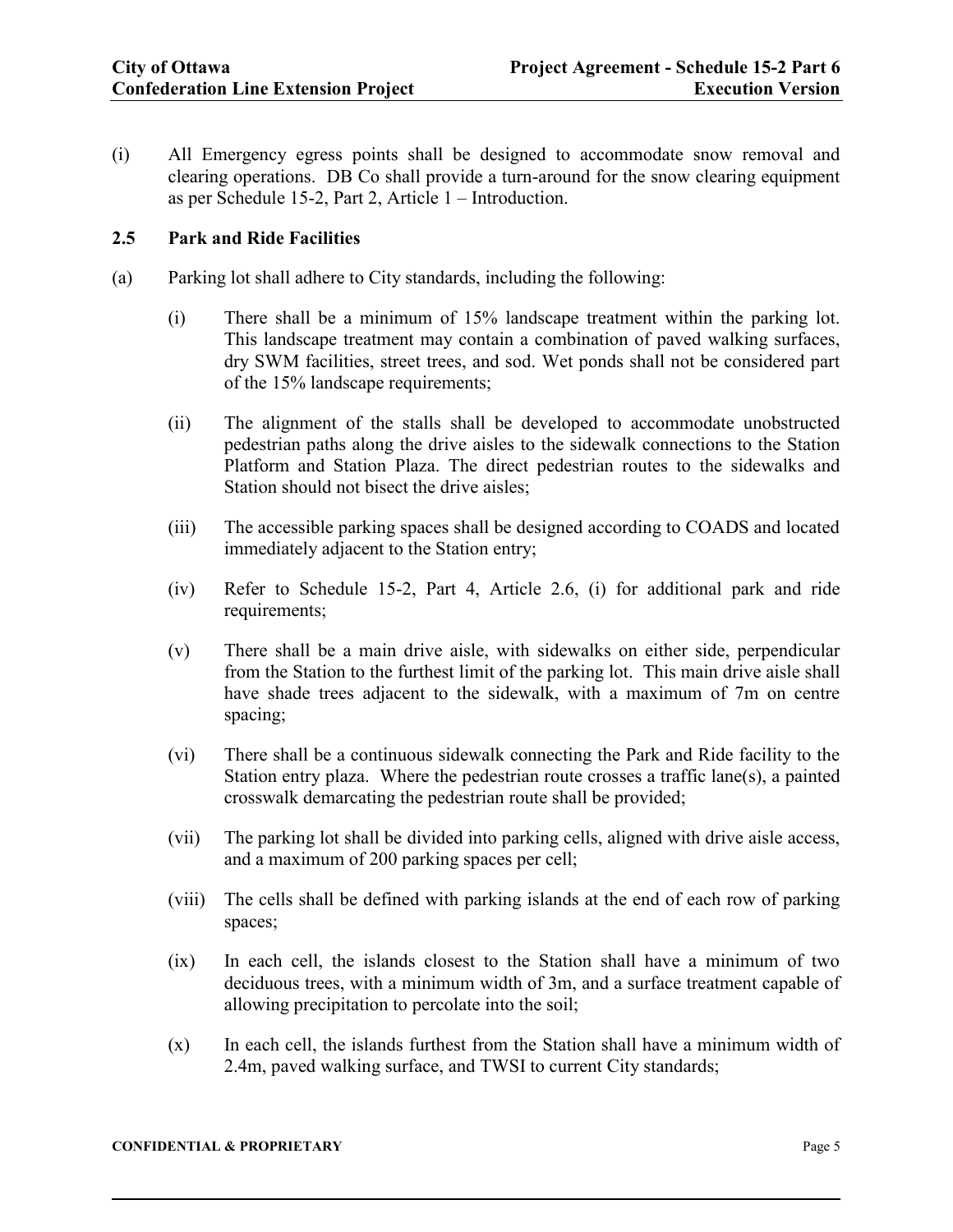(i) All Emergency egress points shall be designed to accommodate snow removal and clearing operations. DB Co shall provide a turn-around for the snow clearing equipment as per Schedule 15-2, Part 2, Article 1 – Introduction.

## <span id="page-6-0"></span>**2.5 Park and Ride Facilities**

- (a) Parking lot shall adhere to City standards, including the following:
	- (i) There shall be a minimum of 15% landscape treatment within the parking lot. This landscape treatment may contain a combination of paved walking surfaces, dry SWM facilities, street trees, and sod. Wet ponds shall not be considered part of the 15% landscape requirements;
	- (ii) The alignment of the stalls shall be developed to accommodate unobstructed pedestrian paths along the drive aisles to the sidewalk connections to the Station Platform and Station Plaza. The direct pedestrian routes to the sidewalks and Station should not bisect the drive aisles;
	- (iii) The accessible parking spaces shall be designed according to COADS and located immediately adjacent to the Station entry;
	- (iv) Refer to Schedule 15-2, Part 4, Article 2.6, (i) for additional park and ride requirements;
	- (v) There shall be a main drive aisle, with sidewalks on either side, perpendicular from the Station to the furthest limit of the parking lot. This main drive aisle shall have shade trees adjacent to the sidewalk, with a maximum of 7m on centre spacing;
	- (vi) There shall be a continuous sidewalk connecting the Park and Ride facility to the Station entry plaza. Where the pedestrian route crosses a traffic lane(s), a painted crosswalk demarcating the pedestrian route shall be provided;
	- (vii) The parking lot shall be divided into parking cells, aligned with drive aisle access, and a maximum of 200 parking spaces per cell;
	- (viii) The cells shall be defined with parking islands at the end of each row of parking spaces;
	- (ix) In each cell, the islands closest to the Station shall have a minimum of two deciduous trees, with a minimum width of 3m, and a surface treatment capable of allowing precipitation to percolate into the soil;
	- (x) In each cell, the islands furthest from the Station shall have a minimum width of 2.4m, paved walking surface, and TWSI to current City standards;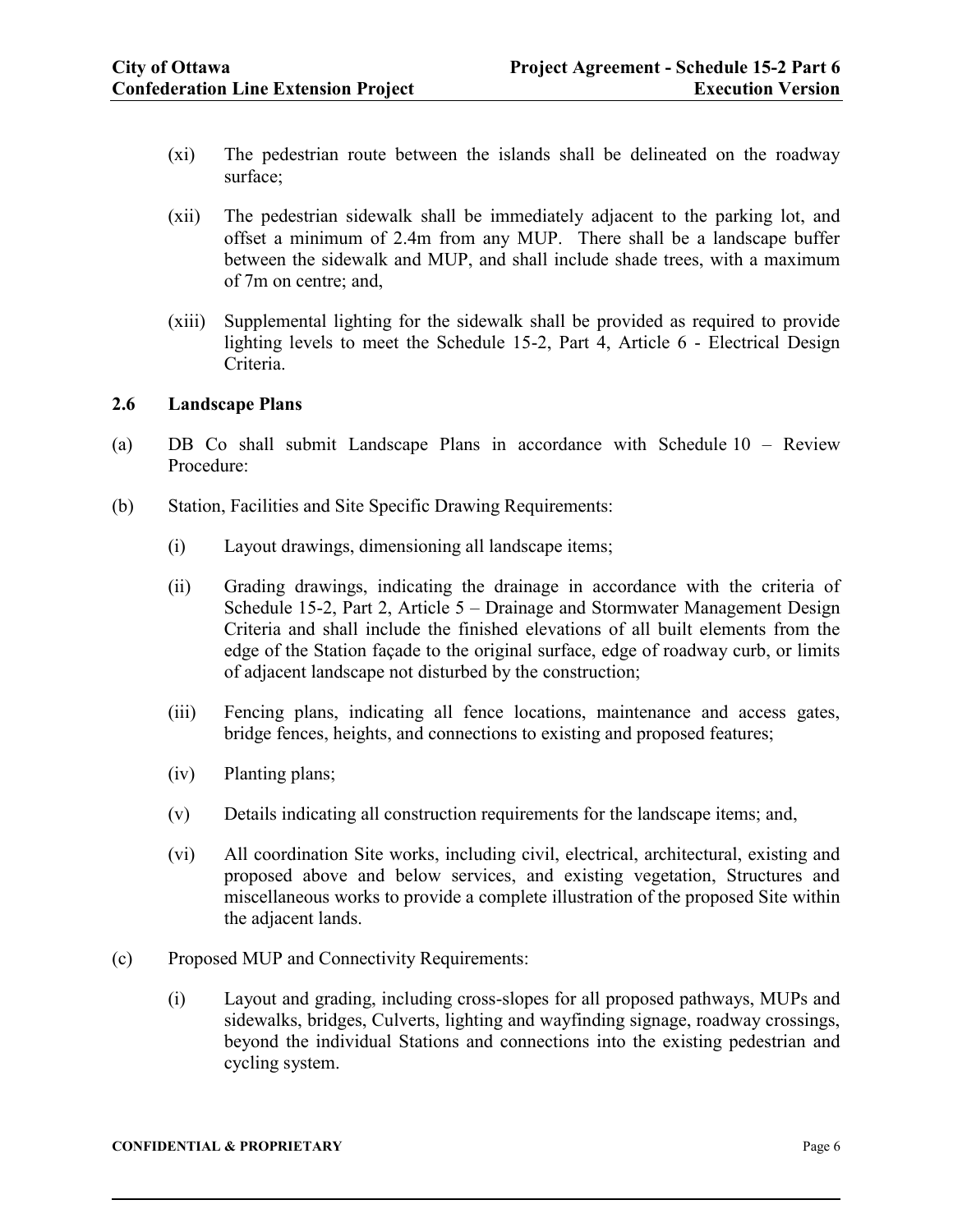- (xi) The pedestrian route between the islands shall be delineated on the roadway surface;
- (xii) The pedestrian sidewalk shall be immediately adjacent to the parking lot, and offset a minimum of 2.4m from any MUP. There shall be a landscape buffer between the sidewalk and MUP, and shall include shade trees, with a maximum of 7m on centre; and,
- (xiii) Supplemental lighting for the sidewalk shall be provided as required to provide lighting levels to meet the Schedule 15-2, Part 4, Article 6 - Electrical Design Criteria.

# <span id="page-7-0"></span>**2.6 Landscape Plans**

- (a) DB Co shall submit Landscape Plans in accordance with Schedule 10 Review Procedure:
- (b) Station, Facilities and Site Specific Drawing Requirements:
	- (i) Layout drawings, dimensioning all landscape items;
	- (ii) Grading drawings, indicating the drainage in accordance with the criteria of Schedule 15-2, Part 2, Article 5 – Drainage and Stormwater Management Design Criteria and shall include the finished elevations of all built elements from the edge of the Station façade to the original surface, edge of roadway curb, or limits of adjacent landscape not disturbed by the construction;
	- (iii) Fencing plans, indicating all fence locations, maintenance and access gates, bridge fences, heights, and connections to existing and proposed features;
	- (iv) Planting plans;
	- (v) Details indicating all construction requirements for the landscape items; and,
	- (vi) All coordination Site works, including civil, electrical, architectural, existing and proposed above and below services, and existing vegetation, Structures and miscellaneous works to provide a complete illustration of the proposed Site within the adjacent lands.
- (c) Proposed MUP and Connectivity Requirements:
	- (i) Layout and grading, including cross-slopes for all proposed pathways, MUPs and sidewalks, bridges, Culverts, lighting and wayfinding signage, roadway crossings, beyond the individual Stations and connections into the existing pedestrian and cycling system.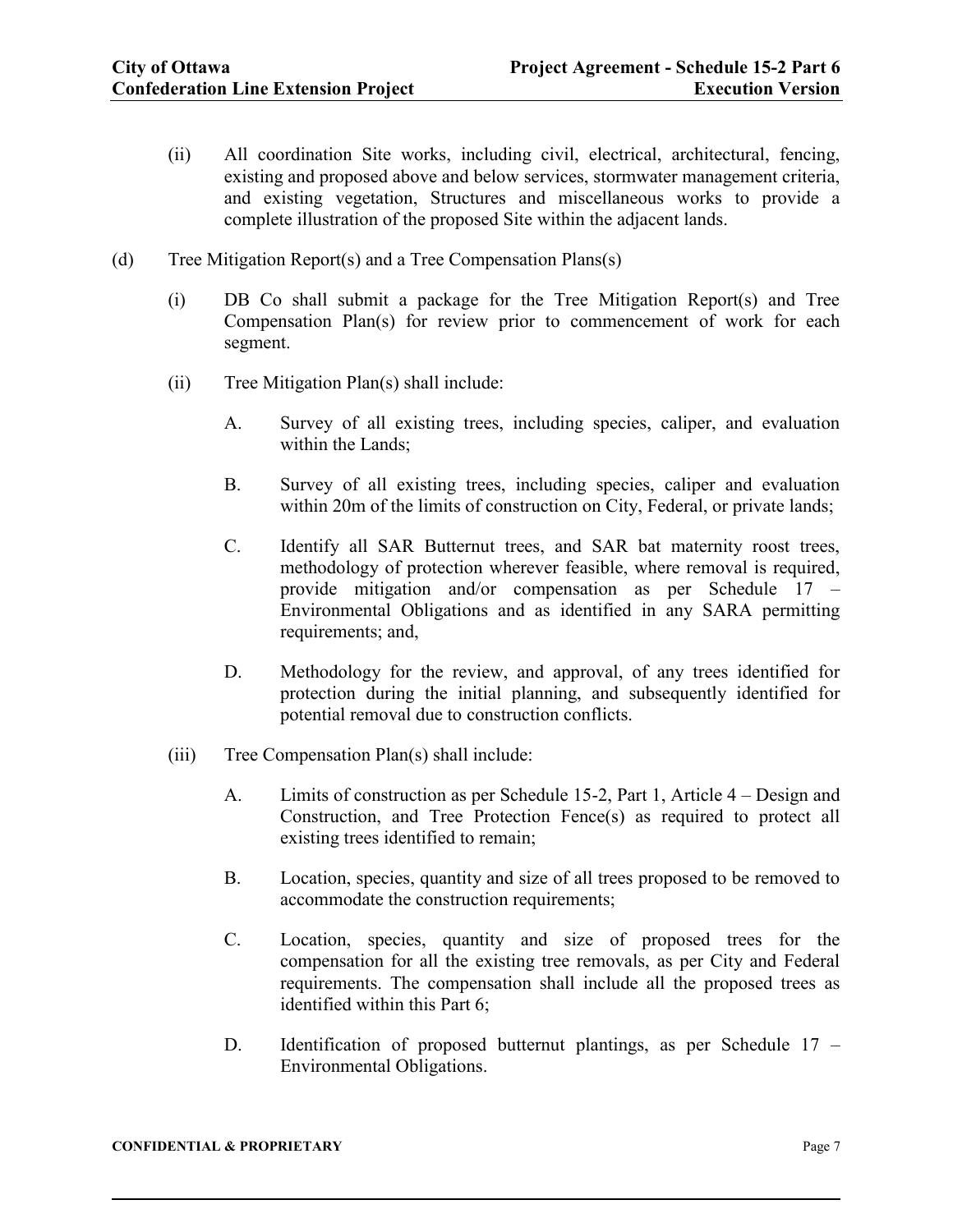- (ii) All coordination Site works, including civil, electrical, architectural, fencing, existing and proposed above and below services, stormwater management criteria, and existing vegetation, Structures and miscellaneous works to provide a complete illustration of the proposed Site within the adjacent lands.
- (d) Tree Mitigation Report(s) and a Tree Compensation Plans(s)
	- (i) DB Co shall submit a package for the Tree Mitigation Report(s) and Tree Compensation Plan(s) for review prior to commencement of work for each segment.
	- (ii) Tree Mitigation Plan(s) shall include:
		- A. Survey of all existing trees, including species, caliper, and evaluation within the Lands;
		- B. Survey of all existing trees, including species, caliper and evaluation within 20m of the limits of construction on City, Federal, or private lands;
		- C. Identify all SAR Butternut trees, and SAR bat maternity roost trees, methodology of protection wherever feasible, where removal is required, provide mitigation and/or compensation as per Schedule 17 – Environmental Obligations and as identified in any SARA permitting requirements; and,
		- D. Methodology for the review, and approval, of any trees identified for protection during the initial planning, and subsequently identified for potential removal due to construction conflicts.
	- (iii) Tree Compensation Plan(s) shall include:
		- A. Limits of construction as per Schedule 15-2, Part 1, Article 4 Design and Construction, and Tree Protection Fence(s) as required to protect all existing trees identified to remain;
		- B. Location, species, quantity and size of all trees proposed to be removed to accommodate the construction requirements;
		- C. Location, species, quantity and size of proposed trees for the compensation for all the existing tree removals, as per City and Federal requirements. The compensation shall include all the proposed trees as identified within this Part 6;
		- D. Identification of proposed butternut plantings, as per Schedule 17 Environmental Obligations.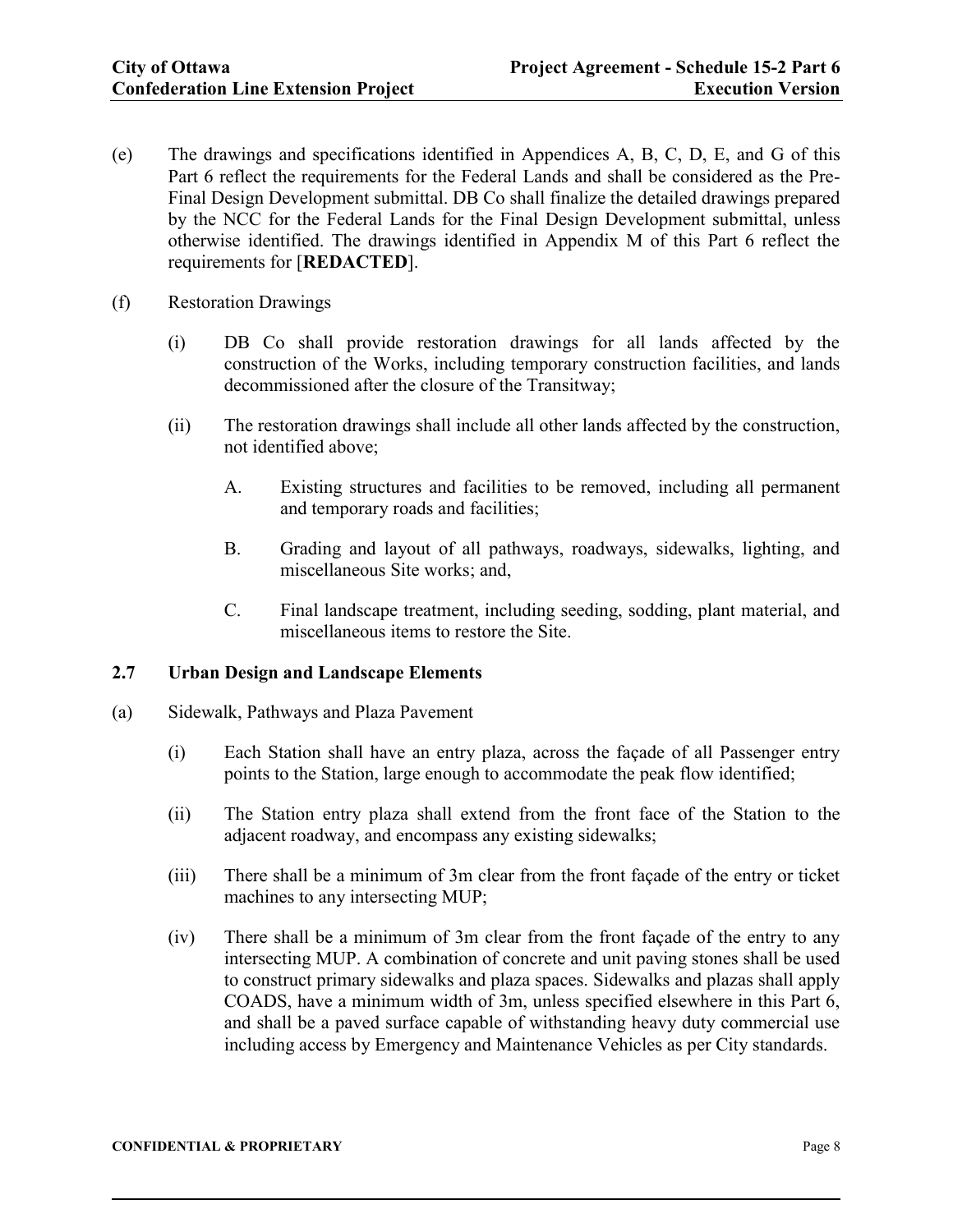- (e) The drawings and specifications identified in Appendices A, B, C, D, E, and G of this Part 6 reflect the requirements for the Federal Lands and shall be considered as the Pre-Final Design Development submittal. DB Co shall finalize the detailed drawings prepared by the NCC for the Federal Lands for the Final Design Development submittal, unless otherwise identified. The drawings identified in Appendix M of this Part 6 reflect the requirements for [**REDACTED**].
- (f) Restoration Drawings
	- (i) DB Co shall provide restoration drawings for all lands affected by the construction of the Works, including temporary construction facilities, and lands decommissioned after the closure of the Transitway;
	- (ii) The restoration drawings shall include all other lands affected by the construction, not identified above;
		- A. Existing structures and facilities to be removed, including all permanent and temporary roads and facilities;
		- B. Grading and layout of all pathways, roadways, sidewalks, lighting, and miscellaneous Site works; and,
		- C. Final landscape treatment, including seeding, sodding, plant material, and miscellaneous items to restore the Site.

## <span id="page-9-0"></span>**2.7 Urban Design and Landscape Elements**

- (a) Sidewalk, Pathways and Plaza Pavement
	- (i) Each Station shall have an entry plaza, across the façade of all Passenger entry points to the Station, large enough to accommodate the peak flow identified;
	- (ii) The Station entry plaza shall extend from the front face of the Station to the adjacent roadway, and encompass any existing sidewalks;
	- (iii) There shall be a minimum of 3m clear from the front façade of the entry or ticket machines to any intersecting MUP;
	- (iv) There shall be a minimum of 3m clear from the front façade of the entry to any intersecting MUP. A combination of concrete and unit paving stones shall be used to construct primary sidewalks and plaza spaces. Sidewalks and plazas shall apply COADS, have a minimum width of 3m, unless specified elsewhere in this Part 6, and shall be a paved surface capable of withstanding heavy duty commercial use including access by Emergency and Maintenance Vehicles as per City standards.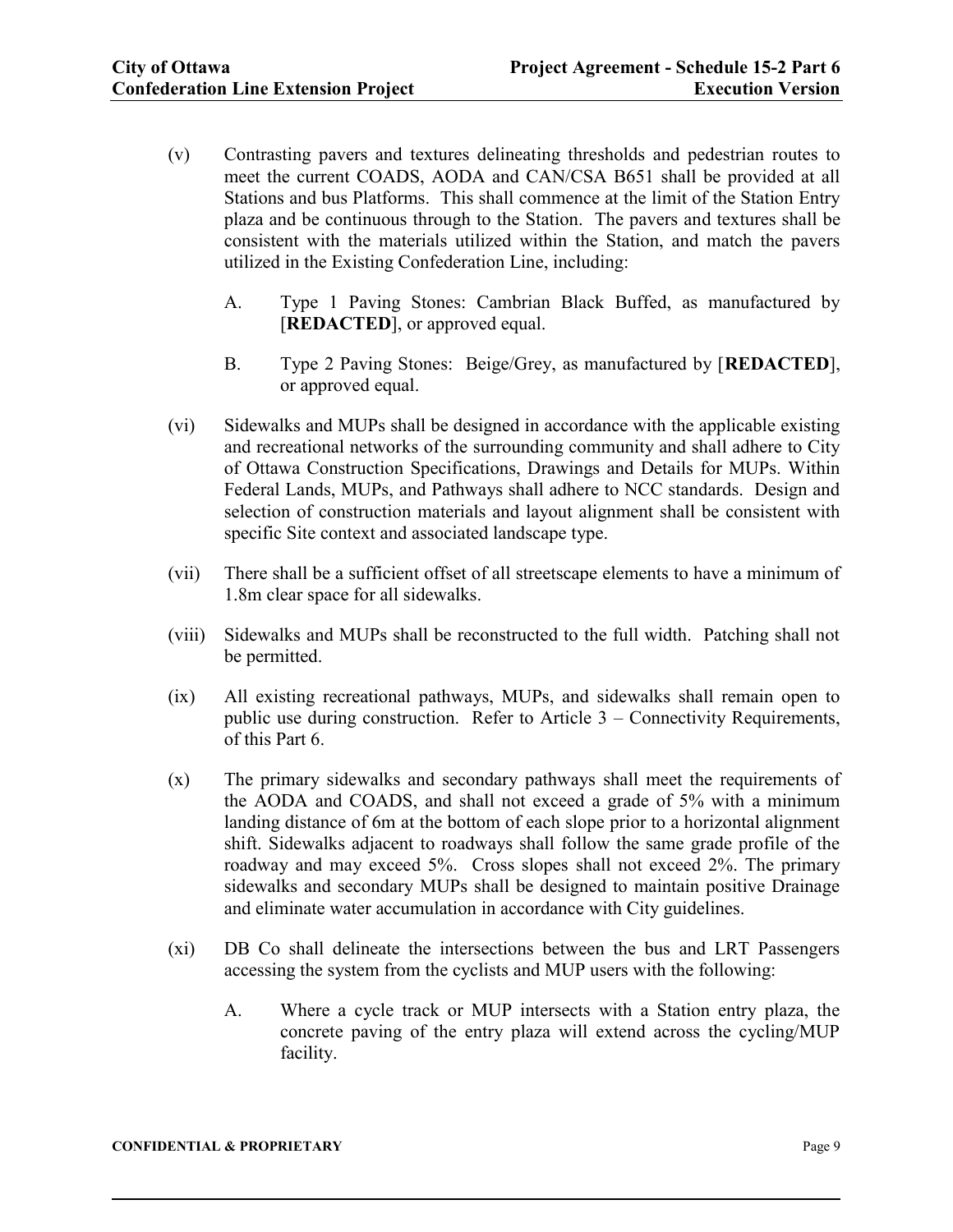- (v) Contrasting pavers and textures delineating thresholds and pedestrian routes to meet the current COADS, AODA and CAN/CSA B651 shall be provided at all Stations and bus Platforms. This shall commence at the limit of the Station Entry plaza and be continuous through to the Station. The pavers and textures shall be consistent with the materials utilized within the Station, and match the pavers utilized in the Existing Confederation Line, including:
	- A. Type 1 Paving Stones: Cambrian Black Buffed, as manufactured by [**REDACTED**], or approved equal.
	- B. Type 2 Paving Stones: Beige/Grey, as manufactured by [**REDACTED**], or approved equal.
- (vi) Sidewalks and MUPs shall be designed in accordance with the applicable existing and recreational networks of the surrounding community and shall adhere to City of Ottawa Construction Specifications, Drawings and Details for MUPs. Within Federal Lands, MUPs, and Pathways shall adhere to NCC standards. Design and selection of construction materials and layout alignment shall be consistent with specific Site context and associated landscape type.
- (vii) There shall be a sufficient offset of all streetscape elements to have a minimum of 1.8m clear space for all sidewalks.
- (viii) Sidewalks and MUPs shall be reconstructed to the full width. Patching shall not be permitted.
- (ix) All existing recreational pathways, MUPs, and sidewalks shall remain open to public use during construction. Refer to Article 3 – Connectivity Requirements, of this Part 6.
- (x) The primary sidewalks and secondary pathways shall meet the requirements of the AODA and COADS, and shall not exceed a grade of 5% with a minimum landing distance of 6m at the bottom of each slope prior to a horizontal alignment shift. Sidewalks adjacent to roadways shall follow the same grade profile of the roadway and may exceed 5%. Cross slopes shall not exceed 2%. The primary sidewalks and secondary MUPs shall be designed to maintain positive Drainage and eliminate water accumulation in accordance with City guidelines.
- (xi) DB Co shall delineate the intersections between the bus and LRT Passengers accessing the system from the cyclists and MUP users with the following:
	- A. Where a cycle track or MUP intersects with a Station entry plaza, the concrete paving of the entry plaza will extend across the cycling/MUP facility.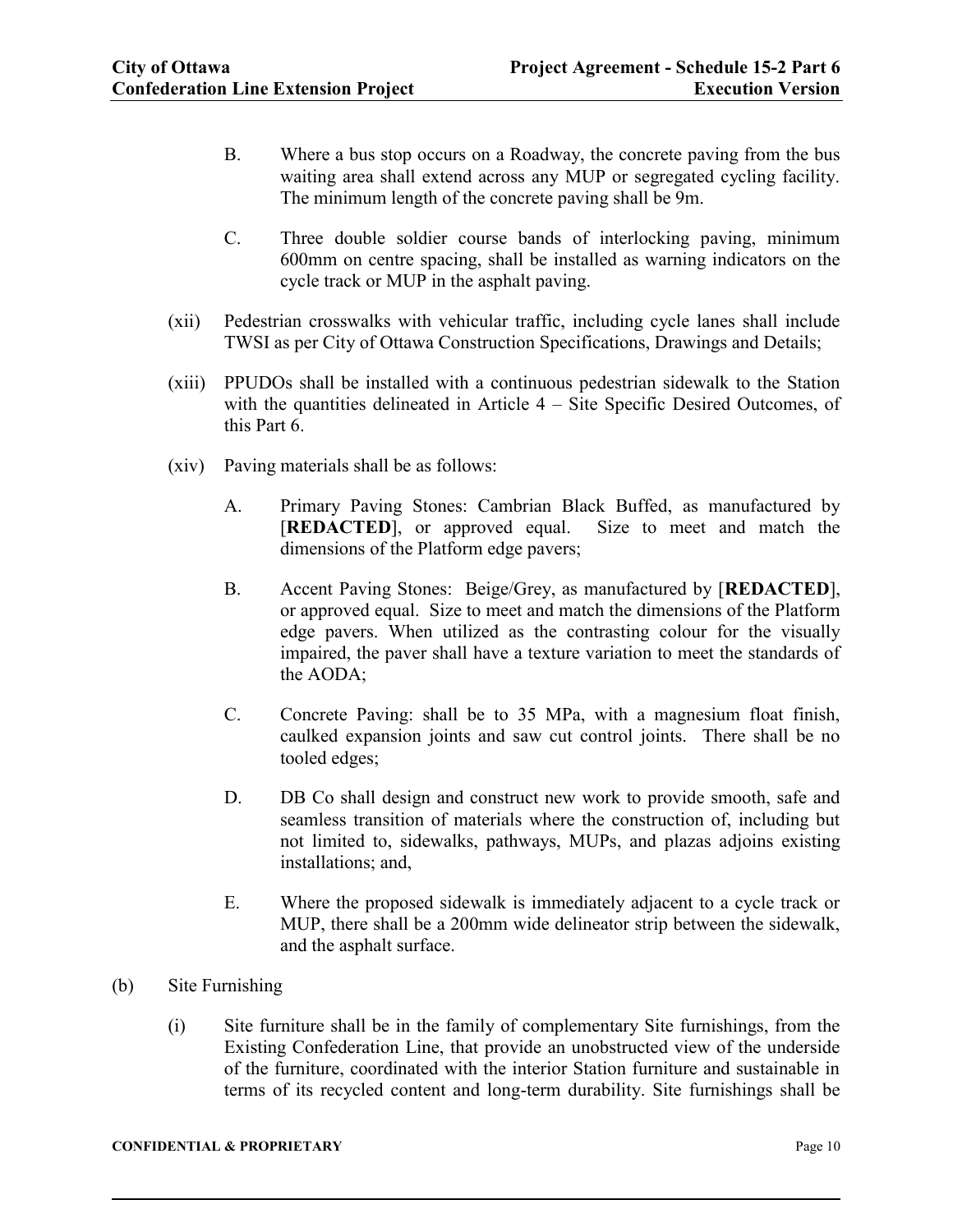- B. Where a bus stop occurs on a Roadway, the concrete paving from the bus waiting area shall extend across any MUP or segregated cycling facility. The minimum length of the concrete paving shall be 9m.
- C. Three double soldier course bands of interlocking paving, minimum 600mm on centre spacing, shall be installed as warning indicators on the cycle track or MUP in the asphalt paving.
- (xii) Pedestrian crosswalks with vehicular traffic, including cycle lanes shall include TWSI as per City of Ottawa Construction Specifications, Drawings and Details;
- (xiii) PPUDOs shall be installed with a continuous pedestrian sidewalk to the Station with the quantities delineated in Article 4 – Site Specific Desired Outcomes, of this Part 6.
- (xiv) Paving materials shall be as follows:
	- A. Primary Paving Stones: Cambrian Black Buffed, as manufactured by [**REDACTED**], or approved equal. Size to meet and match the dimensions of the Platform edge pavers;
	- B. Accent Paving Stones: Beige/Grey, as manufactured by [**REDACTED**], or approved equal. Size to meet and match the dimensions of the Platform edge pavers. When utilized as the contrasting colour for the visually impaired, the paver shall have a texture variation to meet the standards of the AODA;
	- C. Concrete Paving: shall be to 35 MPa, with a magnesium float finish, caulked expansion joints and saw cut control joints. There shall be no tooled edges;
	- D. DB Co shall design and construct new work to provide smooth, safe and seamless transition of materials where the construction of, including but not limited to, sidewalks, pathways, MUPs, and plazas adjoins existing installations; and,
	- E. Where the proposed sidewalk is immediately adjacent to a cycle track or MUP, there shall be a 200mm wide delineator strip between the sidewalk, and the asphalt surface.
- (b) Site Furnishing
	- (i) Site furniture shall be in the family of complementary Site furnishings, from the Existing Confederation Line, that provide an unobstructed view of the underside of the furniture, coordinated with the interior Station furniture and sustainable in terms of its recycled content and long-term durability. Site furnishings shall be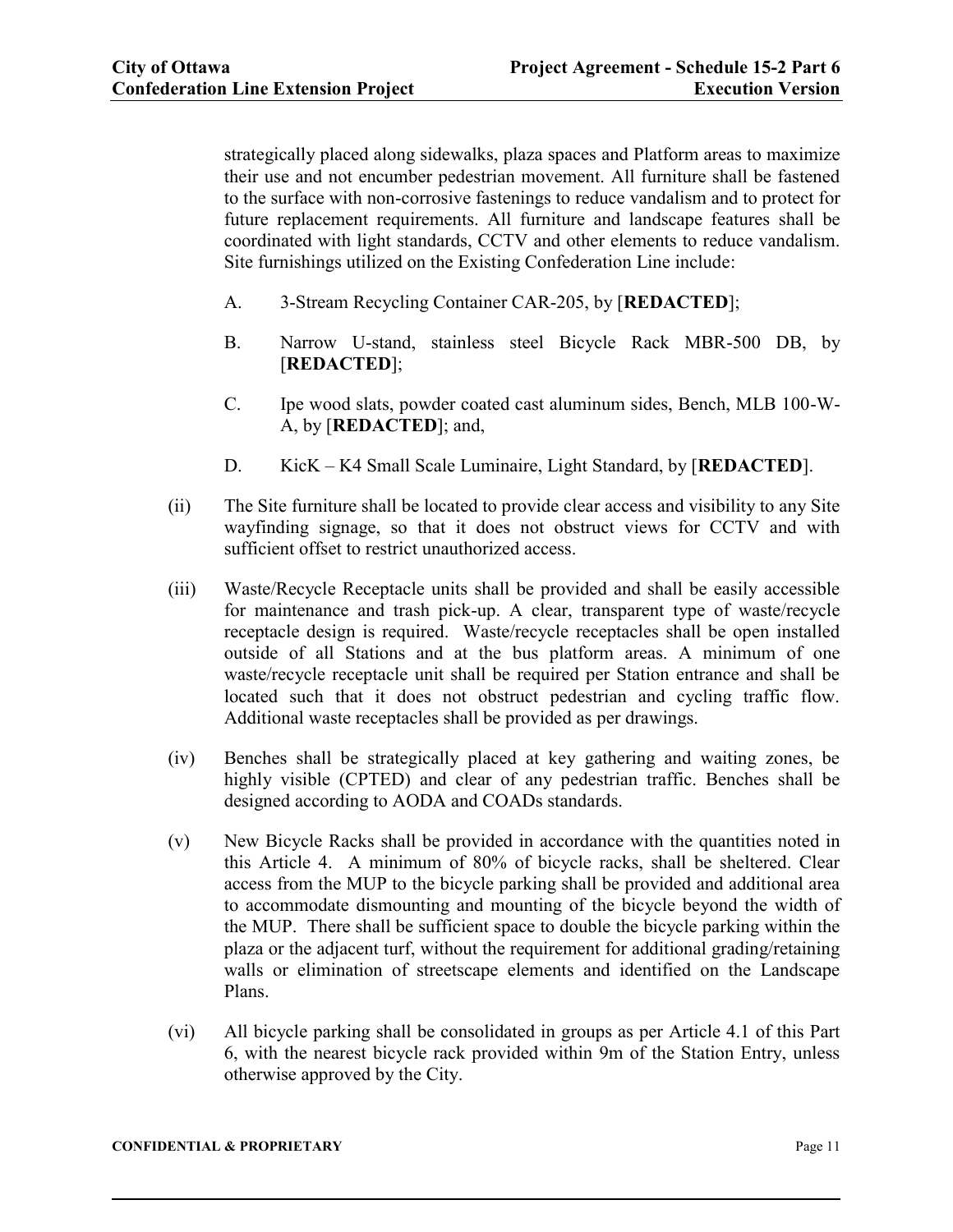strategically placed along sidewalks, plaza spaces and Platform areas to maximize their use and not encumber pedestrian movement. All furniture shall be fastened to the surface with non-corrosive fastenings to reduce vandalism and to protect for future replacement requirements. All furniture and landscape features shall be coordinated with light standards, CCTV and other elements to reduce vandalism. Site furnishings utilized on the Existing Confederation Line include:

- A. 3-Stream Recycling Container CAR-205, by [**REDACTED**];
- B. Narrow U-stand, stainless steel Bicycle Rack MBR-500 DB, by [**REDACTED**];
- C. Ipe wood slats, powder coated cast aluminum sides, Bench, MLB 100-W-A, by [**REDACTED**]; and,
- D. KicK K4 Small Scale Luminaire, Light Standard, by [**REDACTED**].
- (ii) The Site furniture shall be located to provide clear access and visibility to any Site wayfinding signage, so that it does not obstruct views for CCTV and with sufficient offset to restrict unauthorized access.
- (iii) Waste/Recycle Receptacle units shall be provided and shall be easily accessible for maintenance and trash pick-up. A clear, transparent type of waste/recycle receptacle design is required. Waste/recycle receptacles shall be open installed outside of all Stations and at the bus platform areas. A minimum of one waste/recycle receptacle unit shall be required per Station entrance and shall be located such that it does not obstruct pedestrian and cycling traffic flow. Additional waste receptacles shall be provided as per drawings.
- (iv) Benches shall be strategically placed at key gathering and waiting zones, be highly visible (CPTED) and clear of any pedestrian traffic. Benches shall be designed according to AODA and COADs standards.
- (v) New Bicycle Racks shall be provided in accordance with the quantities noted in this Article 4. A minimum of 80% of bicycle racks, shall be sheltered. Clear access from the MUP to the bicycle parking shall be provided and additional area to accommodate dismounting and mounting of the bicycle beyond the width of the MUP. There shall be sufficient space to double the bicycle parking within the plaza or the adjacent turf, without the requirement for additional grading/retaining walls or elimination of streetscape elements and identified on the Landscape Plans.
- (vi) All bicycle parking shall be consolidated in groups as per Article 4.1 of this Part 6, with the nearest bicycle rack provided within 9m of the Station Entry, unless otherwise approved by the City.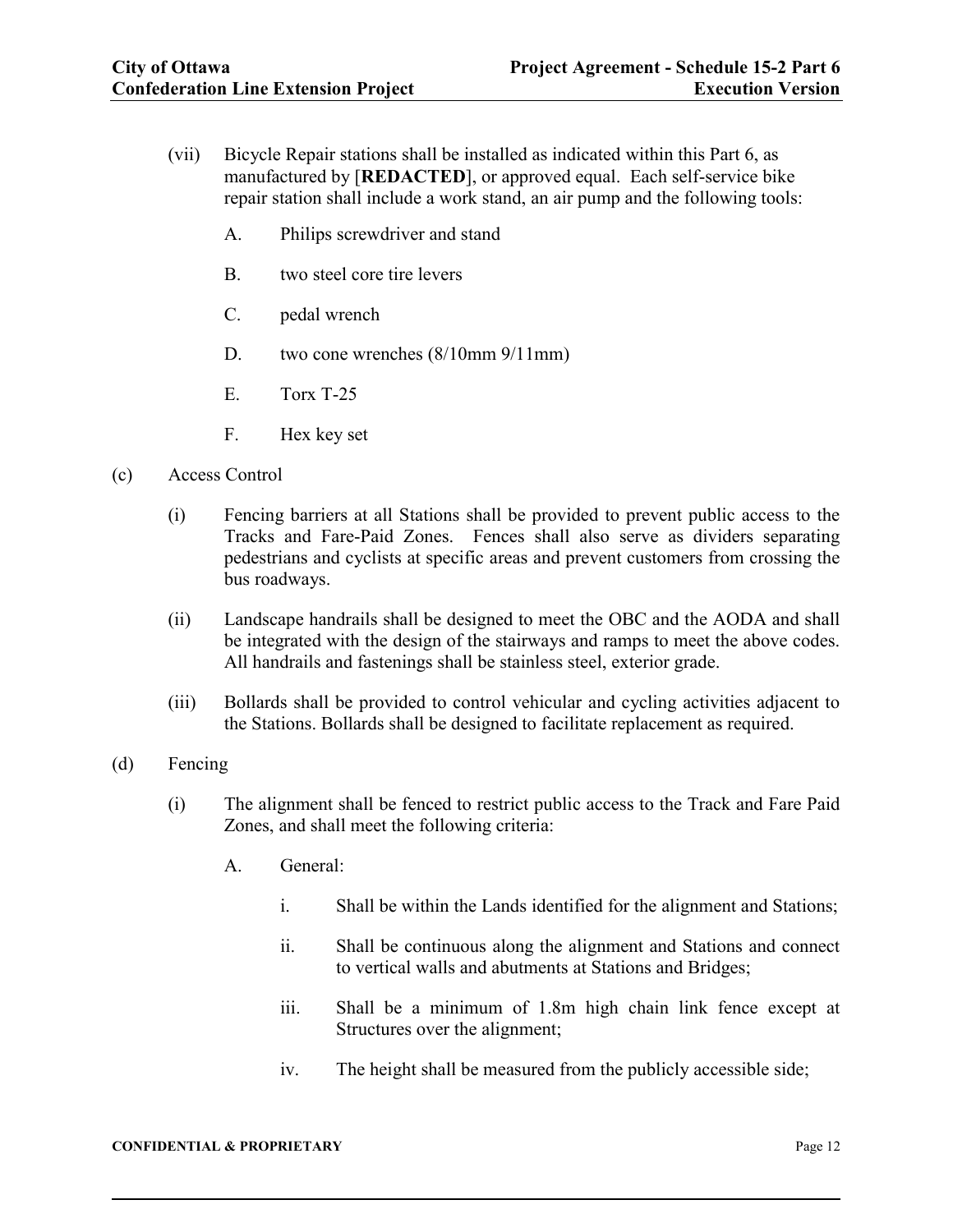- (vii) Bicycle Repair stations shall be installed as indicated within this Part 6, as manufactured by [**REDACTED**], or approved equal. Each self-service bike repair station shall include a work stand, an air pump and the following tools:
	- A. Philips screwdriver and stand
	- B. two steel core tire levers
	- C. pedal wrench
	- D. two cone wrenches  $(8/10$ mm  $9/11$ mm)
	- E. Torx T-25
	- F. Hex key set
- (c) Access Control
	- (i) Fencing barriers at all Stations shall be provided to prevent public access to the Tracks and Fare-Paid Zones. Fences shall also serve as dividers separating pedestrians and cyclists at specific areas and prevent customers from crossing the bus roadways.
	- (ii) Landscape handrails shall be designed to meet the OBC and the AODA and shall be integrated with the design of the stairways and ramps to meet the above codes. All handrails and fastenings shall be stainless steel, exterior grade.
	- (iii) Bollards shall be provided to control vehicular and cycling activities adjacent to the Stations. Bollards shall be designed to facilitate replacement as required.
- (d) Fencing
	- (i) The alignment shall be fenced to restrict public access to the Track and Fare Paid Zones, and shall meet the following criteria:
		- A. General:
			- i. Shall be within the Lands identified for the alignment and Stations;
			- ii. Shall be continuous along the alignment and Stations and connect to vertical walls and abutments at Stations and Bridges;
			- iii. Shall be a minimum of 1.8m high chain link fence except at Structures over the alignment;
			- iv. The height shall be measured from the publicly accessible side;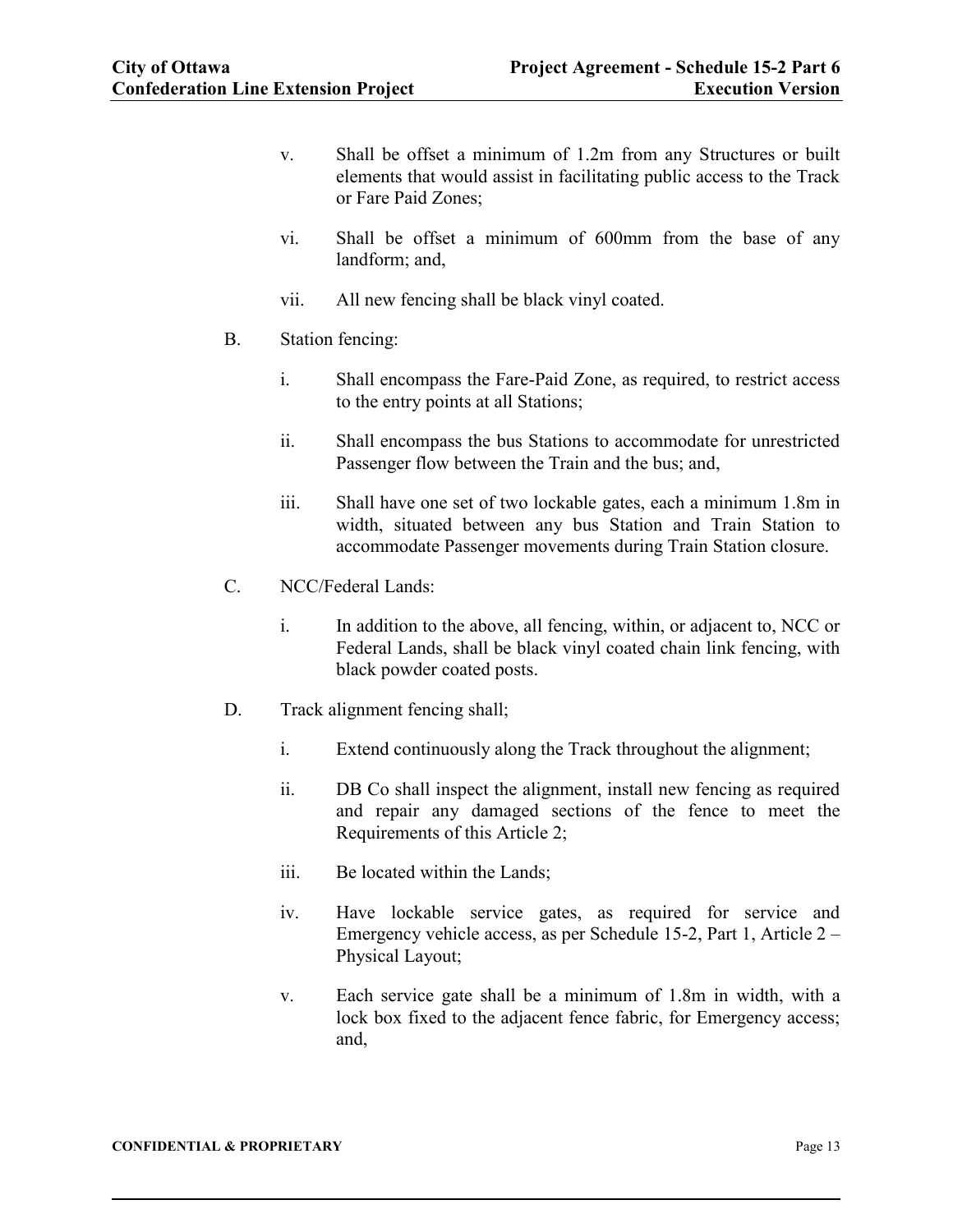- v. Shall be offset a minimum of 1.2m from any Structures or built elements that would assist in facilitating public access to the Track or Fare Paid Zones;
- vi. Shall be offset a minimum of 600mm from the base of any landform; and,
- vii. All new fencing shall be black vinyl coated.
- B. Station fencing:
	- i. Shall encompass the Fare-Paid Zone, as required, to restrict access to the entry points at all Stations;
	- ii. Shall encompass the bus Stations to accommodate for unrestricted Passenger flow between the Train and the bus; and,
	- iii. Shall have one set of two lockable gates, each a minimum 1.8m in width, situated between any bus Station and Train Station to accommodate Passenger movements during Train Station closure.
- C. NCC/Federal Lands:
	- i. In addition to the above, all fencing, within, or adjacent to, NCC or Federal Lands, shall be black vinyl coated chain link fencing, with black powder coated posts.
- D. Track alignment fencing shall;
	- i. Extend continuously along the Track throughout the alignment;
	- ii. DB Co shall inspect the alignment, install new fencing as required and repair any damaged sections of the fence to meet the Requirements of this Article 2;
	- iii. Be located within the Lands;
	- iv. Have lockable service gates, as required for service and Emergency vehicle access, as per Schedule 15-2, Part 1, Article 2 – Physical Layout;
	- v. Each service gate shall be a minimum of 1.8m in width, with a lock box fixed to the adjacent fence fabric, for Emergency access; and,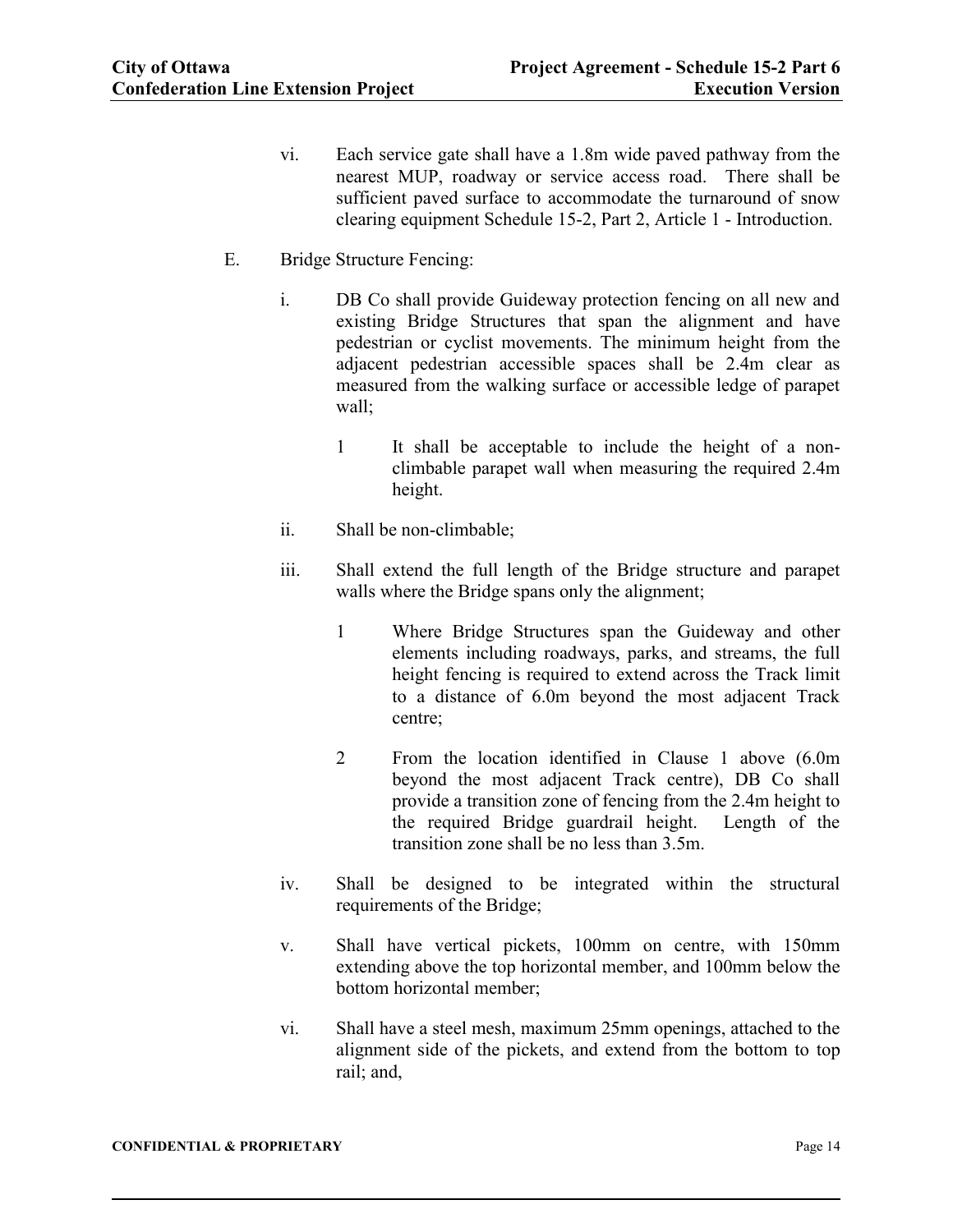- vi. Each service gate shall have a 1.8m wide paved pathway from the nearest MUP, roadway or service access road. There shall be sufficient paved surface to accommodate the turnaround of snow clearing equipment Schedule 15-2, Part 2, Article 1 - Introduction.
- E. Bridge Structure Fencing:
	- i. DB Co shall provide Guideway protection fencing on all new and existing Bridge Structures that span the alignment and have pedestrian or cyclist movements. The minimum height from the adjacent pedestrian accessible spaces shall be 2.4m clear as measured from the walking surface or accessible ledge of parapet wall;
		- 1 It shall be acceptable to include the height of a nonclimbable parapet wall when measuring the required 2.4m height.
	- ii. Shall be non-climbable;
	- iii. Shall extend the full length of the Bridge structure and parapet walls where the Bridge spans only the alignment;
		- 1 Where Bridge Structures span the Guideway and other elements including roadways, parks, and streams, the full height fencing is required to extend across the Track limit to a distance of 6.0m beyond the most adjacent Track centre;
		- 2 From the location identified in Clause 1 above (6.0m beyond the most adjacent Track centre), DB Co shall provide a transition zone of fencing from the 2.4m height to the required Bridge guardrail height. Length of the transition zone shall be no less than 3.5m.
	- iv. Shall be designed to be integrated within the structural requirements of the Bridge;
	- v. Shall have vertical pickets, 100mm on centre, with 150mm extending above the top horizontal member, and 100mm below the bottom horizontal member;
	- vi. Shall have a steel mesh, maximum 25mm openings, attached to the alignment side of the pickets, and extend from the bottom to top rail; and,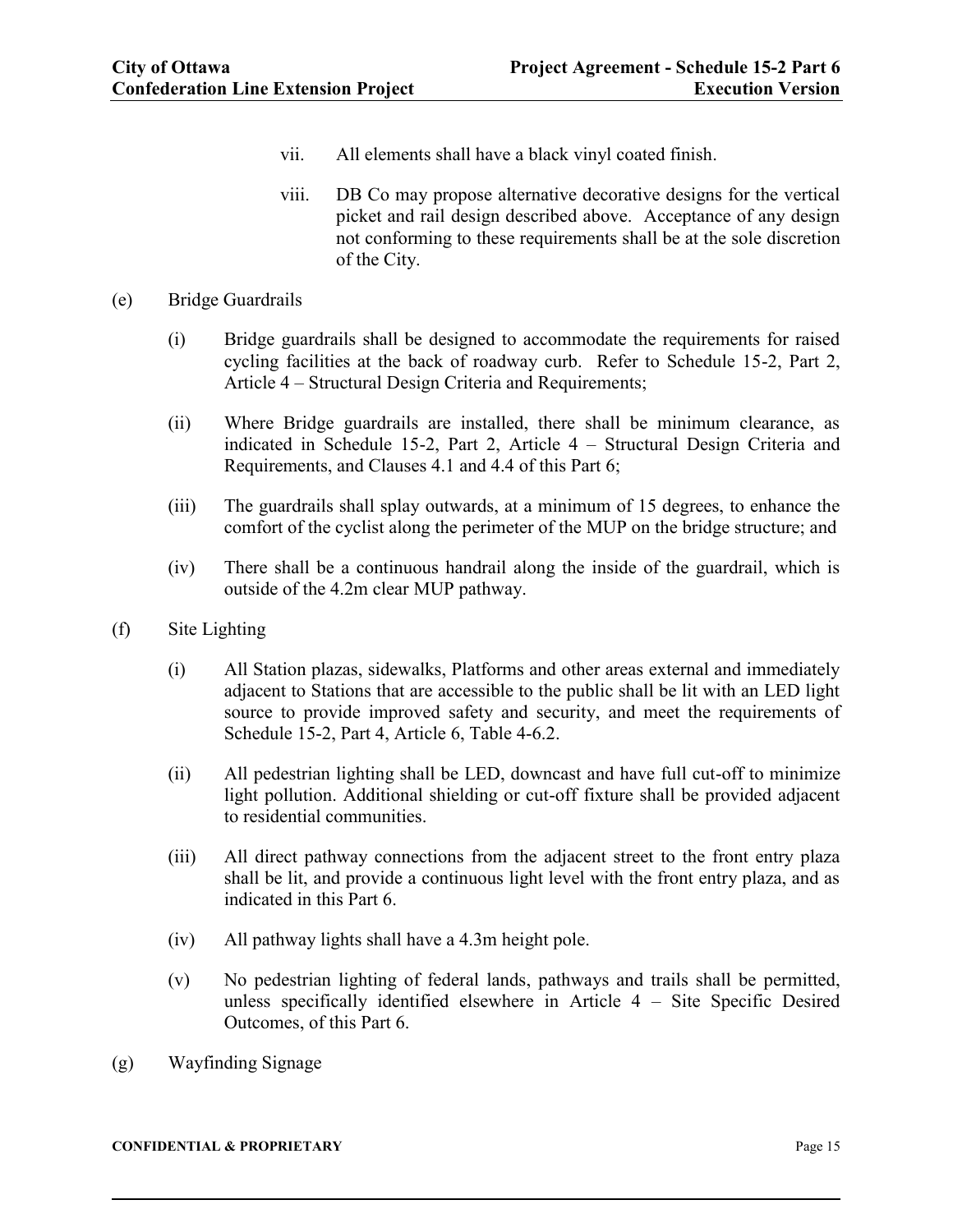- vii. All elements shall have a black vinyl coated finish.
- viii. DB Co may propose alternative decorative designs for the vertical picket and rail design described above. Acceptance of any design not conforming to these requirements shall be at the sole discretion of the City.
- (e) Bridge Guardrails
	- (i) Bridge guardrails shall be designed to accommodate the requirements for raised cycling facilities at the back of roadway curb. Refer to Schedule 15-2, Part 2, Article 4 – Structural Design Criteria and Requirements;
	- (ii) Where Bridge guardrails are installed, there shall be minimum clearance, as indicated in Schedule 15-2, Part 2, Article 4 – Structural Design Criteria and Requirements, and Clauses 4.1 and 4.4 of this Part 6;
	- (iii) The guardrails shall splay outwards, at a minimum of 15 degrees, to enhance the comfort of the cyclist along the perimeter of the MUP on the bridge structure; and
	- (iv) There shall be a continuous handrail along the inside of the guardrail, which is outside of the 4.2m clear MUP pathway.
- (f) Site Lighting
	- (i) All Station plazas, sidewalks, Platforms and other areas external and immediately adjacent to Stations that are accessible to the public shall be lit with an LED light source to provide improved safety and security, and meet the requirements of Schedule 15-2, Part 4, Article 6, Table 4-6.2.
	- (ii) All pedestrian lighting shall be LED, downcast and have full cut-off to minimize light pollution. Additional shielding or cut-off fixture shall be provided adjacent to residential communities.
	- (iii) All direct pathway connections from the adjacent street to the front entry plaza shall be lit, and provide a continuous light level with the front entry plaza, and as indicated in this Part 6.
	- (iv) All pathway lights shall have a 4.3m height pole.
	- (v) No pedestrian lighting of federal lands, pathways and trails shall be permitted, unless specifically identified elsewhere in Article 4 – Site Specific Desired Outcomes, of this Part 6.
- (g) Wayfinding Signage

#### **CONFIDENTIAL & PROPRIETARY** Page 15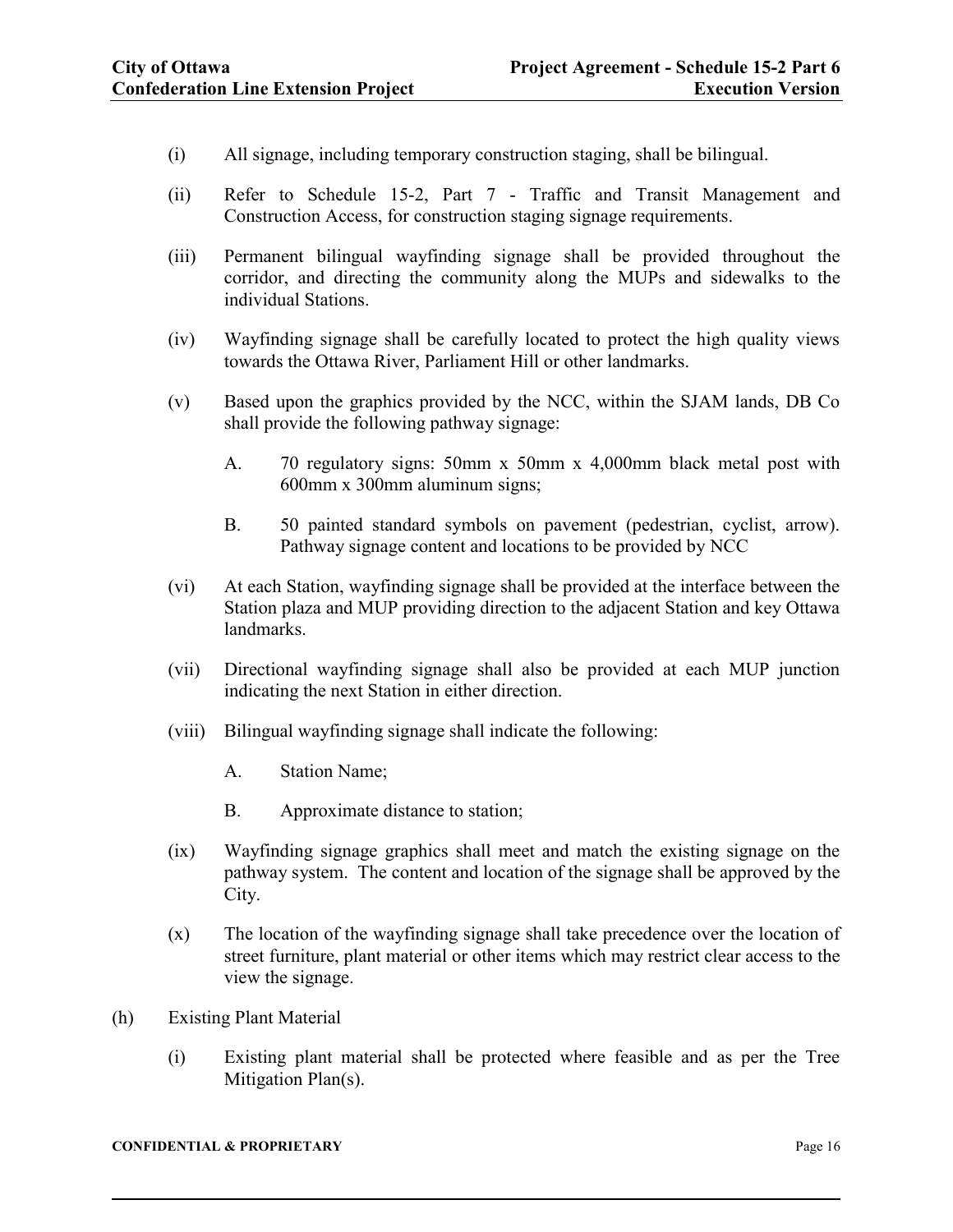- (i) All signage, including temporary construction staging, shall be bilingual.
- (ii) Refer to Schedule 15-2, Part 7 Traffic and Transit Management and Construction Access, for construction staging signage requirements.
- (iii) Permanent bilingual wayfinding signage shall be provided throughout the corridor, and directing the community along the MUPs and sidewalks to the individual Stations.
- (iv) Wayfinding signage shall be carefully located to protect the high quality views towards the Ottawa River, Parliament Hill or other landmarks.
- (v) Based upon the graphics provided by the NCC, within the SJAM lands, DB Co shall provide the following pathway signage:
	- A. 70 regulatory signs: 50mm x 50mm x 4,000mm black metal post with 600mm x 300mm aluminum signs;
	- B. 50 painted standard symbols on pavement (pedestrian, cyclist, arrow). Pathway signage content and locations to be provided by NCC
- (vi) At each Station, wayfinding signage shall be provided at the interface between the Station plaza and MUP providing direction to the adjacent Station and key Ottawa landmarks.
- (vii) Directional wayfinding signage shall also be provided at each MUP junction indicating the next Station in either direction.
- (viii) Bilingual wayfinding signage shall indicate the following:
	- A. Station Name;
	- B. Approximate distance to station;
- (ix) Wayfinding signage graphics shall meet and match the existing signage on the pathway system. The content and location of the signage shall be approved by the City.
- (x) The location of the wayfinding signage shall take precedence over the location of street furniture, plant material or other items which may restrict clear access to the view the signage.
- (h) Existing Plant Material
	- (i) Existing plant material shall be protected where feasible and as per the Tree Mitigation Plan(s).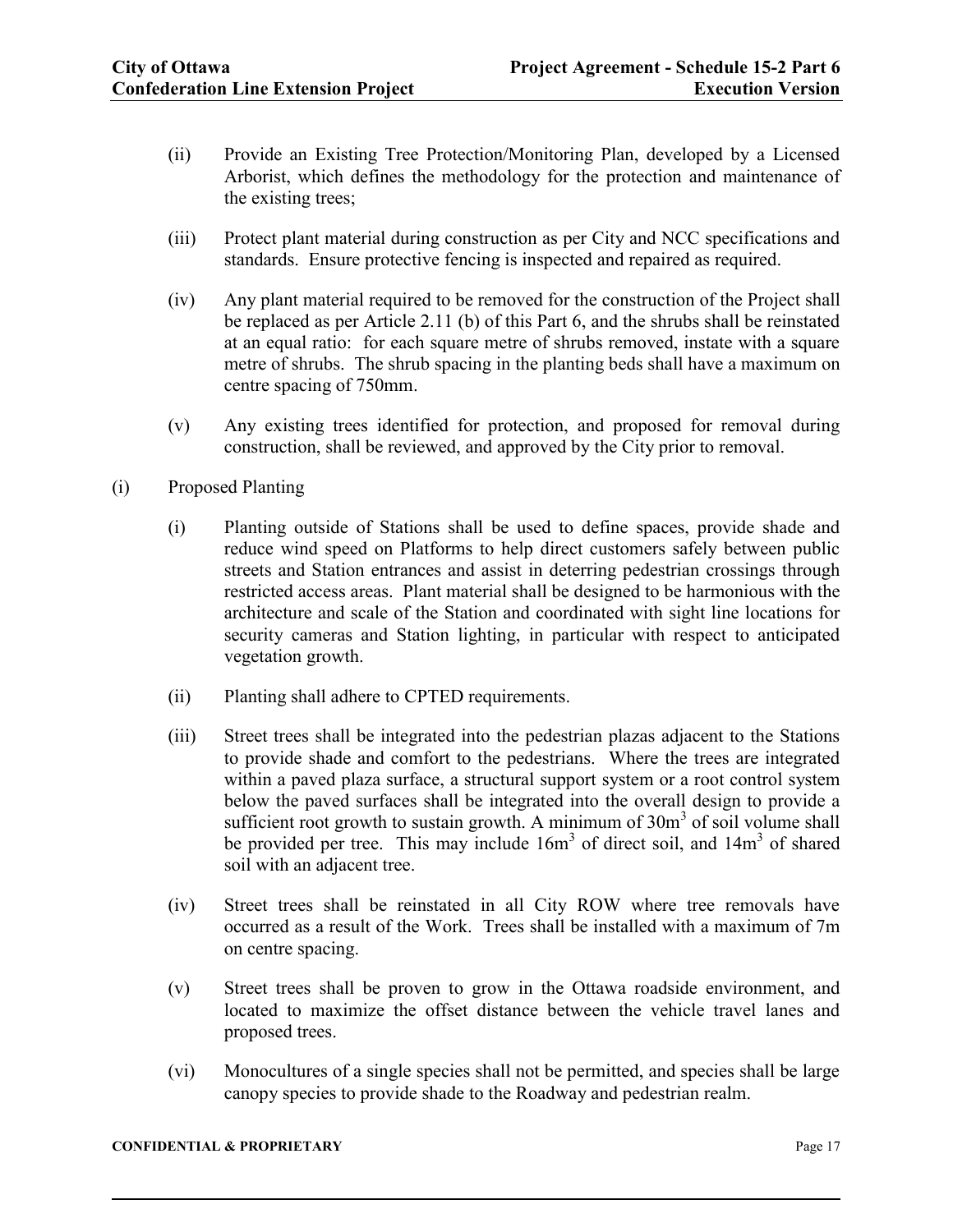- (ii) Provide an Existing Tree Protection/Monitoring Plan, developed by a Licensed Arborist, which defines the methodology for the protection and maintenance of the existing trees;
- (iii) Protect plant material during construction as per City and NCC specifications and standards. Ensure protective fencing is inspected and repaired as required.
- (iv) Any plant material required to be removed for the construction of the Project shall be replaced as per Article 2.11 (b) of this Part 6, and the shrubs shall be reinstated at an equal ratio: for each square metre of shrubs removed, instate with a square metre of shrubs. The shrub spacing in the planting beds shall have a maximum on centre spacing of 750mm.
- (v) Any existing trees identified for protection, and proposed for removal during construction, shall be reviewed, and approved by the City prior to removal.
- (i) Proposed Planting
	- (i) Planting outside of Stations shall be used to define spaces, provide shade and reduce wind speed on Platforms to help direct customers safely between public streets and Station entrances and assist in deterring pedestrian crossings through restricted access areas. Plant material shall be designed to be harmonious with the architecture and scale of the Station and coordinated with sight line locations for security cameras and Station lighting, in particular with respect to anticipated vegetation growth.
	- (ii) Planting shall adhere to CPTED requirements.
	- (iii) Street trees shall be integrated into the pedestrian plazas adjacent to the Stations to provide shade and comfort to the pedestrians. Where the trees are integrated within a paved plaza surface, a structural support system or a root control system below the paved surfaces shall be integrated into the overall design to provide a sufficient root growth to sustain growth. A minimum of  $30m<sup>3</sup>$  of soil volume shall be provided per tree. This may include  $16m<sup>3</sup>$  of direct soil, and  $14m<sup>3</sup>$  of shared soil with an adjacent tree.
	- (iv) Street trees shall be reinstated in all City ROW where tree removals have occurred as a result of the Work. Trees shall be installed with a maximum of 7m on centre spacing.
	- (v) Street trees shall be proven to grow in the Ottawa roadside environment, and located to maximize the offset distance between the vehicle travel lanes and proposed trees.
	- (vi) Monocultures of a single species shall not be permitted, and species shall be large canopy species to provide shade to the Roadway and pedestrian realm.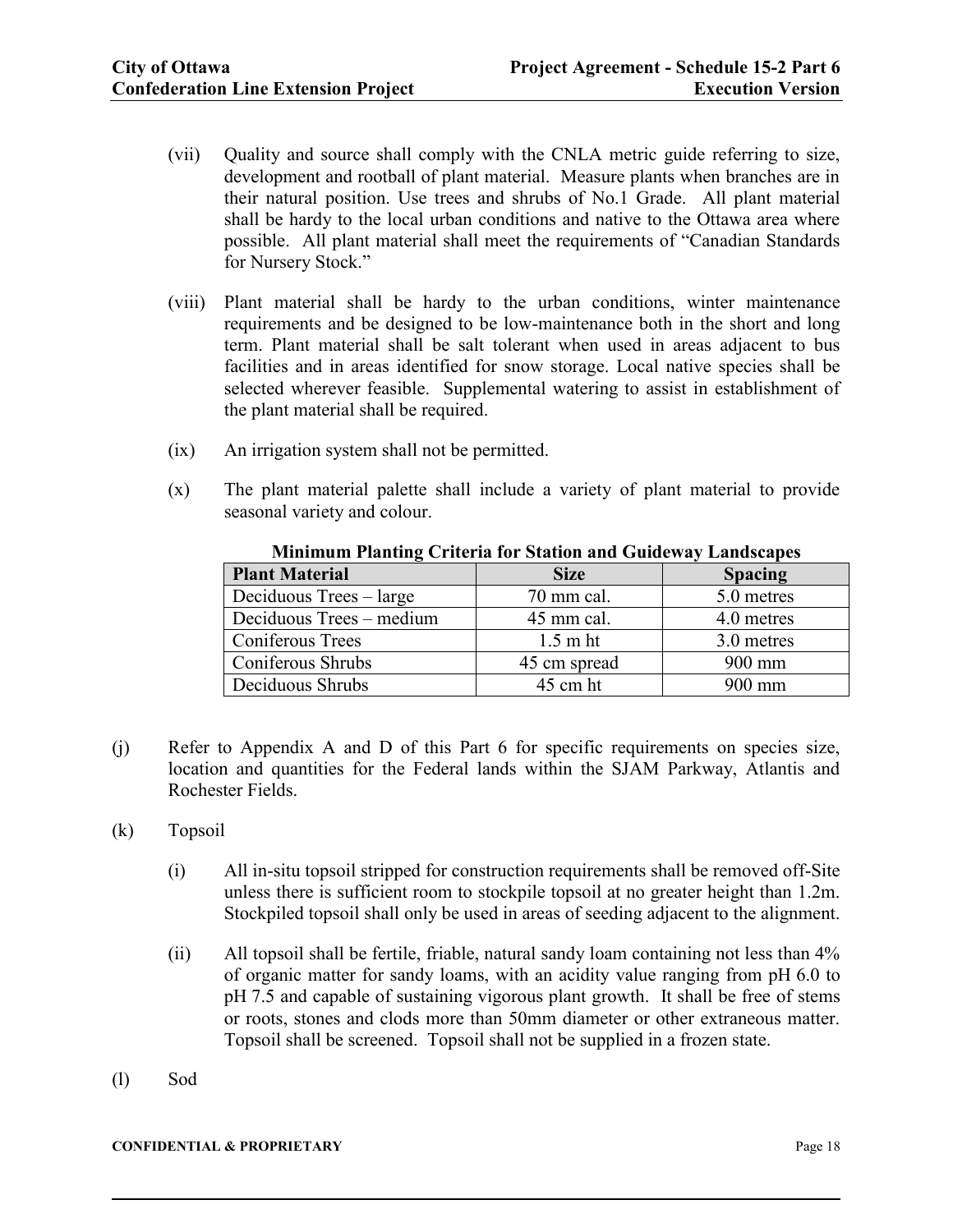- (vii) Quality and source shall comply with the CNLA metric guide referring to size, development and rootball of plant material. Measure plants when branches are in their natural position. Use trees and shrubs of No.1 Grade. All plant material shall be hardy to the local urban conditions and native to the Ottawa area where possible. All plant material shall meet the requirements of "Canadian Standards for Nursery Stock."
- (viii) Plant material shall be hardy to the urban conditions, winter maintenance requirements and be designed to be low-maintenance both in the short and long term. Plant material shall be salt tolerant when used in areas adjacent to bus facilities and in areas identified for snow storage. Local native species shall be selected wherever feasible. Supplemental watering to assist in establishment of the plant material shall be required.
- (ix) An irrigation system shall not be permitted.
- (x) The plant material palette shall include a variety of plant material to provide seasonal variety and colour.

| <b>Plant Material</b>    | <b>Size</b>        | <b>Spacing</b> |  |  |  |
|--------------------------|--------------------|----------------|--|--|--|
| Deciduous Trees - large  | 70 mm cal.         | 5.0 metres     |  |  |  |
| Deciduous Trees – medium | 45 mm cal.         | 4.0 metres     |  |  |  |
| Coniferous Trees         | $1.5 \text{ m}$ ht | 3.0 metres     |  |  |  |
| Coniferous Shrubs        | 45 cm spread       | $900$ mm       |  |  |  |
| Deciduous Shrubs         | 45 cm ht           | 900 mm         |  |  |  |

**Minimum Planting Criteria for Station and Guideway Landscapes**

- (j) Refer to Appendix A and D of this Part 6 for specific requirements on species size, location and quantities for the Federal lands within the SJAM Parkway, Atlantis and Rochester Fields.
- (k) Topsoil
	- (i) All in-situ topsoil stripped for construction requirements shall be removed off-Site unless there is sufficient room to stockpile topsoil at no greater height than 1.2m. Stockpiled topsoil shall only be used in areas of seeding adjacent to the alignment.
	- (ii) All topsoil shall be fertile, friable, natural sandy loam containing not less than 4% of organic matter for sandy loams, with an acidity value ranging from pH 6.0 to pH 7.5 and capable of sustaining vigorous plant growth. It shall be free of stems or roots, stones and clods more than 50mm diameter or other extraneous matter. Topsoil shall be screened. Topsoil shall not be supplied in a frozen state.
- (l) Sod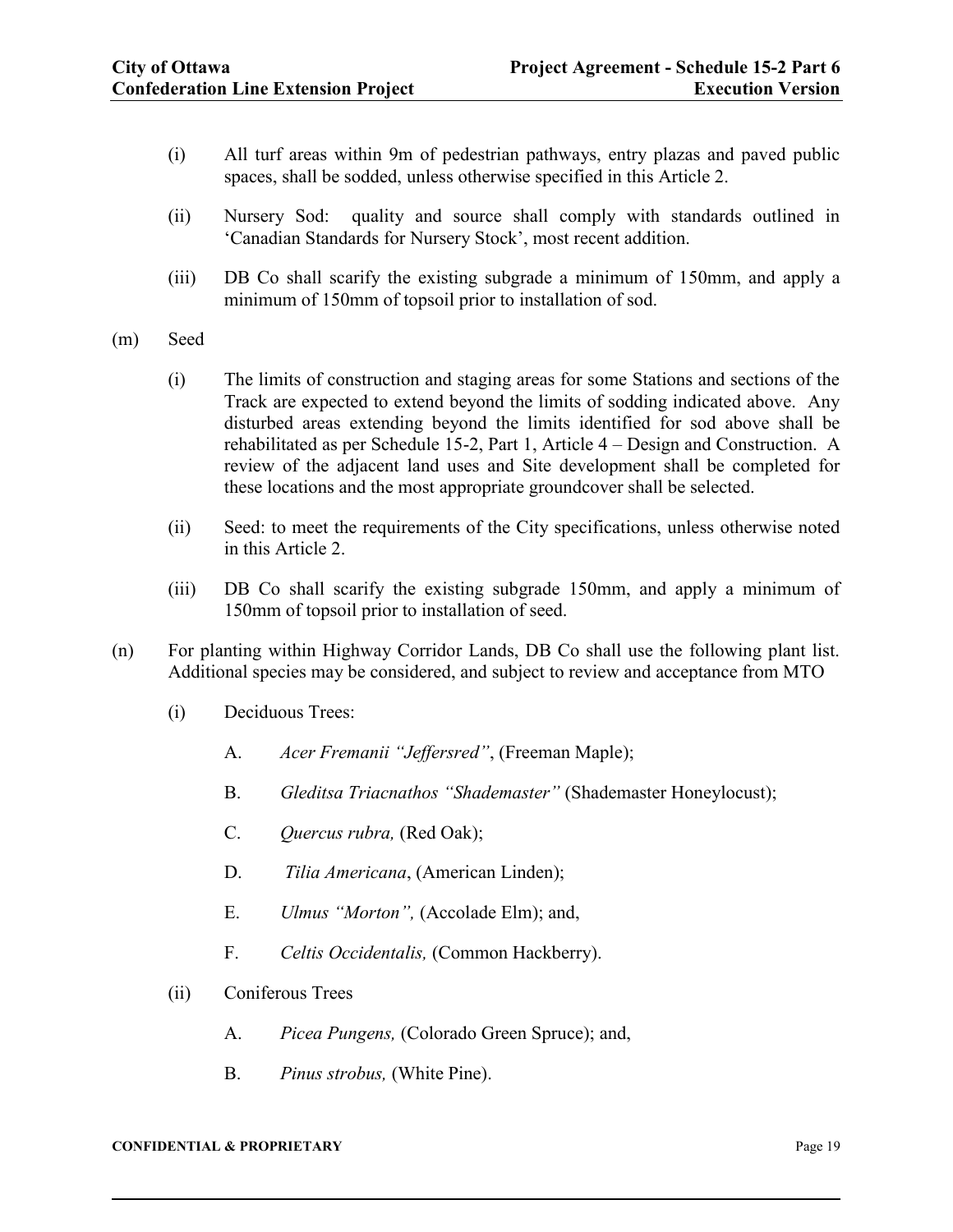- (i) All turf areas within 9m of pedestrian pathways, entry plazas and paved public spaces, shall be sodded, unless otherwise specified in this Article 2.
- (ii) Nursery Sod: quality and source shall comply with standards outlined in 'Canadian Standards for Nursery Stock', most recent addition.
- (iii) DB Co shall scarify the existing subgrade a minimum of 150mm, and apply a minimum of 150mm of topsoil prior to installation of sod.
- (m) Seed
	- (i) The limits of construction and staging areas for some Stations and sections of the Track are expected to extend beyond the limits of sodding indicated above. Any disturbed areas extending beyond the limits identified for sod above shall be rehabilitated as per Schedule 15-2, Part 1, Article 4 – Design and Construction. A review of the adjacent land uses and Site development shall be completed for these locations and the most appropriate groundcover shall be selected.
	- (ii) Seed: to meet the requirements of the City specifications, unless otherwise noted in this Article 2.
	- (iii) DB Co shall scarify the existing subgrade 150mm, and apply a minimum of 150mm of topsoil prior to installation of seed.
- (n) For planting within Highway Corridor Lands, DB Co shall use the following plant list. Additional species may be considered, and subject to review and acceptance from MTO
	- (i) Deciduous Trees:
		- A. *Acer Fremanii "Jeffersred"*, (Freeman Maple);
		- B. *Gleditsa Triacnathos "Shademaster"* (Shademaster Honeylocust);
		- C. *Quercus rubra,* (Red Oak);
		- D. *Tilia Americana*, (American Linden);
		- E. *Ulmus "Morton",* (Accolade Elm); and,
		- F. *Celtis Occidentalis,* (Common Hackberry).
	- (ii) Coniferous Trees
		- A. *Picea Pungens,* (Colorado Green Spruce); and,
		- B. *Pinus strobus,* (White Pine).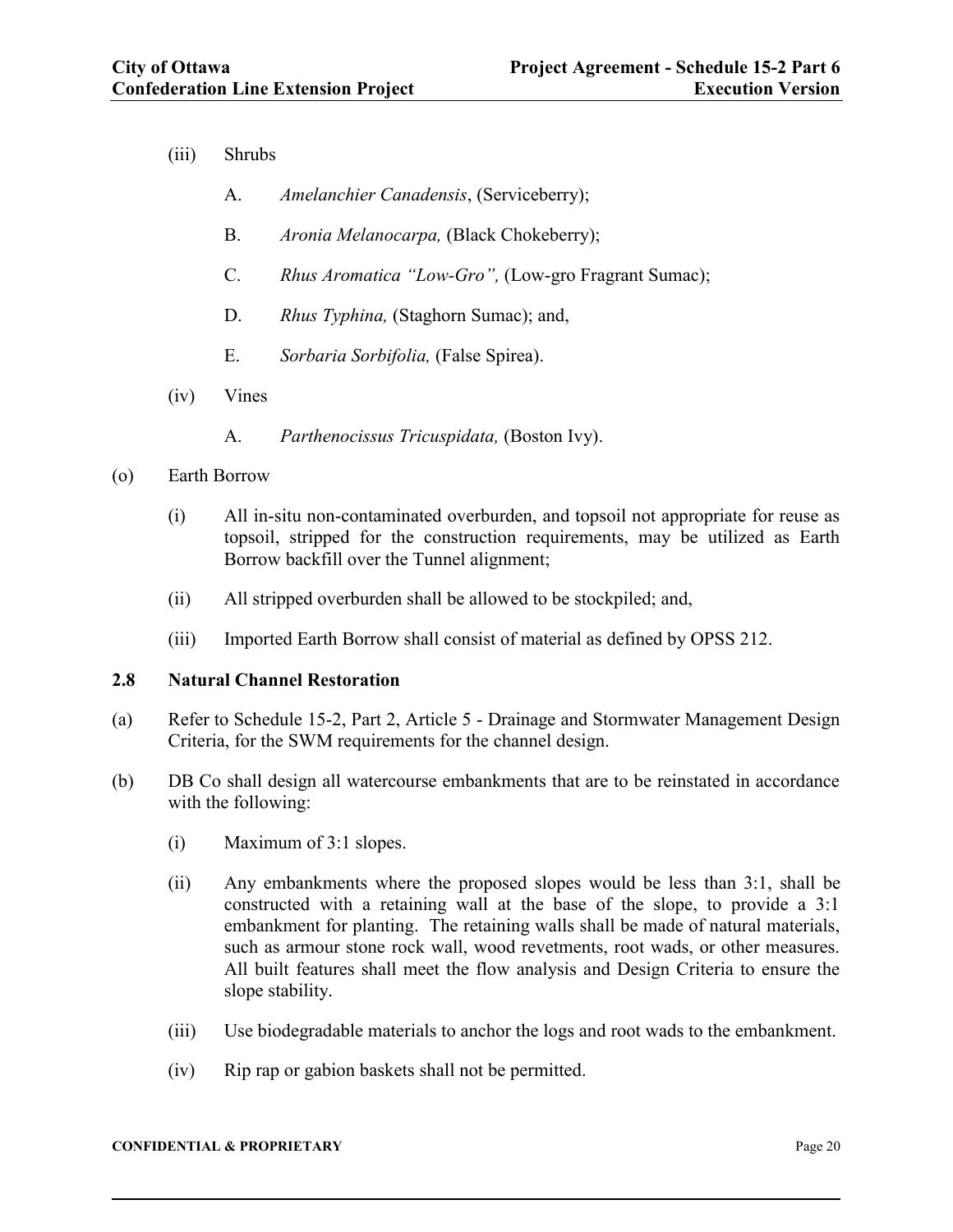- (iii) Shrubs
	- A. *Amelanchier Canadensis*, (Serviceberry);
	- B. *Aronia Melanocarpa,* (Black Chokeberry);
	- C. *Rhus Aromatica "Low-Gro",* (Low-gro Fragrant Sumac);
	- D. *Rhus Typhina,* (Staghorn Sumac); and,
	- E. *Sorbaria Sorbifolia,* (False Spirea).
- (iv) Vines
	- A. *Parthenocissus Tricuspidata,* (Boston Ivy).
- (o) Earth Borrow
	- (i) All in-situ non-contaminated overburden, and topsoil not appropriate for reuse as topsoil, stripped for the construction requirements, may be utilized as Earth Borrow backfill over the Tunnel alignment;
	- (ii) All stripped overburden shall be allowed to be stockpiled; and,
	- (iii) Imported Earth Borrow shall consist of material as defined by OPSS 212.

## <span id="page-21-0"></span>**2.8 Natural Channel Restoration**

- (a) Refer to Schedule 15-2, Part 2, Article 5 Drainage and Stormwater Management Design Criteria, for the SWM requirements for the channel design.
- (b) DB Co shall design all watercourse embankments that are to be reinstated in accordance with the following:
	- (i) Maximum of 3:1 slopes.
	- (ii) Any embankments where the proposed slopes would be less than 3:1, shall be constructed with a retaining wall at the base of the slope, to provide a 3:1 embankment for planting. The retaining walls shall be made of natural materials, such as armour stone rock wall, wood revetments, root wads, or other measures. All built features shall meet the flow analysis and Design Criteria to ensure the slope stability.
	- (iii) Use biodegradable materials to anchor the logs and root wads to the embankment.
	- (iv) Rip rap or gabion baskets shall not be permitted.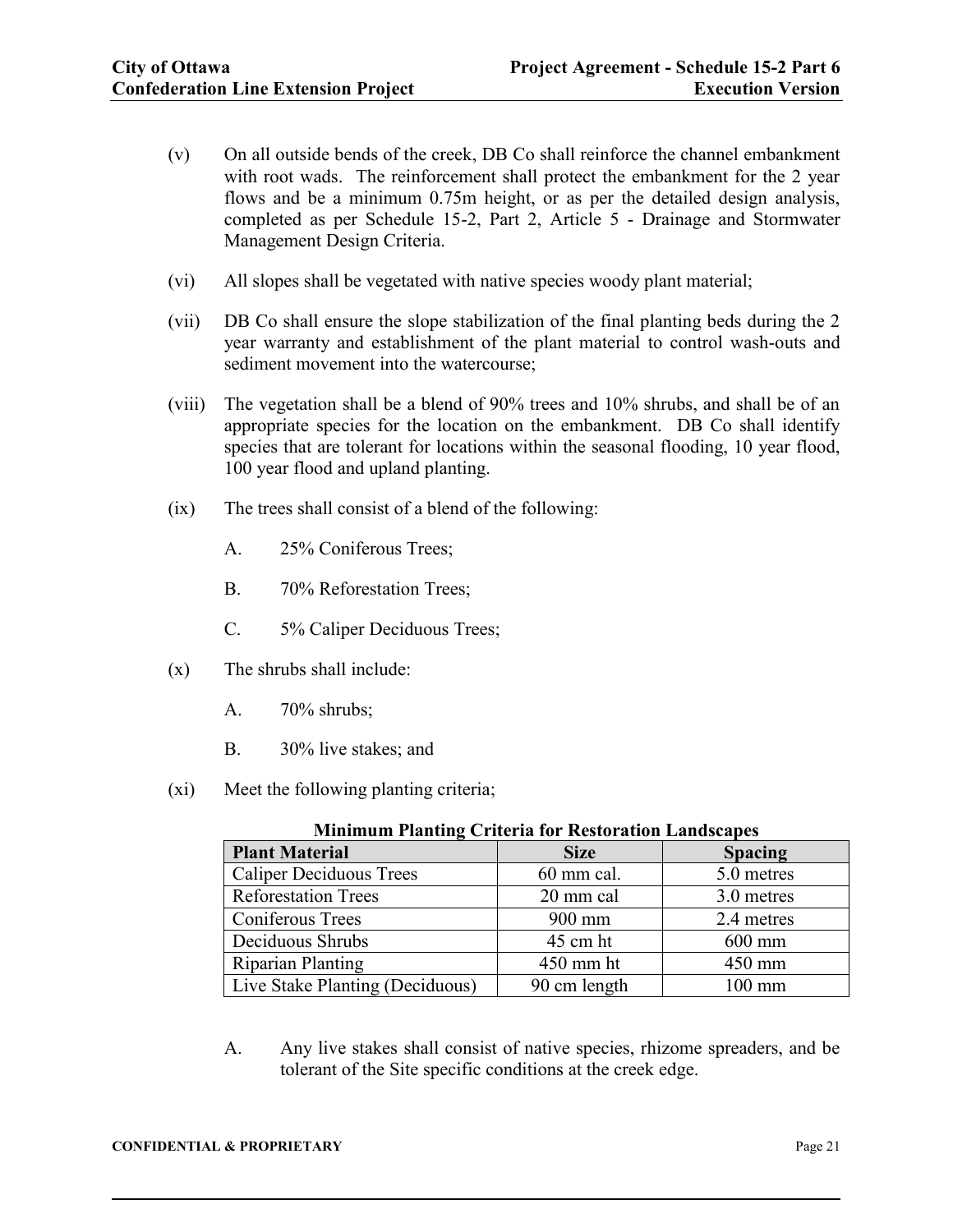- (v) On all outside bends of the creek, DB Co shall reinforce the channel embankment with root wads. The reinforcement shall protect the embankment for the 2 year flows and be a minimum 0.75m height, or as per the detailed design analysis, completed as per Schedule 15-2, Part 2, Article 5 - Drainage and Stormwater Management Design Criteria.
- (vi) All slopes shall be vegetated with native species woody plant material;
- (vii) DB Co shall ensure the slope stabilization of the final planting beds during the 2 year warranty and establishment of the plant material to control wash-outs and sediment movement into the watercourse;
- (viii) The vegetation shall be a blend of 90% trees and 10% shrubs, and shall be of an appropriate species for the location on the embankment. DB Co shall identify species that are tolerant for locations within the seasonal flooding, 10 year flood, 100 year flood and upland planting.
- (ix) The trees shall consist of a blend of the following:
	- A. 25% Coniferous Trees;
	- B. 70% Reforestation Trees;
	- C. 5% Caliper Deciduous Trees;
- (x) The shrubs shall include:
	- A. 70% shrubs;
	- B. 30% live stakes; and
- (xi) Meet the following planting criteria;

| линнийн типинд отногистог ножичийн шинмжироэ |                      |                  |  |  |  |
|----------------------------------------------|----------------------|------------------|--|--|--|
| <b>Plant Material</b>                        | <b>Size</b>          | <b>Spacing</b>   |  |  |  |
| <b>Caliper Deciduous Trees</b>               | $60 \text{ mm}$ cal. | 5.0 metres       |  |  |  |
| <b>Reforestation Trees</b>                   | 20 mm cal            | 3.0 metres       |  |  |  |
| Coniferous Trees                             | $900$ mm             | 2.4 metres       |  |  |  |
| Deciduous Shrubs                             | 45 cm ht             | $600 \text{ mm}$ |  |  |  |
| <b>Riparian Planting</b>                     | $450$ mm ht          | $450$ mm         |  |  |  |
| Live Stake Planting (Deciduous)              | 90 cm length         | $100 \text{ mm}$ |  |  |  |

**Minimum Planting Criteria for Restoration Landscapes**

A. Any live stakes shall consist of native species, rhizome spreaders, and be tolerant of the Site specific conditions at the creek edge.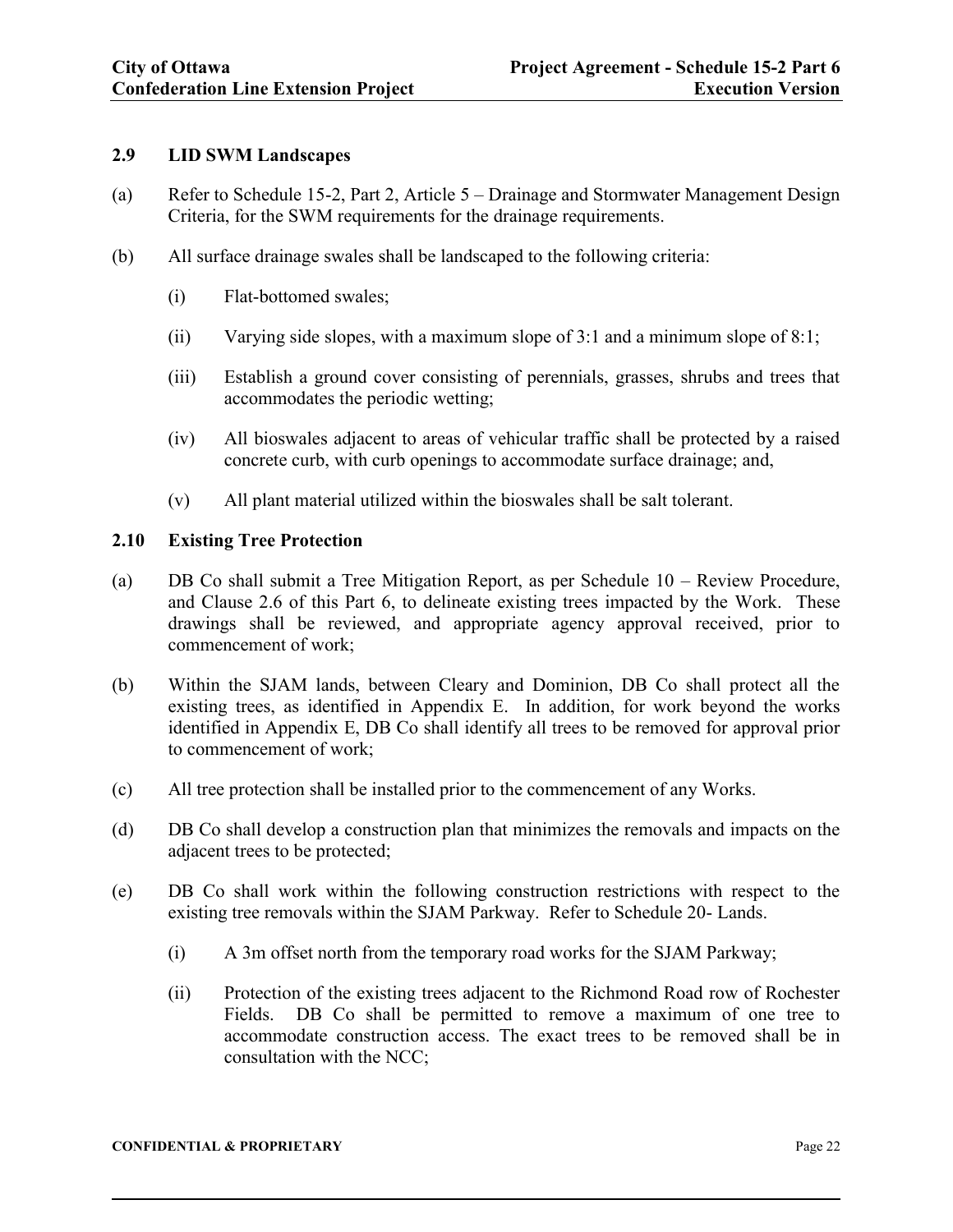## <span id="page-23-0"></span>**2.9 LID SWM Landscapes**

- (a) Refer to Schedule 15-2, Part 2, Article 5 Drainage and Stormwater Management Design Criteria, for the SWM requirements for the drainage requirements.
- (b) All surface drainage swales shall be landscaped to the following criteria:
	- (i) Flat-bottomed swales;
	- (ii) Varying side slopes, with a maximum slope of 3:1 and a minimum slope of 8:1;
	- (iii) Establish a ground cover consisting of perennials, grasses, shrubs and trees that accommodates the periodic wetting;
	- (iv) All bioswales adjacent to areas of vehicular traffic shall be protected by a raised concrete curb, with curb openings to accommodate surface drainage; and,
	- (v) All plant material utilized within the bioswales shall be salt tolerant.

## <span id="page-23-1"></span>**2.10 Existing Tree Protection**

- (a) DB Co shall submit a Tree Mitigation Report, as per Schedule 10 Review Procedure, and Clause 2.6 of this Part 6, to delineate existing trees impacted by the Work. These drawings shall be reviewed, and appropriate agency approval received, prior to commencement of work;
- (b) Within the SJAM lands, between Cleary and Dominion, DB Co shall protect all the existing trees, as identified in Appendix E. In addition, for work beyond the works identified in Appendix E, DB Co shall identify all trees to be removed for approval prior to commencement of work;
- (c) All tree protection shall be installed prior to the commencement of any Works.
- (d) DB Co shall develop a construction plan that minimizes the removals and impacts on the adjacent trees to be protected;
- (e) DB Co shall work within the following construction restrictions with respect to the existing tree removals within the SJAM Parkway. Refer to Schedule 20- Lands.
	- (i) A 3m offset north from the temporary road works for the SJAM Parkway;
	- (ii) Protection of the existing trees adjacent to the Richmond Road row of Rochester Fields. DB Co shall be permitted to remove a maximum of one tree to accommodate construction access. The exact trees to be removed shall be in consultation with the NCC;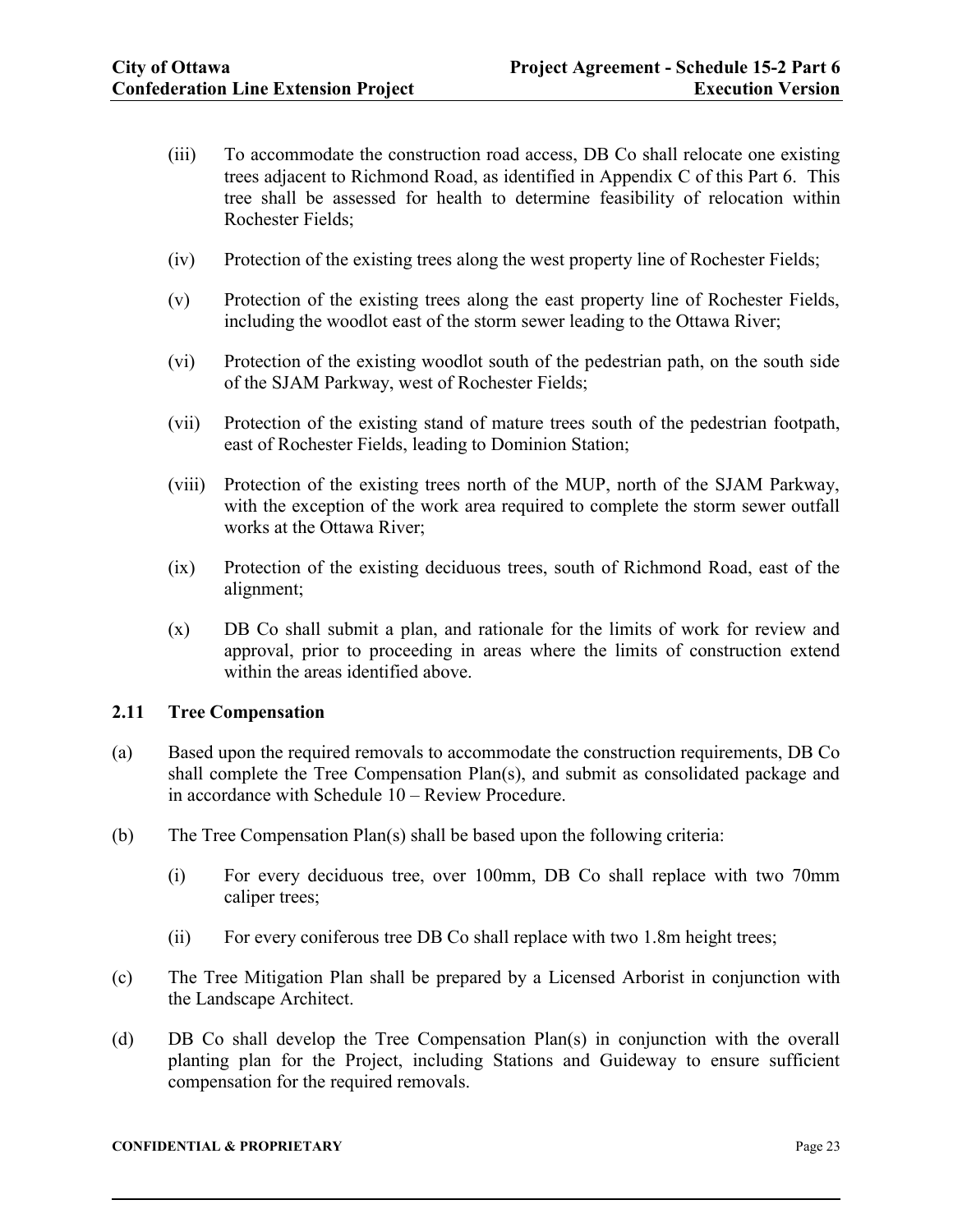- (iii) To accommodate the construction road access, DB Co shall relocate one existing trees adjacent to Richmond Road, as identified in Appendix C of this Part 6. This tree shall be assessed for health to determine feasibility of relocation within Rochester Fields;
- (iv) Protection of the existing trees along the west property line of Rochester Fields;
- (v) Protection of the existing trees along the east property line of Rochester Fields, including the woodlot east of the storm sewer leading to the Ottawa River;
- (vi) Protection of the existing woodlot south of the pedestrian path, on the south side of the SJAM Parkway, west of Rochester Fields;
- (vii) Protection of the existing stand of mature trees south of the pedestrian footpath, east of Rochester Fields, leading to Dominion Station;
- (viii) Protection of the existing trees north of the MUP, north of the SJAM Parkway, with the exception of the work area required to complete the storm sewer outfall works at the Ottawa River;
- (ix) Protection of the existing deciduous trees, south of Richmond Road, east of the alignment;
- (x) DB Co shall submit a plan, and rationale for the limits of work for review and approval, prior to proceeding in areas where the limits of construction extend within the areas identified above.

## <span id="page-24-0"></span>**2.11 Tree Compensation**

- (a) Based upon the required removals to accommodate the construction requirements, DB Co shall complete the Tree Compensation Plan(s), and submit as consolidated package and in accordance with Schedule 10 – Review Procedure.
- (b) The Tree Compensation Plan(s) shall be based upon the following criteria:
	- (i) For every deciduous tree, over 100mm, DB Co shall replace with two 70mm caliper trees;
	- (ii) For every coniferous tree DB Co shall replace with two 1.8m height trees;
- (c) The Tree Mitigation Plan shall be prepared by a Licensed Arborist in conjunction with the Landscape Architect.
- (d) DB Co shall develop the Tree Compensation Plan(s) in conjunction with the overall planting plan for the Project, including Stations and Guideway to ensure sufficient compensation for the required removals.

#### **CONFIDENTIAL & PROPRIETARY** Page 23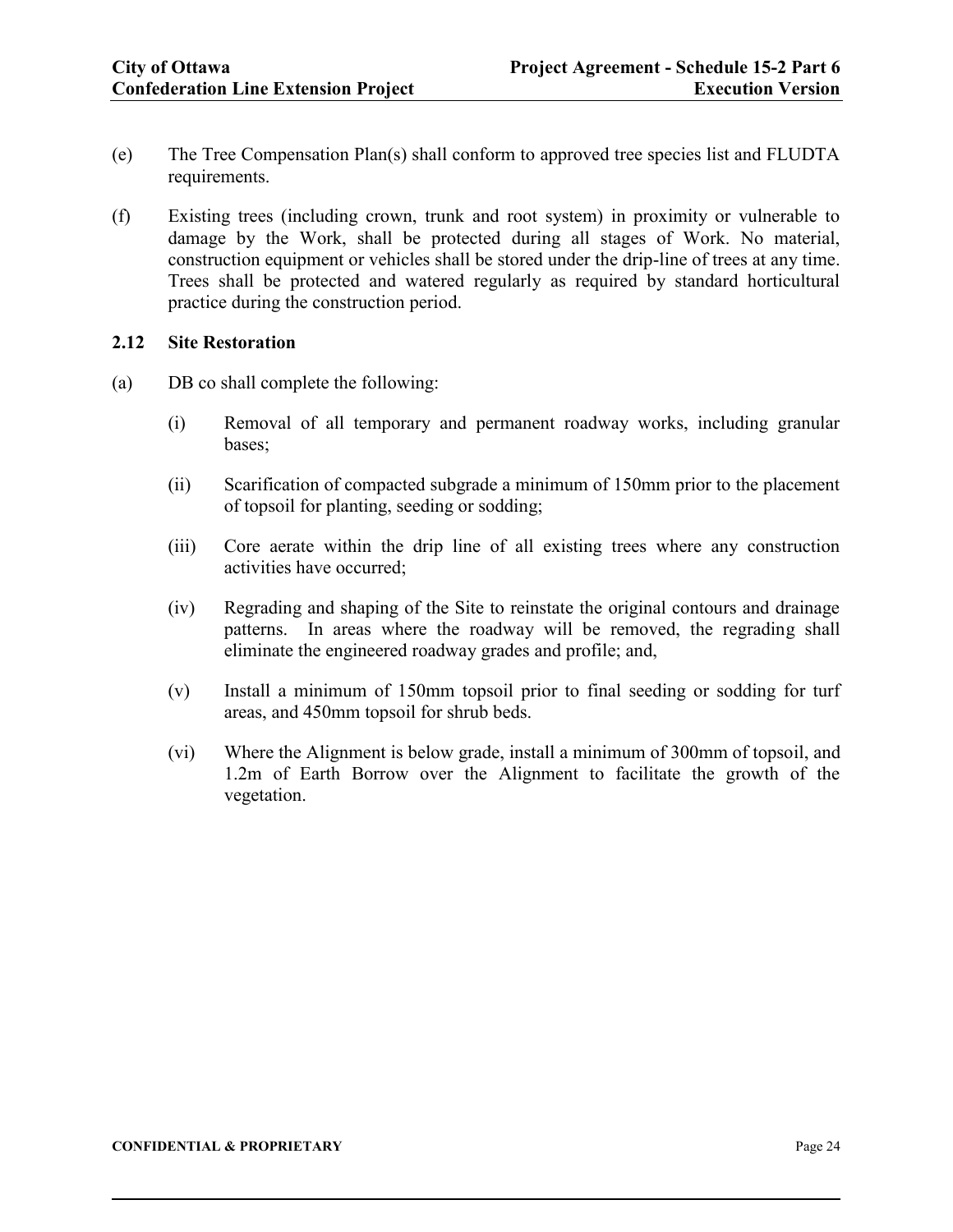- (e) The Tree Compensation Plan(s) shall conform to approved tree species list and FLUDTA requirements.
- (f) Existing trees (including crown, trunk and root system) in proximity or vulnerable to damage by the Work, shall be protected during all stages of Work. No material, construction equipment or vehicles shall be stored under the drip-line of trees at any time. Trees shall be protected and watered regularly as required by standard horticultural practice during the construction period.

## <span id="page-25-0"></span>**2.12 Site Restoration**

- (a) DB co shall complete the following:
	- (i) Removal of all temporary and permanent roadway works, including granular bases;
	- (ii) Scarification of compacted subgrade a minimum of 150mm prior to the placement of topsoil for planting, seeding or sodding;
	- (iii) Core aerate within the drip line of all existing trees where any construction activities have occurred;
	- (iv) Regrading and shaping of the Site to reinstate the original contours and drainage patterns. In areas where the roadway will be removed, the regrading shall eliminate the engineered roadway grades and profile; and,
	- (v) Install a minimum of 150mm topsoil prior to final seeding or sodding for turf areas, and 450mm topsoil for shrub beds.
	- (vi) Where the Alignment is below grade, install a minimum of 300mm of topsoil, and 1.2m of Earth Borrow over the Alignment to facilitate the growth of the vegetation.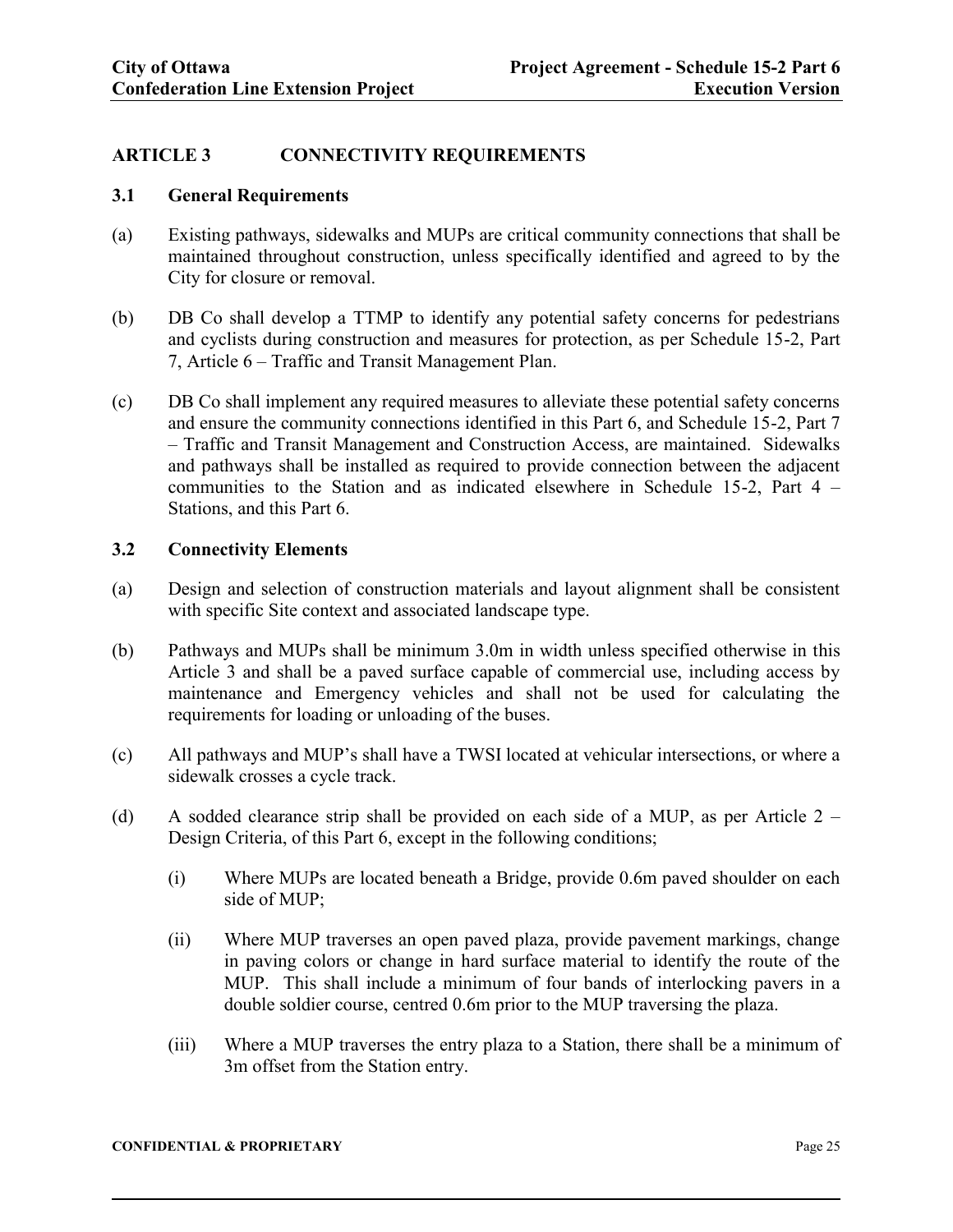# <span id="page-26-0"></span>**ARTICLE 3 CONNECTIVITY REQUIREMENTS**

## <span id="page-26-1"></span>**3.1 General Requirements**

- (a) Existing pathways, sidewalks and MUPs are critical community connections that shall be maintained throughout construction, unless specifically identified and agreed to by the City for closure or removal.
- (b) DB Co shall develop a TTMP to identify any potential safety concerns for pedestrians and cyclists during construction and measures for protection, as per Schedule 15-2, Part 7, Article 6 – Traffic and Transit Management Plan.
- (c) DB Co shall implement any required measures to alleviate these potential safety concerns and ensure the community connections identified in this Part 6, and Schedule 15-2, Part 7 – Traffic and Transit Management and Construction Access, are maintained. Sidewalks and pathways shall be installed as required to provide connection between the adjacent communities to the Station and as indicated elsewhere in Schedule 15-2, Part 4 – Stations, and this Part 6.

# <span id="page-26-2"></span>**3.2 Connectivity Elements**

- (a) Design and selection of construction materials and layout alignment shall be consistent with specific Site context and associated landscape type.
- (b) Pathways and MUPs shall be minimum 3.0m in width unless specified otherwise in this Article 3 and shall be a paved surface capable of commercial use, including access by maintenance and Emergency vehicles and shall not be used for calculating the requirements for loading or unloading of the buses.
- (c) All pathways and MUP's shall have a TWSI located at vehicular intersections, or where a sidewalk crosses a cycle track.
- (d) A sodded clearance strip shall be provided on each side of a MUP, as per Article 2 Design Criteria, of this Part 6, except in the following conditions;
	- (i) Where MUPs are located beneath a Bridge, provide 0.6m paved shoulder on each side of MUP;
	- (ii) Where MUP traverses an open paved plaza, provide pavement markings, change in paving colors or change in hard surface material to identify the route of the MUP. This shall include a minimum of four bands of interlocking pavers in a double soldier course, centred 0.6m prior to the MUP traversing the plaza.
	- (iii) Where a MUP traverses the entry plaza to a Station, there shall be a minimum of 3m offset from the Station entry.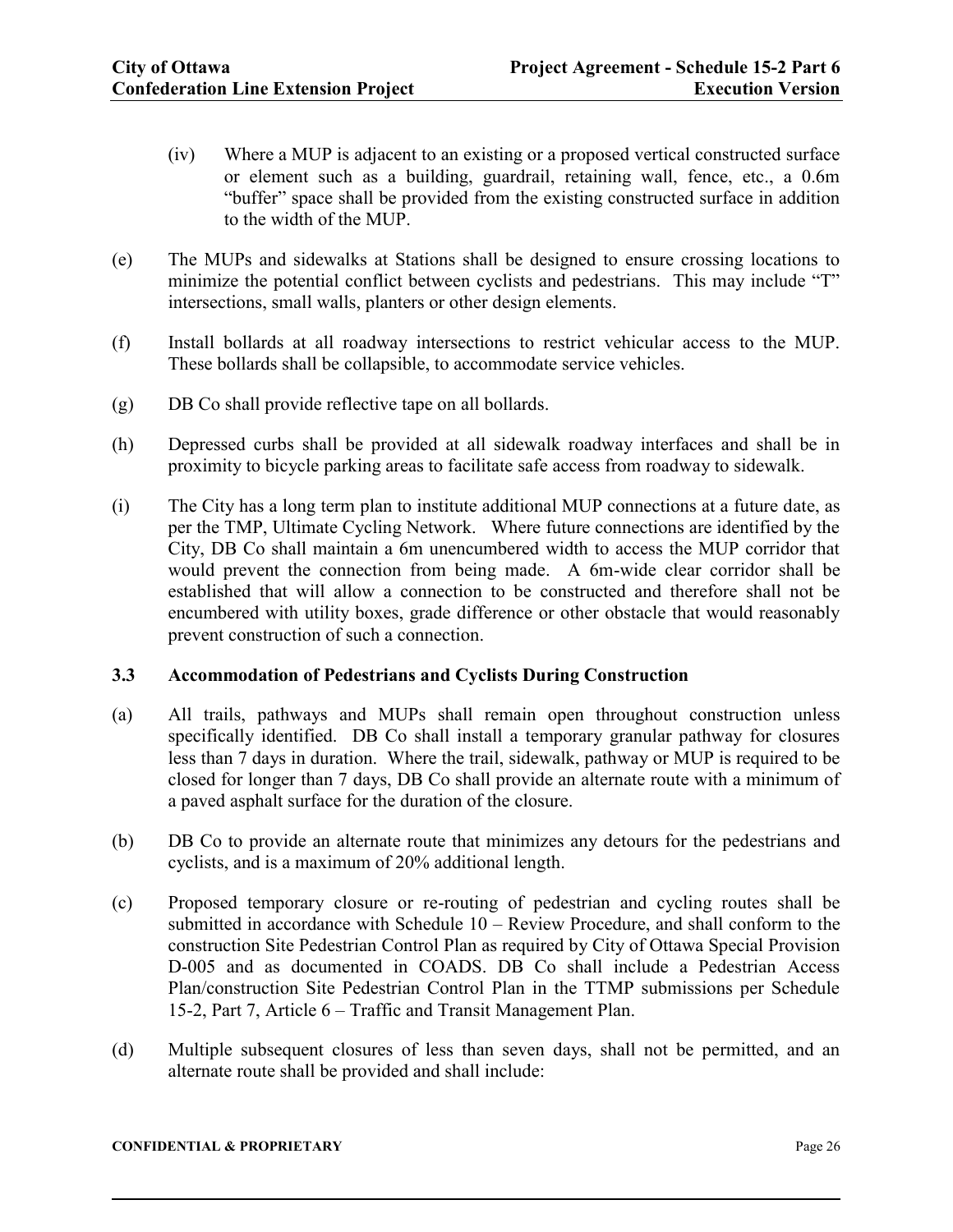- (iv) Where a MUP is adjacent to an existing or a proposed vertical constructed surface or element such as a building, guardrail, retaining wall, fence, etc., a 0.6m "buffer" space shall be provided from the existing constructed surface in addition to the width of the MUP.
- (e) The MUPs and sidewalks at Stations shall be designed to ensure crossing locations to minimize the potential conflict between cyclists and pedestrians. This may include "T" intersections, small walls, planters or other design elements.
- (f) Install bollards at all roadway intersections to restrict vehicular access to the MUP. These bollards shall be collapsible, to accommodate service vehicles.
- (g) DB Co shall provide reflective tape on all bollards.
- (h) Depressed curbs shall be provided at all sidewalk roadway interfaces and shall be in proximity to bicycle parking areas to facilitate safe access from roadway to sidewalk.
- (i) The City has a long term plan to institute additional MUP connections at a future date, as per the TMP, Ultimate Cycling Network. Where future connections are identified by the City, DB Co shall maintain a 6m unencumbered width to access the MUP corridor that would prevent the connection from being made. A 6m-wide clear corridor shall be established that will allow a connection to be constructed and therefore shall not be encumbered with utility boxes, grade difference or other obstacle that would reasonably prevent construction of such a connection.

## <span id="page-27-0"></span>**3.3 Accommodation of Pedestrians and Cyclists During Construction**

- (a) All trails, pathways and MUPs shall remain open throughout construction unless specifically identified. DB Co shall install a temporary granular pathway for closures less than 7 days in duration. Where the trail, sidewalk, pathway or MUP is required to be closed for longer than 7 days, DB Co shall provide an alternate route with a minimum of a paved asphalt surface for the duration of the closure.
- (b) DB Co to provide an alternate route that minimizes any detours for the pedestrians and cyclists, and is a maximum of 20% additional length.
- (c) Proposed temporary closure or re-routing of pedestrian and cycling routes shall be submitted in accordance with Schedule 10 – Review Procedure, and shall conform to the construction Site Pedestrian Control Plan as required by City of Ottawa Special Provision D-005 and as documented in COADS. DB Co shall include a Pedestrian Access Plan/construction Site Pedestrian Control Plan in the TTMP submissions per Schedule 15-2, Part 7, Article 6 – Traffic and Transit Management Plan.
- (d) Multiple subsequent closures of less than seven days, shall not be permitted, and an alternate route shall be provided and shall include: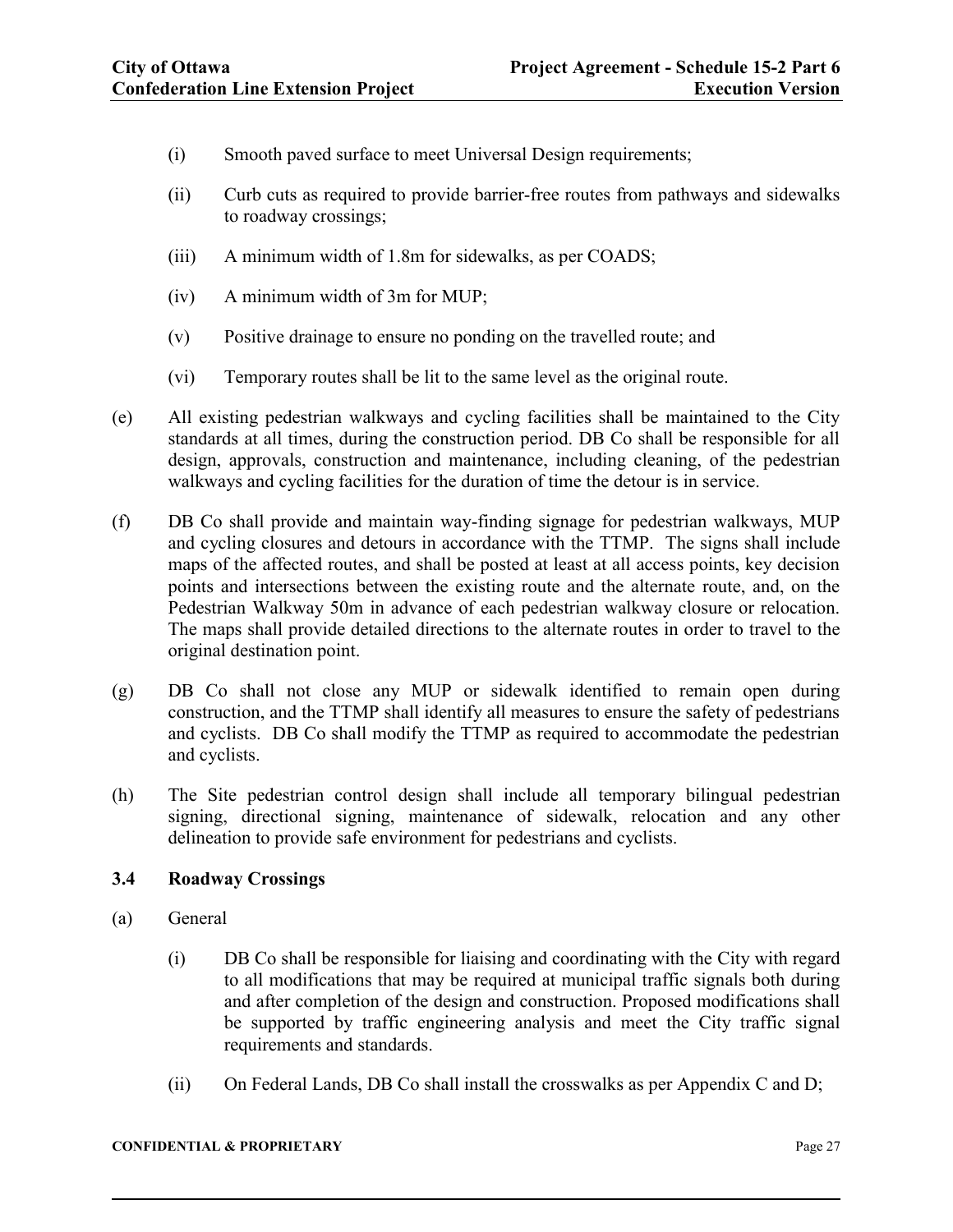- (i) Smooth paved surface to meet Universal Design requirements;
- (ii) Curb cuts as required to provide barrier-free routes from pathways and sidewalks to roadway crossings;
- (iii) A minimum width of 1.8m for sidewalks, as per COADS;
- (iv) A minimum width of 3m for MUP;
- (v) Positive drainage to ensure no ponding on the travelled route; and
- (vi) Temporary routes shall be lit to the same level as the original route.
- (e) All existing pedestrian walkways and cycling facilities shall be maintained to the City standards at all times, during the construction period. DB Co shall be responsible for all design, approvals, construction and maintenance, including cleaning, of the pedestrian walkways and cycling facilities for the duration of time the detour is in service.
- (f) DB Co shall provide and maintain way-finding signage for pedestrian walkways, MUP and cycling closures and detours in accordance with the TTMP. The signs shall include maps of the affected routes, and shall be posted at least at all access points, key decision points and intersections between the existing route and the alternate route, and, on the Pedestrian Walkway 50m in advance of each pedestrian walkway closure or relocation. The maps shall provide detailed directions to the alternate routes in order to travel to the original destination point.
- (g) DB Co shall not close any MUP or sidewalk identified to remain open during construction, and the TTMP shall identify all measures to ensure the safety of pedestrians and cyclists. DB Co shall modify the TTMP as required to accommodate the pedestrian and cyclists.
- (h) The Site pedestrian control design shall include all temporary bilingual pedestrian signing, directional signing, maintenance of sidewalk, relocation and any other delineation to provide safe environment for pedestrians and cyclists.

## <span id="page-28-0"></span>**3.4 Roadway Crossings**

- (a) General
	- (i) DB Co shall be responsible for liaising and coordinating with the City with regard to all modifications that may be required at municipal traffic signals both during and after completion of the design and construction. Proposed modifications shall be supported by traffic engineering analysis and meet the City traffic signal requirements and standards.
	- (ii) On Federal Lands, DB Co shall install the crosswalks as per Appendix C and D;

#### **CONFIDENTIAL & PROPRIETARY** Page 27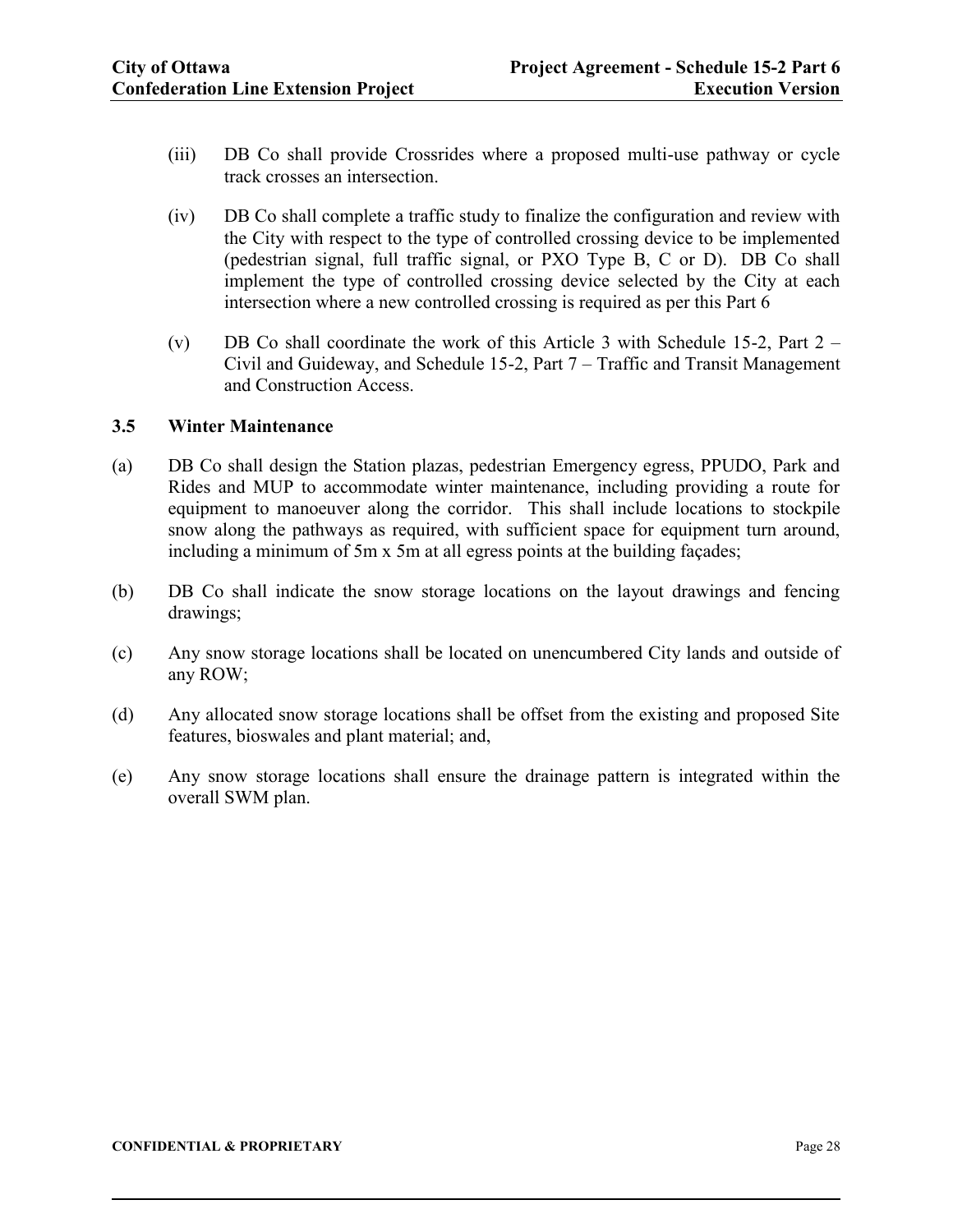- (iii) DB Co shall provide Crossrides where a proposed multi-use pathway or cycle track crosses an intersection.
- (iv) DB Co shall complete a traffic study to finalize the configuration and review with the City with respect to the type of controlled crossing device to be implemented (pedestrian signal, full traffic signal, or PXO Type B, C or D). DB Co shall implement the type of controlled crossing device selected by the City at each intersection where a new controlled crossing is required as per this Part 6
- (v) DB Co shall coordinate the work of this Article 3 with Schedule 15-2, Part  $2 -$ Civil and Guideway, and Schedule 15-2, Part 7 – Traffic and Transit Management and Construction Access.

## <span id="page-29-0"></span>**3.5 Winter Maintenance**

- (a) DB Co shall design the Station plazas, pedestrian Emergency egress, PPUDO, Park and Rides and MUP to accommodate winter maintenance, including providing a route for equipment to manoeuver along the corridor. This shall include locations to stockpile snow along the pathways as required, with sufficient space for equipment turn around, including a minimum of 5m x 5m at all egress points at the building façades;
- (b) DB Co shall indicate the snow storage locations on the layout drawings and fencing drawings;
- (c) Any snow storage locations shall be located on unencumbered City lands and outside of any ROW;
- (d) Any allocated snow storage locations shall be offset from the existing and proposed Site features, bioswales and plant material; and,
- (e) Any snow storage locations shall ensure the drainage pattern is integrated within the overall SWM plan.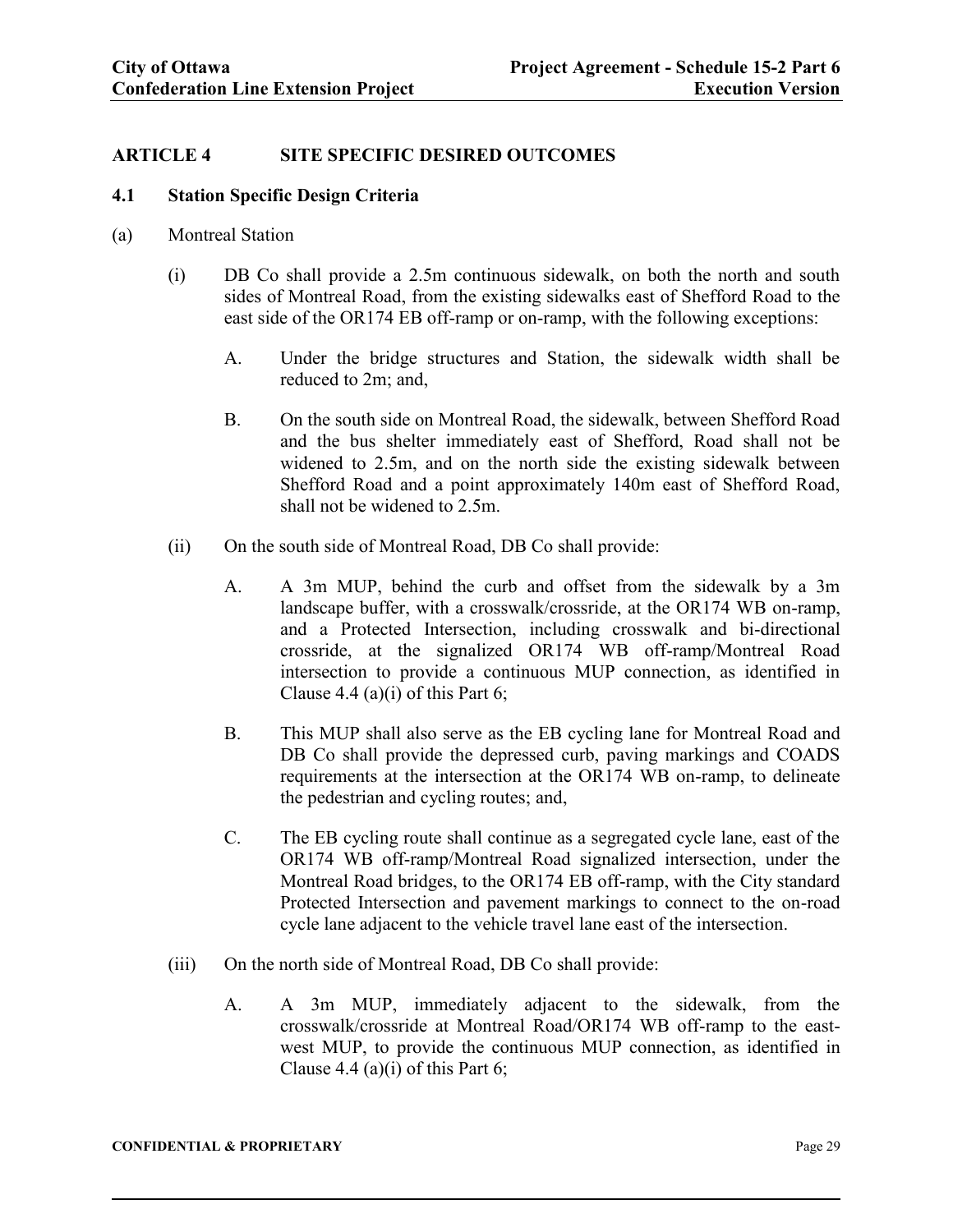# <span id="page-30-0"></span>**ARTICLE 4 SITE SPECIFIC DESIRED OUTCOMES**

## <span id="page-30-1"></span>**4.1 Station Specific Design Criteria**

- (a) Montreal Station
	- (i) DB Co shall provide a 2.5m continuous sidewalk, on both the north and south sides of Montreal Road, from the existing sidewalks east of Shefford Road to the east side of the OR174 EB off-ramp or on-ramp, with the following exceptions:
		- A. Under the bridge structures and Station, the sidewalk width shall be reduced to 2m; and,
		- B. On the south side on Montreal Road, the sidewalk, between Shefford Road and the bus shelter immediately east of Shefford, Road shall not be widened to 2.5m, and on the north side the existing sidewalk between Shefford Road and a point approximately 140m east of Shefford Road, shall not be widened to 2.5m.
	- (ii) On the south side of Montreal Road, DB Co shall provide:
		- A. A 3m MUP, behind the curb and offset from the sidewalk by a 3m landscape buffer, with a crosswalk/crossride, at the OR174 WB on-ramp, and a Protected Intersection, including crosswalk and bi-directional crossride, at the signalized OR174 WB off-ramp/Montreal Road intersection to provide a continuous MUP connection, as identified in Clause 4.4 (a)(i) of this Part 6;
		- B. This MUP shall also serve as the EB cycling lane for Montreal Road and DB Co shall provide the depressed curb, paving markings and COADS requirements at the intersection at the OR174 WB on-ramp, to delineate the pedestrian and cycling routes; and,
		- C. The EB cycling route shall continue as a segregated cycle lane, east of the OR174 WB off-ramp/Montreal Road signalized intersection, under the Montreal Road bridges, to the OR174 EB off-ramp, with the City standard Protected Intersection and pavement markings to connect to the on-road cycle lane adjacent to the vehicle travel lane east of the intersection.
	- (iii) On the north side of Montreal Road, DB Co shall provide:
		- A. A 3m MUP, immediately adjacent to the sidewalk, from the crosswalk/crossride at Montreal Road/OR174 WB off-ramp to the eastwest MUP, to provide the continuous MUP connection, as identified in Clause 4.4 (a)(i) of this Part 6;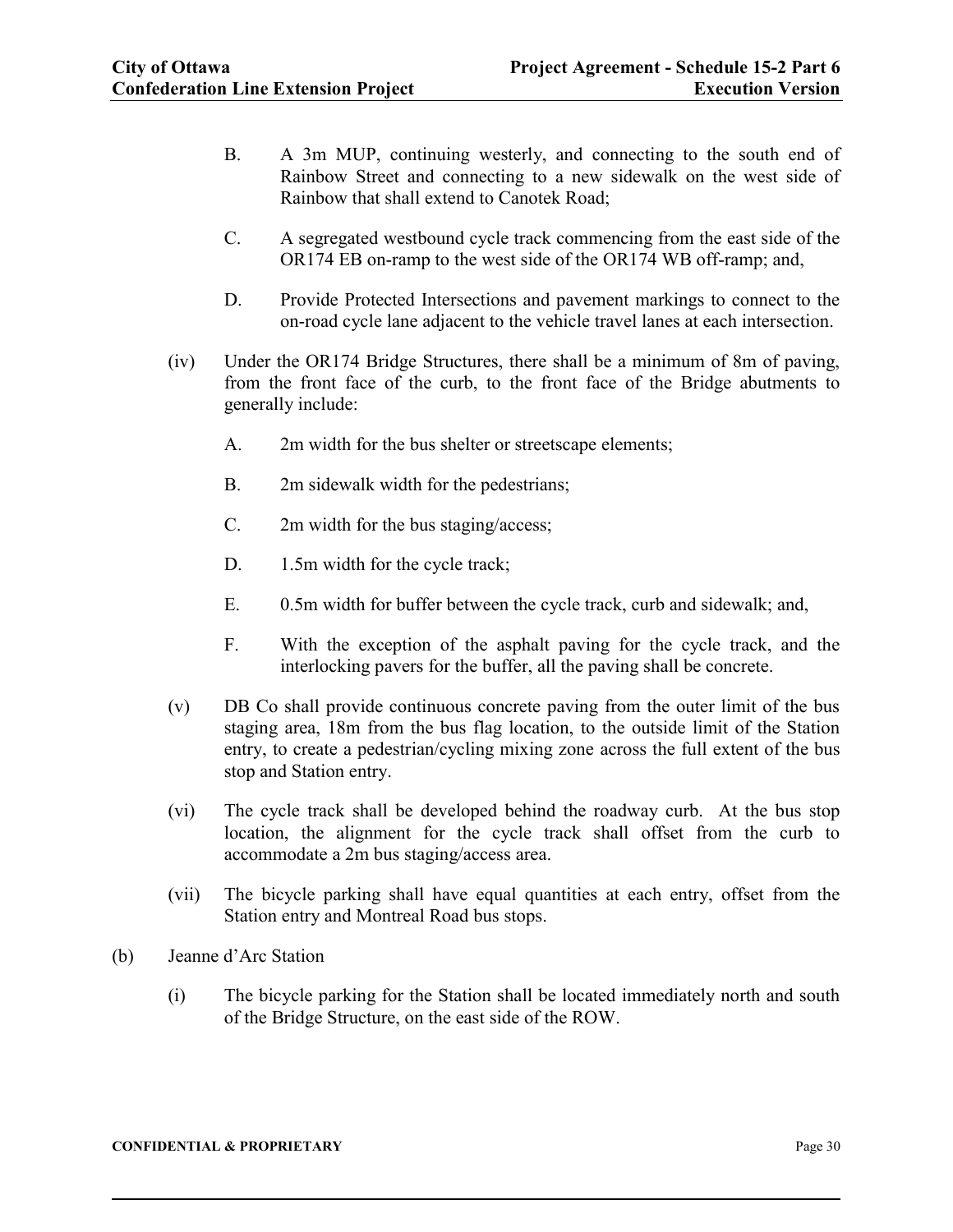- B. A 3m MUP, continuing westerly, and connecting to the south end of Rainbow Street and connecting to a new sidewalk on the west side of Rainbow that shall extend to Canotek Road;
- C. A segregated westbound cycle track commencing from the east side of the OR174 EB on-ramp to the west side of the OR174 WB off-ramp; and,
- D. Provide Protected Intersections and pavement markings to connect to the on-road cycle lane adjacent to the vehicle travel lanes at each intersection.
- (iv) Under the OR174 Bridge Structures, there shall be a minimum of 8m of paving, from the front face of the curb, to the front face of the Bridge abutments to generally include:
	- A. 2m width for the bus shelter or streetscape elements;
	- B. 2m sidewalk width for the pedestrians;
	- C. 2m width for the bus staging/access;
	- D. 1.5m width for the cycle track;
	- E. 0.5m width for buffer between the cycle track, curb and sidewalk; and,
	- F. With the exception of the asphalt paving for the cycle track, and the interlocking pavers for the buffer, all the paving shall be concrete.
- (v) DB Co shall provide continuous concrete paving from the outer limit of the bus staging area, 18m from the bus flag location, to the outside limit of the Station entry, to create a pedestrian/cycling mixing zone across the full extent of the bus stop and Station entry.
- (vi) The cycle track shall be developed behind the roadway curb. At the bus stop location, the alignment for the cycle track shall offset from the curb to accommodate a 2m bus staging/access area.
- (vii) The bicycle parking shall have equal quantities at each entry, offset from the Station entry and Montreal Road bus stops.
- (b) Jeanne d'Arc Station
	- (i) The bicycle parking for the Station shall be located immediately north and south of the Bridge Structure, on the east side of the ROW.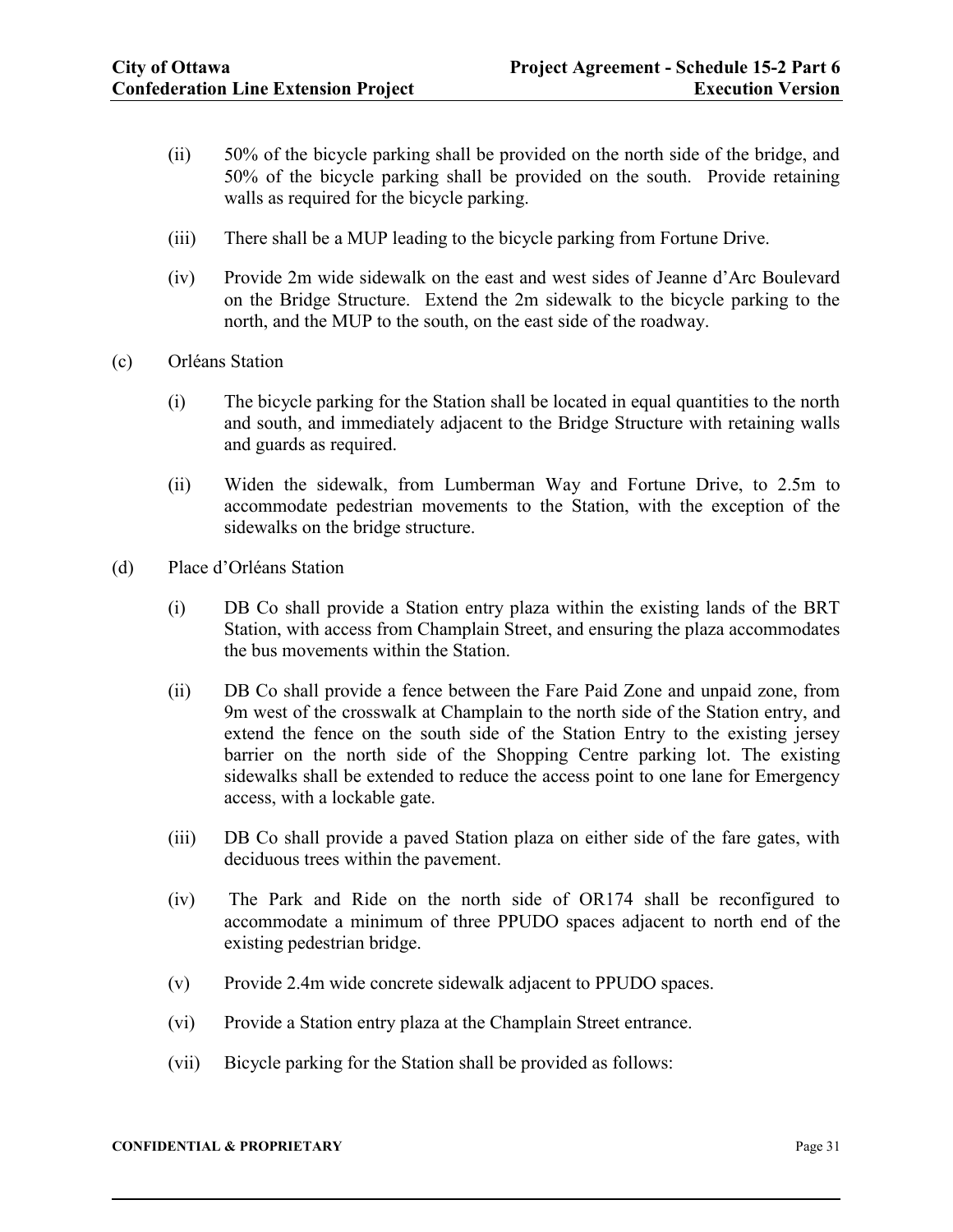- (ii) 50% of the bicycle parking shall be provided on the north side of the bridge, and 50% of the bicycle parking shall be provided on the south. Provide retaining walls as required for the bicycle parking.
- (iii) There shall be a MUP leading to the bicycle parking from Fortune Drive.
- (iv) Provide 2m wide sidewalk on the east and west sides of Jeanne d'Arc Boulevard on the Bridge Structure. Extend the 2m sidewalk to the bicycle parking to the north, and the MUP to the south, on the east side of the roadway.
- (c) Orléans Station
	- (i) The bicycle parking for the Station shall be located in equal quantities to the north and south, and immediately adjacent to the Bridge Structure with retaining walls and guards as required.
	- (ii) Widen the sidewalk, from Lumberman Way and Fortune Drive, to 2.5m to accommodate pedestrian movements to the Station, with the exception of the sidewalks on the bridge structure.
- (d) Place d'Orléans Station
	- (i) DB Co shall provide a Station entry plaza within the existing lands of the BRT Station, with access from Champlain Street, and ensuring the plaza accommodates the bus movements within the Station.
	- (ii) DB Co shall provide a fence between the Fare Paid Zone and unpaid zone, from 9m west of the crosswalk at Champlain to the north side of the Station entry, and extend the fence on the south side of the Station Entry to the existing jersey barrier on the north side of the Shopping Centre parking lot. The existing sidewalks shall be extended to reduce the access point to one lane for Emergency access, with a lockable gate.
	- (iii) DB Co shall provide a paved Station plaza on either side of the fare gates, with deciduous trees within the pavement.
	- (iv) The Park and Ride on the north side of OR174 shall be reconfigured to accommodate a minimum of three PPUDO spaces adjacent to north end of the existing pedestrian bridge.
	- (v) Provide 2.4m wide concrete sidewalk adjacent to PPUDO spaces.
	- (vi) Provide a Station entry plaza at the Champlain Street entrance.
	- (vii) Bicycle parking for the Station shall be provided as follows: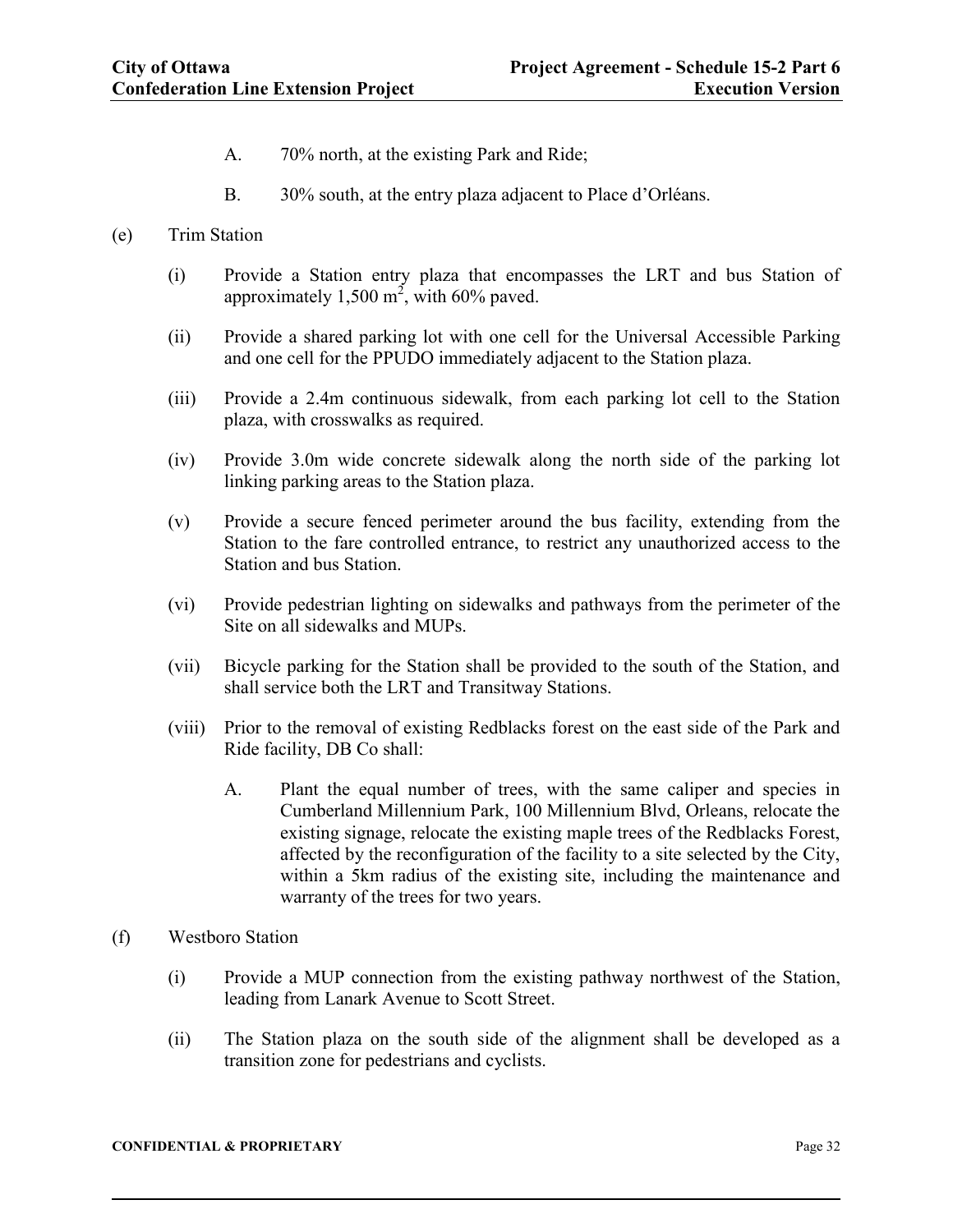- A. 70% north, at the existing Park and Ride;
- B. 30% south, at the entry plaza adjacent to Place d'Orléans.
- (e) Trim Station
	- (i) Provide a Station entry plaza that encompasses the LRT and bus Station of approximately  $1,500 \text{ m}^2$ , with 60% paved.
	- (ii) Provide a shared parking lot with one cell for the Universal Accessible Parking and one cell for the PPUDO immediately adjacent to the Station plaza.
	- (iii) Provide a 2.4m continuous sidewalk, from each parking lot cell to the Station plaza, with crosswalks as required.
	- (iv) Provide 3.0m wide concrete sidewalk along the north side of the parking lot linking parking areas to the Station plaza.
	- (v) Provide a secure fenced perimeter around the bus facility, extending from the Station to the fare controlled entrance, to restrict any unauthorized access to the Station and bus Station.
	- (vi) Provide pedestrian lighting on sidewalks and pathways from the perimeter of the Site on all sidewalks and MUPs.
	- (vii) Bicycle parking for the Station shall be provided to the south of the Station, and shall service both the LRT and Transitway Stations.
	- (viii) Prior to the removal of existing Redblacks forest on the east side of the Park and Ride facility, DB Co shall:
		- A. Plant the equal number of trees, with the same caliper and species in Cumberland Millennium Park, 100 Millennium Blvd, Orleans, relocate the existing signage, relocate the existing maple trees of the Redblacks Forest, affected by the reconfiguration of the facility to a site selected by the City, within a 5km radius of the existing site, including the maintenance and warranty of the trees for two years.
- (f) Westboro Station
	- (i) Provide a MUP connection from the existing pathway northwest of the Station, leading from Lanark Avenue to Scott Street.
	- (ii) The Station plaza on the south side of the alignment shall be developed as a transition zone for pedestrians and cyclists.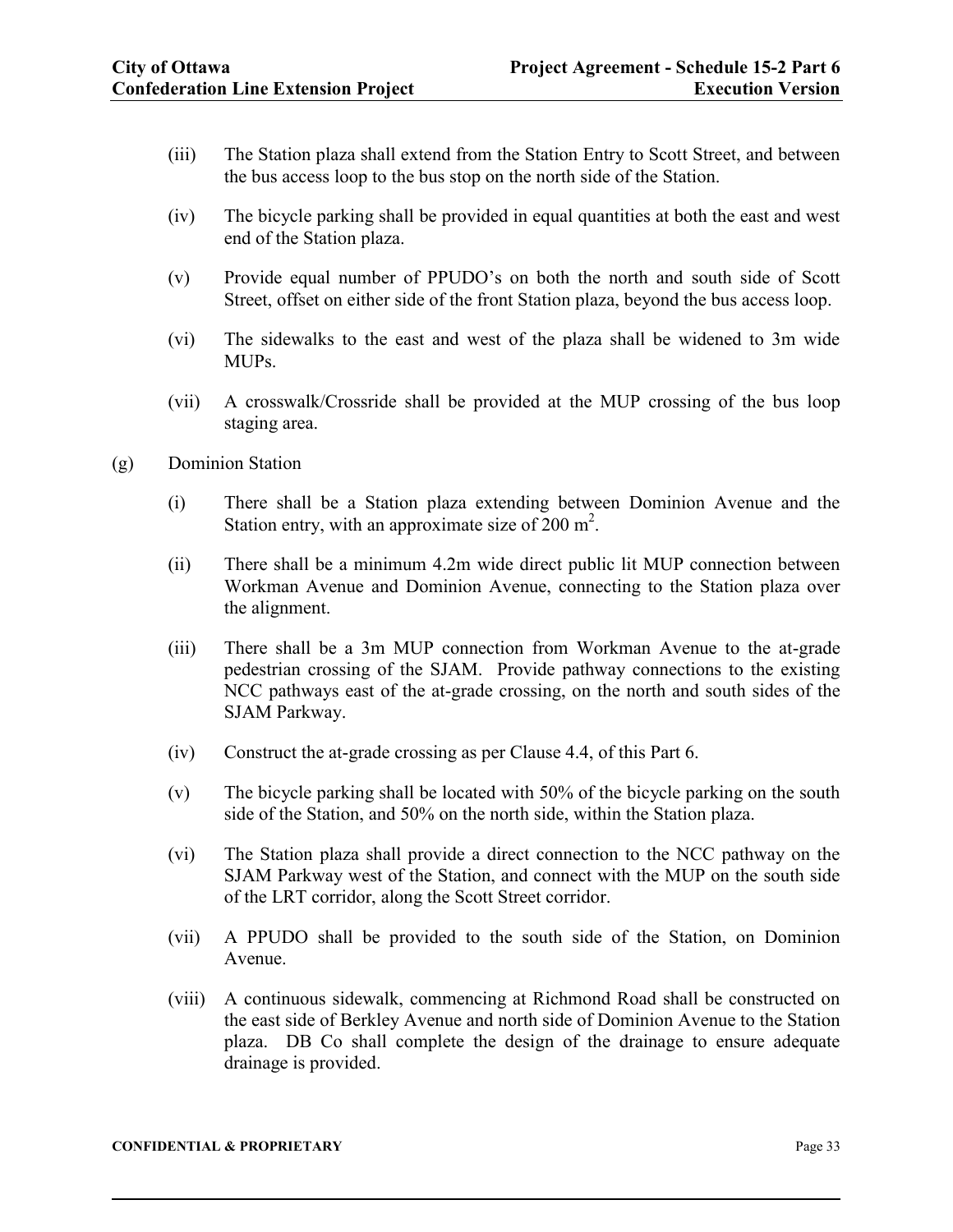- (iii) The Station plaza shall extend from the Station Entry to Scott Street, and between the bus access loop to the bus stop on the north side of the Station.
- (iv) The bicycle parking shall be provided in equal quantities at both the east and west end of the Station plaza.
- (v) Provide equal number of PPUDO's on both the north and south side of Scott Street, offset on either side of the front Station plaza, beyond the bus access loop.
- (vi) The sidewalks to the east and west of the plaza shall be widened to 3m wide MUPs.
- (vii) A crosswalk/Crossride shall be provided at the MUP crossing of the bus loop staging area.
- (g) Dominion Station
	- (i) There shall be a Station plaza extending between Dominion Avenue and the Station entry, with an approximate size of  $200 \text{ m}^2$ .
	- (ii) There shall be a minimum 4.2m wide direct public lit MUP connection between Workman Avenue and Dominion Avenue, connecting to the Station plaza over the alignment.
	- (iii) There shall be a 3m MUP connection from Workman Avenue to the at-grade pedestrian crossing of the SJAM. Provide pathway connections to the existing NCC pathways east of the at-grade crossing, on the north and south sides of the SJAM Parkway.
	- (iv) Construct the at-grade crossing as per Clause 4.4, of this Part 6.
	- (v) The bicycle parking shall be located with 50% of the bicycle parking on the south side of the Station, and 50% on the north side, within the Station plaza.
	- (vi) The Station plaza shall provide a direct connection to the NCC pathway on the SJAM Parkway west of the Station, and connect with the MUP on the south side of the LRT corridor, along the Scott Street corridor.
	- (vii) A PPUDO shall be provided to the south side of the Station, on Dominion Avenue.
	- (viii) A continuous sidewalk, commencing at Richmond Road shall be constructed on the east side of Berkley Avenue and north side of Dominion Avenue to the Station plaza. DB Co shall complete the design of the drainage to ensure adequate drainage is provided.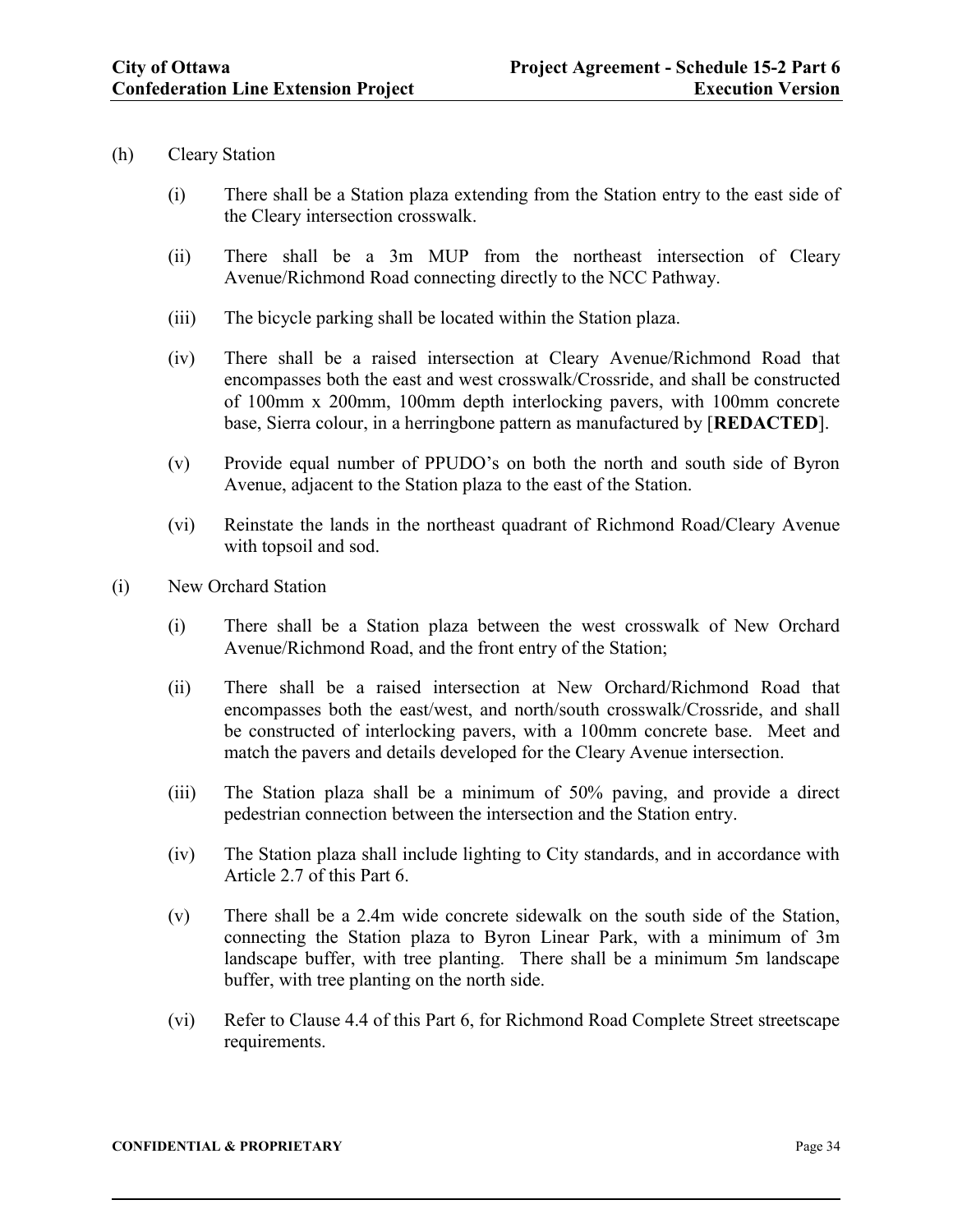- (h) Cleary Station
	- (i) There shall be a Station plaza extending from the Station entry to the east side of the Cleary intersection crosswalk.
	- (ii) There shall be a 3m MUP from the northeast intersection of Cleary Avenue/Richmond Road connecting directly to the NCC Pathway.
	- (iii) The bicycle parking shall be located within the Station plaza.
	- (iv) There shall be a raised intersection at Cleary Avenue/Richmond Road that encompasses both the east and west crosswalk/Crossride, and shall be constructed of 100mm x 200mm, 100mm depth interlocking pavers, with 100mm concrete base, Sierra colour, in a herringbone pattern as manufactured by [**REDACTED**].
	- (v) Provide equal number of PPUDO's on both the north and south side of Byron Avenue, adjacent to the Station plaza to the east of the Station.
	- (vi) Reinstate the lands in the northeast quadrant of Richmond Road/Cleary Avenue with topsoil and sod.
- (i) New Orchard Station
	- (i) There shall be a Station plaza between the west crosswalk of New Orchard Avenue/Richmond Road, and the front entry of the Station;
	- (ii) There shall be a raised intersection at New Orchard/Richmond Road that encompasses both the east/west, and north/south crosswalk/Crossride, and shall be constructed of interlocking pavers, with a 100mm concrete base. Meet and match the pavers and details developed for the Cleary Avenue intersection.
	- (iii) The Station plaza shall be a minimum of 50% paving, and provide a direct pedestrian connection between the intersection and the Station entry.
	- (iv) The Station plaza shall include lighting to City standards, and in accordance with Article 2.7 of this Part 6.
	- (v) There shall be a 2.4m wide concrete sidewalk on the south side of the Station, connecting the Station plaza to Byron Linear Park, with a minimum of 3m landscape buffer, with tree planting. There shall be a minimum 5m landscape buffer, with tree planting on the north side.
	- (vi) Refer to Clause 4.4 of this Part 6, for Richmond Road Complete Street streetscape requirements.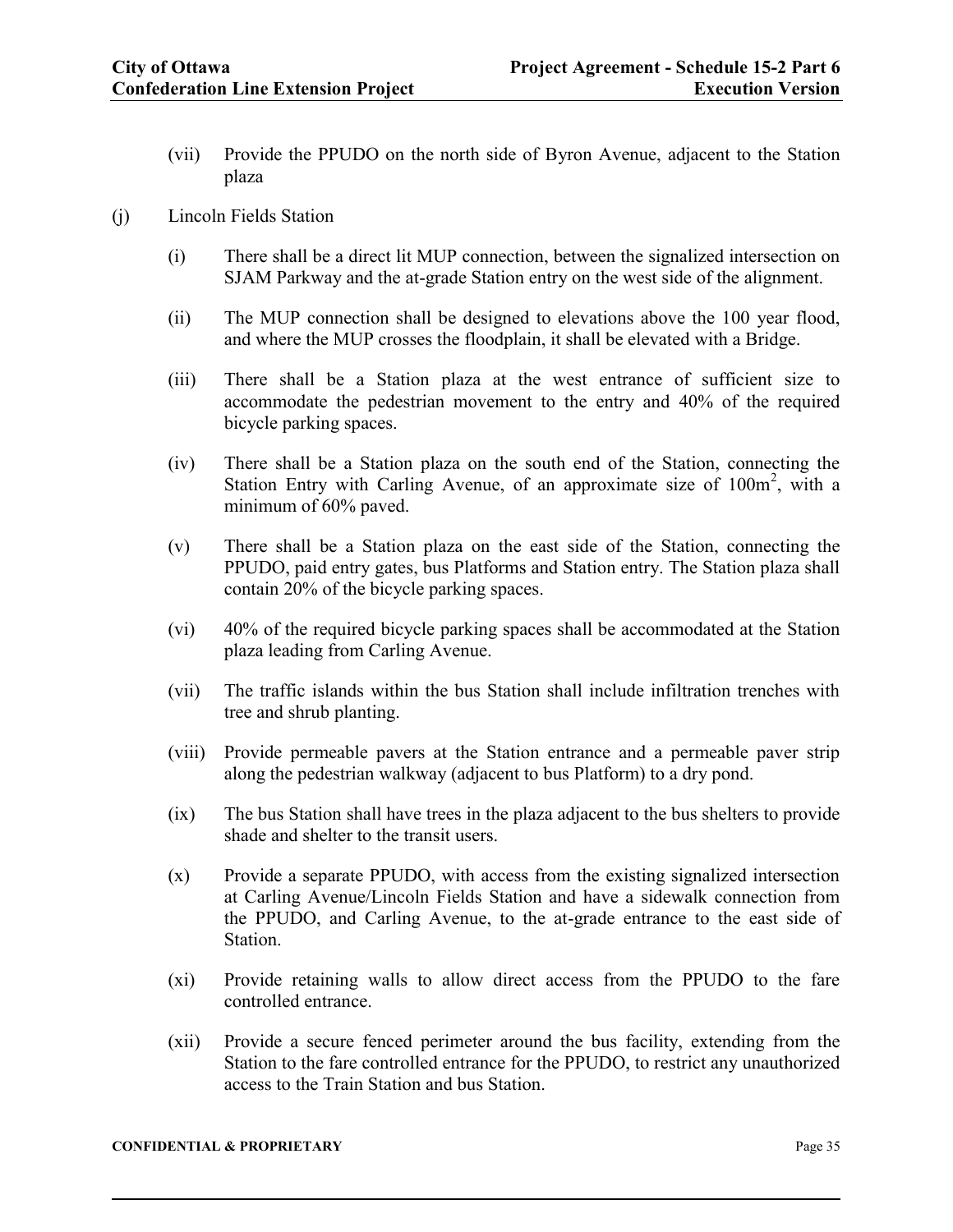- (vii) Provide the PPUDO on the north side of Byron Avenue, adjacent to the Station plaza
- (j) Lincoln Fields Station
	- (i) There shall be a direct lit MUP connection, between the signalized intersection on SJAM Parkway and the at-grade Station entry on the west side of the alignment.
	- (ii) The MUP connection shall be designed to elevations above the 100 year flood, and where the MUP crosses the floodplain, it shall be elevated with a Bridge.
	- (iii) There shall be a Station plaza at the west entrance of sufficient size to accommodate the pedestrian movement to the entry and 40% of the required bicycle parking spaces.
	- (iv) There shall be a Station plaza on the south end of the Station, connecting the Station Entry with Carling Avenue, of an approximate size of  $100m^2$ , with a minimum of 60% paved.
	- (v) There shall be a Station plaza on the east side of the Station, connecting the PPUDO, paid entry gates, bus Platforms and Station entry. The Station plaza shall contain 20% of the bicycle parking spaces.
	- (vi) 40% of the required bicycle parking spaces shall be accommodated at the Station plaza leading from Carling Avenue.
	- (vii) The traffic islands within the bus Station shall include infiltration trenches with tree and shrub planting.
	- (viii) Provide permeable pavers at the Station entrance and a permeable paver strip along the pedestrian walkway (adjacent to bus Platform) to a dry pond.
	- (ix) The bus Station shall have trees in the plaza adjacent to the bus shelters to provide shade and shelter to the transit users.
	- (x) Provide a separate PPUDO, with access from the existing signalized intersection at Carling Avenue/Lincoln Fields Station and have a sidewalk connection from the PPUDO, and Carling Avenue, to the at-grade entrance to the east side of Station.
	- (xi) Provide retaining walls to allow direct access from the PPUDO to the fare controlled entrance.
	- (xii) Provide a secure fenced perimeter around the bus facility, extending from the Station to the fare controlled entrance for the PPUDO, to restrict any unauthorized access to the Train Station and bus Station.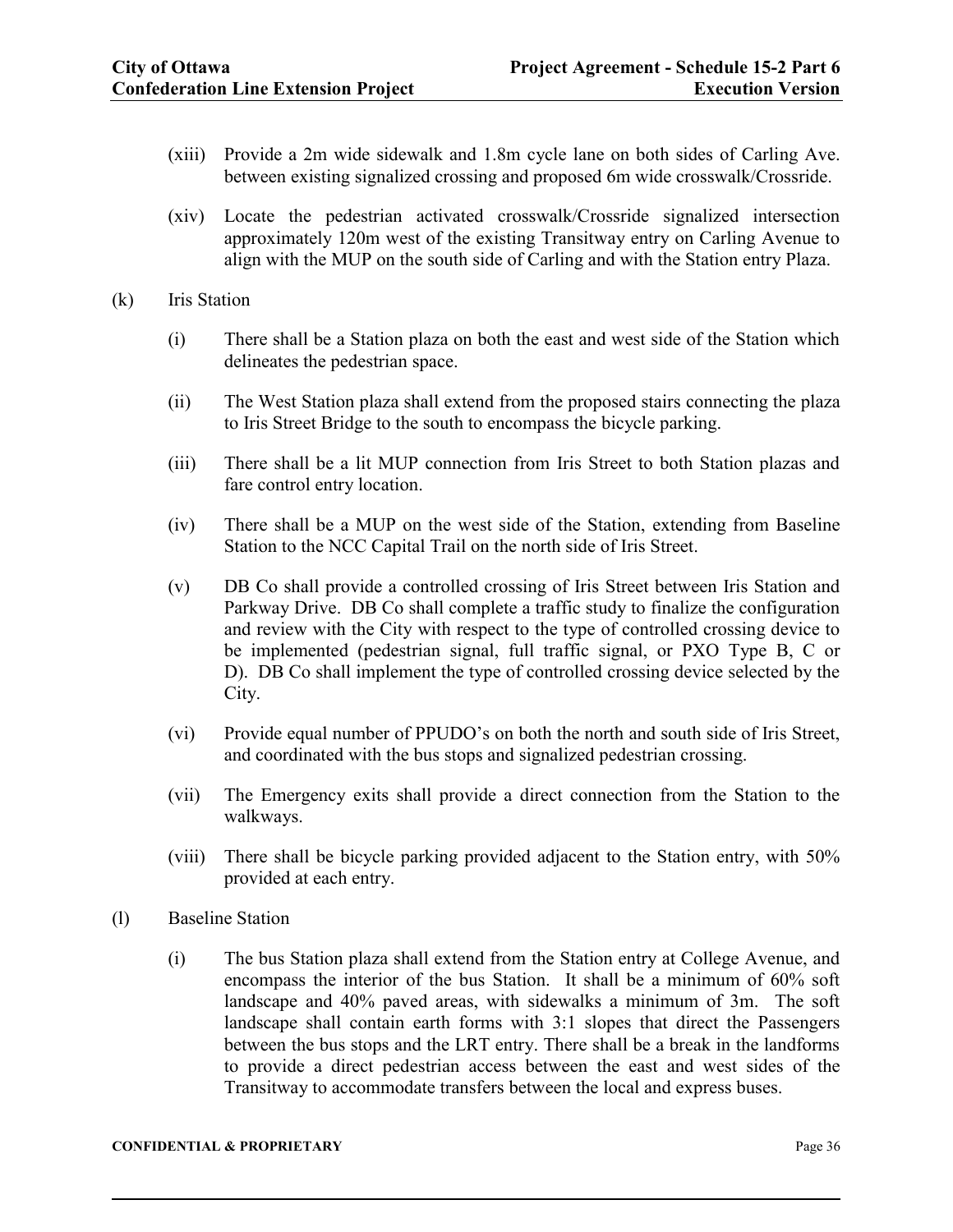- (xiii) Provide a 2m wide sidewalk and 1.8m cycle lane on both sides of Carling Ave. between existing signalized crossing and proposed 6m wide crosswalk/Crossride.
- (xiv) Locate the pedestrian activated crosswalk/Crossride signalized intersection approximately 120m west of the existing Transitway entry on Carling Avenue to align with the MUP on the south side of Carling and with the Station entry Plaza.
- (k) Iris Station
	- (i) There shall be a Station plaza on both the east and west side of the Station which delineates the pedestrian space.
	- (ii) The West Station plaza shall extend from the proposed stairs connecting the plaza to Iris Street Bridge to the south to encompass the bicycle parking.
	- (iii) There shall be a lit MUP connection from Iris Street to both Station plazas and fare control entry location.
	- (iv) There shall be a MUP on the west side of the Station, extending from Baseline Station to the NCC Capital Trail on the north side of Iris Street.
	- (v) DB Co shall provide a controlled crossing of Iris Street between Iris Station and Parkway Drive. DB Co shall complete a traffic study to finalize the configuration and review with the City with respect to the type of controlled crossing device to be implemented (pedestrian signal, full traffic signal, or PXO Type B, C or D). DB Co shall implement the type of controlled crossing device selected by the City.
	- (vi) Provide equal number of PPUDO's on both the north and south side of Iris Street, and coordinated with the bus stops and signalized pedestrian crossing.
	- (vii) The Emergency exits shall provide a direct connection from the Station to the walkways.
	- (viii) There shall be bicycle parking provided adjacent to the Station entry, with 50% provided at each entry.
- (l) Baseline Station
	- (i) The bus Station plaza shall extend from the Station entry at College Avenue, and encompass the interior of the bus Station. It shall be a minimum of 60% soft landscape and 40% paved areas, with sidewalks a minimum of 3m. The soft landscape shall contain earth forms with 3:1 slopes that direct the Passengers between the bus stops and the LRT entry. There shall be a break in the landforms to provide a direct pedestrian access between the east and west sides of the Transitway to accommodate transfers between the local and express buses.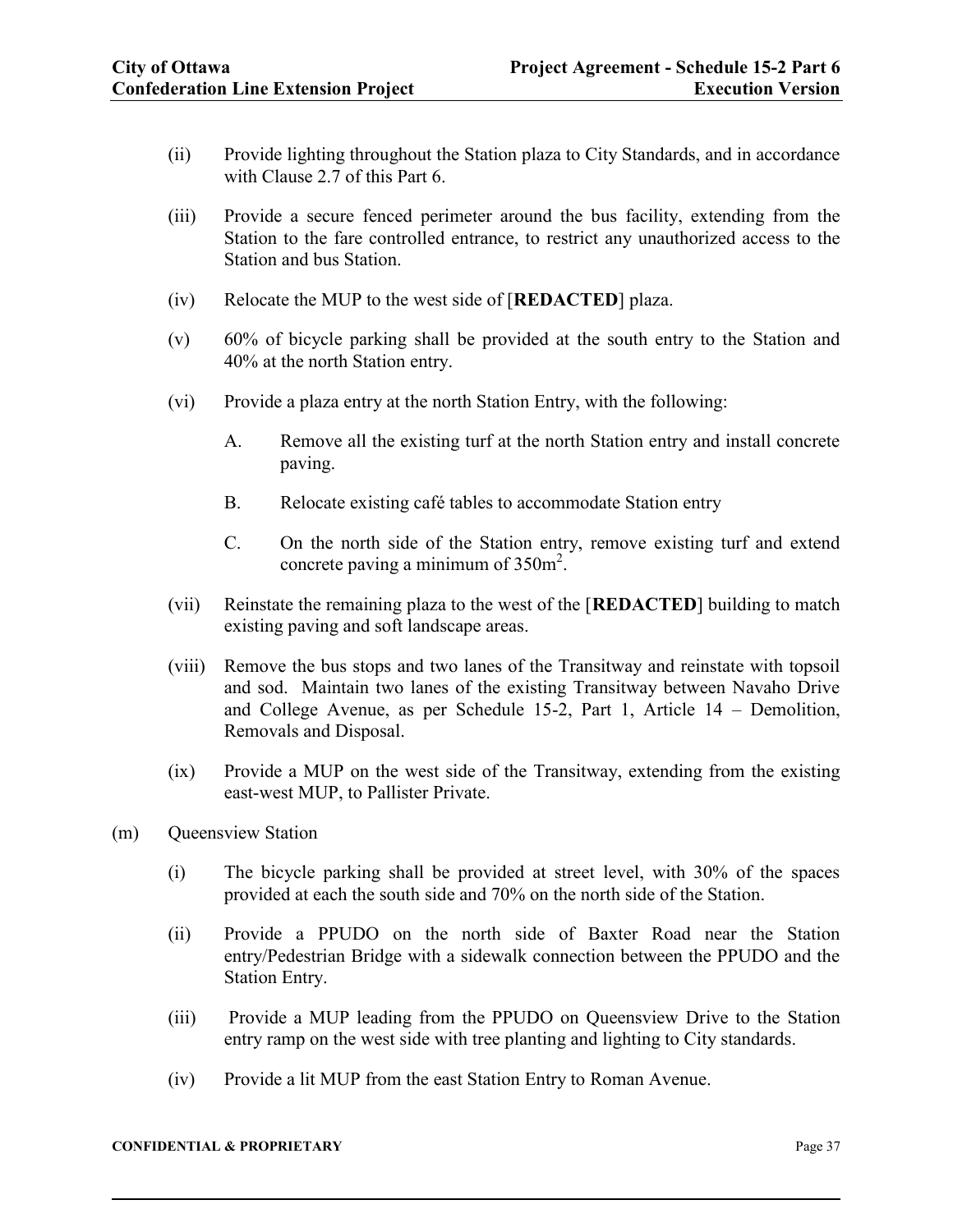- (ii) Provide lighting throughout the Station plaza to City Standards, and in accordance with Clause 2.7 of this Part 6.
- (iii) Provide a secure fenced perimeter around the bus facility, extending from the Station to the fare controlled entrance, to restrict any unauthorized access to the Station and bus Station.
- (iv) Relocate the MUP to the west side of [**REDACTED**] plaza.
- (v) 60% of bicycle parking shall be provided at the south entry to the Station and 40% at the north Station entry.
- (vi) Provide a plaza entry at the north Station Entry, with the following:
	- A. Remove all the existing turf at the north Station entry and install concrete paving.
	- B. Relocate existing café tables to accommodate Station entry
	- C. On the north side of the Station entry, remove existing turf and extend concrete paving a minimum of  $350m^2$ .
- (vii) Reinstate the remaining plaza to the west of the [**REDACTED**] building to match existing paving and soft landscape areas.
- (viii) Remove the bus stops and two lanes of the Transitway and reinstate with topsoil and sod. Maintain two lanes of the existing Transitway between Navaho Drive and College Avenue, as per Schedule 15-2, Part 1, Article 14 – Demolition, Removals and Disposal.
- (ix) Provide a MUP on the west side of the Transitway, extending from the existing east-west MUP, to Pallister Private.
- (m) Queensview Station
	- (i) The bicycle parking shall be provided at street level, with 30% of the spaces provided at each the south side and 70% on the north side of the Station.
	- (ii) Provide a PPUDO on the north side of Baxter Road near the Station entry/Pedestrian Bridge with a sidewalk connection between the PPUDO and the Station Entry.
	- (iii) Provide a MUP leading from the PPUDO on Queensview Drive to the Station entry ramp on the west side with tree planting and lighting to City standards.
	- (iv) Provide a lit MUP from the east Station Entry to Roman Avenue.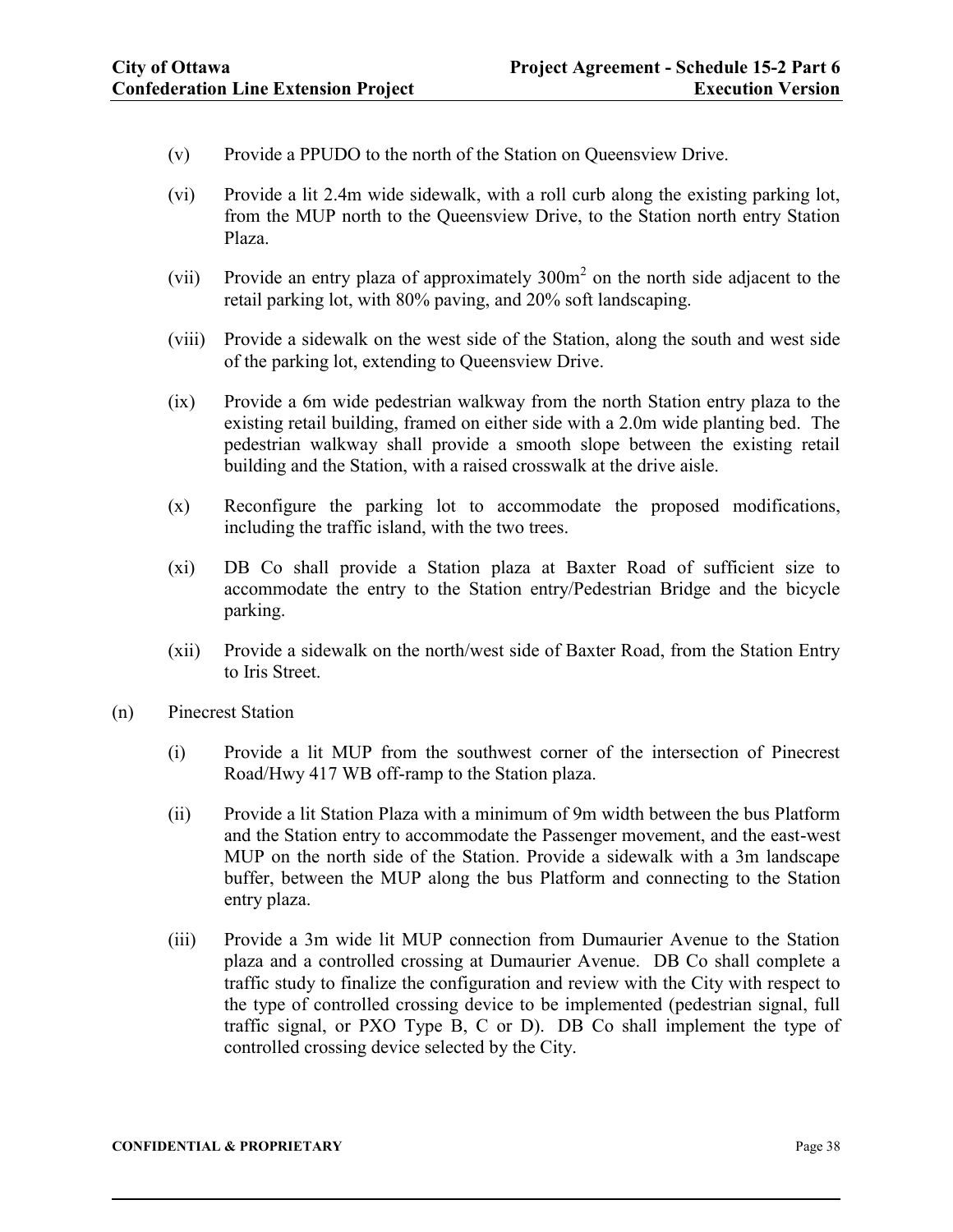- (v) Provide a PPUDO to the north of the Station on Queensview Drive.
- (vi) Provide a lit 2.4m wide sidewalk, with a roll curb along the existing parking lot, from the MUP north to the Queensview Drive, to the Station north entry Station Plaza.
- (vii) Provide an entry plaza of approximately  $300m^2$  on the north side adjacent to the retail parking lot, with 80% paving, and 20% soft landscaping.
- (viii) Provide a sidewalk on the west side of the Station, along the south and west side of the parking lot, extending to Queensview Drive.
- (ix) Provide a 6m wide pedestrian walkway from the north Station entry plaza to the existing retail building, framed on either side with a 2.0m wide planting bed. The pedestrian walkway shall provide a smooth slope between the existing retail building and the Station, with a raised crosswalk at the drive aisle.
- (x) Reconfigure the parking lot to accommodate the proposed modifications, including the traffic island, with the two trees.
- (xi) DB Co shall provide a Station plaza at Baxter Road of sufficient size to accommodate the entry to the Station entry/Pedestrian Bridge and the bicycle parking.
- (xii) Provide a sidewalk on the north/west side of Baxter Road, from the Station Entry to Iris Street.
- (n) Pinecrest Station
	- (i) Provide a lit MUP from the southwest corner of the intersection of Pinecrest Road/Hwy 417 WB off-ramp to the Station plaza.
	- (ii) Provide a lit Station Plaza with a minimum of 9m width between the bus Platform and the Station entry to accommodate the Passenger movement, and the east-west MUP on the north side of the Station. Provide a sidewalk with a 3m landscape buffer, between the MUP along the bus Platform and connecting to the Station entry plaza.
	- (iii) Provide a 3m wide lit MUP connection from Dumaurier Avenue to the Station plaza and a controlled crossing at Dumaurier Avenue. DB Co shall complete a traffic study to finalize the configuration and review with the City with respect to the type of controlled crossing device to be implemented (pedestrian signal, full traffic signal, or PXO Type B, C or D). DB Co shall implement the type of controlled crossing device selected by the City.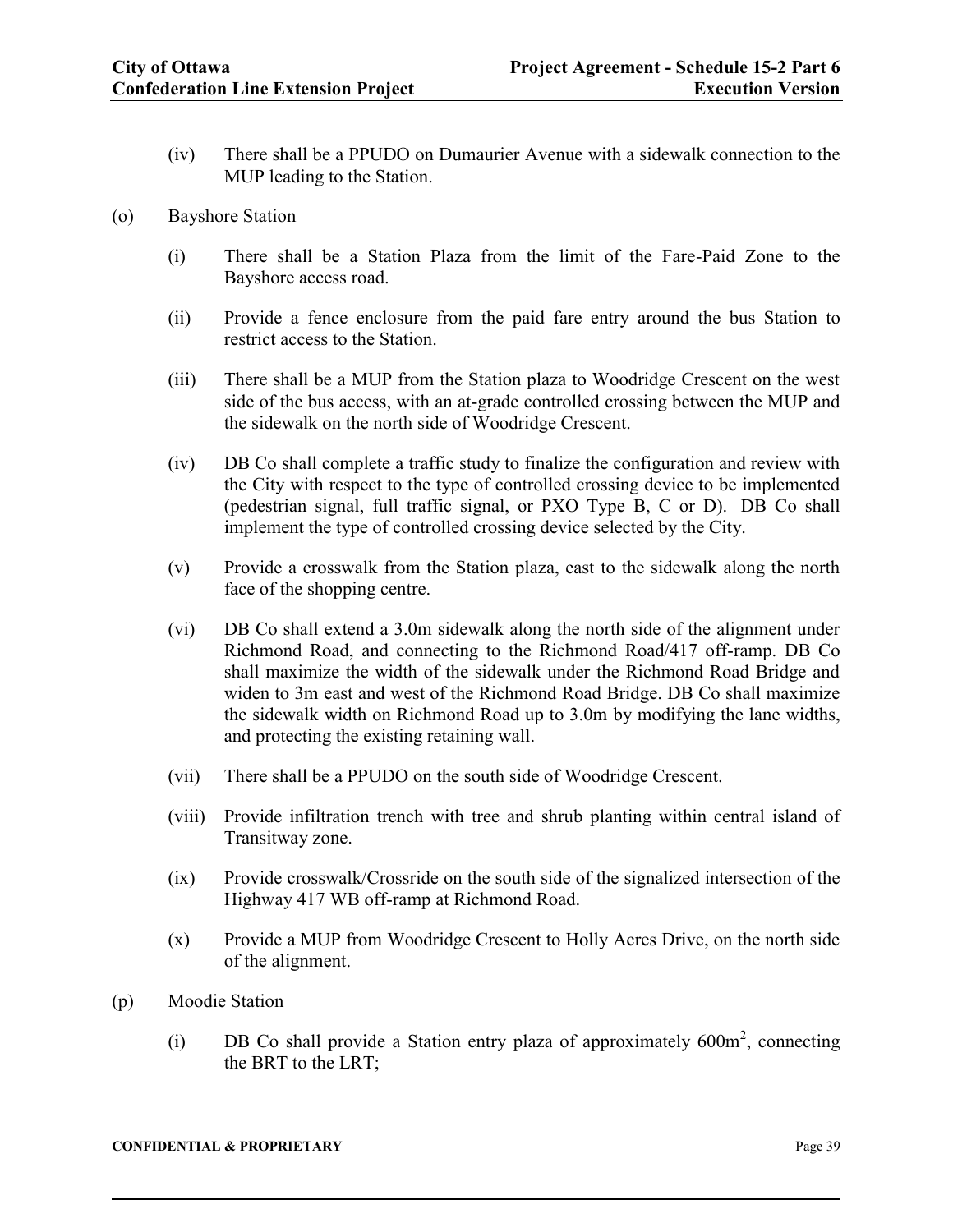- (iv) There shall be a PPUDO on Dumaurier Avenue with a sidewalk connection to the MUP leading to the Station.
- (o) Bayshore Station
	- (i) There shall be a Station Plaza from the limit of the Fare-Paid Zone to the Bayshore access road.
	- (ii) Provide a fence enclosure from the paid fare entry around the bus Station to restrict access to the Station.
	- (iii) There shall be a MUP from the Station plaza to Woodridge Crescent on the west side of the bus access, with an at-grade controlled crossing between the MUP and the sidewalk on the north side of Woodridge Crescent.
	- (iv) DB Co shall complete a traffic study to finalize the configuration and review with the City with respect to the type of controlled crossing device to be implemented (pedestrian signal, full traffic signal, or PXO Type B, C or D). DB Co shall implement the type of controlled crossing device selected by the City.
	- (v) Provide a crosswalk from the Station plaza, east to the sidewalk along the north face of the shopping centre.
	- (vi) DB Co shall extend a 3.0m sidewalk along the north side of the alignment under Richmond Road, and connecting to the Richmond Road/417 off-ramp. DB Co shall maximize the width of the sidewalk under the Richmond Road Bridge and widen to 3m east and west of the Richmond Road Bridge. DB Co shall maximize the sidewalk width on Richmond Road up to 3.0m by modifying the lane widths, and protecting the existing retaining wall.
	- (vii) There shall be a PPUDO on the south side of Woodridge Crescent.
	- (viii) Provide infiltration trench with tree and shrub planting within central island of Transitway zone.
	- (ix) Provide crosswalk/Crossride on the south side of the signalized intersection of the Highway 417 WB off-ramp at Richmond Road.
	- (x) Provide a MUP from Woodridge Crescent to Holly Acres Drive, on the north side of the alignment.
- (p) Moodie Station
	- (i) DB Co shall provide a Station entry plaza of approximately  $600m^2$ , connecting the BRT to the LRT;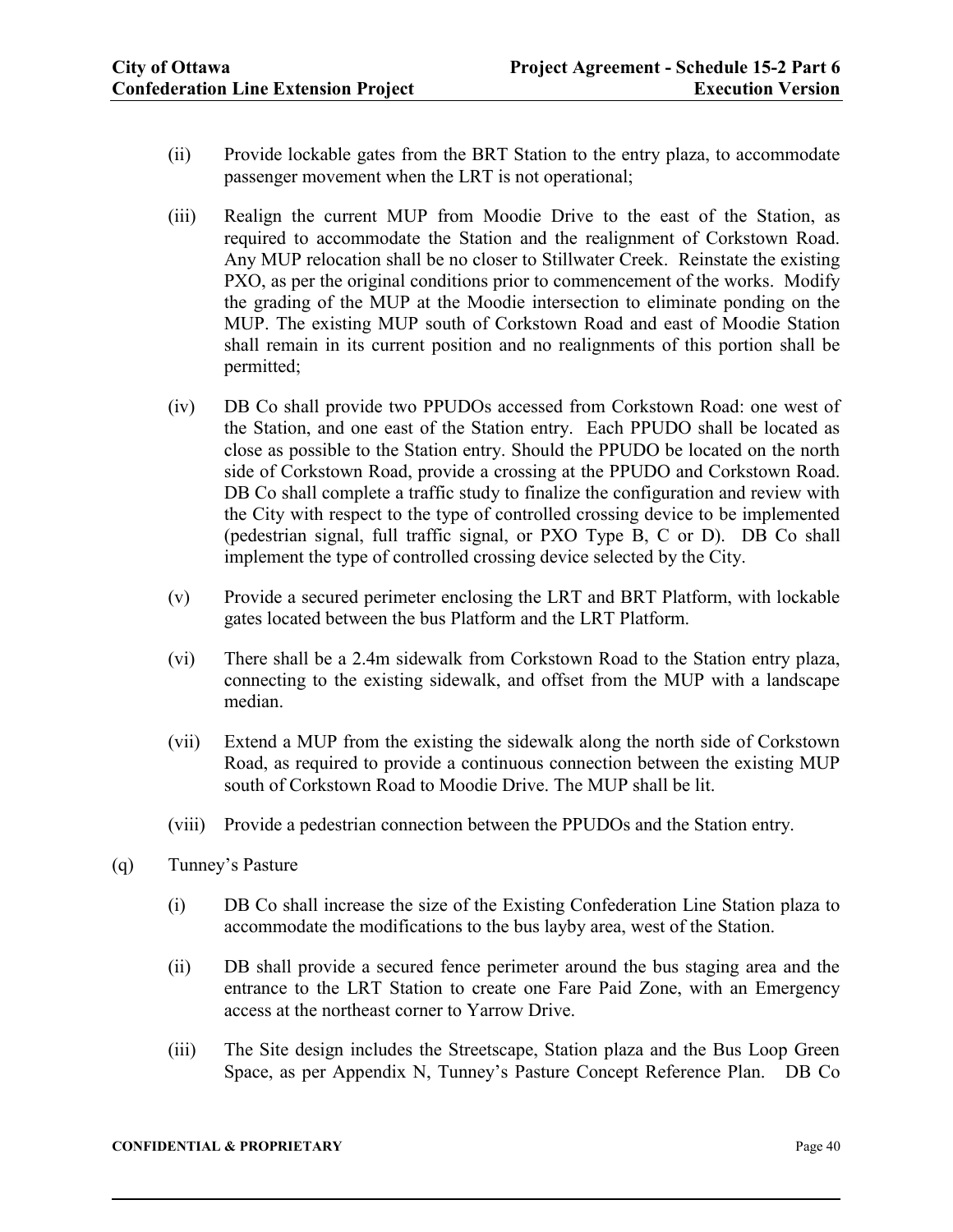- (ii) Provide lockable gates from the BRT Station to the entry plaza, to accommodate passenger movement when the LRT is not operational;
- (iii) Realign the current MUP from Moodie Drive to the east of the Station, as required to accommodate the Station and the realignment of Corkstown Road. Any MUP relocation shall be no closer to Stillwater Creek. Reinstate the existing PXO, as per the original conditions prior to commencement of the works. Modify the grading of the MUP at the Moodie intersection to eliminate ponding on the MUP. The existing MUP south of Corkstown Road and east of Moodie Station shall remain in its current position and no realignments of this portion shall be permitted;
- (iv) DB Co shall provide two PPUDOs accessed from Corkstown Road: one west of the Station, and one east of the Station entry. Each PPUDO shall be located as close as possible to the Station entry. Should the PPUDO be located on the north side of Corkstown Road, provide a crossing at the PPUDO and Corkstown Road. DB Co shall complete a traffic study to finalize the configuration and review with the City with respect to the type of controlled crossing device to be implemented (pedestrian signal, full traffic signal, or PXO Type B, C or D). DB Co shall implement the type of controlled crossing device selected by the City.
- (v) Provide a secured perimeter enclosing the LRT and BRT Platform, with lockable gates located between the bus Platform and the LRT Platform.
- (vi) There shall be a 2.4m sidewalk from Corkstown Road to the Station entry plaza, connecting to the existing sidewalk, and offset from the MUP with a landscape median.
- (vii) Extend a MUP from the existing the sidewalk along the north side of Corkstown Road, as required to provide a continuous connection between the existing MUP south of Corkstown Road to Moodie Drive. The MUP shall be lit.
- (viii) Provide a pedestrian connection between the PPUDOs and the Station entry.
- (q) Tunney's Pasture
	- (i) DB Co shall increase the size of the Existing Confederation Line Station plaza to accommodate the modifications to the bus layby area, west of the Station.
	- (ii) DB shall provide a secured fence perimeter around the bus staging area and the entrance to the LRT Station to create one Fare Paid Zone, with an Emergency access at the northeast corner to Yarrow Drive.
	- (iii) The Site design includes the Streetscape, Station plaza and the Bus Loop Green Space, as per Appendix N, Tunney's Pasture Concept Reference Plan. DB Co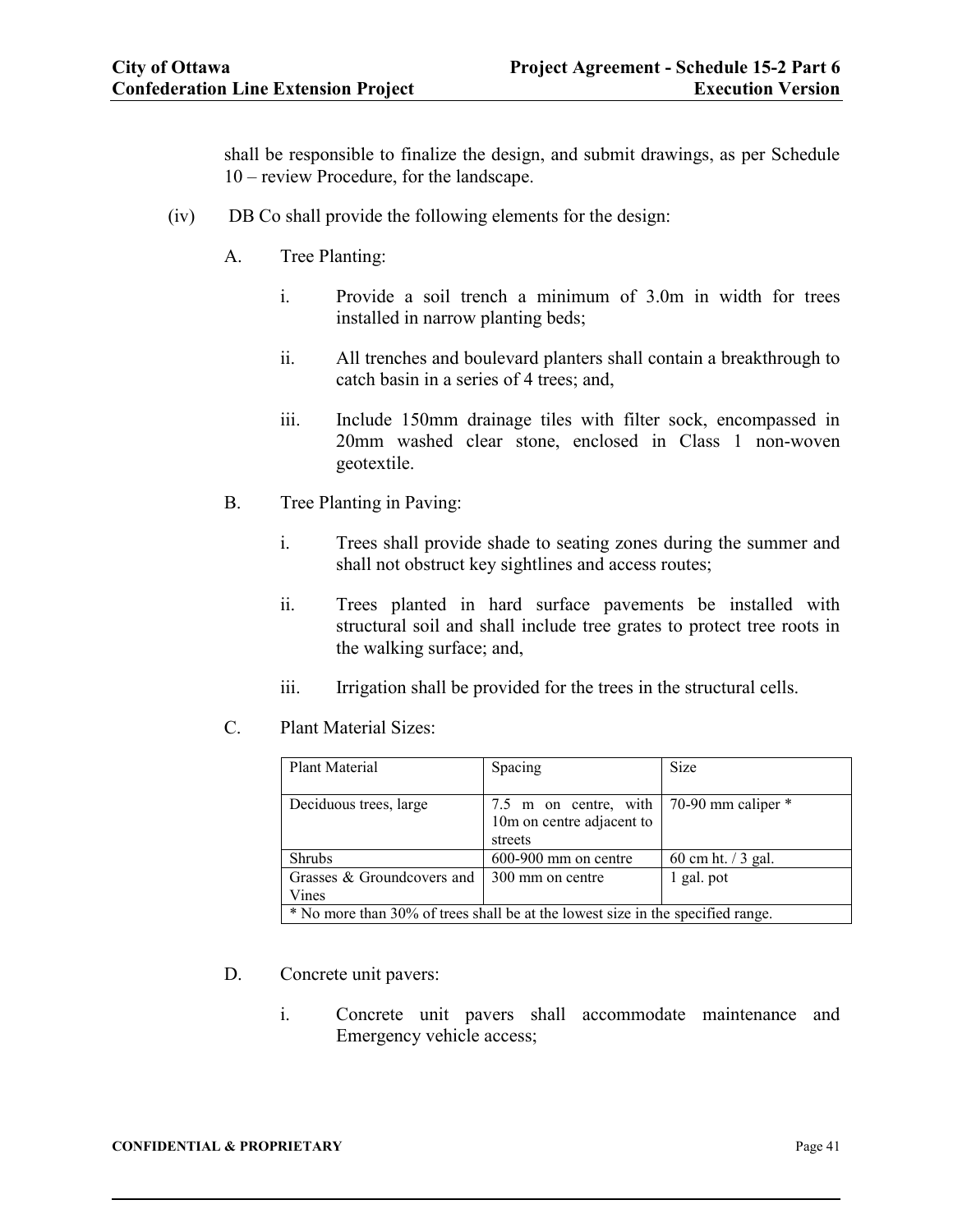shall be responsible to finalize the design, and submit drawings, as per Schedule 10 – review Procedure, for the landscape.

- (iv) DB Co shall provide the following elements for the design:
	- A. Tree Planting:
		- i. Provide a soil trench a minimum of 3.0m in width for trees installed in narrow planting beds;
		- ii. All trenches and boulevard planters shall contain a breakthrough to catch basin in a series of 4 trees; and,
		- iii. Include 150mm drainage tiles with filter sock, encompassed in 20mm washed clear stone, enclosed in Class 1 non-woven geotextile.
	- B. Tree Planting in Paving:
		- i. Trees shall provide shade to seating zones during the summer and shall not obstruct key sightlines and access routes;
		- ii. Trees planted in hard surface pavements be installed with structural soil and shall include tree grates to protect tree roots in the walking surface; and,
		- iii. Irrigation shall be provided for the trees in the structural cells.
	- C. Plant Material Sizes:

| Plant Material                                                                  | Spacing                   | <b>Size</b>          |  |  |
|---------------------------------------------------------------------------------|---------------------------|----------------------|--|--|
|                                                                                 |                           |                      |  |  |
| Deciduous trees, large                                                          | 7.5 m on centre, with     | 70-90 mm caliper $*$ |  |  |
|                                                                                 | 10m on centre adjacent to |                      |  |  |
|                                                                                 | streets                   |                      |  |  |
| Shrubs                                                                          | $600-900$ mm on centre    | 60 cm ht. $/$ 3 gal. |  |  |
| Grasses & Groundcovers and                                                      | 300 mm on centre          | 1 gal. pot           |  |  |
| Vines                                                                           |                           |                      |  |  |
| * No more than 30% of trees shall be at the lowest size in the specified range. |                           |                      |  |  |

- D. Concrete unit pavers:
	- i. Concrete unit pavers shall accommodate maintenance and Emergency vehicle access;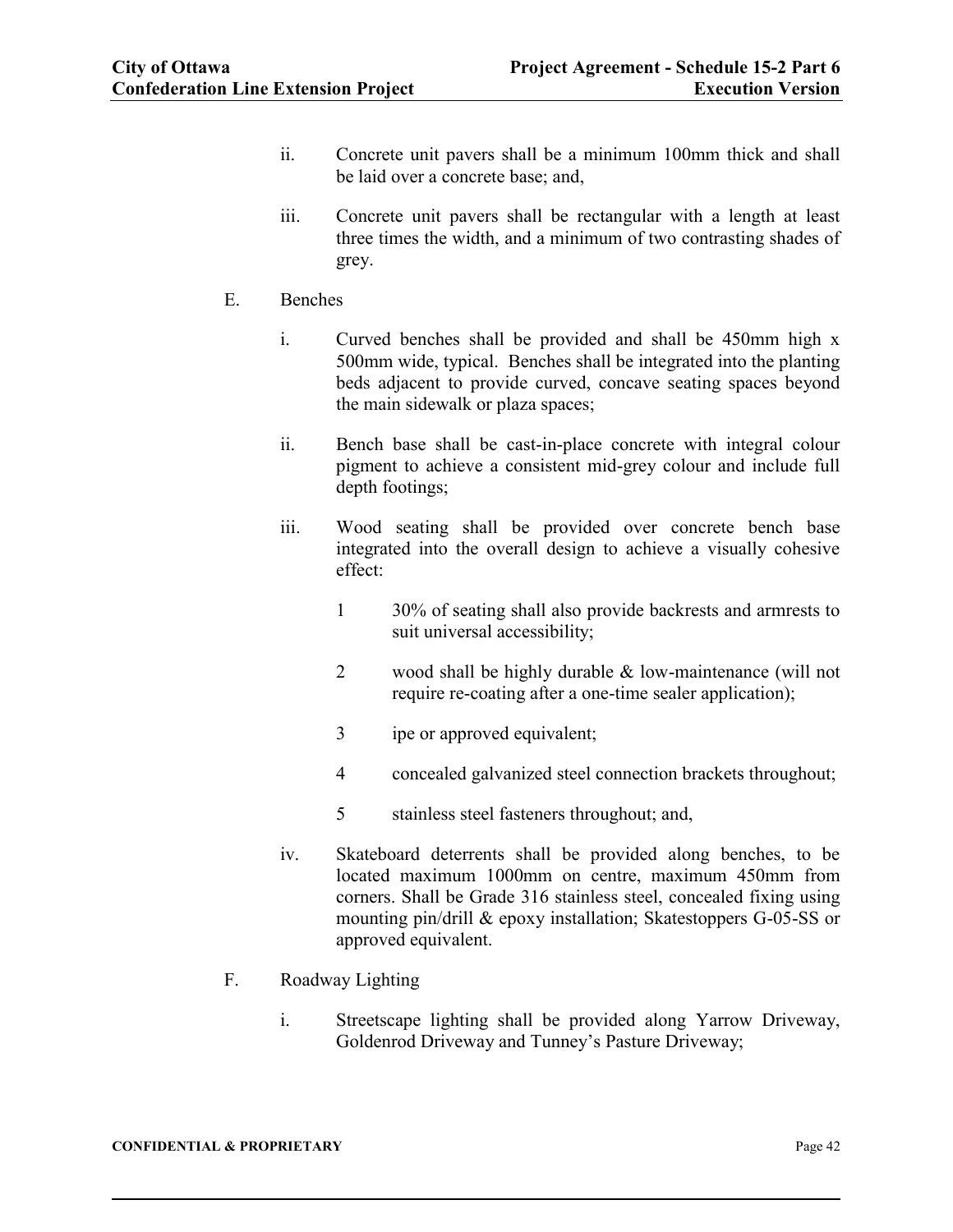- ii. Concrete unit pavers shall be a minimum 100mm thick and shall be laid over a concrete base; and,
- iii. Concrete unit pavers shall be rectangular with a length at least three times the width, and a minimum of two contrasting shades of grey.
- E. Benches
	- i. Curved benches shall be provided and shall be 450mm high x 500mm wide, typical. Benches shall be integrated into the planting beds adjacent to provide curved, concave seating spaces beyond the main sidewalk or plaza spaces;
	- ii. Bench base shall be cast-in-place concrete with integral colour pigment to achieve a consistent mid-grey colour and include full depth footings;
	- iii. Wood seating shall be provided over concrete bench base integrated into the overall design to achieve a visually cohesive effect:
		- 1 30% of seating shall also provide backrests and armrests to suit universal accessibility;
		- 2 wood shall be highly durable & low-maintenance (will not require re-coating after a one-time sealer application);
		- 3 ipe or approved equivalent;
		- 4 concealed galvanized steel connection brackets throughout;
		- 5 stainless steel fasteners throughout; and,
	- iv. Skateboard deterrents shall be provided along benches, to be located maximum 1000mm on centre, maximum 450mm from corners. Shall be Grade 316 stainless steel, concealed fixing using mounting pin/drill & epoxy installation; Skatestoppers G-05-SS or approved equivalent.
- F. Roadway Lighting
	- i. Streetscape lighting shall be provided along Yarrow Driveway, Goldenrod Driveway and Tunney's Pasture Driveway;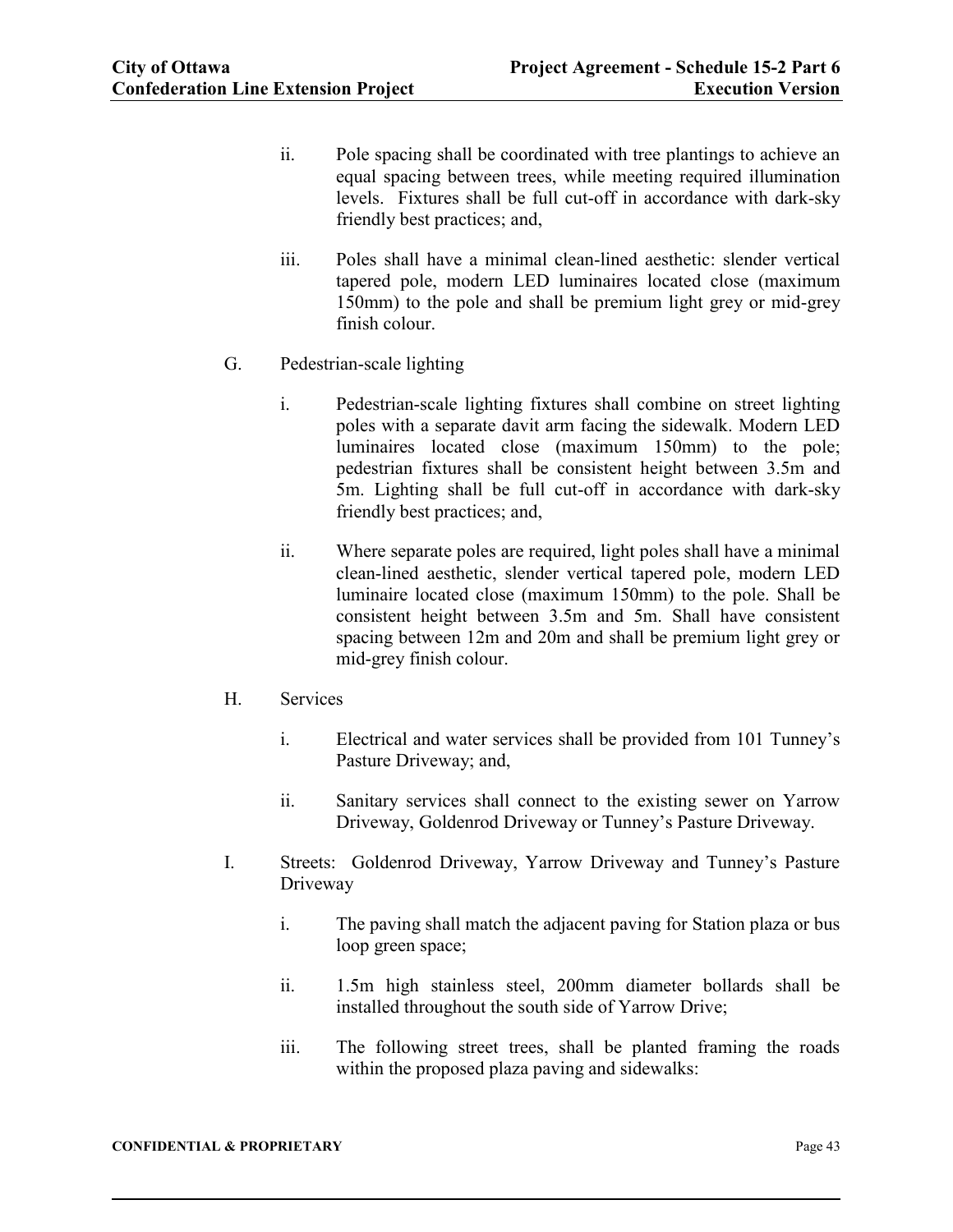- ii. Pole spacing shall be coordinated with tree plantings to achieve an equal spacing between trees, while meeting required illumination levels. Fixtures shall be full cut-off in accordance with dark-sky friendly best practices; and,
- iii. Poles shall have a minimal clean-lined aesthetic: slender vertical tapered pole, modern LED luminaires located close (maximum 150mm) to the pole and shall be premium light grey or mid-grey finish colour.
- G. Pedestrian-scale lighting
	- i. Pedestrian-scale lighting fixtures shall combine on street lighting poles with a separate davit arm facing the sidewalk. Modern LED luminaires located close (maximum 150mm) to the pole; pedestrian fixtures shall be consistent height between 3.5m and 5m. Lighting shall be full cut-off in accordance with dark-sky friendly best practices; and,
	- ii. Where separate poles are required, light poles shall have a minimal clean-lined aesthetic, slender vertical tapered pole, modern LED luminaire located close (maximum 150mm) to the pole. Shall be consistent height between 3.5m and 5m. Shall have consistent spacing between 12m and 20m and shall be premium light grey or mid-grey finish colour.
- H. Services
	- i. Electrical and water services shall be provided from 101 Tunney's Pasture Driveway; and,
	- ii. Sanitary services shall connect to the existing sewer on Yarrow Driveway, Goldenrod Driveway or Tunney's Pasture Driveway.
- I. Streets: Goldenrod Driveway, Yarrow Driveway and Tunney's Pasture Driveway
	- i. The paving shall match the adjacent paving for Station plaza or bus loop green space;
	- ii. 1.5m high stainless steel, 200mm diameter bollards shall be installed throughout the south side of Yarrow Drive;
	- iii. The following street trees, shall be planted framing the roads within the proposed plaza paving and sidewalks: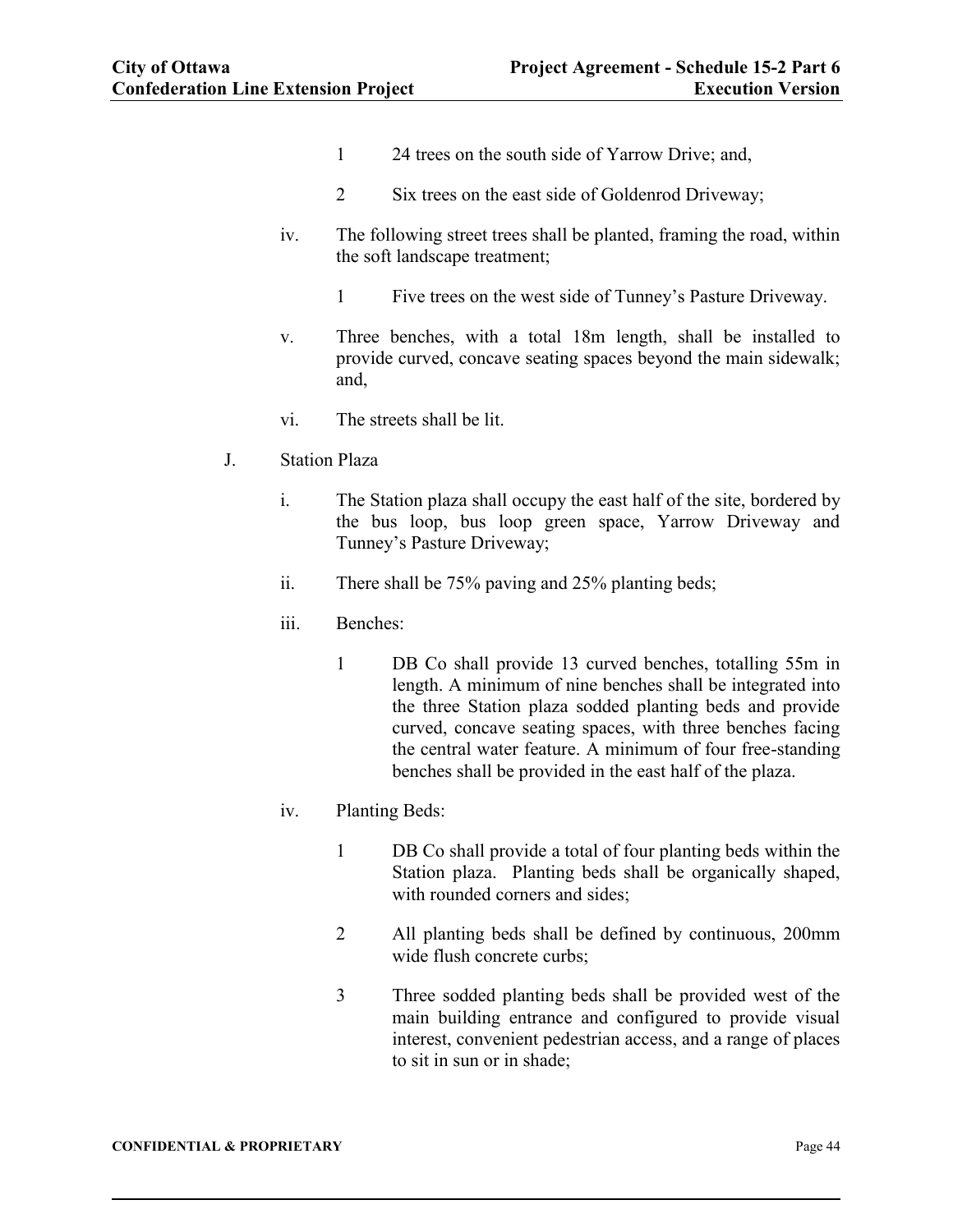- 1 24 trees on the south side of Yarrow Drive; and,
- 2 Six trees on the east side of Goldenrod Driveway;
- iv. The following street trees shall be planted, framing the road, within the soft landscape treatment;
	- 1 Five trees on the west side of Tunney's Pasture Driveway.
- v. Three benches, with a total 18m length, shall be installed to provide curved, concave seating spaces beyond the main sidewalk; and,
- vi. The streets shall be lit.
- J. Station Plaza
	- i. The Station plaza shall occupy the east half of the site, bordered by the bus loop, bus loop green space, Yarrow Driveway and Tunney's Pasture Driveway;
	- ii. There shall be 75% paving and 25% planting beds;
	- iii. Benches:
		- 1 DB Co shall provide 13 curved benches, totalling 55m in length. A minimum of nine benches shall be integrated into the three Station plaza sodded planting beds and provide curved, concave seating spaces, with three benches facing the central water feature. A minimum of four free-standing benches shall be provided in the east half of the plaza.
	- iv. Planting Beds:
		- 1 DB Co shall provide a total of four planting beds within the Station plaza. Planting beds shall be organically shaped, with rounded corners and sides;
		- 2 All planting beds shall be defined by continuous, 200mm wide flush concrete curbs;
		- 3 Three sodded planting beds shall be provided west of the main building entrance and configured to provide visual interest, convenient pedestrian access, and a range of places to sit in sun or in shade;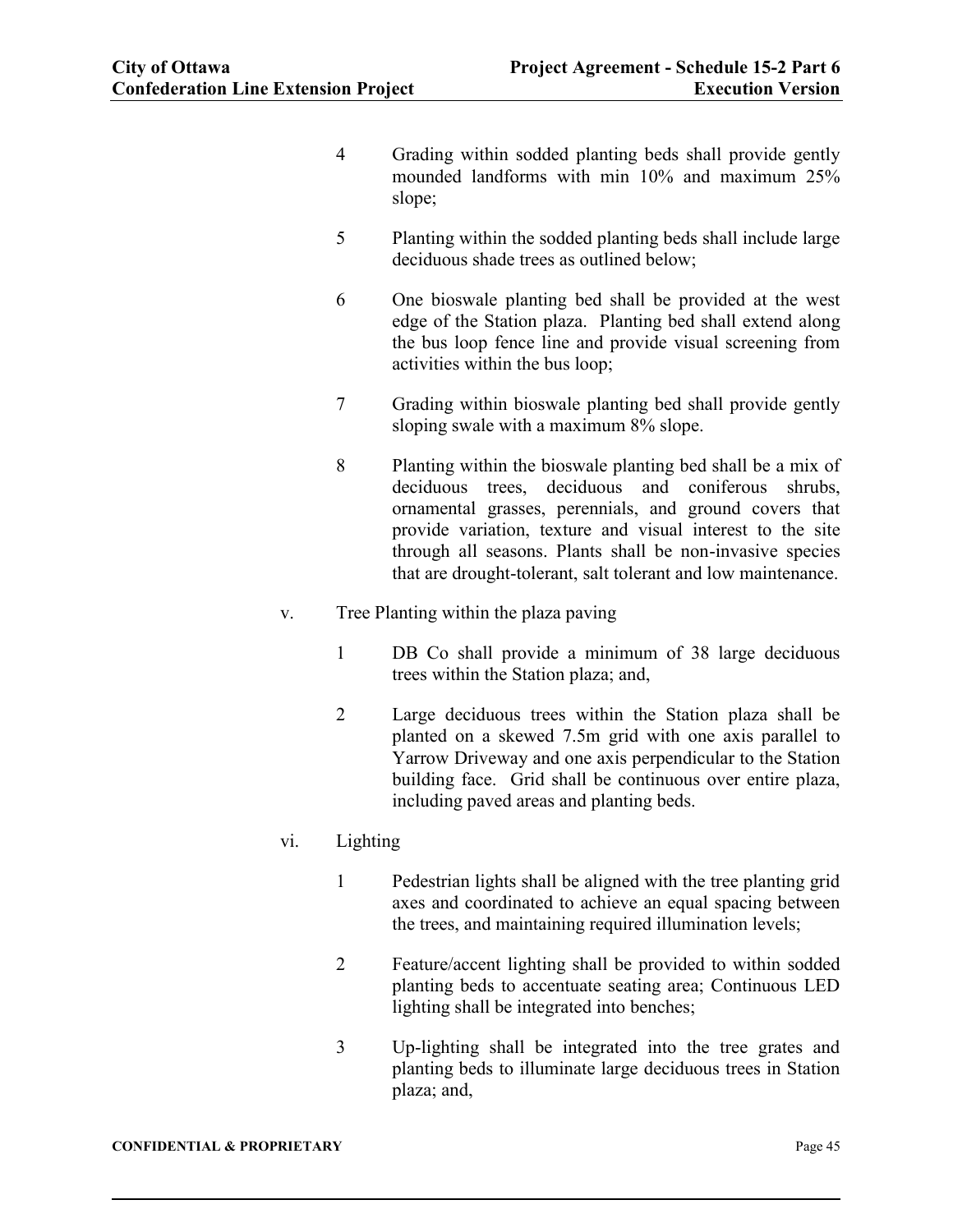- 4 Grading within sodded planting beds shall provide gently mounded landforms with min 10% and maximum 25% slope;
- 5 Planting within the sodded planting beds shall include large deciduous shade trees as outlined below;
- 6 One bioswale planting bed shall be provided at the west edge of the Station plaza. Planting bed shall extend along the bus loop fence line and provide visual screening from activities within the bus loop;
- 7 Grading within bioswale planting bed shall provide gently sloping swale with a maximum 8% slope.
- 8 Planting within the bioswale planting bed shall be a mix of deciduous trees, deciduous and coniferous shrubs, ornamental grasses, perennials, and ground covers that provide variation, texture and visual interest to the site through all seasons. Plants shall be non-invasive species that are drought-tolerant, salt tolerant and low maintenance.
- v. Tree Planting within the plaza paving
	- 1 DB Co shall provide a minimum of 38 large deciduous trees within the Station plaza; and,
	- 2 Large deciduous trees within the Station plaza shall be planted on a skewed 7.5m grid with one axis parallel to Yarrow Driveway and one axis perpendicular to the Station building face. Grid shall be continuous over entire plaza, including paved areas and planting beds.

# vi. Lighting

- 1 Pedestrian lights shall be aligned with the tree planting grid axes and coordinated to achieve an equal spacing between the trees, and maintaining required illumination levels;
- 2 Feature/accent lighting shall be provided to within sodded planting beds to accentuate seating area; Continuous LED lighting shall be integrated into benches;
- 3 Up-lighting shall be integrated into the tree grates and planting beds to illuminate large deciduous trees in Station plaza; and,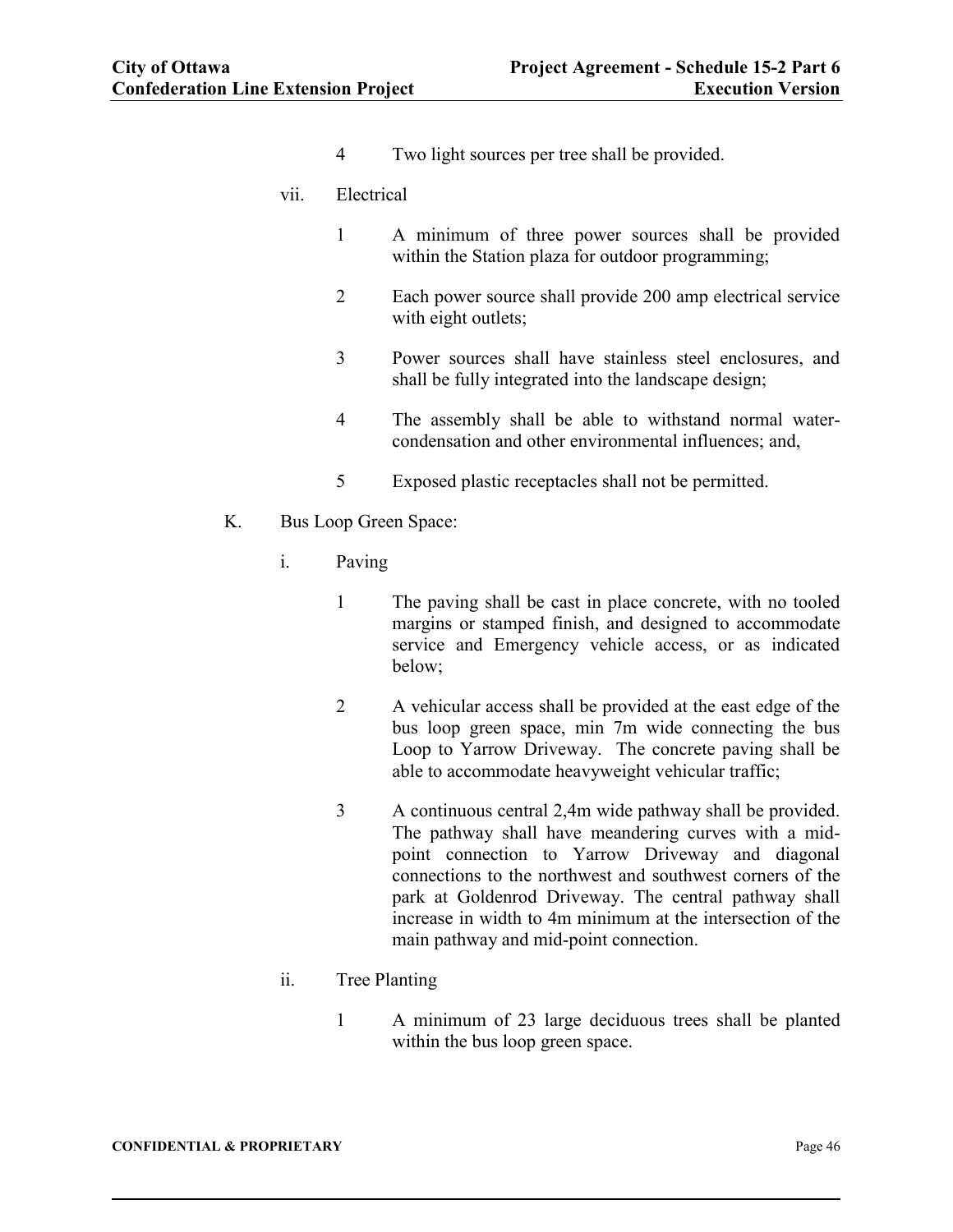4 Two light sources per tree shall be provided.

### vii. Electrical

- 1 A minimum of three power sources shall be provided within the Station plaza for outdoor programming;
- 2 Each power source shall provide 200 amp electrical service with eight outlets;
- 3 Power sources shall have stainless steel enclosures, and shall be fully integrated into the landscape design;
- 4 The assembly shall be able to withstand normal watercondensation and other environmental influences; and,
- 5 Exposed plastic receptacles shall not be permitted.
- K. Bus Loop Green Space:
	- i. Paving
		- 1 The paving shall be cast in place concrete, with no tooled margins or stamped finish, and designed to accommodate service and Emergency vehicle access, or as indicated below;
		- 2 A vehicular access shall be provided at the east edge of the bus loop green space, min 7m wide connecting the bus Loop to Yarrow Driveway. The concrete paving shall be able to accommodate heavyweight vehicular traffic;
		- 3 A continuous central 2,4m wide pathway shall be provided. The pathway shall have meandering curves with a midpoint connection to Yarrow Driveway and diagonal connections to the northwest and southwest corners of the park at Goldenrod Driveway. The central pathway shall increase in width to 4m minimum at the intersection of the main pathway and mid-point connection.

#### ii. Tree Planting

1 A minimum of 23 large deciduous trees shall be planted within the bus loop green space.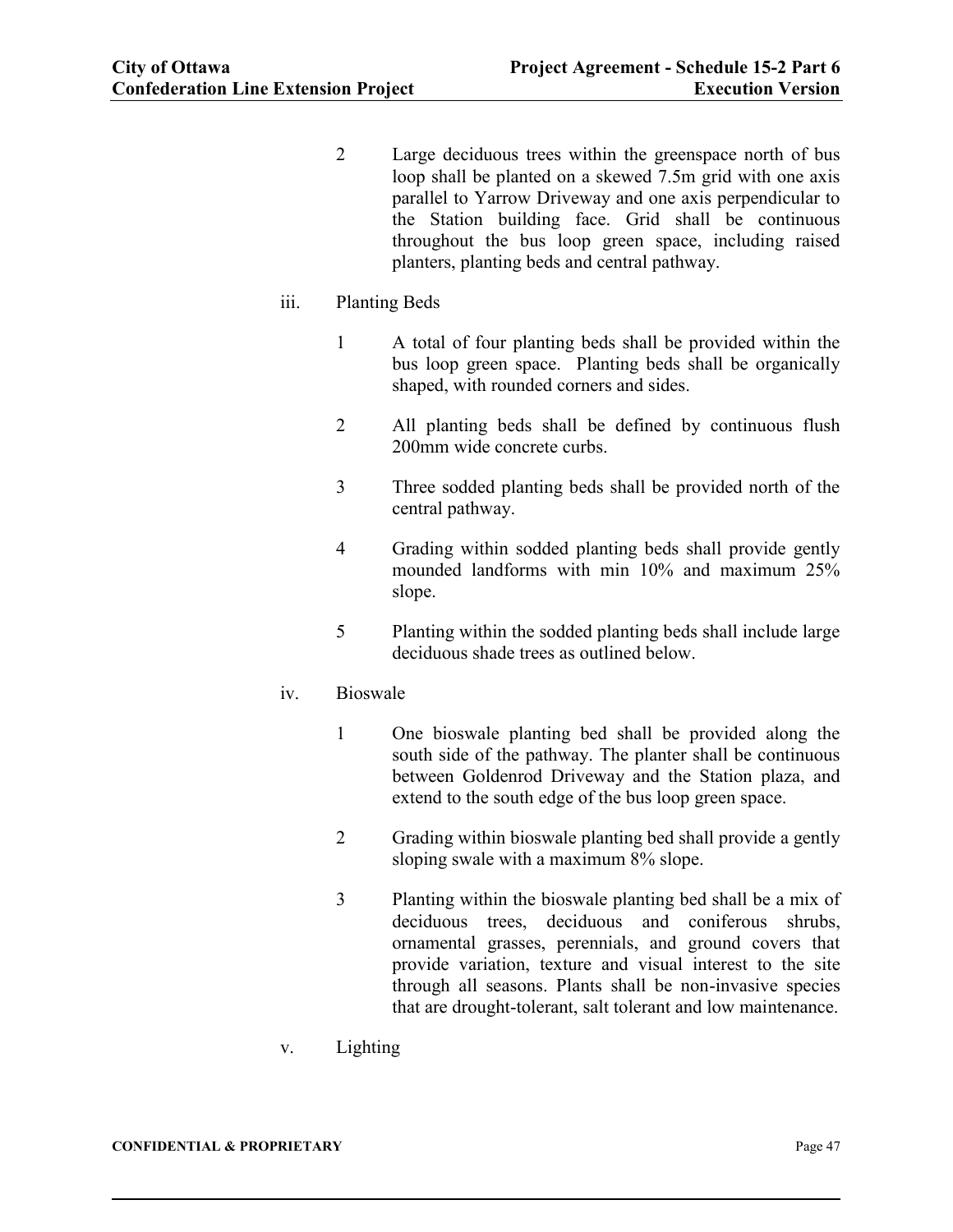2 Large deciduous trees within the greenspace north of bus loop shall be planted on a skewed 7.5m grid with one axis parallel to Yarrow Driveway and one axis perpendicular to the Station building face. Grid shall be continuous throughout the bus loop green space, including raised planters, planting beds and central pathway.

# iii. Planting Beds

- 1 A total of four planting beds shall be provided within the bus loop green space. Planting beds shall be organically shaped, with rounded corners and sides.
- 2 All planting beds shall be defined by continuous flush 200mm wide concrete curbs.
- 3 Three sodded planting beds shall be provided north of the central pathway.
- 4 Grading within sodded planting beds shall provide gently mounded landforms with min 10% and maximum 25% slope.
- 5 Planting within the sodded planting beds shall include large deciduous shade trees as outlined below.

#### iv. Bioswale

- 1 One bioswale planting bed shall be provided along the south side of the pathway. The planter shall be continuous between Goldenrod Driveway and the Station plaza, and extend to the south edge of the bus loop green space.
- 2 Grading within bioswale planting bed shall provide a gently sloping swale with a maximum 8% slope.
- 3 Planting within the bioswale planting bed shall be a mix of deciduous trees, deciduous and coniferous shrubs, ornamental grasses, perennials, and ground covers that provide variation, texture and visual interest to the site through all seasons. Plants shall be non-invasive species that are drought-tolerant, salt tolerant and low maintenance.
- v. Lighting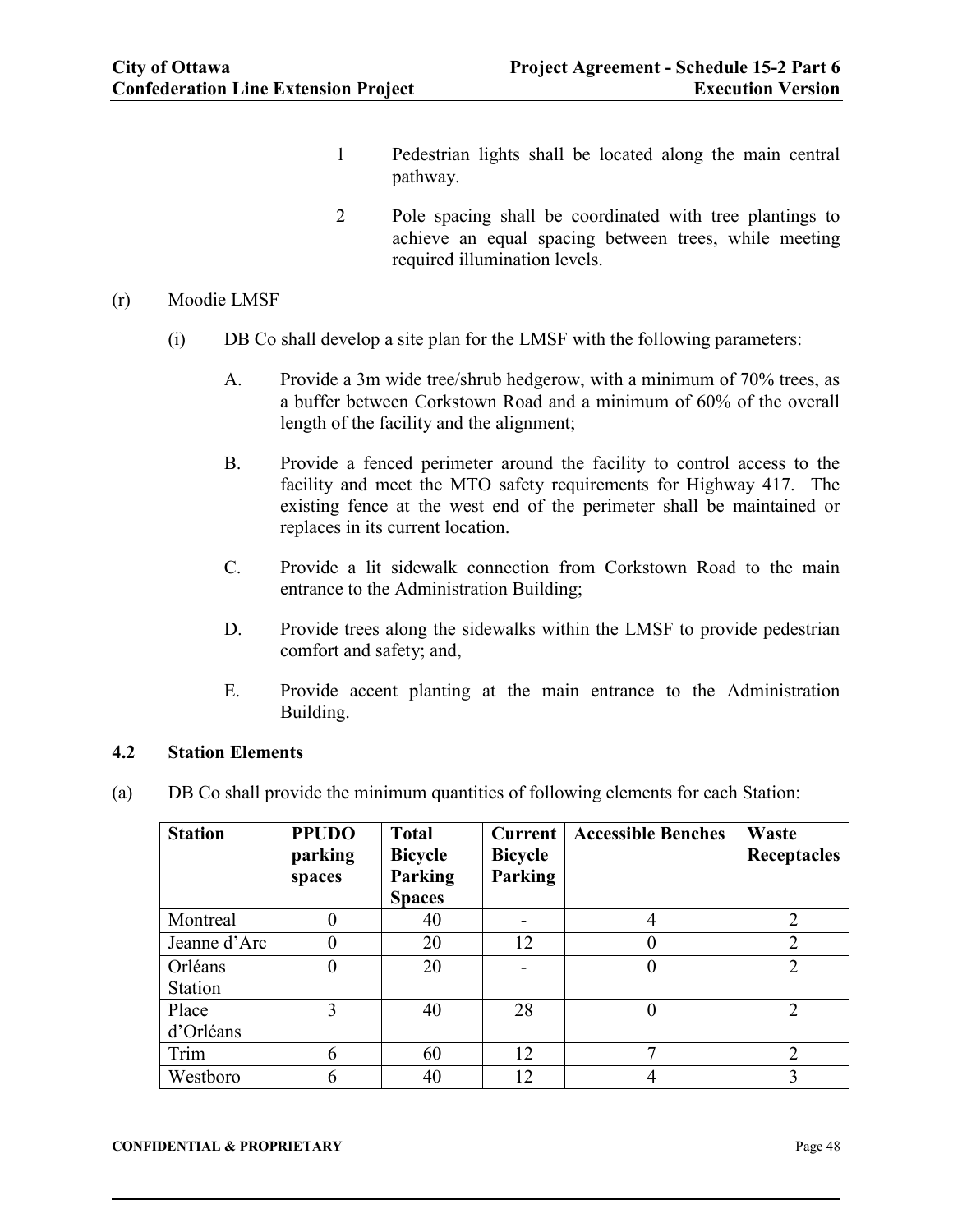- 1 Pedestrian lights shall be located along the main central pathway.
- 2 Pole spacing shall be coordinated with tree plantings to achieve an equal spacing between trees, while meeting required illumination levels.

### (r) Moodie LMSF

- (i) DB Co shall develop a site plan for the LMSF with the following parameters:
	- A. Provide a 3m wide tree/shrub hedgerow, with a minimum of 70% trees, as a buffer between Corkstown Road and a minimum of 60% of the overall length of the facility and the alignment;
	- B. Provide a fenced perimeter around the facility to control access to the facility and meet the MTO safety requirements for Highway 417. The existing fence at the west end of the perimeter shall be maintained or replaces in its current location.
	- C. Provide a lit sidewalk connection from Corkstown Road to the main entrance to the Administration Building;
	- D. Provide trees along the sidewalks within the LMSF to provide pedestrian comfort and safety; and,
	- E. Provide accent planting at the main entrance to the Administration Building.

# **4.2 Station Elements**

(a) DB Co shall provide the minimum quantities of following elements for each Station:

| <b>Station</b> | <b>PPUDO</b><br>parking<br>spaces | <b>Total</b><br><b>Bicycle</b><br>Parking<br><b>Spaces</b> | Current  <br><b>Bicycle</b><br>Parking | <b>Accessible Benches</b> | Waste<br>Receptacles                                                                                                                                            |
|----------------|-----------------------------------|------------------------------------------------------------|----------------------------------------|---------------------------|-----------------------------------------------------------------------------------------------------------------------------------------------------------------|
| Montreal       | 0                                 | 40                                                         |                                        | 4                         | $\overline{2}$                                                                                                                                                  |
| Jeanne d'Arc   | $\theta$                          | 20                                                         | 12                                     |                           |                                                                                                                                                                 |
| Orléans        | 0                                 | 20                                                         |                                        |                           | $\mathfrak{D}$                                                                                                                                                  |
| Station        |                                   |                                                            |                                        |                           |                                                                                                                                                                 |
| Place          | 3                                 | 40                                                         | 28                                     |                           | $\mathcal{D}_{\mathcal{L}}^{\mathcal{L}}(\mathcal{L})=\mathcal{L}_{\mathcal{L}}^{\mathcal{L}}(\mathcal{L})\mathcal{L}_{\mathcal{L}}^{\mathcal{L}}(\mathcal{L})$ |
| d'Orléans      |                                   |                                                            |                                        |                           |                                                                                                                                                                 |
| Trim           | 6                                 | 60                                                         | 12                                     | ⇁                         | っ                                                                                                                                                               |
| Westboro       | 6                                 | 40                                                         | 12                                     | 4                         | 3                                                                                                                                                               |

#### **CONFIDENTIAL & PROPRIETARY** Page 48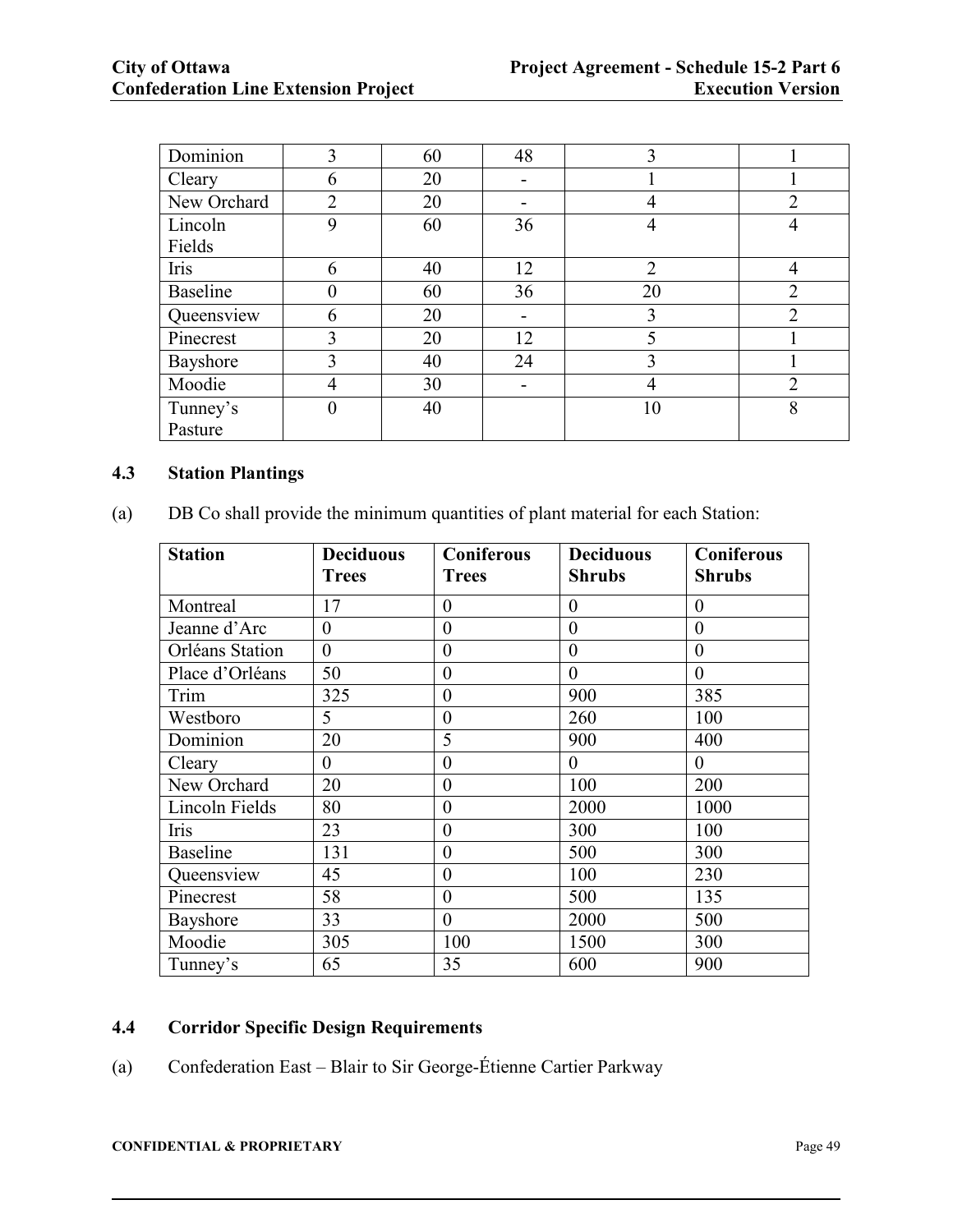| Dominion          | 3              | 60 | 48 | 3              |                |
|-------------------|----------------|----|----|----------------|----------------|
| Cleary            | 6              | 20 |    |                |                |
| New Orchard       | $\overline{2}$ | 20 |    |                | $\overline{2}$ |
| Lincoln<br>Fields | 9              | 60 | 36 | 4              |                |
| Iris              | 6              | 40 | 12 | $\overline{2}$ |                |
| Baseline          | 0              | 60 | 36 | 20             |                |
| Queensview        | 6              | 20 |    | 3              | $\overline{2}$ |
| Pinecrest         | 3              | 20 | 12 |                |                |
| Bayshore          | 3              | 40 | 24 | 3              |                |
| Moodie            | $\overline{4}$ | 30 |    | 4              | $\overline{2}$ |
| Tunney's          | $\overline{0}$ | 40 |    | 10             | 8              |
| Pasture           |                |    |    |                |                |

# **4.3 Station Plantings**

(a) DB Co shall provide the minimum quantities of plant material for each Station:

| <b>Station</b>  | <b>Deciduous</b> | Coniferous     | <b>Deciduous</b> | Coniferous     |
|-----------------|------------------|----------------|------------------|----------------|
|                 | <b>Trees</b>     | <b>Trees</b>   | <b>Shrubs</b>    | <b>Shrubs</b>  |
| Montreal        | 17               | $\overline{0}$ | $\overline{0}$   | $\theta$       |
| Jeanne d'Arc    | $\theta$         | $\theta$       | $\overline{0}$   | $\overline{0}$ |
| Orléans Station | $\overline{0}$   | $\theta$       | $\theta$         | $\overline{0}$ |
| Place d'Orléans | 50               | $\theta$       | $\theta$         | $\theta$       |
| Trim            | 325              | $\theta$       | 900              | 385            |
| Westboro        | 5                | $\theta$       | 260              | 100            |
| Dominion        | 20               | 5              | 900              | 400            |
| Cleary          | $\overline{0}$   | $\theta$       | $\overline{0}$   | $\theta$       |
| New Orchard     | 20               | $\overline{0}$ | 100              | 200            |
| Lincoln Fields  | 80               | $\theta$       | 2000             | 1000           |
| Iris            | 23               | $\theta$       | 300              | 100            |
| <b>Baseline</b> | 131              | $\theta$       | 500              | 300            |
| Queensview      | 45               | $\theta$       | 100              | 230            |
| Pinecrest       | 58               | $\overline{0}$ | 500              | 135            |
| Bayshore        | 33               | $\overline{0}$ | 2000             | 500            |
| Moodie          | 305              | 100            | 1500             | 300            |
| Tunney's        | 65               | 35             | 600              | 900            |

# **4.4 Corridor Specific Design Requirements**

(a) Confederation East – Blair to Sir George-Étienne Cartier Parkway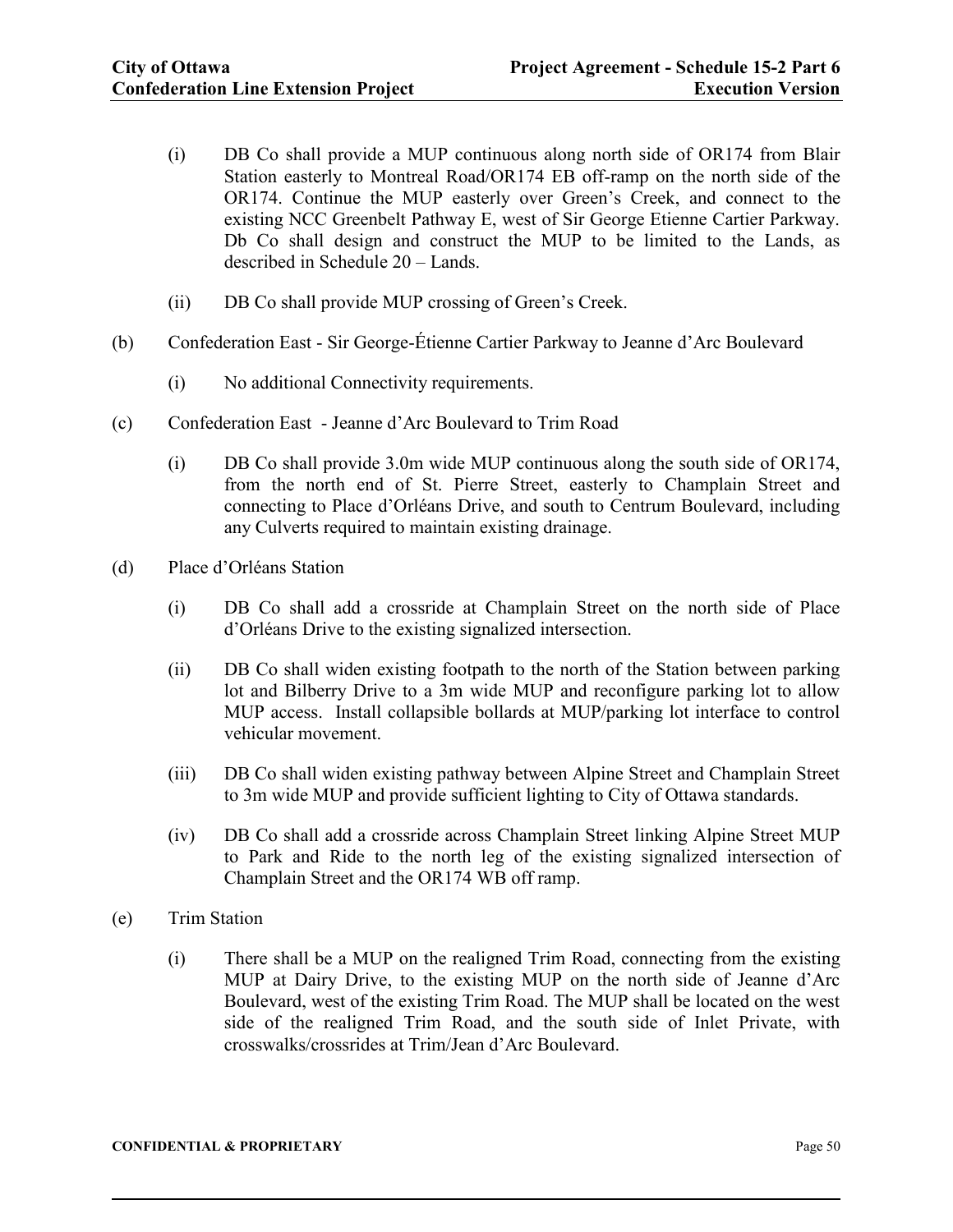- (i) DB Co shall provide a MUP continuous along north side of OR174 from Blair Station easterly to Montreal Road/OR174 EB off-ramp on the north side of the OR174. Continue the MUP easterly over Green's Creek, and connect to the existing NCC Greenbelt Pathway E, west of Sir George Etienne Cartier Parkway. Db Co shall design and construct the MUP to be limited to the Lands, as described in Schedule 20 – Lands.
- (ii) DB Co shall provide MUP crossing of Green's Creek.
- (b) Confederation East Sir George-Étienne Cartier Parkway to Jeanne d'Arc Boulevard
	- (i) No additional Connectivity requirements.
- (c) Confederation East Jeanne d'Arc Boulevard to Trim Road
	- (i) DB Co shall provide 3.0m wide MUP continuous along the south side of OR174, from the north end of St. Pierre Street, easterly to Champlain Street and connecting to Place d'Orléans Drive, and south to Centrum Boulevard, including any Culverts required to maintain existing drainage.
- (d) Place d'Orléans Station
	- (i) DB Co shall add a crossride at Champlain Street on the north side of Place d'Orléans Drive to the existing signalized intersection.
	- (ii) DB Co shall widen existing footpath to the north of the Station between parking lot and Bilberry Drive to a 3m wide MUP and reconfigure parking lot to allow MUP access. Install collapsible bollards at MUP/parking lot interface to control vehicular movement.
	- (iii) DB Co shall widen existing pathway between Alpine Street and Champlain Street to 3m wide MUP and provide sufficient lighting to City of Ottawa standards.
	- (iv) DB Co shall add a crossride across Champlain Street linking Alpine Street MUP to Park and Ride to the north leg of the existing signalized intersection of Champlain Street and the OR174 WB off ramp.
- (e) Trim Station
	- (i) There shall be a MUP on the realigned Trim Road, connecting from the existing MUP at Dairy Drive, to the existing MUP on the north side of Jeanne d'Arc Boulevard, west of the existing Trim Road. The MUP shall be located on the west side of the realigned Trim Road, and the south side of Inlet Private, with crosswalks/crossrides at Trim/Jean d'Arc Boulevard.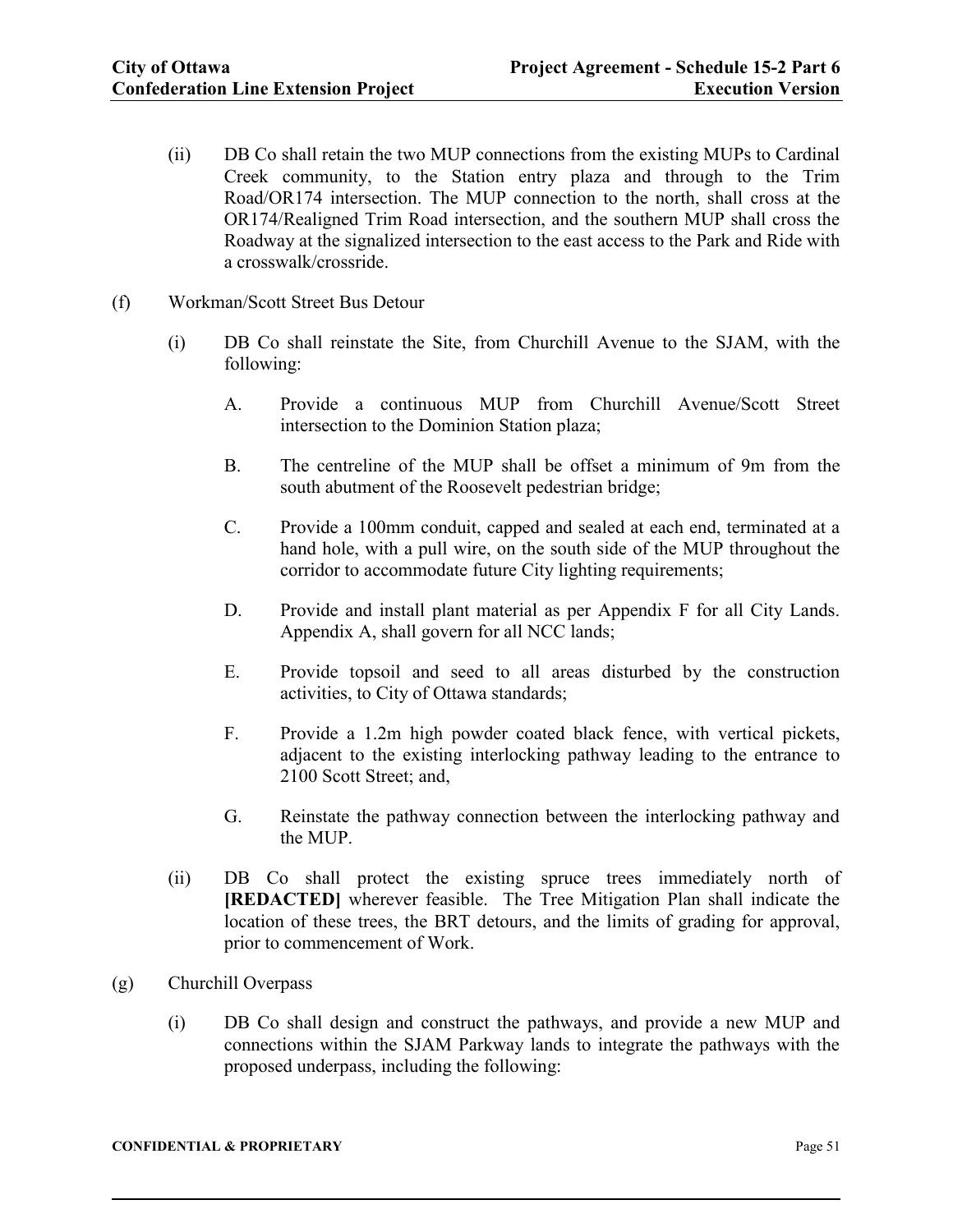- (ii) DB Co shall retain the two MUP connections from the existing MUPs to Cardinal Creek community, to the Station entry plaza and through to the Trim Road/OR174 intersection. The MUP connection to the north, shall cross at the OR174/Realigned Trim Road intersection, and the southern MUP shall cross the Roadway at the signalized intersection to the east access to the Park and Ride with a crosswalk/crossride.
- (f) Workman/Scott Street Bus Detour
	- (i) DB Co shall reinstate the Site, from Churchill Avenue to the SJAM, with the following:
		- A. Provide a continuous MUP from Churchill Avenue/Scott Street intersection to the Dominion Station plaza;
		- B. The centreline of the MUP shall be offset a minimum of 9m from the south abutment of the Roosevelt pedestrian bridge;
		- C. Provide a 100mm conduit, capped and sealed at each end, terminated at a hand hole, with a pull wire, on the south side of the MUP throughout the corridor to accommodate future City lighting requirements;
		- D. Provide and install plant material as per Appendix F for all City Lands. Appendix A, shall govern for all NCC lands;
		- E. Provide topsoil and seed to all areas disturbed by the construction activities, to City of Ottawa standards;
		- F. Provide a 1.2m high powder coated black fence, with vertical pickets, adjacent to the existing interlocking pathway leading to the entrance to 2100 Scott Street; and,
		- G. Reinstate the pathway connection between the interlocking pathway and the MUP.
	- (ii) DB Co shall protect the existing spruce trees immediately north of **[REDACTED]** wherever feasible. The Tree Mitigation Plan shall indicate the location of these trees, the BRT detours, and the limits of grading for approval, prior to commencement of Work.
- (g) Churchill Overpass
	- (i) DB Co shall design and construct the pathways, and provide a new MUP and connections within the SJAM Parkway lands to integrate the pathways with the proposed underpass, including the following: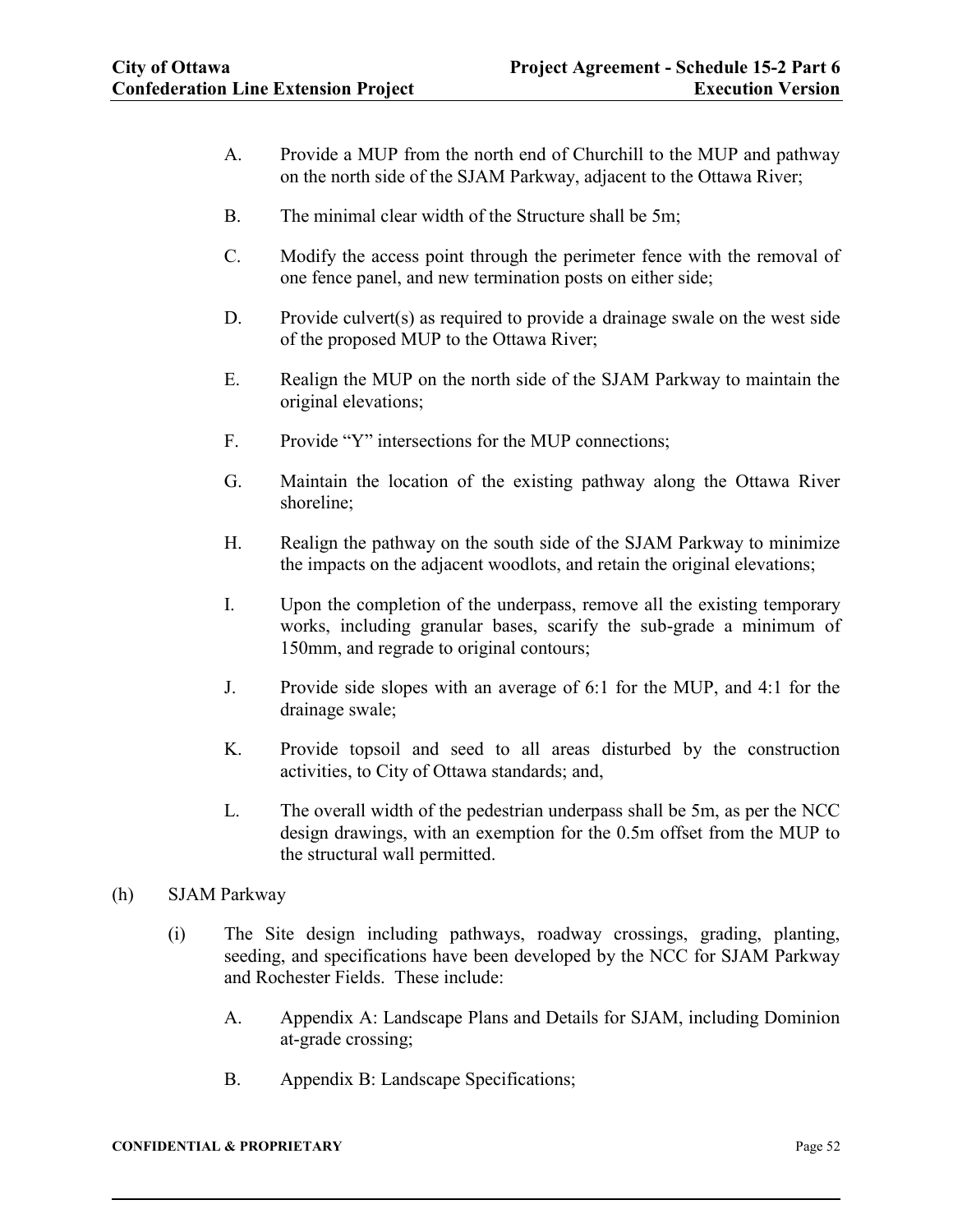- A. Provide a MUP from the north end of Churchill to the MUP and pathway on the north side of the SJAM Parkway, adjacent to the Ottawa River;
- B. The minimal clear width of the Structure shall be 5m;
- C. Modify the access point through the perimeter fence with the removal of one fence panel, and new termination posts on either side;
- D. Provide culvert(s) as required to provide a drainage swale on the west side of the proposed MUP to the Ottawa River;
- E. Realign the MUP on the north side of the SJAM Parkway to maintain the original elevations;
- F. Provide "Y" intersections for the MUP connections;
- G. Maintain the location of the existing pathway along the Ottawa River shoreline;
- H. Realign the pathway on the south side of the SJAM Parkway to minimize the impacts on the adjacent woodlots, and retain the original elevations;
- I. Upon the completion of the underpass, remove all the existing temporary works, including granular bases, scarify the sub-grade a minimum of 150mm, and regrade to original contours;
- J. Provide side slopes with an average of 6:1 for the MUP, and 4:1 for the drainage swale;
- K. Provide topsoil and seed to all areas disturbed by the construction activities, to City of Ottawa standards; and,
- L. The overall width of the pedestrian underpass shall be 5m, as per the NCC design drawings, with an exemption for the 0.5m offset from the MUP to the structural wall permitted.
- (h) SJAM Parkway
	- (i) The Site design including pathways, roadway crossings, grading, planting, seeding, and specifications have been developed by the NCC for SJAM Parkway and Rochester Fields. These include:
		- A. Appendix A: Landscape Plans and Details for SJAM, including Dominion at-grade crossing;
		- B. Appendix B: Landscape Specifications;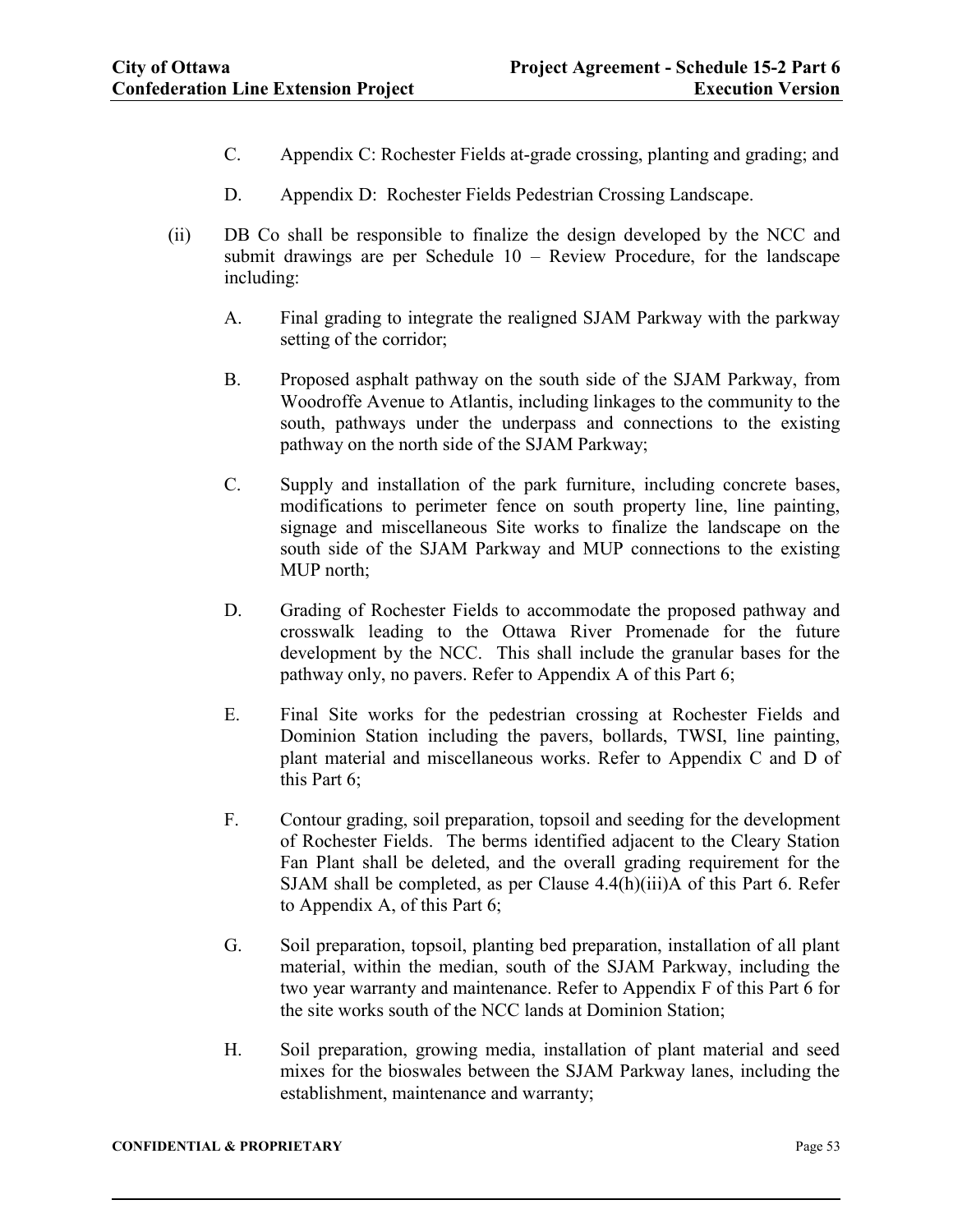- C. Appendix C: Rochester Fields at-grade crossing, planting and grading; and
- D. Appendix D: Rochester Fields Pedestrian Crossing Landscape.
- (ii) DB Co shall be responsible to finalize the design developed by the NCC and submit drawings are per Schedule 10 – Review Procedure, for the landscape including:
	- A. Final grading to integrate the realigned SJAM Parkway with the parkway setting of the corridor;
	- B. Proposed asphalt pathway on the south side of the SJAM Parkway, from Woodroffe Avenue to Atlantis, including linkages to the community to the south, pathways under the underpass and connections to the existing pathway on the north side of the SJAM Parkway;
	- C. Supply and installation of the park furniture, including concrete bases, modifications to perimeter fence on south property line, line painting, signage and miscellaneous Site works to finalize the landscape on the south side of the SJAM Parkway and MUP connections to the existing MUP north;
	- D. Grading of Rochester Fields to accommodate the proposed pathway and crosswalk leading to the Ottawa River Promenade for the future development by the NCC. This shall include the granular bases for the pathway only, no pavers. Refer to Appendix A of this Part 6;
	- E. Final Site works for the pedestrian crossing at Rochester Fields and Dominion Station including the pavers, bollards, TWSI, line painting, plant material and miscellaneous works. Refer to Appendix C and D of this Part 6;
	- F. Contour grading, soil preparation, topsoil and seeding for the development of Rochester Fields. The berms identified adjacent to the Cleary Station Fan Plant shall be deleted, and the overall grading requirement for the SJAM shall be completed, as per Clause 4.4(h)(iii)A of this Part 6. Refer to Appendix A, of this Part 6;
	- G. Soil preparation, topsoil, planting bed preparation, installation of all plant material, within the median, south of the SJAM Parkway, including the two year warranty and maintenance. Refer to Appendix F of this Part 6 for the site works south of the NCC lands at Dominion Station;
	- H. Soil preparation, growing media, installation of plant material and seed mixes for the bioswales between the SJAM Parkway lanes, including the establishment, maintenance and warranty;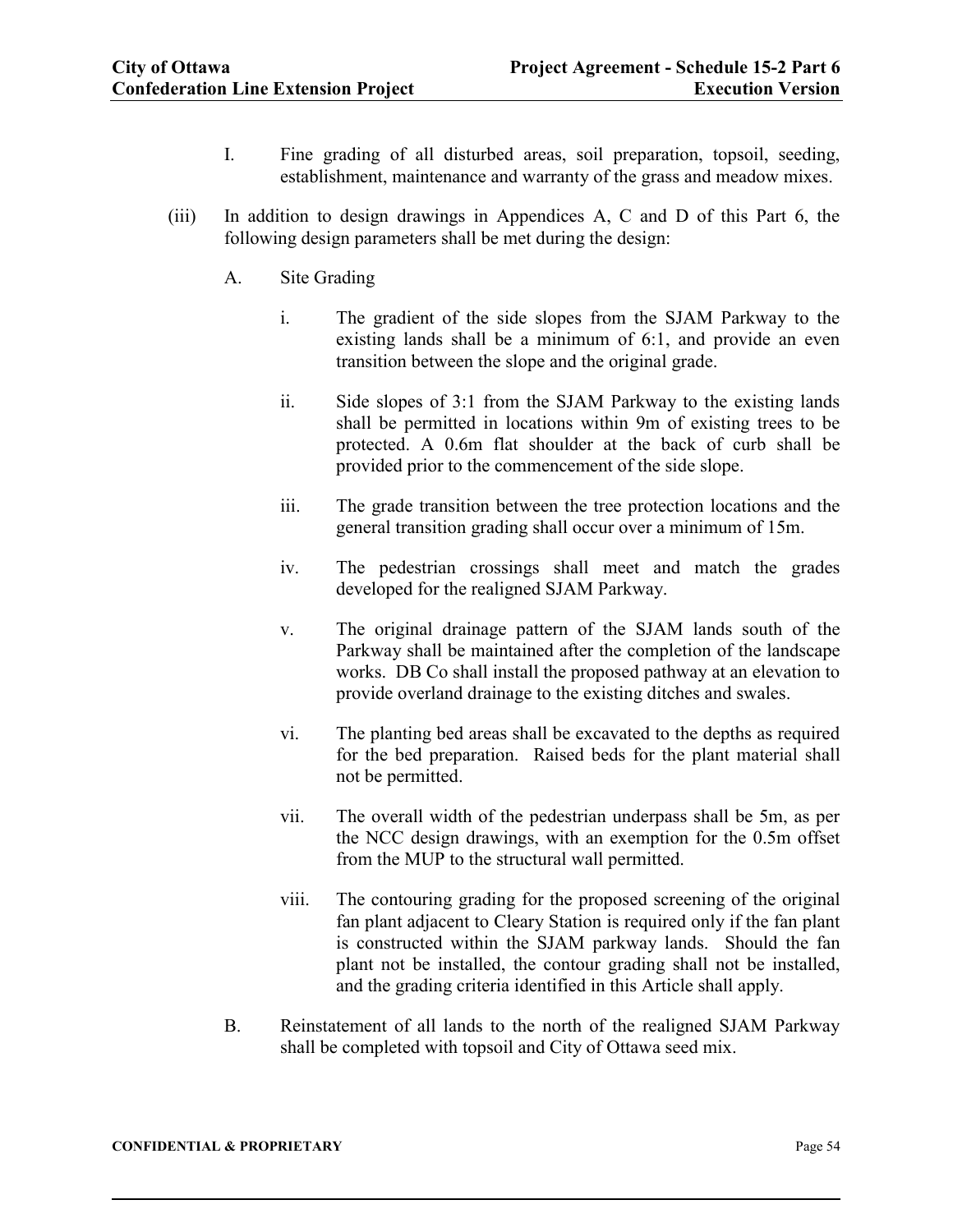- I. Fine grading of all disturbed areas, soil preparation, topsoil, seeding, establishment, maintenance and warranty of the grass and meadow mixes.
- (iii) In addition to design drawings in Appendices A, C and D of this Part 6, the following design parameters shall be met during the design:
	- A. Site Grading
		- i. The gradient of the side slopes from the SJAM Parkway to the existing lands shall be a minimum of 6:1, and provide an even transition between the slope and the original grade.
		- ii. Side slopes of 3:1 from the SJAM Parkway to the existing lands shall be permitted in locations within 9m of existing trees to be protected. A 0.6m flat shoulder at the back of curb shall be provided prior to the commencement of the side slope.
		- iii. The grade transition between the tree protection locations and the general transition grading shall occur over a minimum of 15m.
		- iv. The pedestrian crossings shall meet and match the grades developed for the realigned SJAM Parkway.
		- v. The original drainage pattern of the SJAM lands south of the Parkway shall be maintained after the completion of the landscape works. DB Co shall install the proposed pathway at an elevation to provide overland drainage to the existing ditches and swales.
		- vi. The planting bed areas shall be excavated to the depths as required for the bed preparation. Raised beds for the plant material shall not be permitted.
		- vii. The overall width of the pedestrian underpass shall be 5m, as per the NCC design drawings, with an exemption for the 0.5m offset from the MUP to the structural wall permitted.
		- viii. The contouring grading for the proposed screening of the original fan plant adjacent to Cleary Station is required only if the fan plant is constructed within the SJAM parkway lands. Should the fan plant not be installed, the contour grading shall not be installed, and the grading criteria identified in this Article shall apply.
	- B. Reinstatement of all lands to the north of the realigned SJAM Parkway shall be completed with topsoil and City of Ottawa seed mix.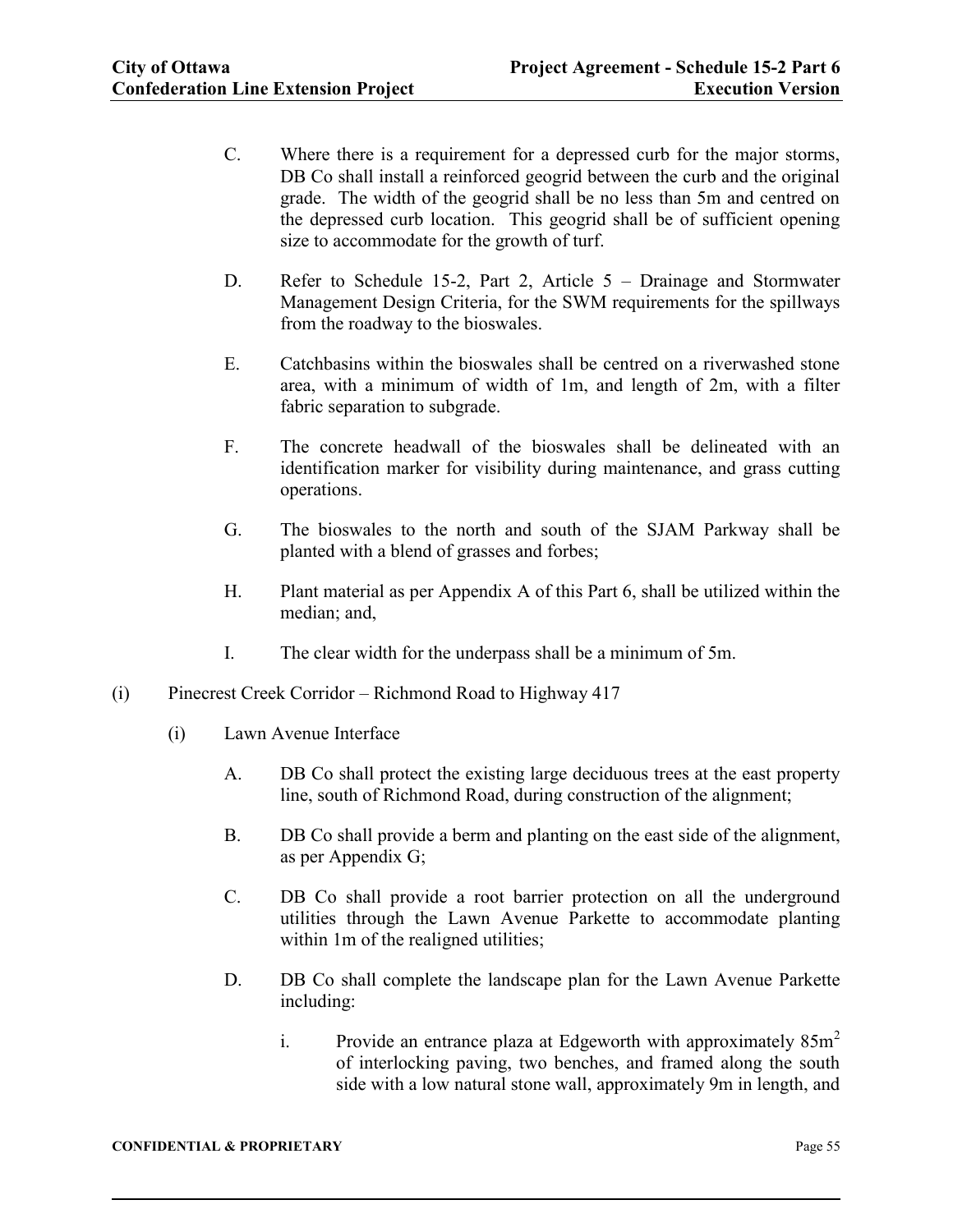- C. Where there is a requirement for a depressed curb for the major storms, DB Co shall install a reinforced geogrid between the curb and the original grade. The width of the geogrid shall be no less than 5m and centred on the depressed curb location. This geogrid shall be of sufficient opening size to accommodate for the growth of turf.
- D. Refer to Schedule 15-2, Part 2, Article 5 Drainage and Stormwater Management Design Criteria, for the SWM requirements for the spillways from the roadway to the bioswales.
- E. Catchbasins within the bioswales shall be centred on a riverwashed stone area, with a minimum of width of 1m, and length of 2m, with a filter fabric separation to subgrade.
- F. The concrete headwall of the bioswales shall be delineated with an identification marker for visibility during maintenance, and grass cutting operations.
- G. The bioswales to the north and south of the SJAM Parkway shall be planted with a blend of grasses and forbes;
- H. Plant material as per Appendix A of this Part 6, shall be utilized within the median; and,
- I. The clear width for the underpass shall be a minimum of 5m.
- (i) Pinecrest Creek Corridor Richmond Road to Highway 417
	- (i) Lawn Avenue Interface
		- A. DB Co shall protect the existing large deciduous trees at the east property line, south of Richmond Road, during construction of the alignment;
		- B. DB Co shall provide a berm and planting on the east side of the alignment, as per Appendix G;
		- C. DB Co shall provide a root barrier protection on all the underground utilities through the Lawn Avenue Parkette to accommodate planting within 1m of the realigned utilities;
		- D. DB Co shall complete the landscape plan for the Lawn Avenue Parkette including:
			- i. Provide an entrance plaza at Edgeworth with approximately  $85m^2$ of interlocking paving, two benches, and framed along the south side with a low natural stone wall, approximately 9m in length, and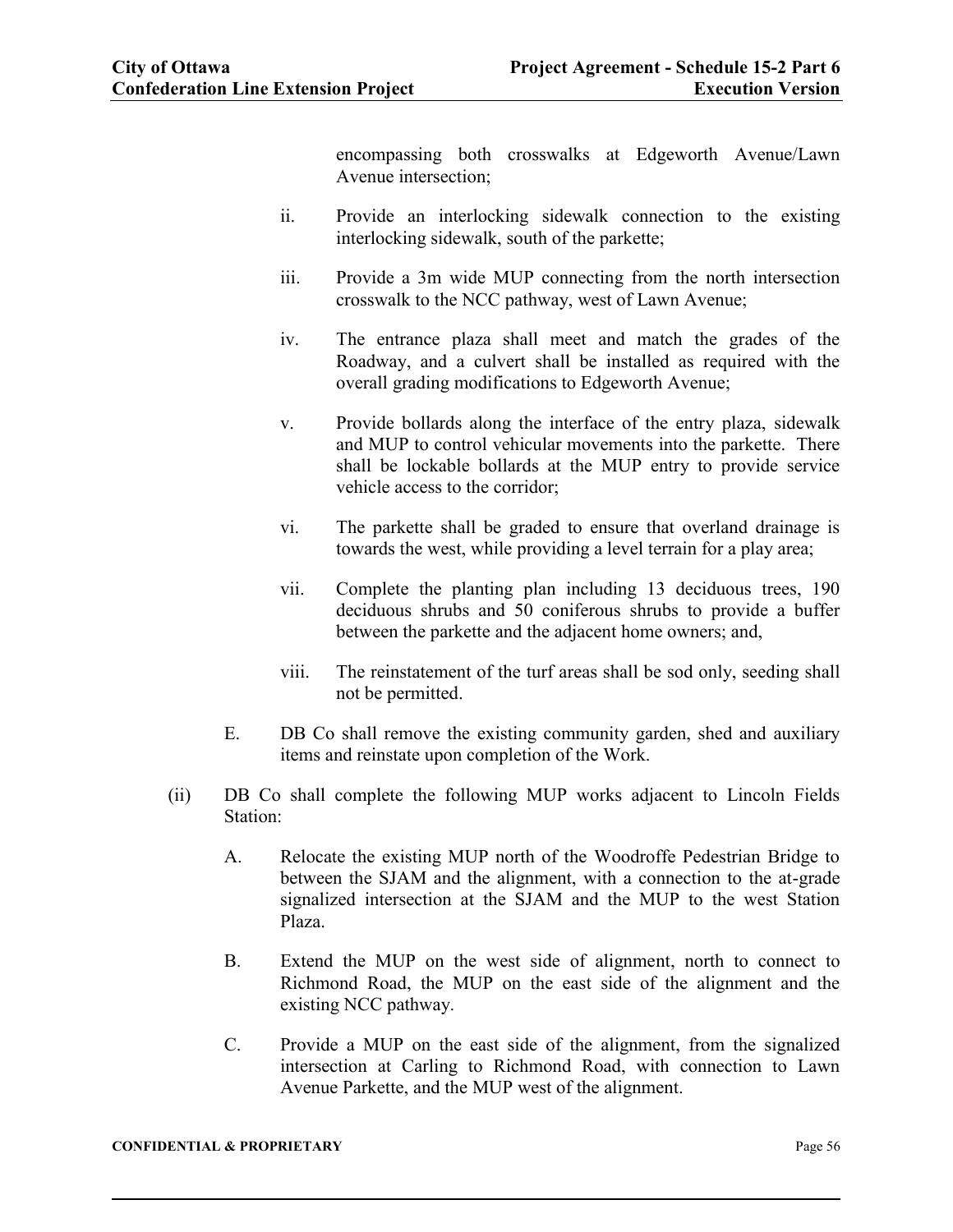encompassing both crosswalks at Edgeworth Avenue/Lawn Avenue intersection;

- ii. Provide an interlocking sidewalk connection to the existing interlocking sidewalk, south of the parkette;
- iii. Provide a 3m wide MUP connecting from the north intersection crosswalk to the NCC pathway, west of Lawn Avenue;
- iv. The entrance plaza shall meet and match the grades of the Roadway, and a culvert shall be installed as required with the overall grading modifications to Edgeworth Avenue;
- v. Provide bollards along the interface of the entry plaza, sidewalk and MUP to control vehicular movements into the parkette. There shall be lockable bollards at the MUP entry to provide service vehicle access to the corridor;
- vi. The parkette shall be graded to ensure that overland drainage is towards the west, while providing a level terrain for a play area;
- vii. Complete the planting plan including 13 deciduous trees, 190 deciduous shrubs and 50 coniferous shrubs to provide a buffer between the parkette and the adjacent home owners; and,
- viii. The reinstatement of the turf areas shall be sod only, seeding shall not be permitted.
- E. DB Co shall remove the existing community garden, shed and auxiliary items and reinstate upon completion of the Work.
- (ii) DB Co shall complete the following MUP works adjacent to Lincoln Fields Station:
	- A. Relocate the existing MUP north of the Woodroffe Pedestrian Bridge to between the SJAM and the alignment, with a connection to the at-grade signalized intersection at the SJAM and the MUP to the west Station Plaza.
	- B. Extend the MUP on the west side of alignment, north to connect to Richmond Road, the MUP on the east side of the alignment and the existing NCC pathway.
	- C. Provide a MUP on the east side of the alignment, from the signalized intersection at Carling to Richmond Road, with connection to Lawn Avenue Parkette, and the MUP west of the alignment.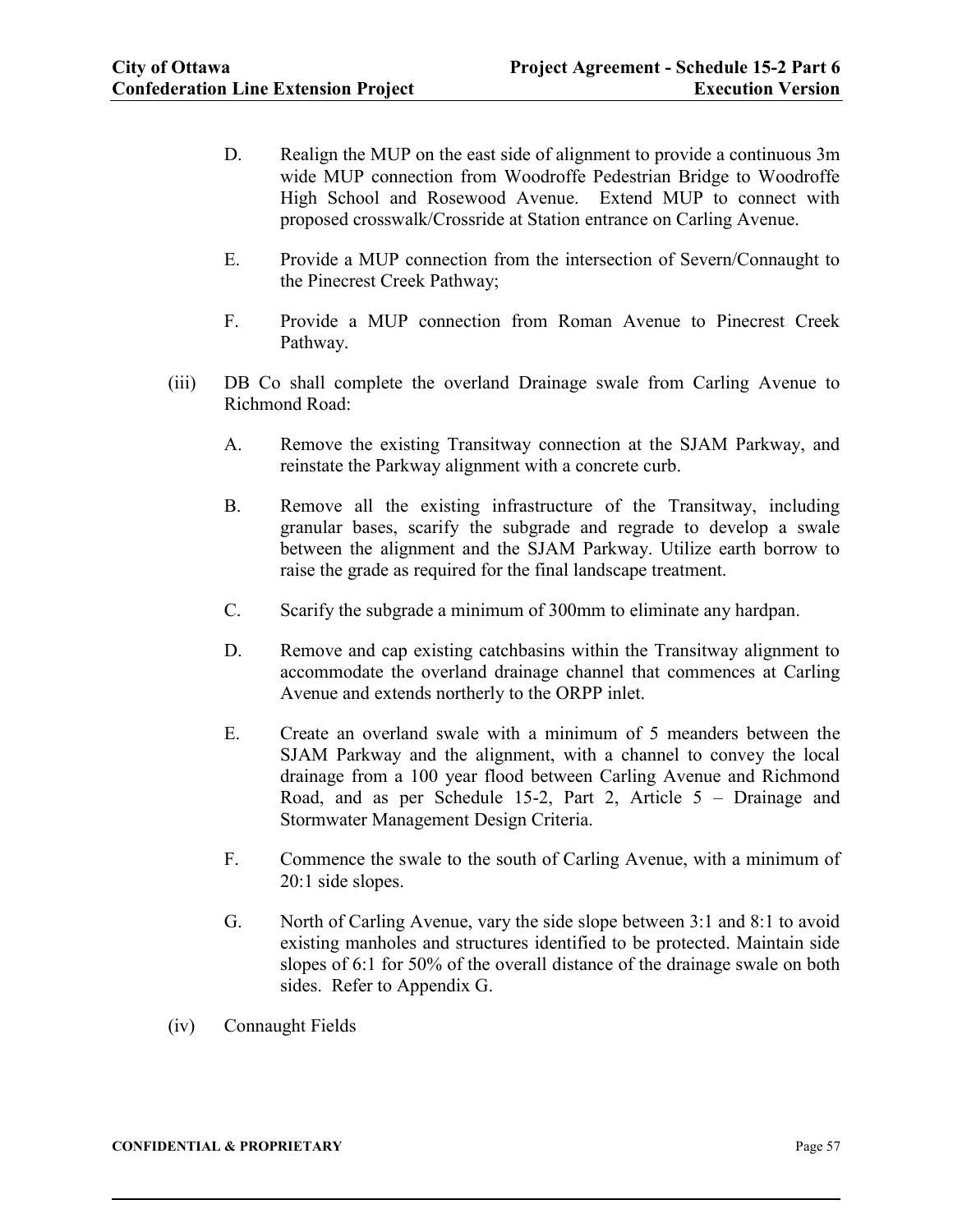- D. Realign the MUP on the east side of alignment to provide a continuous 3m wide MUP connection from Woodroffe Pedestrian Bridge to Woodroffe High School and Rosewood Avenue. Extend MUP to connect with proposed crosswalk/Crossride at Station entrance on Carling Avenue.
- E. Provide a MUP connection from the intersection of Severn/Connaught to the Pinecrest Creek Pathway;
- F. Provide a MUP connection from Roman Avenue to Pinecrest Creek Pathway.
- (iii) DB Co shall complete the overland Drainage swale from Carling Avenue to Richmond Road:
	- A. Remove the existing Transitway connection at the SJAM Parkway, and reinstate the Parkway alignment with a concrete curb.
	- B. Remove all the existing infrastructure of the Transitway, including granular bases, scarify the subgrade and regrade to develop a swale between the alignment and the SJAM Parkway. Utilize earth borrow to raise the grade as required for the final landscape treatment.
	- C. Scarify the subgrade a minimum of 300mm to eliminate any hardpan.
	- D. Remove and cap existing catchbasins within the Transitway alignment to accommodate the overland drainage channel that commences at Carling Avenue and extends northerly to the ORPP inlet.
	- E. Create an overland swale with a minimum of 5 meanders between the SJAM Parkway and the alignment, with a channel to convey the local drainage from a 100 year flood between Carling Avenue and Richmond Road, and as per Schedule 15-2, Part 2, Article 5 – Drainage and Stormwater Management Design Criteria.
	- F. Commence the swale to the south of Carling Avenue, with a minimum of 20:1 side slopes.
	- G. North of Carling Avenue, vary the side slope between 3:1 and 8:1 to avoid existing manholes and structures identified to be protected. Maintain side slopes of 6:1 for 50% of the overall distance of the drainage swale on both sides. Refer to Appendix G.
- (iv) Connaught Fields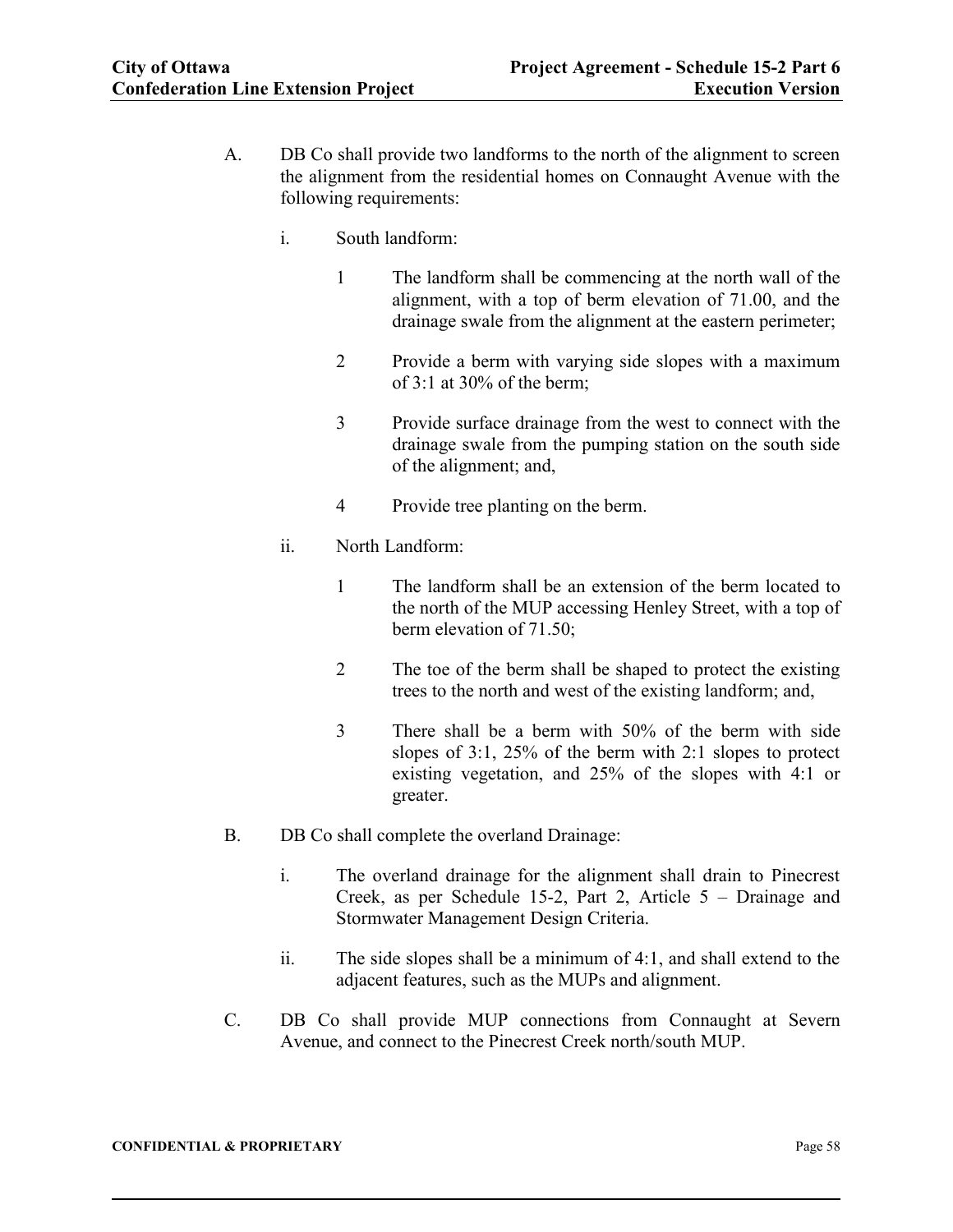- A. DB Co shall provide two landforms to the north of the alignment to screen the alignment from the residential homes on Connaught Avenue with the following requirements:
	- i. South landform:
		- 1 The landform shall be commencing at the north wall of the alignment, with a top of berm elevation of 71.00, and the drainage swale from the alignment at the eastern perimeter;
		- 2 Provide a berm with varying side slopes with a maximum of 3:1 at 30% of the berm;
		- 3 Provide surface drainage from the west to connect with the drainage swale from the pumping station on the south side of the alignment; and,
		- 4 Provide tree planting on the berm.
	- ii. North Landform:
		- 1 The landform shall be an extension of the berm located to the north of the MUP accessing Henley Street, with a top of berm elevation of 71.50;
		- 2 The toe of the berm shall be shaped to protect the existing trees to the north and west of the existing landform; and,
		- 3 There shall be a berm with 50% of the berm with side slopes of 3:1, 25% of the berm with 2:1 slopes to protect existing vegetation, and 25% of the slopes with 4:1 or greater.
- B. DB Co shall complete the overland Drainage:
	- i. The overland drainage for the alignment shall drain to Pinecrest Creek, as per Schedule 15-2, Part 2, Article 5 – Drainage and Stormwater Management Design Criteria.
	- ii. The side slopes shall be a minimum of 4:1, and shall extend to the adjacent features, such as the MUPs and alignment.
- C. DB Co shall provide MUP connections from Connaught at Severn Avenue, and connect to the Pinecrest Creek north/south MUP.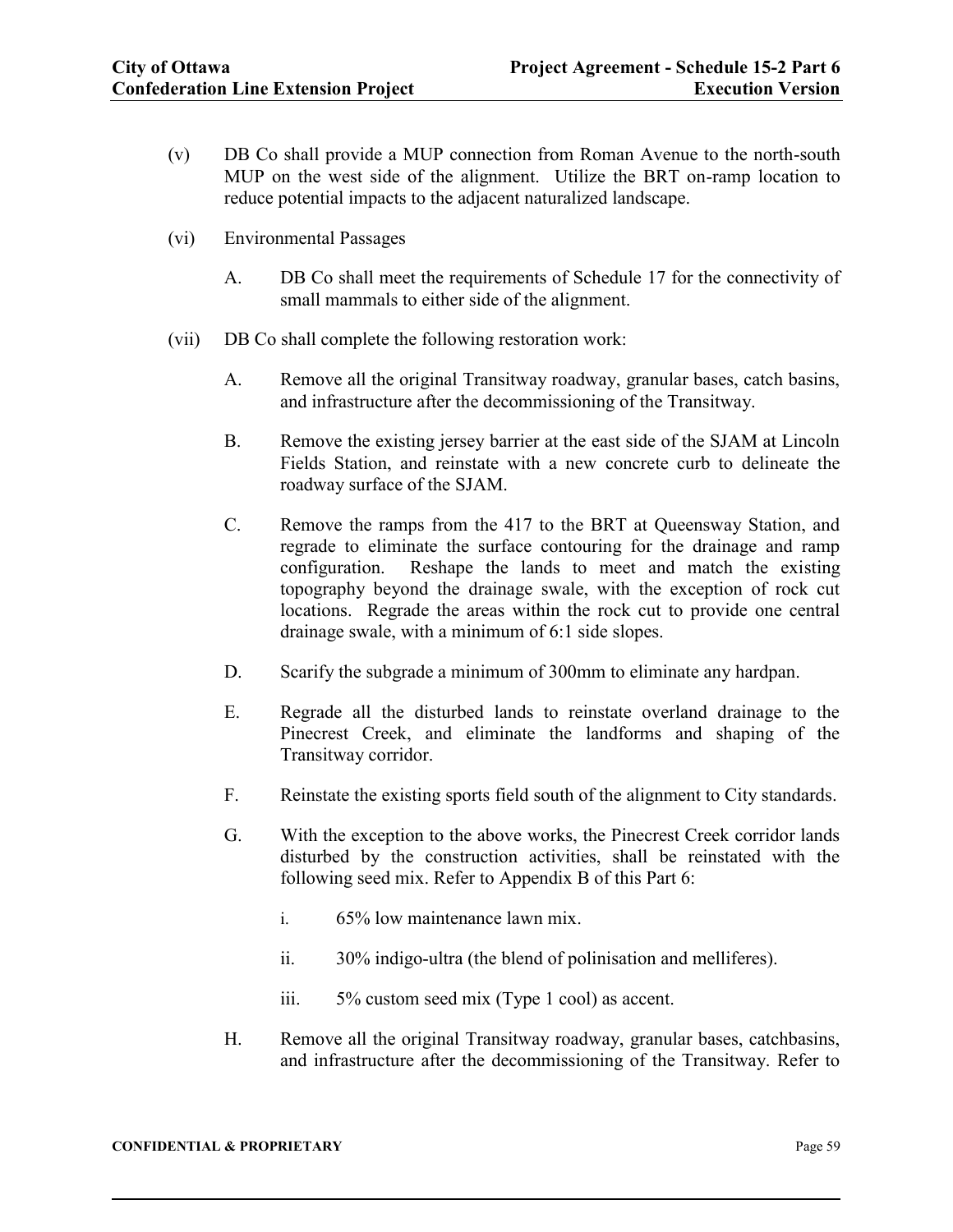- (v) DB Co shall provide a MUP connection from Roman Avenue to the north-south MUP on the west side of the alignment. Utilize the BRT on-ramp location to reduce potential impacts to the adjacent naturalized landscape.
- (vi) Environmental Passages
	- A. DB Co shall meet the requirements of Schedule 17 for the connectivity of small mammals to either side of the alignment.
- (vii) DB Co shall complete the following restoration work:
	- A. Remove all the original Transitway roadway, granular bases, catch basins, and infrastructure after the decommissioning of the Transitway.
	- B. Remove the existing jersey barrier at the east side of the SJAM at Lincoln Fields Station, and reinstate with a new concrete curb to delineate the roadway surface of the SJAM.
	- C. Remove the ramps from the 417 to the BRT at Queensway Station, and regrade to eliminate the surface contouring for the drainage and ramp configuration. Reshape the lands to meet and match the existing topography beyond the drainage swale, with the exception of rock cut locations. Regrade the areas within the rock cut to provide one central drainage swale, with a minimum of 6:1 side slopes.
	- D. Scarify the subgrade a minimum of 300mm to eliminate any hardpan.
	- E. Regrade all the disturbed lands to reinstate overland drainage to the Pinecrest Creek, and eliminate the landforms and shaping of the Transitway corridor.
	- F. Reinstate the existing sports field south of the alignment to City standards.
	- G. With the exception to the above works, the Pinecrest Creek corridor lands disturbed by the construction activities, shall be reinstated with the following seed mix. Refer to Appendix B of this Part 6:
		- i. 65% low maintenance lawn mix.
		- ii. 30% indigo-ultra (the blend of polinisation and melliferes).
		- iii. 5% custom seed mix (Type 1 cool) as accent.
	- H. Remove all the original Transitway roadway, granular bases, catchbasins, and infrastructure after the decommissioning of the Transitway. Refer to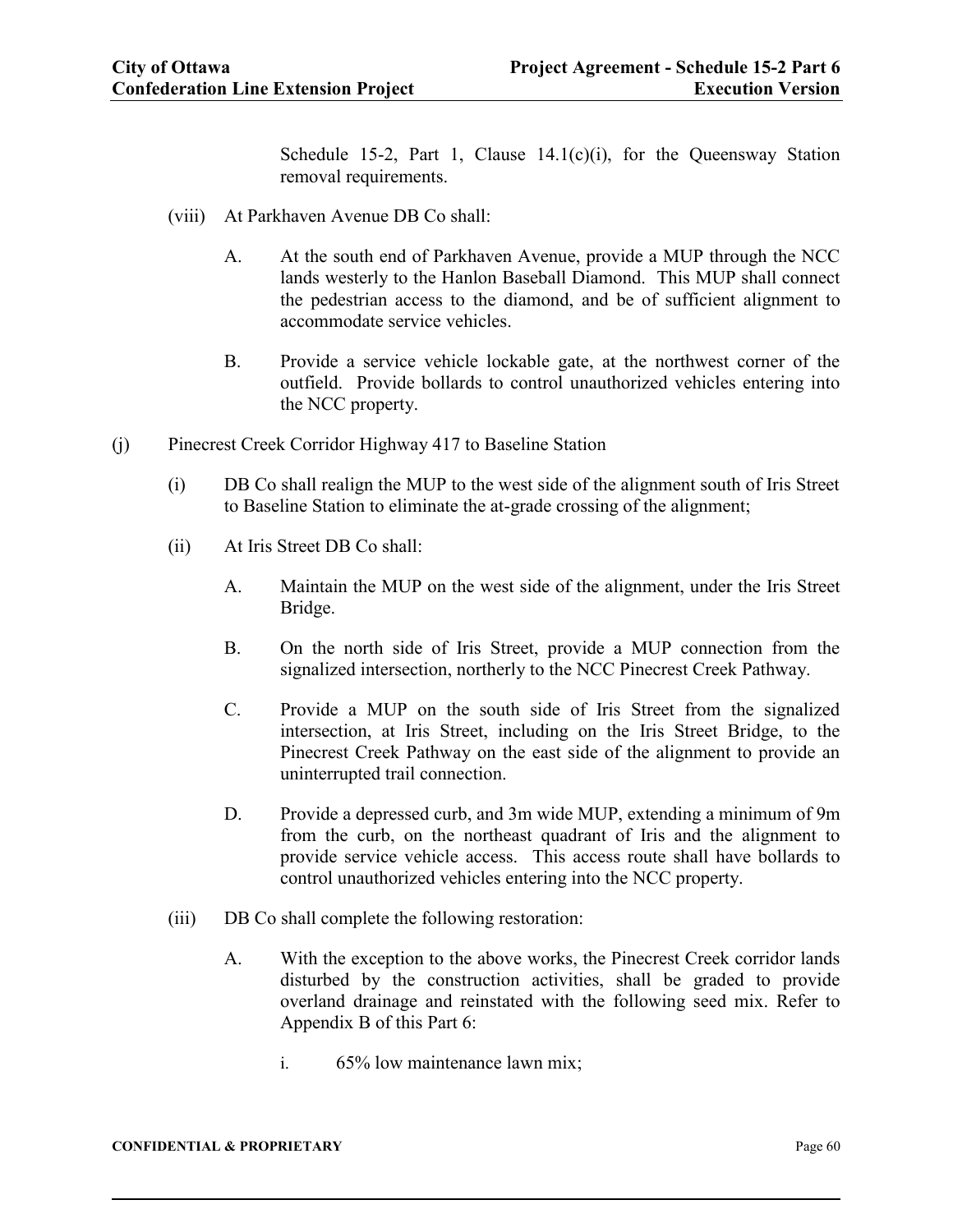Schedule 15-2, Part 1, Clause 14.1(c)(i), for the Queensway Station removal requirements.

- (viii) At Parkhaven Avenue DB Co shall:
	- A. At the south end of Parkhaven Avenue, provide a MUP through the NCC lands westerly to the Hanlon Baseball Diamond. This MUP shall connect the pedestrian access to the diamond, and be of sufficient alignment to accommodate service vehicles.
	- B. Provide a service vehicle lockable gate, at the northwest corner of the outfield. Provide bollards to control unauthorized vehicles entering into the NCC property.
- (j) Pinecrest Creek Corridor Highway 417 to Baseline Station
	- (i) DB Co shall realign the MUP to the west side of the alignment south of Iris Street to Baseline Station to eliminate the at-grade crossing of the alignment;
	- (ii) At Iris Street DB Co shall:
		- A. Maintain the MUP on the west side of the alignment, under the Iris Street Bridge.
		- B. On the north side of Iris Street, provide a MUP connection from the signalized intersection, northerly to the NCC Pinecrest Creek Pathway.
		- C. Provide a MUP on the south side of Iris Street from the signalized intersection, at Iris Street, including on the Iris Street Bridge, to the Pinecrest Creek Pathway on the east side of the alignment to provide an uninterrupted trail connection.
		- D. Provide a depressed curb, and 3m wide MUP, extending a minimum of 9m from the curb, on the northeast quadrant of Iris and the alignment to provide service vehicle access. This access route shall have bollards to control unauthorized vehicles entering into the NCC property.
	- (iii) DB Co shall complete the following restoration:
		- A. With the exception to the above works, the Pinecrest Creek corridor lands disturbed by the construction activities, shall be graded to provide overland drainage and reinstated with the following seed mix. Refer to Appendix B of this Part 6:
			- i. 65% low maintenance lawn mix;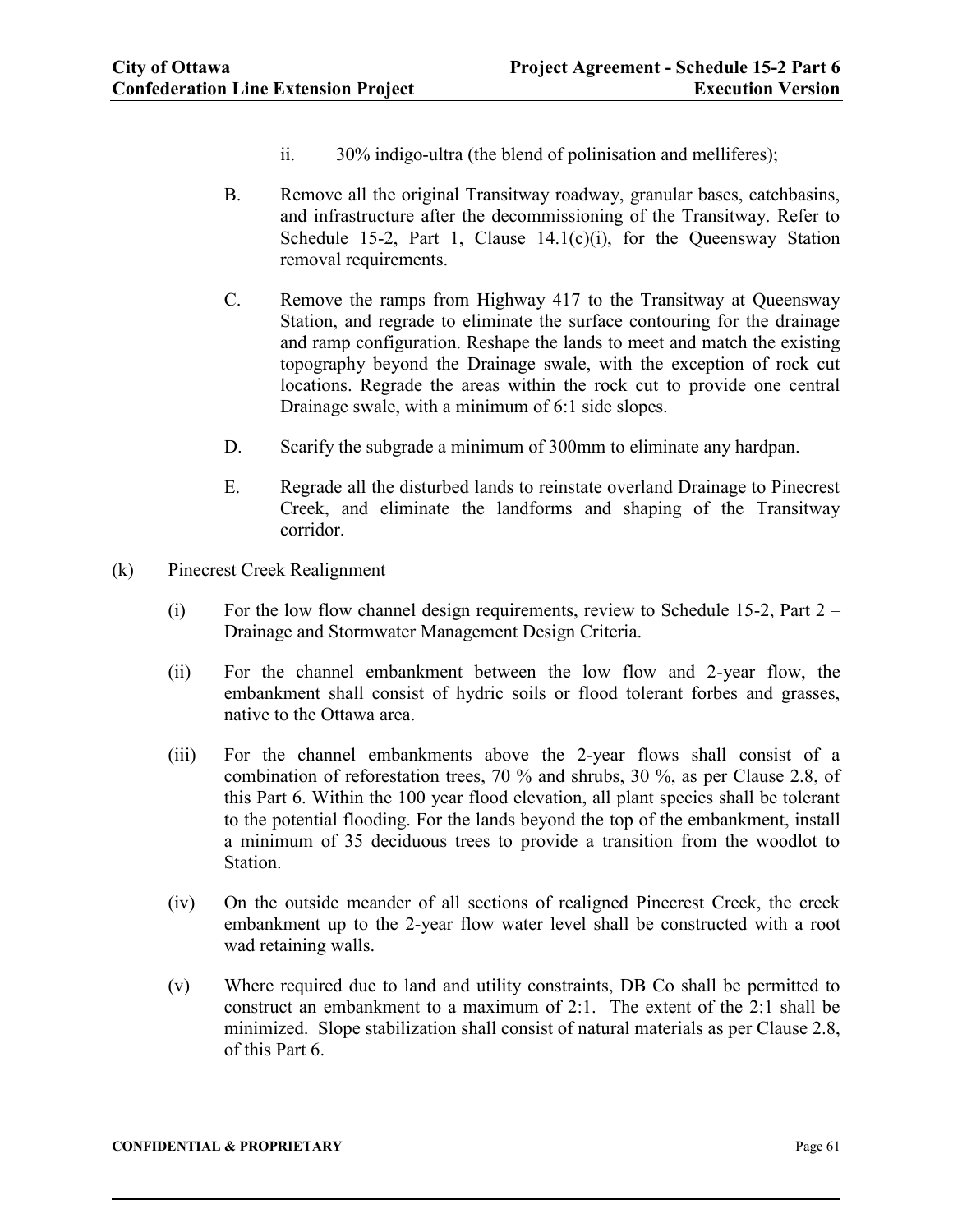- ii. 30% indigo-ultra (the blend of polinisation and melliferes);
- B. Remove all the original Transitway roadway, granular bases, catchbasins, and infrastructure after the decommissioning of the Transitway. Refer to Schedule 15-2, Part 1, Clause 14.1(c)(i), for the Queensway Station removal requirements.
- C. Remove the ramps from Highway 417 to the Transitway at Queensway Station, and regrade to eliminate the surface contouring for the drainage and ramp configuration. Reshape the lands to meet and match the existing topography beyond the Drainage swale, with the exception of rock cut locations. Regrade the areas within the rock cut to provide one central Drainage swale, with a minimum of 6:1 side slopes.
- D. Scarify the subgrade a minimum of 300mm to eliminate any hardpan.
- E. Regrade all the disturbed lands to reinstate overland Drainage to Pinecrest Creek, and eliminate the landforms and shaping of the Transitway corridor.
- (k) Pinecrest Creek Realignment
	- (i) For the low flow channel design requirements, review to Schedule 15-2, Part  $2 -$ Drainage and Stormwater Management Design Criteria.
	- (ii) For the channel embankment between the low flow and 2-year flow, the embankment shall consist of hydric soils or flood tolerant forbes and grasses, native to the Ottawa area.
	- (iii) For the channel embankments above the 2-year flows shall consist of a combination of reforestation trees, 70 % and shrubs, 30 %, as per Clause 2.8, of this Part 6. Within the 100 year flood elevation, all plant species shall be tolerant to the potential flooding. For the lands beyond the top of the embankment, install a minimum of 35 deciduous trees to provide a transition from the woodlot to Station.
	- (iv) On the outside meander of all sections of realigned Pinecrest Creek, the creek embankment up to the 2-year flow water level shall be constructed with a root wad retaining walls.
	- (v) Where required due to land and utility constraints, DB Co shall be permitted to construct an embankment to a maximum of 2:1. The extent of the 2:1 shall be minimized. Slope stabilization shall consist of natural materials as per Clause 2.8, of this Part 6.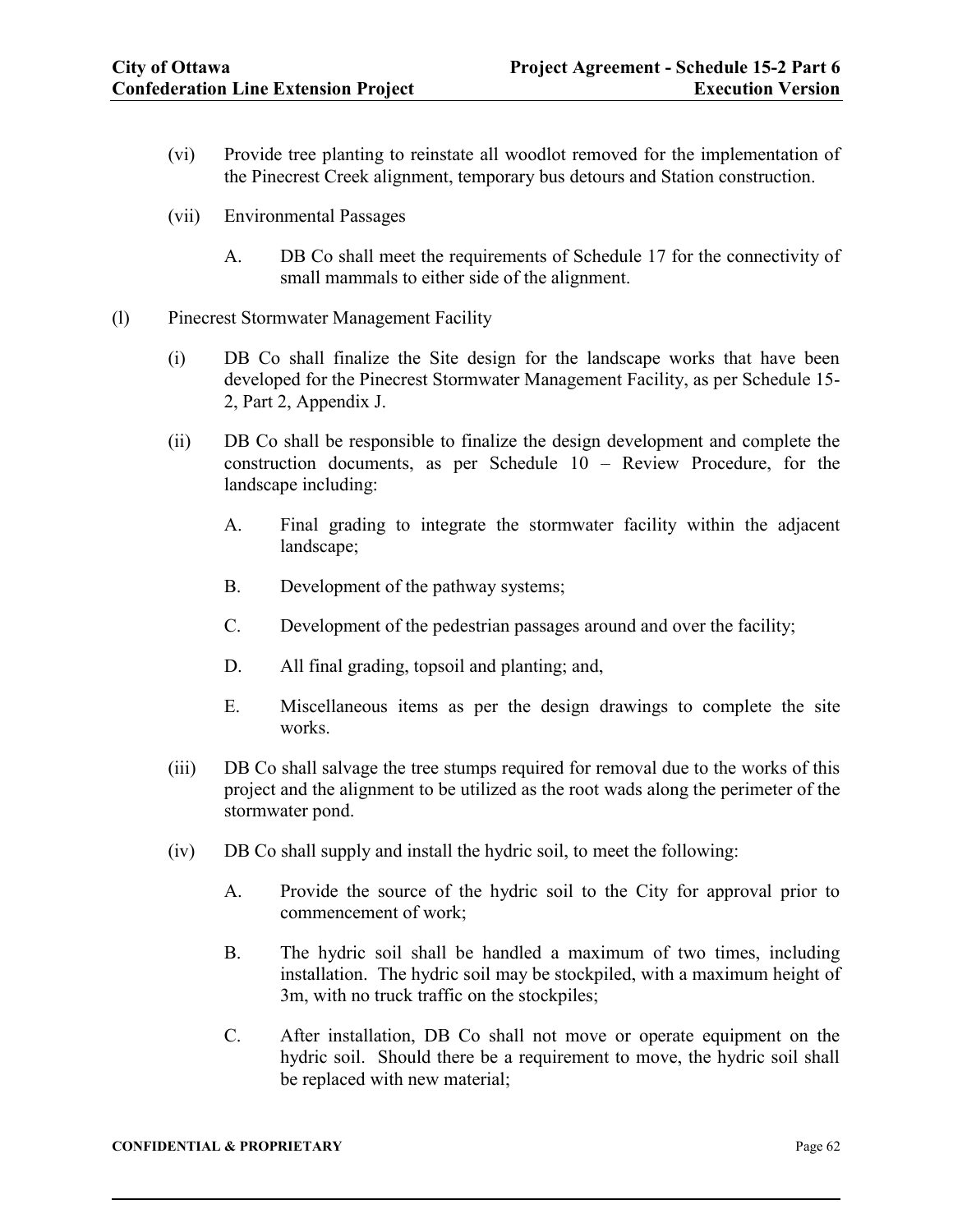- (vi) Provide tree planting to reinstate all woodlot removed for the implementation of the Pinecrest Creek alignment, temporary bus detours and Station construction.
- (vii) Environmental Passages
	- A. DB Co shall meet the requirements of Schedule 17 for the connectivity of small mammals to either side of the alignment.
- (l) Pinecrest Stormwater Management Facility
	- (i) DB Co shall finalize the Site design for the landscape works that have been developed for the Pinecrest Stormwater Management Facility, as per Schedule 15- 2, Part 2, Appendix J.
	- (ii) DB Co shall be responsible to finalize the design development and complete the construction documents, as per Schedule 10 – Review Procedure, for the landscape including:
		- A. Final grading to integrate the stormwater facility within the adjacent landscape;
		- B. Development of the pathway systems;
		- C. Development of the pedestrian passages around and over the facility;
		- D. All final grading, topsoil and planting; and,
		- E. Miscellaneous items as per the design drawings to complete the site works.
	- (iii) DB Co shall salvage the tree stumps required for removal due to the works of this project and the alignment to be utilized as the root wads along the perimeter of the stormwater pond.
	- (iv) DB Co shall supply and install the hydric soil, to meet the following:
		- A. Provide the source of the hydric soil to the City for approval prior to commencement of work;
		- B. The hydric soil shall be handled a maximum of two times, including installation. The hydric soil may be stockpiled, with a maximum height of 3m, with no truck traffic on the stockpiles;
		- C. After installation, DB Co shall not move or operate equipment on the hydric soil. Should there be a requirement to move, the hydric soil shall be replaced with new material;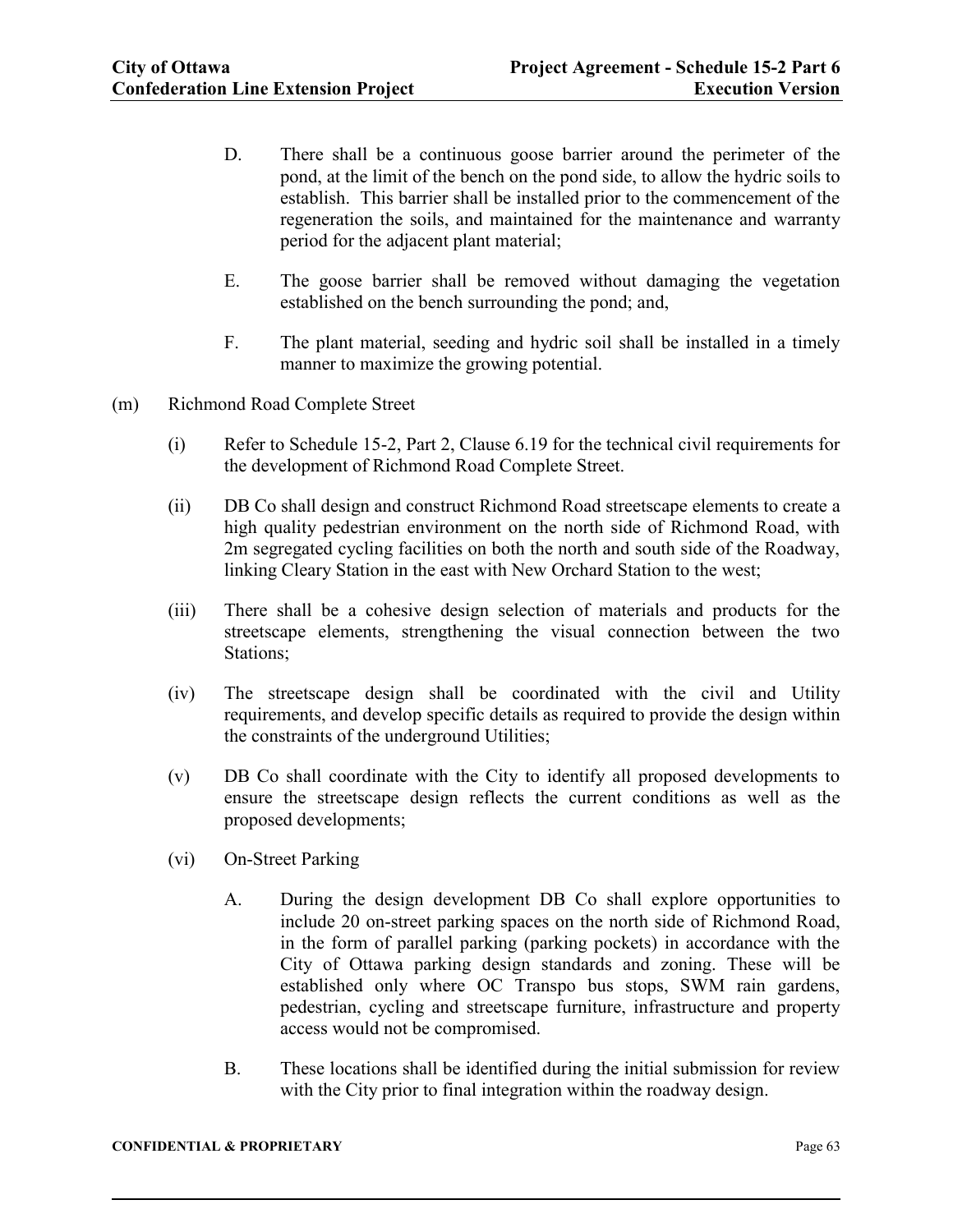- D. There shall be a continuous goose barrier around the perimeter of the pond, at the limit of the bench on the pond side, to allow the hydric soils to establish. This barrier shall be installed prior to the commencement of the regeneration the soils, and maintained for the maintenance and warranty period for the adjacent plant material;
- E. The goose barrier shall be removed without damaging the vegetation established on the bench surrounding the pond; and,
- F. The plant material, seeding and hydric soil shall be installed in a timely manner to maximize the growing potential.
- (m) Richmond Road Complete Street
	- (i) Refer to Schedule 15-2, Part 2, Clause 6.19 for the technical civil requirements for the development of Richmond Road Complete Street.
	- (ii) DB Co shall design and construct Richmond Road streetscape elements to create a high quality pedestrian environment on the north side of Richmond Road, with 2m segregated cycling facilities on both the north and south side of the Roadway, linking Cleary Station in the east with New Orchard Station to the west;
	- (iii) There shall be a cohesive design selection of materials and products for the streetscape elements, strengthening the visual connection between the two Stations;
	- (iv) The streetscape design shall be coordinated with the civil and Utility requirements, and develop specific details as required to provide the design within the constraints of the underground Utilities;
	- (v) DB Co shall coordinate with the City to identify all proposed developments to ensure the streetscape design reflects the current conditions as well as the proposed developments;
	- (vi) On-Street Parking
		- A. During the design development DB Co shall explore opportunities to include 20 on-street parking spaces on the north side of Richmond Road, in the form of parallel parking (parking pockets) in accordance with the City of Ottawa parking design standards and zoning. These will be established only where OC Transpo bus stops, SWM rain gardens, pedestrian, cycling and streetscape furniture, infrastructure and property access would not be compromised.
		- B. These locations shall be identified during the initial submission for review with the City prior to final integration within the roadway design.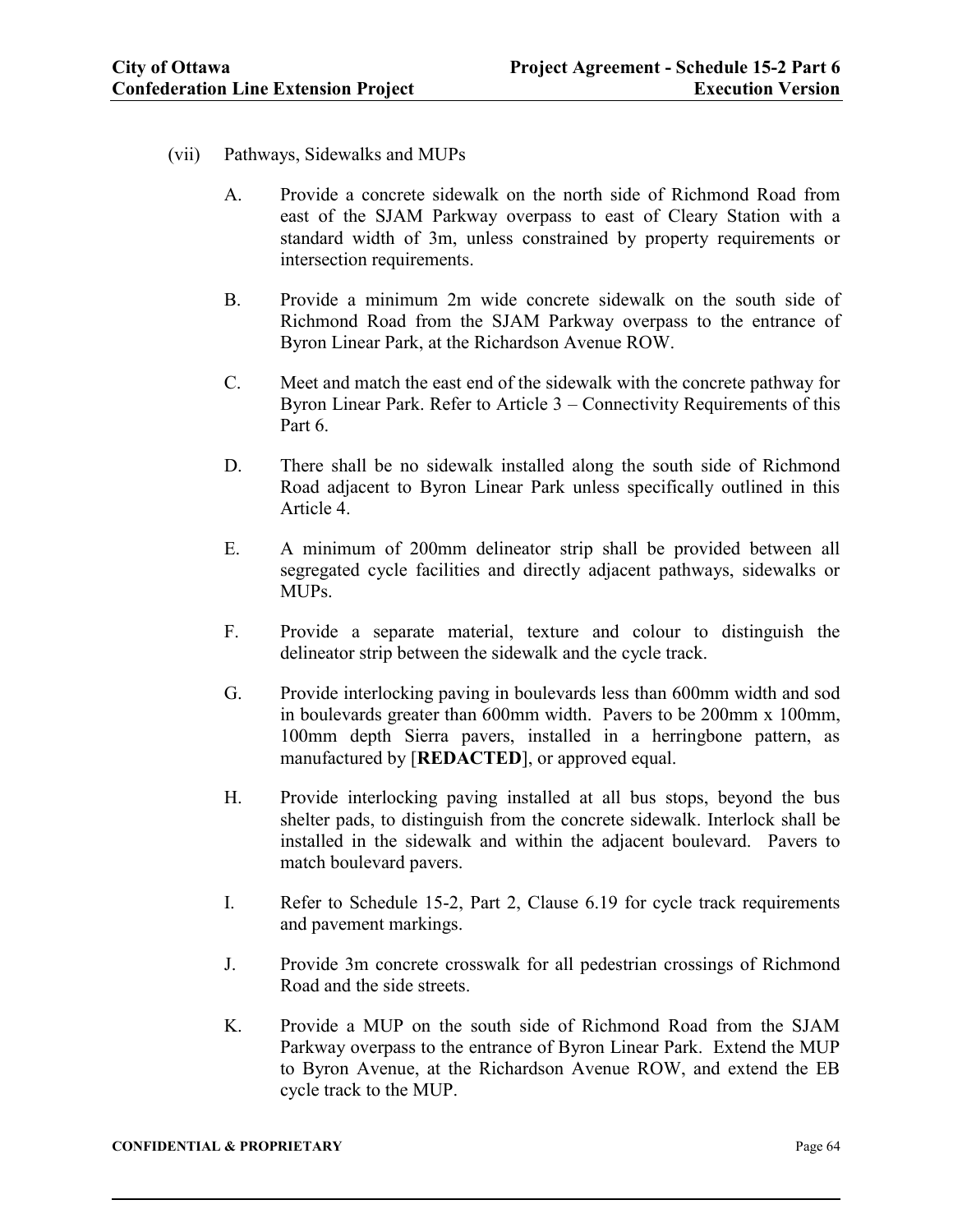- (vii) Pathways, Sidewalks and MUPs
	- A. Provide a concrete sidewalk on the north side of Richmond Road from east of the SJAM Parkway overpass to east of Cleary Station with a standard width of 3m, unless constrained by property requirements or intersection requirements.
	- B. Provide a minimum 2m wide concrete sidewalk on the south side of Richmond Road from the SJAM Parkway overpass to the entrance of Byron Linear Park, at the Richardson Avenue ROW.
	- C. Meet and match the east end of the sidewalk with the concrete pathway for Byron Linear Park. Refer to Article 3 – Connectivity Requirements of this Part 6.
	- D. There shall be no sidewalk installed along the south side of Richmond Road adjacent to Byron Linear Park unless specifically outlined in this Article 4.
	- E. A minimum of 200mm delineator strip shall be provided between all segregated cycle facilities and directly adjacent pathways, sidewalks or MUPs.
	- F. Provide a separate material, texture and colour to distinguish the delineator strip between the sidewalk and the cycle track.
	- G. Provide interlocking paving in boulevards less than 600mm width and sod in boulevards greater than 600mm width. Pavers to be 200mm x 100mm, 100mm depth Sierra pavers, installed in a herringbone pattern, as manufactured by [**REDACTED**], or approved equal.
	- H. Provide interlocking paving installed at all bus stops, beyond the bus shelter pads, to distinguish from the concrete sidewalk. Interlock shall be installed in the sidewalk and within the adjacent boulevard. Pavers to match boulevard pavers.
	- I. Refer to Schedule 15-2, Part 2, Clause 6.19 for cycle track requirements and pavement markings.
	- J. Provide 3m concrete crosswalk for all pedestrian crossings of Richmond Road and the side streets.
	- K. Provide a MUP on the south side of Richmond Road from the SJAM Parkway overpass to the entrance of Byron Linear Park. Extend the MUP to Byron Avenue, at the Richardson Avenue ROW, and extend the EB cycle track to the MUP.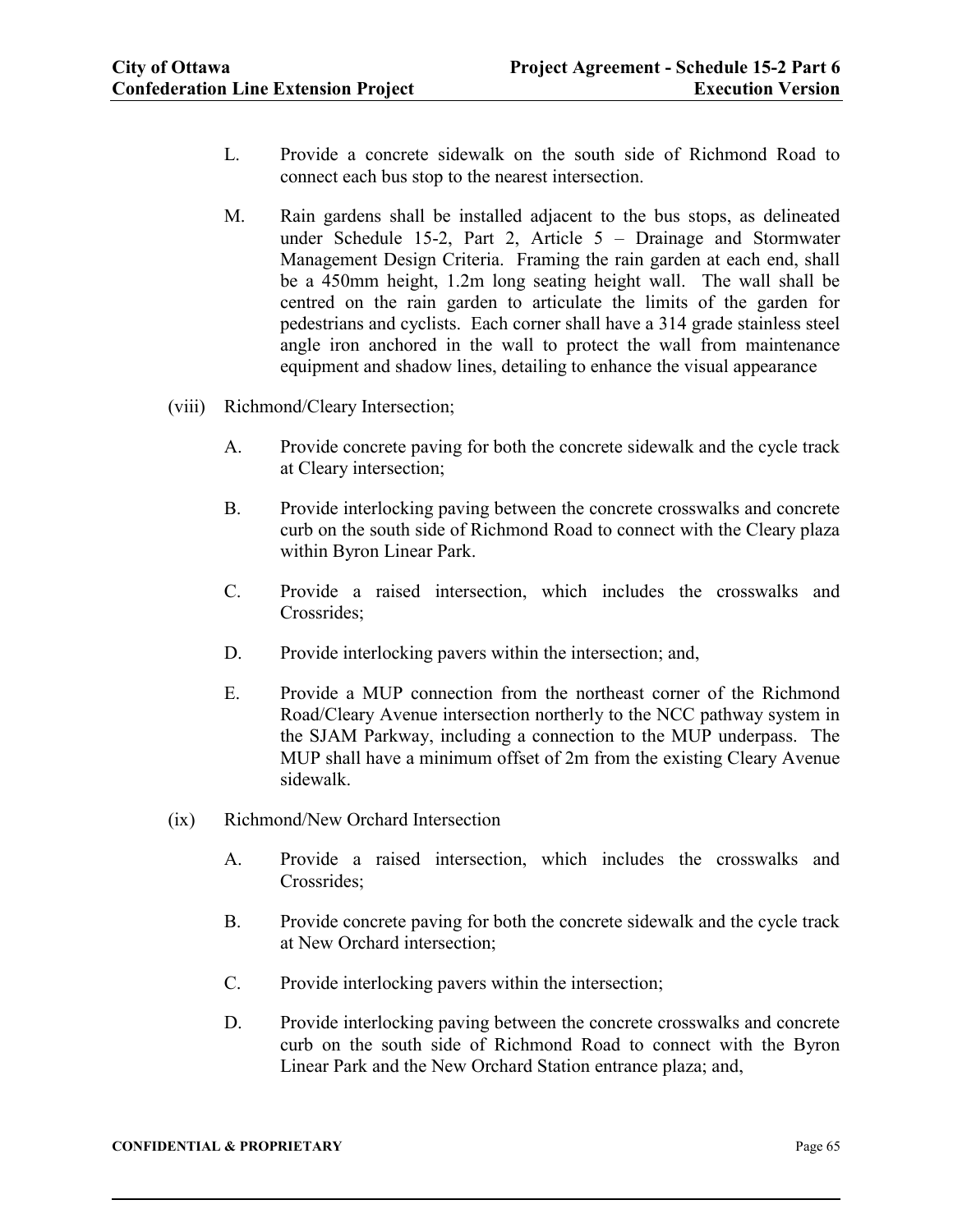- L. Provide a concrete sidewalk on the south side of Richmond Road to connect each bus stop to the nearest intersection.
- M. Rain gardens shall be installed adjacent to the bus stops, as delineated under Schedule 15-2, Part 2, Article 5 – Drainage and Stormwater Management Design Criteria. Framing the rain garden at each end, shall be a 450mm height, 1.2m long seating height wall. The wall shall be centred on the rain garden to articulate the limits of the garden for pedestrians and cyclists. Each corner shall have a 314 grade stainless steel angle iron anchored in the wall to protect the wall from maintenance equipment and shadow lines, detailing to enhance the visual appearance
- (viii) Richmond/Cleary Intersection;
	- A. Provide concrete paving for both the concrete sidewalk and the cycle track at Cleary intersection;
	- B. Provide interlocking paving between the concrete crosswalks and concrete curb on the south side of Richmond Road to connect with the Cleary plaza within Byron Linear Park.
	- C. Provide a raised intersection, which includes the crosswalks and Crossrides;
	- D. Provide interlocking pavers within the intersection; and,
	- E. Provide a MUP connection from the northeast corner of the Richmond Road/Cleary Avenue intersection northerly to the NCC pathway system in the SJAM Parkway, including a connection to the MUP underpass. The MUP shall have a minimum offset of 2m from the existing Cleary Avenue sidewalk.
- (ix) Richmond/New Orchard Intersection
	- A. Provide a raised intersection, which includes the crosswalks and Crossrides;
	- B. Provide concrete paving for both the concrete sidewalk and the cycle track at New Orchard intersection;
	- C. Provide interlocking pavers within the intersection;
	- D. Provide interlocking paving between the concrete crosswalks and concrete curb on the south side of Richmond Road to connect with the Byron Linear Park and the New Orchard Station entrance plaza; and,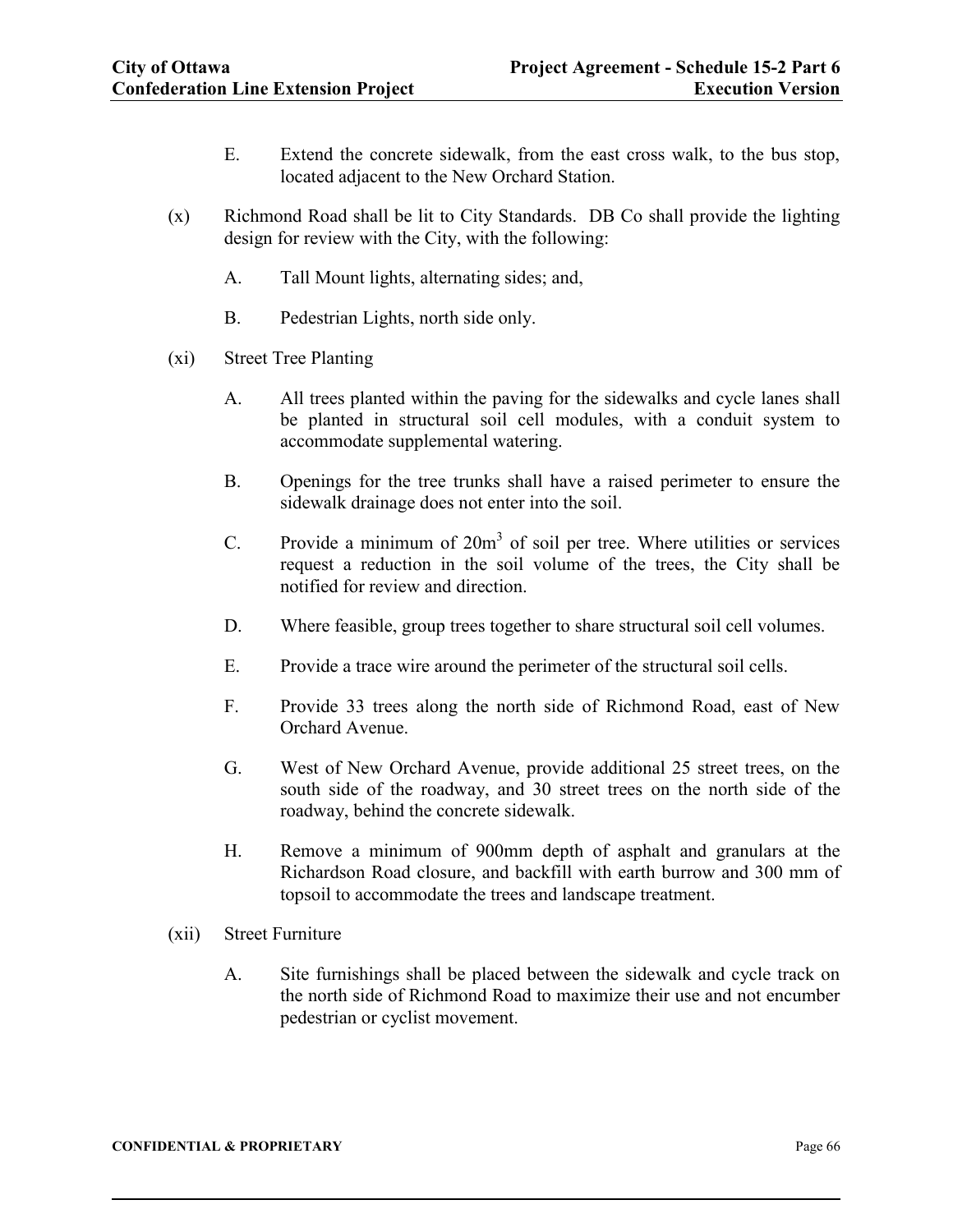- E. Extend the concrete sidewalk, from the east cross walk, to the bus stop, located adjacent to the New Orchard Station.
- (x) Richmond Road shall be lit to City Standards. DB Co shall provide the lighting design for review with the City, with the following:
	- A. Tall Mount lights, alternating sides; and,
	- B. Pedestrian Lights, north side only.
- (xi) Street Tree Planting
	- A. All trees planted within the paving for the sidewalks and cycle lanes shall be planted in structural soil cell modules, with a conduit system to accommodate supplemental watering.
	- B. Openings for the tree trunks shall have a raised perimeter to ensure the sidewalk drainage does not enter into the soil.
	- C. Provide a minimum of  $20m<sup>3</sup>$  of soil per tree. Where utilities or services request a reduction in the soil volume of the trees, the City shall be notified for review and direction.
	- D. Where feasible, group trees together to share structural soil cell volumes.
	- E. Provide a trace wire around the perimeter of the structural soil cells.
	- F. Provide 33 trees along the north side of Richmond Road, east of New Orchard Avenue.
	- G. West of New Orchard Avenue, provide additional 25 street trees, on the south side of the roadway, and 30 street trees on the north side of the roadway, behind the concrete sidewalk.
	- H. Remove a minimum of 900mm depth of asphalt and granulars at the Richardson Road closure, and backfill with earth burrow and 300 mm of topsoil to accommodate the trees and landscape treatment.
- (xii) Street Furniture
	- A. Site furnishings shall be placed between the sidewalk and cycle track on the north side of Richmond Road to maximize their use and not encumber pedestrian or cyclist movement.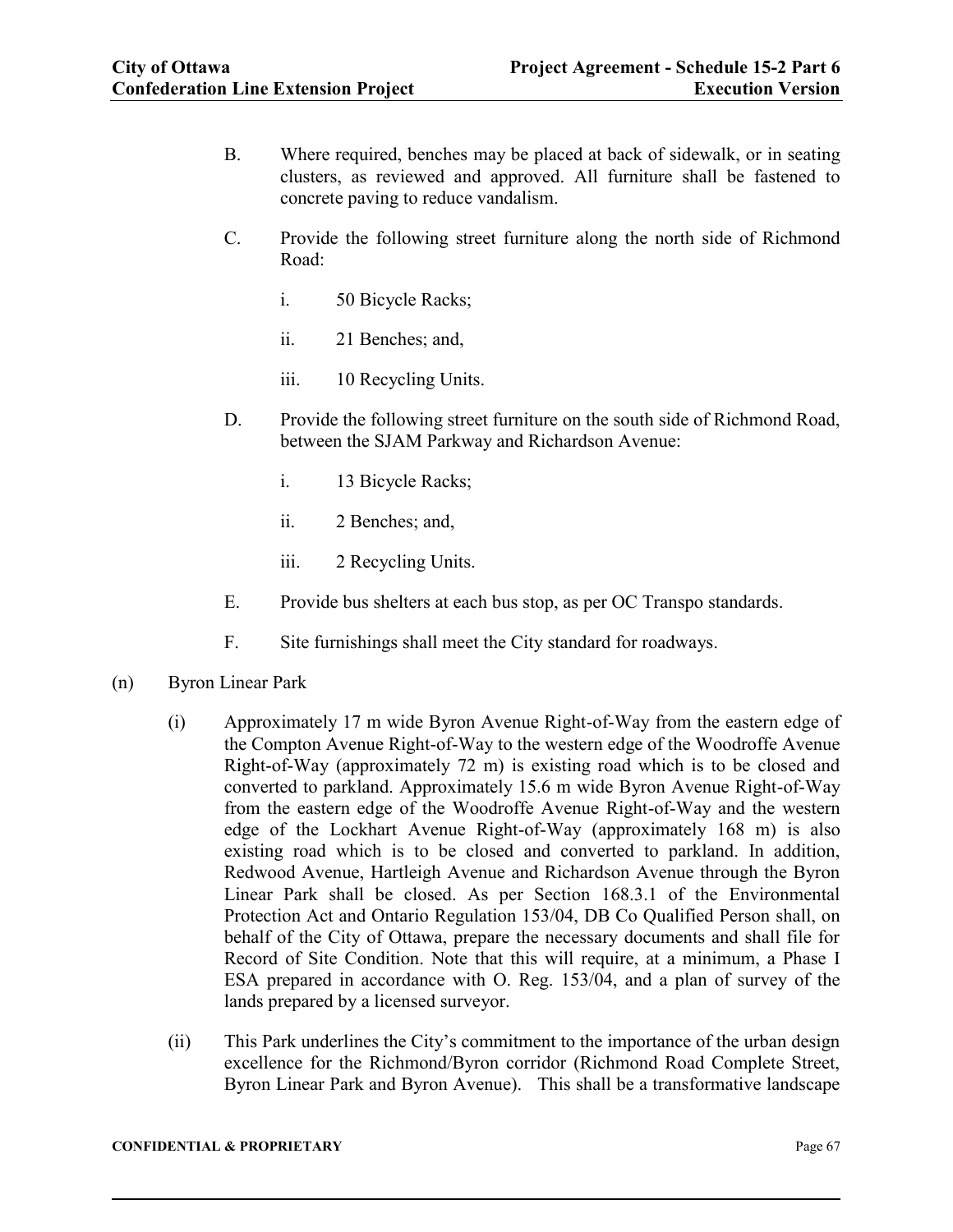- B. Where required, benches may be placed at back of sidewalk, or in seating clusters, as reviewed and approved. All furniture shall be fastened to concrete paving to reduce vandalism.
- C. Provide the following street furniture along the north side of Richmond Road:
	- i. 50 Bicycle Racks;
	- ii. 21 Benches; and,
	- iii. 10 Recycling Units.
- D. Provide the following street furniture on the south side of Richmond Road, between the SJAM Parkway and Richardson Avenue:
	- i. 13 Bicycle Racks;
	- ii. 2 Benches; and,
	- iii. 2 Recycling Units.
- E. Provide bus shelters at each bus stop, as per OC Transpo standards.
- F. Site furnishings shall meet the City standard for roadways.
- (n) Byron Linear Park
	- (i) Approximately 17 m wide Byron Avenue Right-of-Way from the eastern edge of the Compton Avenue Right-of-Way to the western edge of the Woodroffe Avenue Right-of-Way (approximately 72 m) is existing road which is to be closed and converted to parkland. Approximately 15.6 m wide Byron Avenue Right-of-Way from the eastern edge of the Woodroffe Avenue Right-of-Way and the western edge of the Lockhart Avenue Right-of-Way (approximately 168 m) is also existing road which is to be closed and converted to parkland. In addition, Redwood Avenue, Hartleigh Avenue and Richardson Avenue through the Byron Linear Park shall be closed. As per Section 168.3.1 of the Environmental Protection Act and Ontario Regulation 153/04, DB Co Qualified Person shall, on behalf of the City of Ottawa, prepare the necessary documents and shall file for Record of Site Condition. Note that this will require, at a minimum, a Phase I ESA prepared in accordance with O. Reg. 153/04, and a plan of survey of the lands prepared by a licensed surveyor.
	- (ii) This Park underlines the City's commitment to the importance of the urban design excellence for the Richmond/Byron corridor (Richmond Road Complete Street, Byron Linear Park and Byron Avenue). This shall be a transformative landscape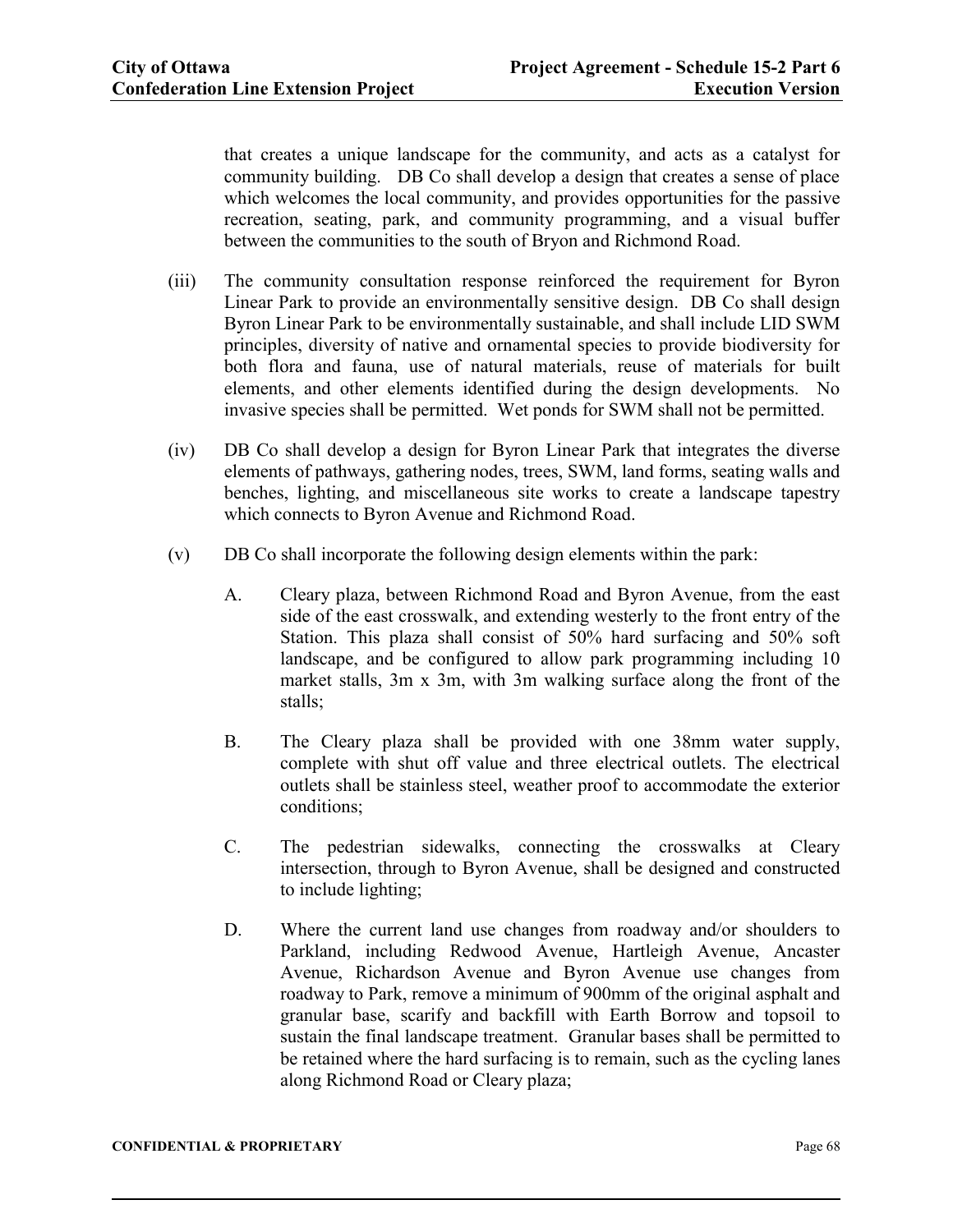that creates a unique landscape for the community, and acts as a catalyst for community building. DB Co shall develop a design that creates a sense of place which welcomes the local community, and provides opportunities for the passive recreation, seating, park, and community programming, and a visual buffer between the communities to the south of Bryon and Richmond Road.

- (iii) The community consultation response reinforced the requirement for Byron Linear Park to provide an environmentally sensitive design. DB Co shall design Byron Linear Park to be environmentally sustainable, and shall include LID SWM principles, diversity of native and ornamental species to provide biodiversity for both flora and fauna, use of natural materials, reuse of materials for built elements, and other elements identified during the design developments. No invasive species shall be permitted. Wet ponds for SWM shall not be permitted.
- (iv) DB Co shall develop a design for Byron Linear Park that integrates the diverse elements of pathways, gathering nodes, trees, SWM, land forms, seating walls and benches, lighting, and miscellaneous site works to create a landscape tapestry which connects to Byron Avenue and Richmond Road.
- (v) DB Co shall incorporate the following design elements within the park:
	- A. Cleary plaza, between Richmond Road and Byron Avenue, from the east side of the east crosswalk, and extending westerly to the front entry of the Station. This plaza shall consist of 50% hard surfacing and 50% soft landscape, and be configured to allow park programming including 10 market stalls, 3m x 3m, with 3m walking surface along the front of the stalls;
	- B. The Cleary plaza shall be provided with one 38mm water supply, complete with shut off value and three electrical outlets. The electrical outlets shall be stainless steel, weather proof to accommodate the exterior conditions;
	- C. The pedestrian sidewalks, connecting the crosswalks at Cleary intersection, through to Byron Avenue, shall be designed and constructed to include lighting;
	- D. Where the current land use changes from roadway and/or shoulders to Parkland, including Redwood Avenue, Hartleigh Avenue, Ancaster Avenue, Richardson Avenue and Byron Avenue use changes from roadway to Park, remove a minimum of 900mm of the original asphalt and granular base, scarify and backfill with Earth Borrow and topsoil to sustain the final landscape treatment. Granular bases shall be permitted to be retained where the hard surfacing is to remain, such as the cycling lanes along Richmond Road or Cleary plaza;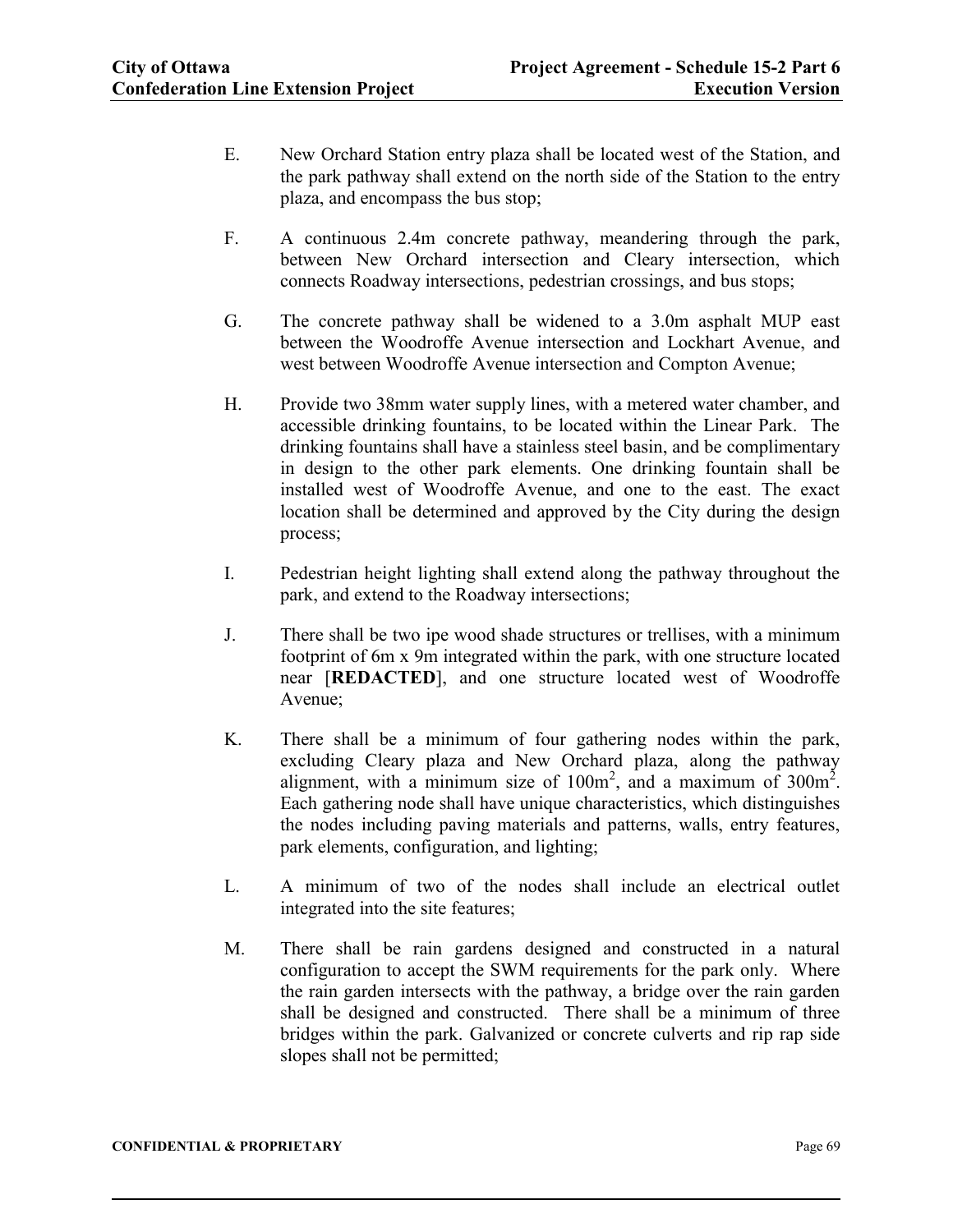- E. New Orchard Station entry plaza shall be located west of the Station, and the park pathway shall extend on the north side of the Station to the entry plaza, and encompass the bus stop;
- F. A continuous 2.4m concrete pathway, meandering through the park, between New Orchard intersection and Cleary intersection, which connects Roadway intersections, pedestrian crossings, and bus stops;
- G. The concrete pathway shall be widened to a 3.0m asphalt MUP east between the Woodroffe Avenue intersection and Lockhart Avenue, and west between Woodroffe Avenue intersection and Compton Avenue;
- H. Provide two 38mm water supply lines, with a metered water chamber, and accessible drinking fountains, to be located within the Linear Park. The drinking fountains shall have a stainless steel basin, and be complimentary in design to the other park elements. One drinking fountain shall be installed west of Woodroffe Avenue, and one to the east. The exact location shall be determined and approved by the City during the design process;
- I. Pedestrian height lighting shall extend along the pathway throughout the park, and extend to the Roadway intersections;
- J. There shall be two ipe wood shade structures or trellises, with a minimum footprint of 6m x 9m integrated within the park, with one structure located near [**REDACTED**], and one structure located west of Woodroffe Avenue;
- K. There shall be a minimum of four gathering nodes within the park, excluding Cleary plaza and New Orchard plaza, along the pathway alignment, with a minimum size of  $100m^2$ , and a maximum of  $300m^2$ . Each gathering node shall have unique characteristics, which distinguishes the nodes including paving materials and patterns, walls, entry features, park elements, configuration, and lighting;
- L. A minimum of two of the nodes shall include an electrical outlet integrated into the site features;
- M. There shall be rain gardens designed and constructed in a natural configuration to accept the SWM requirements for the park only. Where the rain garden intersects with the pathway, a bridge over the rain garden shall be designed and constructed. There shall be a minimum of three bridges within the park. Galvanized or concrete culverts and rip rap side slopes shall not be permitted;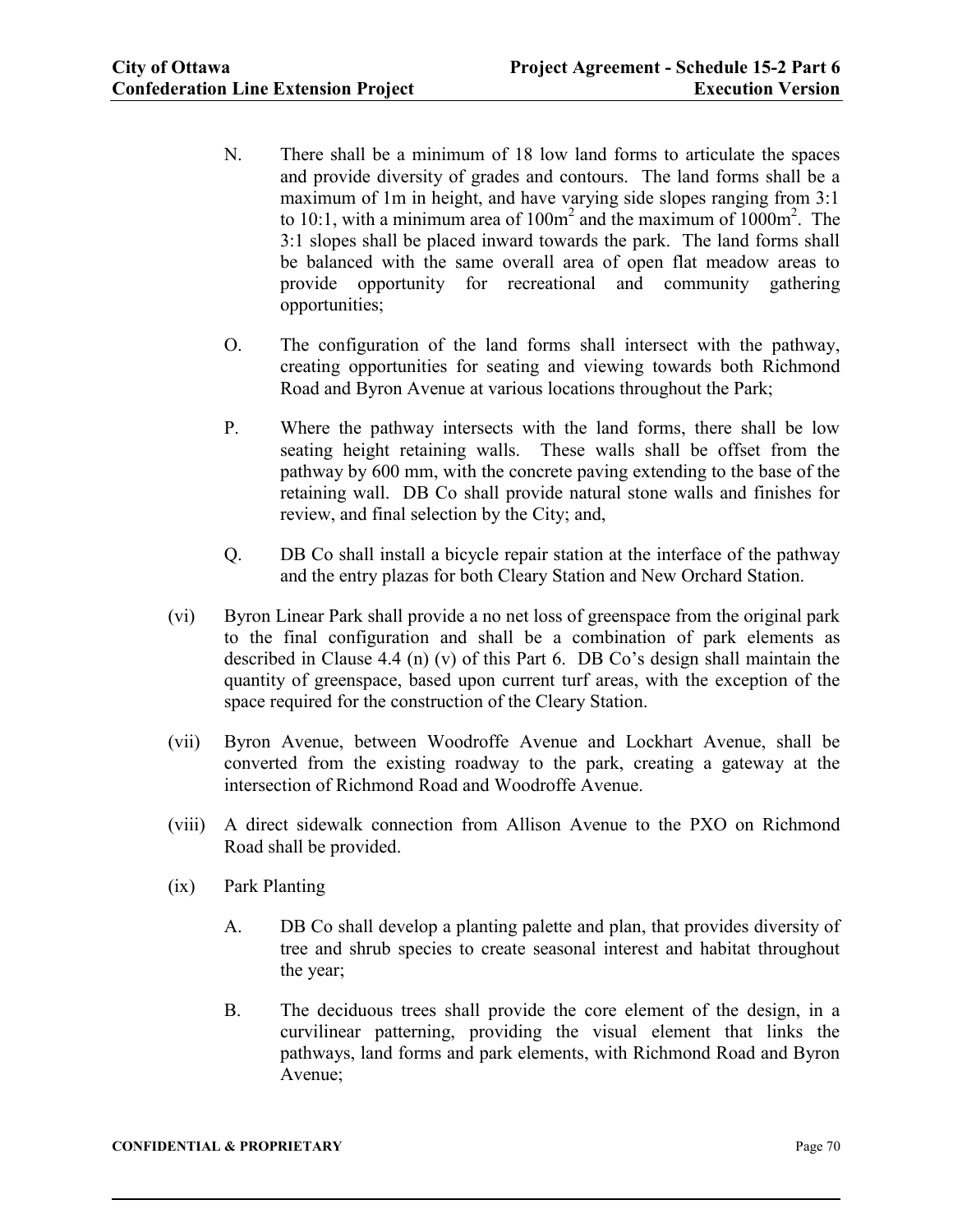- N. There shall be a minimum of 18 low land forms to articulate the spaces and provide diversity of grades and contours. The land forms shall be a maximum of 1m in height, and have varying side slopes ranging from 3:1 to 10:1, with a minimum area of  $100m^2$  and the maximum of  $1000m^2$ . The 3:1 slopes shall be placed inward towards the park. The land forms shall be balanced with the same overall area of open flat meadow areas to provide opportunity for recreational and community gathering opportunities;
- O. The configuration of the land forms shall intersect with the pathway, creating opportunities for seating and viewing towards both Richmond Road and Byron Avenue at various locations throughout the Park;
- P. Where the pathway intersects with the land forms, there shall be low seating height retaining walls. These walls shall be offset from the pathway by 600 mm, with the concrete paving extending to the base of the retaining wall. DB Co shall provide natural stone walls and finishes for review, and final selection by the City; and,
- Q. DB Co shall install a bicycle repair station at the interface of the pathway and the entry plazas for both Cleary Station and New Orchard Station.
- (vi) Byron Linear Park shall provide a no net loss of greenspace from the original park to the final configuration and shall be a combination of park elements as described in Clause 4.4 (n) (v) of this Part 6. DB Co's design shall maintain the quantity of greenspace, based upon current turf areas, with the exception of the space required for the construction of the Cleary Station.
- (vii) Byron Avenue, between Woodroffe Avenue and Lockhart Avenue, shall be converted from the existing roadway to the park, creating a gateway at the intersection of Richmond Road and Woodroffe Avenue.
- (viii) A direct sidewalk connection from Allison Avenue to the PXO on Richmond Road shall be provided.
- (ix) Park Planting
	- A. DB Co shall develop a planting palette and plan, that provides diversity of tree and shrub species to create seasonal interest and habitat throughout the year;
	- B. The deciduous trees shall provide the core element of the design, in a curvilinear patterning, providing the visual element that links the pathways, land forms and park elements, with Richmond Road and Byron Avenue;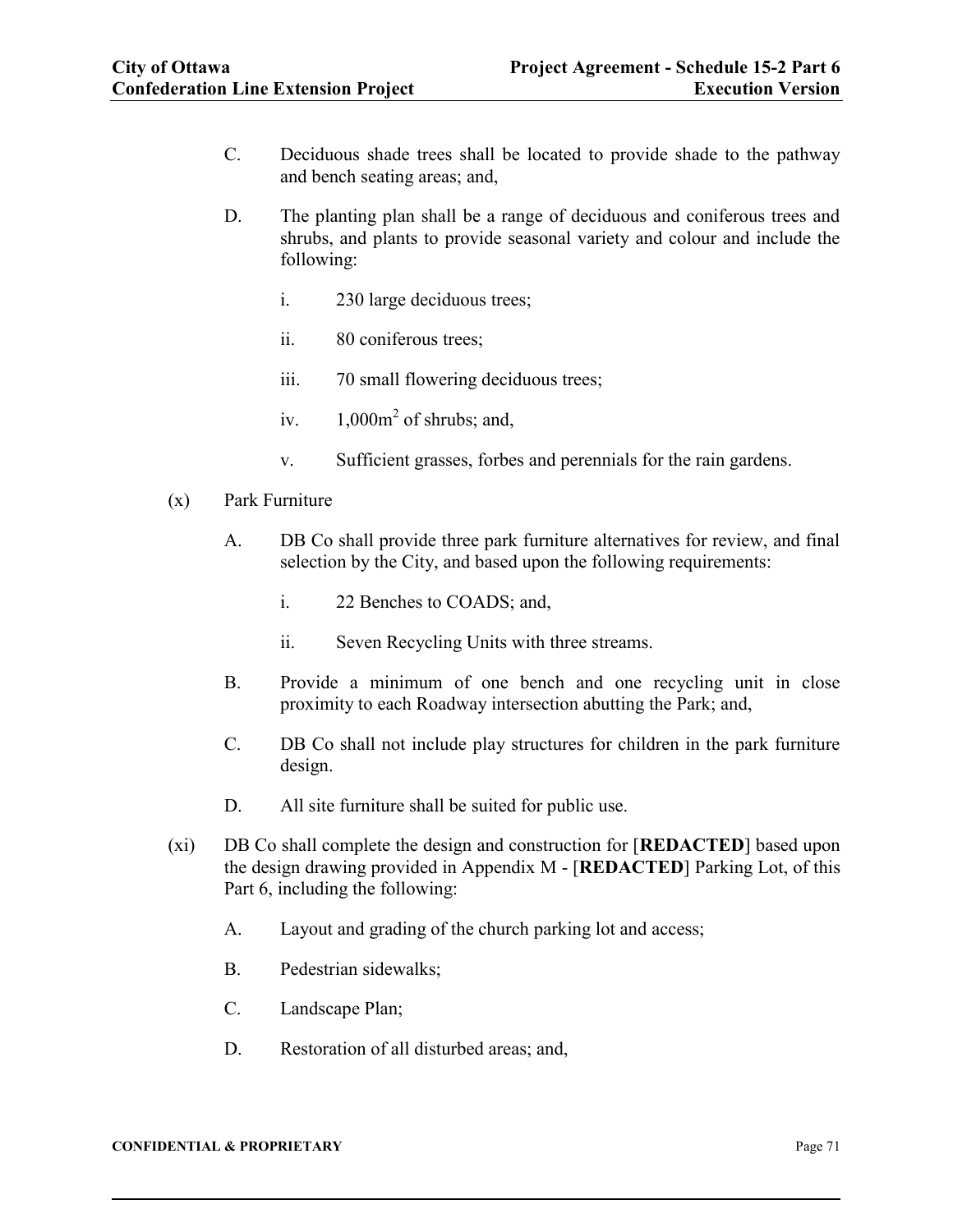- C. Deciduous shade trees shall be located to provide shade to the pathway and bench seating areas; and,
- D. The planting plan shall be a range of deciduous and coniferous trees and shrubs, and plants to provide seasonal variety and colour and include the following:
	- i. 230 large deciduous trees;
	- ii. 80 coniferous trees;
	- iii. 70 small flowering deciduous trees;
	- iv.  $1,000m^2$  of shrubs; and,
	- v. Sufficient grasses, forbes and perennials for the rain gardens.
- (x) Park Furniture
	- A. DB Co shall provide three park furniture alternatives for review, and final selection by the City, and based upon the following requirements:
		- i. 22 Benches to COADS; and,
		- ii. Seven Recycling Units with three streams.
	- B. Provide a minimum of one bench and one recycling unit in close proximity to each Roadway intersection abutting the Park; and,
	- C. DB Co shall not include play structures for children in the park furniture design.
	- D. All site furniture shall be suited for public use.
- (xi) DB Co shall complete the design and construction for [**REDACTED**] based upon the design drawing provided in Appendix M - [**REDACTED**] Parking Lot, of this Part 6, including the following:
	- A. Layout and grading of the church parking lot and access;
	- B. Pedestrian sidewalks;
	- C. Landscape Plan;
	- D. Restoration of all disturbed areas; and,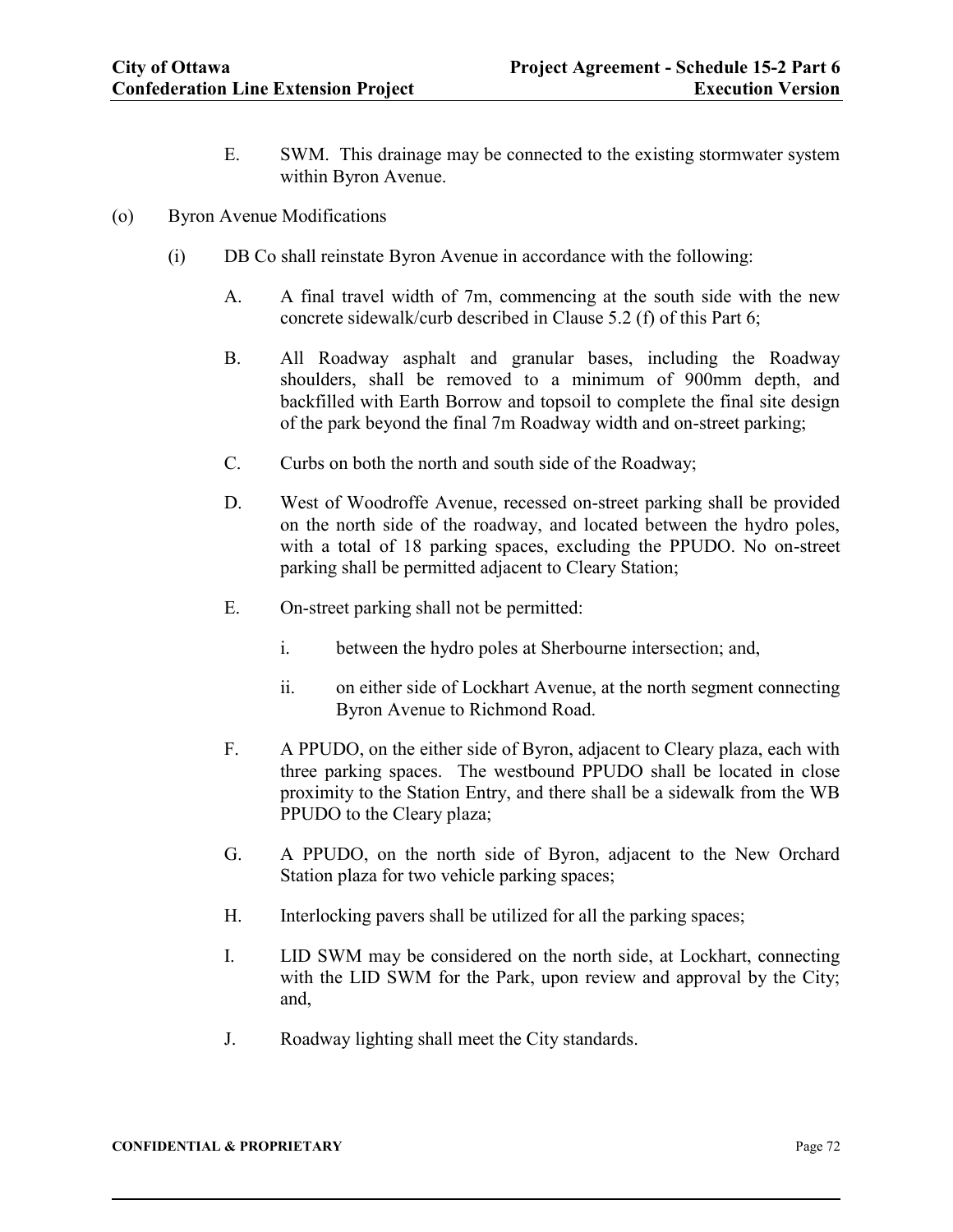- E. SWM. This drainage may be connected to the existing stormwater system within Byron Avenue.
- (o) Byron Avenue Modifications
	- (i) DB Co shall reinstate Byron Avenue in accordance with the following:
		- A. A final travel width of 7m, commencing at the south side with the new concrete sidewalk/curb described in Clause 5.2 (f) of this Part 6;
		- B. All Roadway asphalt and granular bases, including the Roadway shoulders, shall be removed to a minimum of 900mm depth, and backfilled with Earth Borrow and topsoil to complete the final site design of the park beyond the final 7m Roadway width and on-street parking;
		- C. Curbs on both the north and south side of the Roadway;
		- D. West of Woodroffe Avenue, recessed on-street parking shall be provided on the north side of the roadway, and located between the hydro poles, with a total of 18 parking spaces, excluding the PPUDO. No on-street parking shall be permitted adjacent to Cleary Station;
		- E. On-street parking shall not be permitted:
			- i. between the hydro poles at Sherbourne intersection; and,
			- ii. on either side of Lockhart Avenue, at the north segment connecting Byron Avenue to Richmond Road.
		- F. A PPUDO, on the either side of Byron, adjacent to Cleary plaza, each with three parking spaces. The westbound PPUDO shall be located in close proximity to the Station Entry, and there shall be a sidewalk from the WB PPUDO to the Cleary plaza;
		- G. A PPUDO, on the north side of Byron, adjacent to the New Orchard Station plaza for two vehicle parking spaces;
		- H. Interlocking pavers shall be utilized for all the parking spaces;
		- I. LID SWM may be considered on the north side, at Lockhart, connecting with the LID SWM for the Park, upon review and approval by the City; and,
		- J. Roadway lighting shall meet the City standards.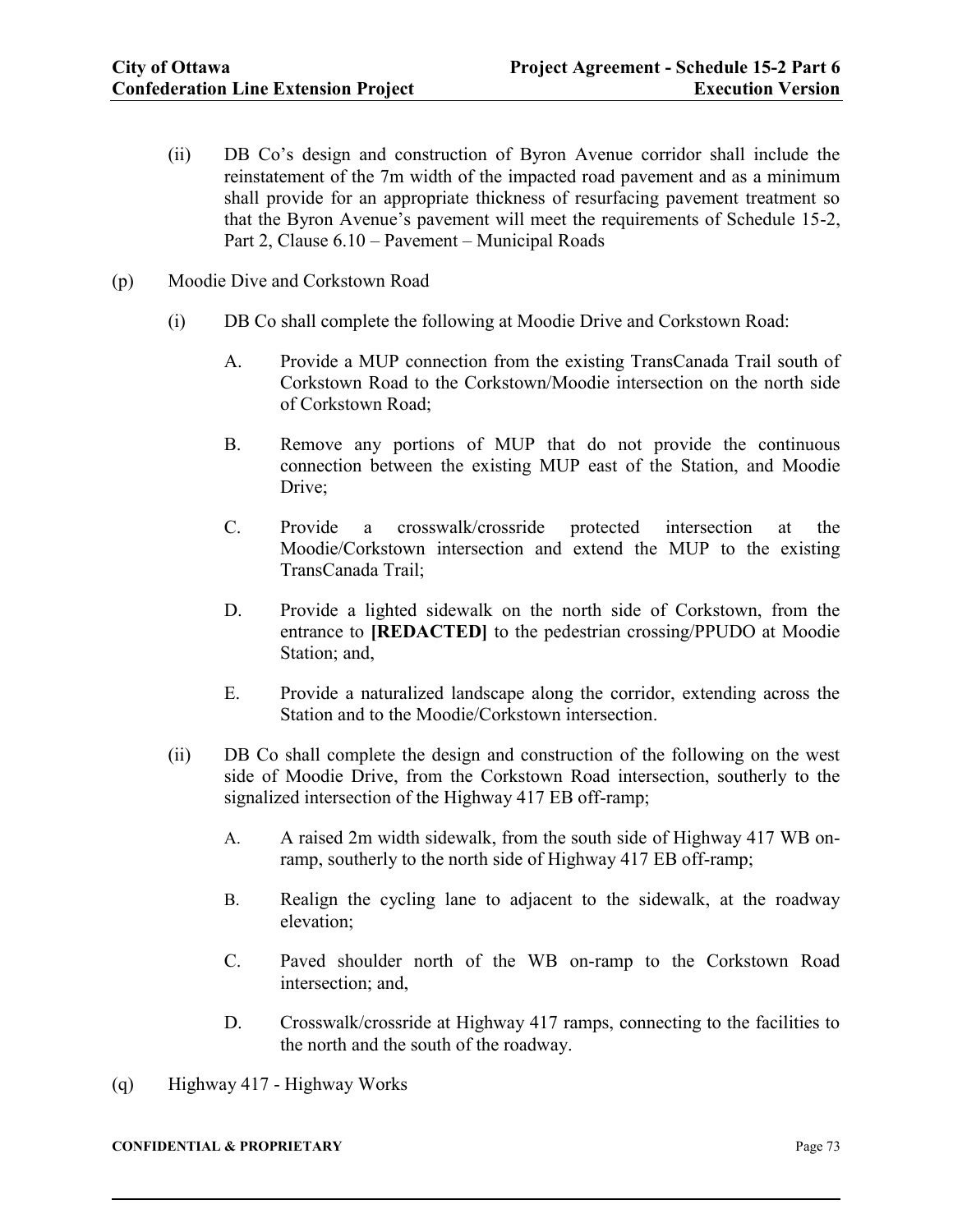- (ii) DB Co's design and construction of Byron Avenue corridor shall include the reinstatement of the 7m width of the impacted road pavement and as a minimum shall provide for an appropriate thickness of resurfacing pavement treatment so that the Byron Avenue's pavement will meet the requirements of Schedule 15-2, Part 2, Clause 6.10 – Pavement – Municipal Roads
- (p) Moodie Dive and Corkstown Road
	- (i) DB Co shall complete the following at Moodie Drive and Corkstown Road:
		- A. Provide a MUP connection from the existing TransCanada Trail south of Corkstown Road to the Corkstown/Moodie intersection on the north side of Corkstown Road;
		- B. Remove any portions of MUP that do not provide the continuous connection between the existing MUP east of the Station, and Moodie Drive;
		- C. Provide a crosswalk/crossride protected intersection at the Moodie/Corkstown intersection and extend the MUP to the existing TransCanada Trail;
		- D. Provide a lighted sidewalk on the north side of Corkstown, from the entrance to **[REDACTED]** to the pedestrian crossing/PPUDO at Moodie Station; and,
		- E. Provide a naturalized landscape along the corridor, extending across the Station and to the Moodie/Corkstown intersection.
	- (ii) DB Co shall complete the design and construction of the following on the west side of Moodie Drive, from the Corkstown Road intersection, southerly to the signalized intersection of the Highway 417 EB off-ramp;
		- A. A raised 2m width sidewalk, from the south side of Highway 417 WB onramp, southerly to the north side of Highway 417 EB off-ramp;
		- B. Realign the cycling lane to adjacent to the sidewalk, at the roadway elevation;
		- C. Paved shoulder north of the WB on-ramp to the Corkstown Road intersection; and,
		- D. Crosswalk/crossride at Highway 417 ramps, connecting to the facilities to the north and the south of the roadway.
- (q) Highway 417 Highway Works

#### **CONFIDENTIAL & PROPRIETARY** Page 73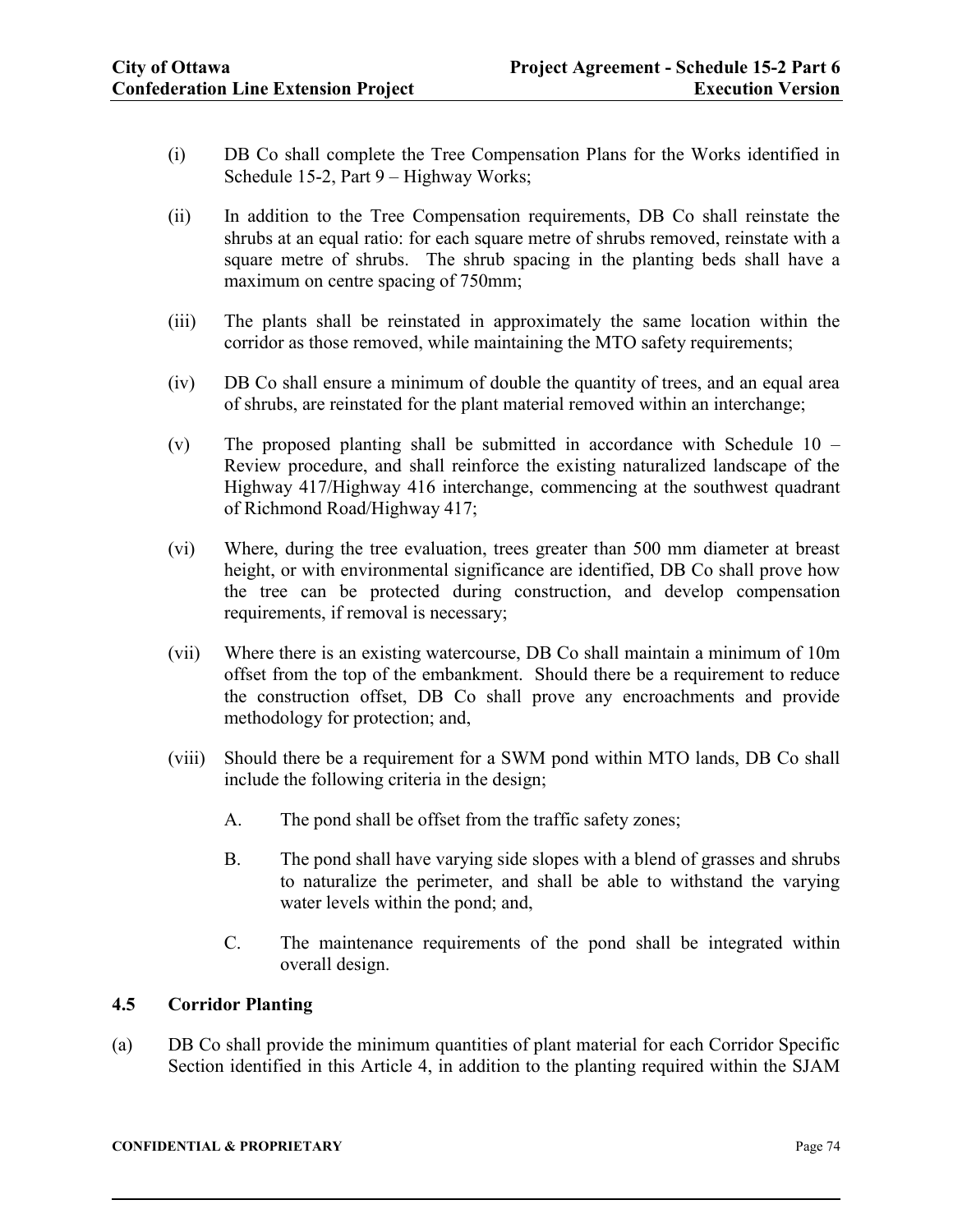- (i) DB Co shall complete the Tree Compensation Plans for the Works identified in Schedule 15-2, Part 9 – Highway Works;
- (ii) In addition to the Tree Compensation requirements, DB Co shall reinstate the shrubs at an equal ratio: for each square metre of shrubs removed, reinstate with a square metre of shrubs. The shrub spacing in the planting beds shall have a maximum on centre spacing of 750mm;
- (iii) The plants shall be reinstated in approximately the same location within the corridor as those removed, while maintaining the MTO safety requirements;
- (iv) DB Co shall ensure a minimum of double the quantity of trees, and an equal area of shrubs, are reinstated for the plant material removed within an interchange;
- (v) The proposed planting shall be submitted in accordance with Schedule 10 Review procedure, and shall reinforce the existing naturalized landscape of the Highway 417/Highway 416 interchange, commencing at the southwest quadrant of Richmond Road/Highway 417;
- (vi) Where, during the tree evaluation, trees greater than 500 mm diameter at breast height, or with environmental significance are identified, DB Co shall prove how the tree can be protected during construction, and develop compensation requirements, if removal is necessary;
- (vii) Where there is an existing watercourse, DB Co shall maintain a minimum of 10m offset from the top of the embankment. Should there be a requirement to reduce the construction offset, DB Co shall prove any encroachments and provide methodology for protection; and,
- (viii) Should there be a requirement for a SWM pond within MTO lands, DB Co shall include the following criteria in the design;
	- A. The pond shall be offset from the traffic safety zones;
	- B. The pond shall have varying side slopes with a blend of grasses and shrubs to naturalize the perimeter, and shall be able to withstand the varying water levels within the pond; and,
	- C. The maintenance requirements of the pond shall be integrated within overall design.

# **4.5 Corridor Planting**

(a) DB Co shall provide the minimum quantities of plant material for each Corridor Specific Section identified in this Article 4, in addition to the planting required within the SJAM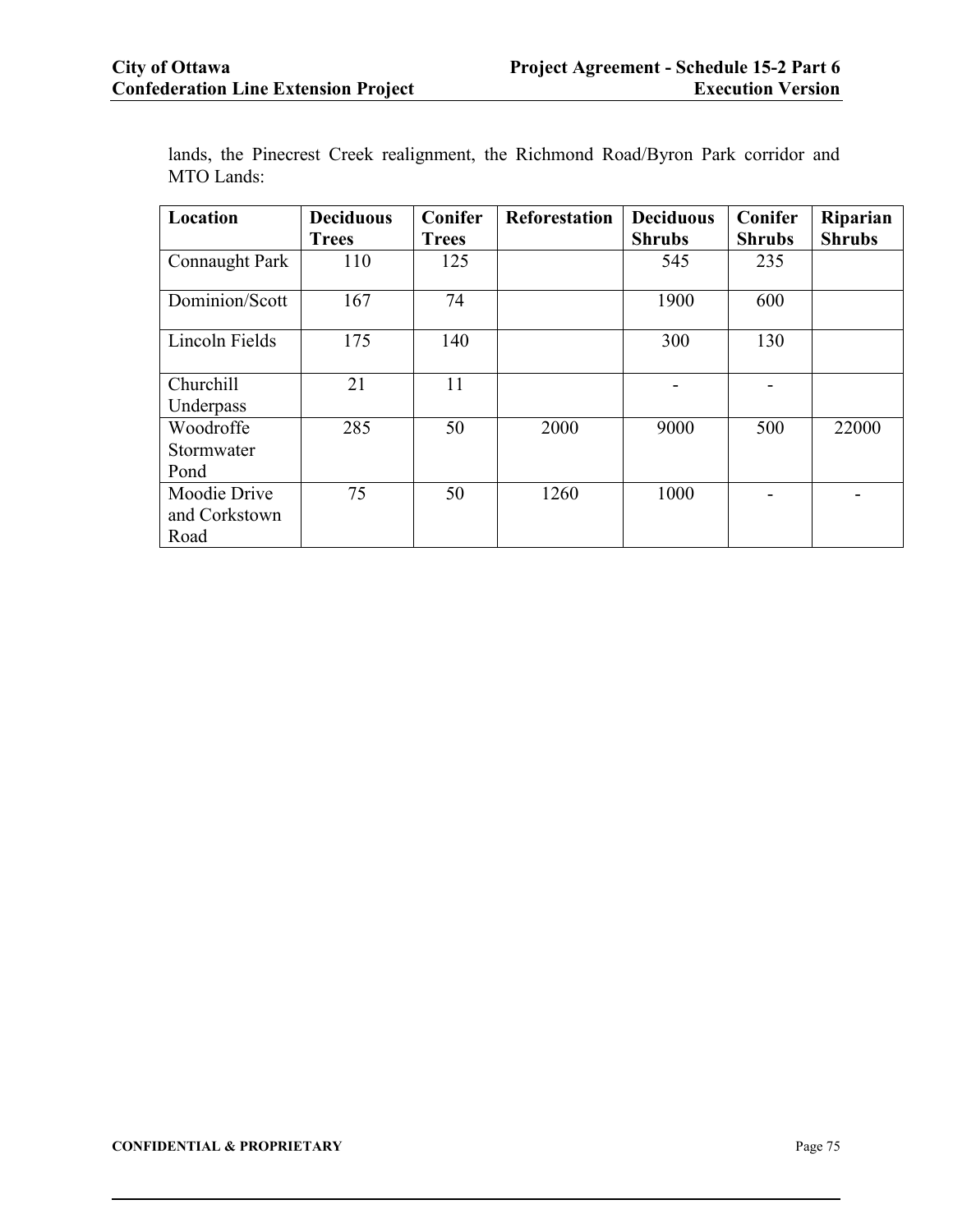lands, the Pinecrest Creek realignment, the Richmond Road/Byron Park corridor and MTO Lands:

| Location       | <b>Deciduous</b> | <b>Conifer</b> | <b>Reforestation</b> | <b>Deciduous</b> | Conifer       | Riparian      |
|----------------|------------------|----------------|----------------------|------------------|---------------|---------------|
|                | <b>Trees</b>     | <b>Trees</b>   |                      | <b>Shrubs</b>    | <b>Shrubs</b> | <b>Shrubs</b> |
| Connaught Park | 110              | 125            |                      | 545              | 235           |               |
| Dominion/Scott | 167              | 74             |                      | 1900             | 600           |               |
| Lincoln Fields | 175              | 140            |                      | 300              | 130           |               |
| Churchill      | 21               | 11             |                      |                  |               |               |
| Underpass      |                  |                |                      |                  |               |               |
| Woodroffe      | 285              | 50             | 2000                 | 9000             | 500           | 22000         |
| Stormwater     |                  |                |                      |                  |               |               |
| Pond           |                  |                |                      |                  |               |               |
| Moodie Drive   | 75               | 50             | 1260                 | 1000             |               |               |
| and Corkstown  |                  |                |                      |                  |               |               |
| Road           |                  |                |                      |                  |               |               |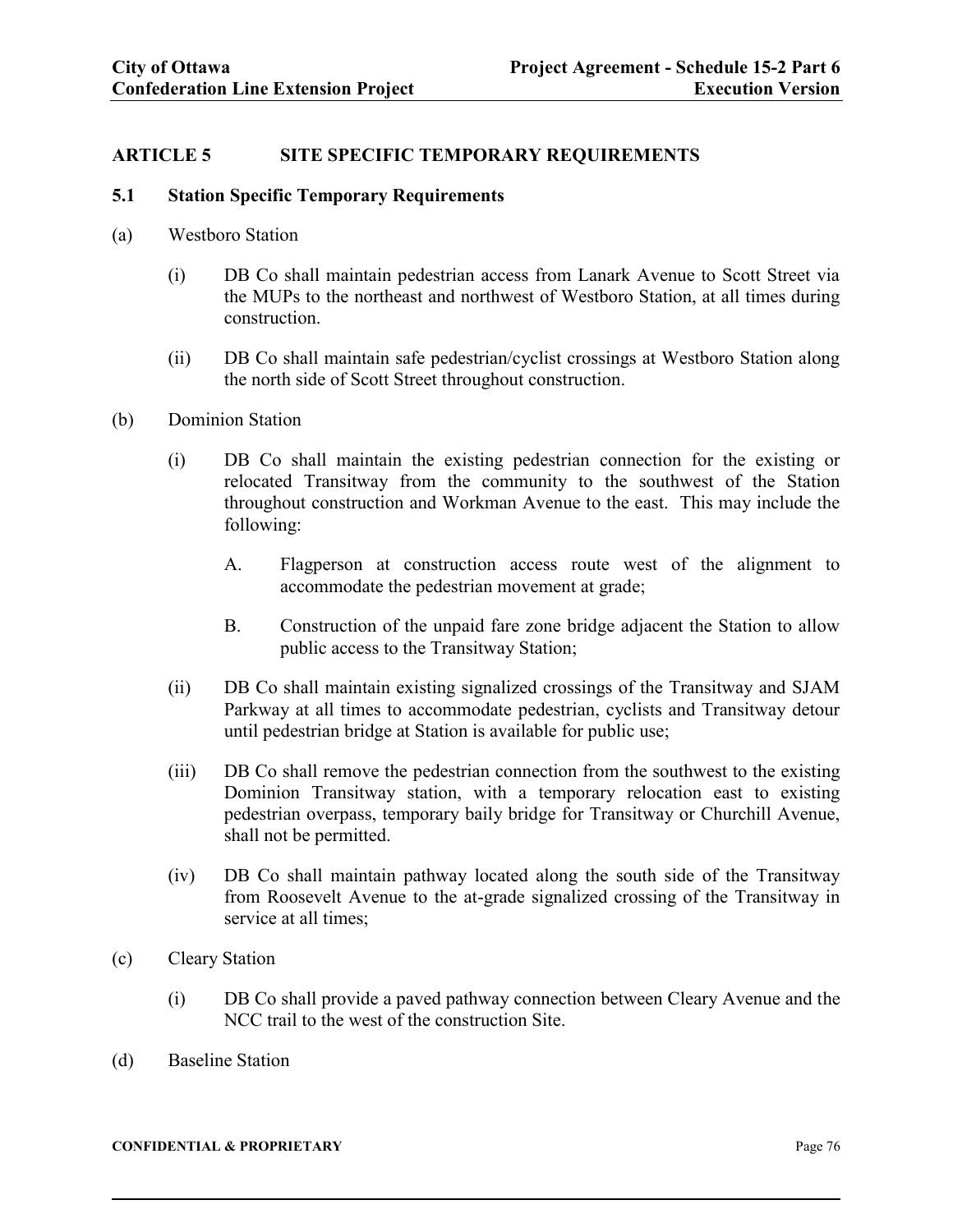## **ARTICLE 5 SITE SPECIFIC TEMPORARY REQUIREMENTS**

### **5.1 Station Specific Temporary Requirements**

- (a) Westboro Station
	- (i) DB Co shall maintain pedestrian access from Lanark Avenue to Scott Street via the MUPs to the northeast and northwest of Westboro Station, at all times during construction.
	- (ii) DB Co shall maintain safe pedestrian/cyclist crossings at Westboro Station along the north side of Scott Street throughout construction.
- (b) Dominion Station
	- (i) DB Co shall maintain the existing pedestrian connection for the existing or relocated Transitway from the community to the southwest of the Station throughout construction and Workman Avenue to the east. This may include the following:
		- A. Flagperson at construction access route west of the alignment to accommodate the pedestrian movement at grade;
		- B. Construction of the unpaid fare zone bridge adjacent the Station to allow public access to the Transitway Station;
	- (ii) DB Co shall maintain existing signalized crossings of the Transitway and SJAM Parkway at all times to accommodate pedestrian, cyclists and Transitway detour until pedestrian bridge at Station is available for public use;
	- (iii) DB Co shall remove the pedestrian connection from the southwest to the existing Dominion Transitway station, with a temporary relocation east to existing pedestrian overpass, temporary baily bridge for Transitway or Churchill Avenue, shall not be permitted.
	- (iv) DB Co shall maintain pathway located along the south side of the Transitway from Roosevelt Avenue to the at-grade signalized crossing of the Transitway in service at all times;
- (c) Cleary Station
	- (i) DB Co shall provide a paved pathway connection between Cleary Avenue and the NCC trail to the west of the construction Site.
- (d) Baseline Station

#### **CONFIDENTIAL & PROPRIETARY** Page 76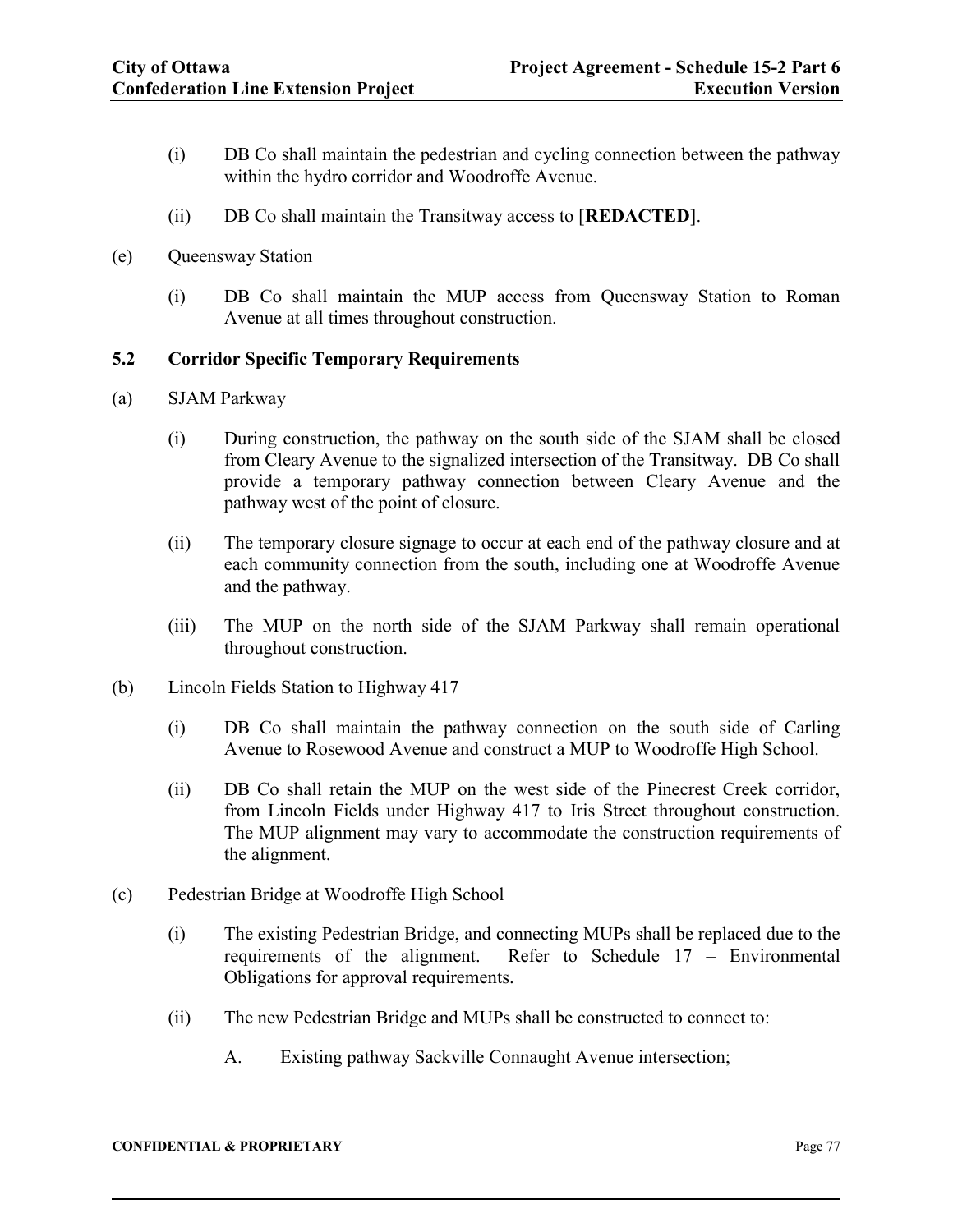- (i) DB Co shall maintain the pedestrian and cycling connection between the pathway within the hydro corridor and Woodroffe Avenue.
- (ii) DB Co shall maintain the Transitway access to [**REDACTED**].
- (e) Queensway Station
	- (i) DB Co shall maintain the MUP access from Queensway Station to Roman Avenue at all times throughout construction.

## **5.2 Corridor Specific Temporary Requirements**

- (a) SJAM Parkway
	- (i) During construction, the pathway on the south side of the SJAM shall be closed from Cleary Avenue to the signalized intersection of the Transitway. DB Co shall provide a temporary pathway connection between Cleary Avenue and the pathway west of the point of closure.
	- (ii) The temporary closure signage to occur at each end of the pathway closure and at each community connection from the south, including one at Woodroffe Avenue and the pathway.
	- (iii) The MUP on the north side of the SJAM Parkway shall remain operational throughout construction.
- (b) Lincoln Fields Station to Highway 417
	- (i) DB Co shall maintain the pathway connection on the south side of Carling Avenue to Rosewood Avenue and construct a MUP to Woodroffe High School.
	- (ii) DB Co shall retain the MUP on the west side of the Pinecrest Creek corridor, from Lincoln Fields under Highway 417 to Iris Street throughout construction. The MUP alignment may vary to accommodate the construction requirements of the alignment.
- (c) Pedestrian Bridge at Woodroffe High School
	- (i) The existing Pedestrian Bridge, and connecting MUPs shall be replaced due to the requirements of the alignment. Refer to Schedule 17 – Environmental Obligations for approval requirements.
	- (ii) The new Pedestrian Bridge and MUPs shall be constructed to connect to:
		- A. Existing pathway Sackville Connaught Avenue intersection;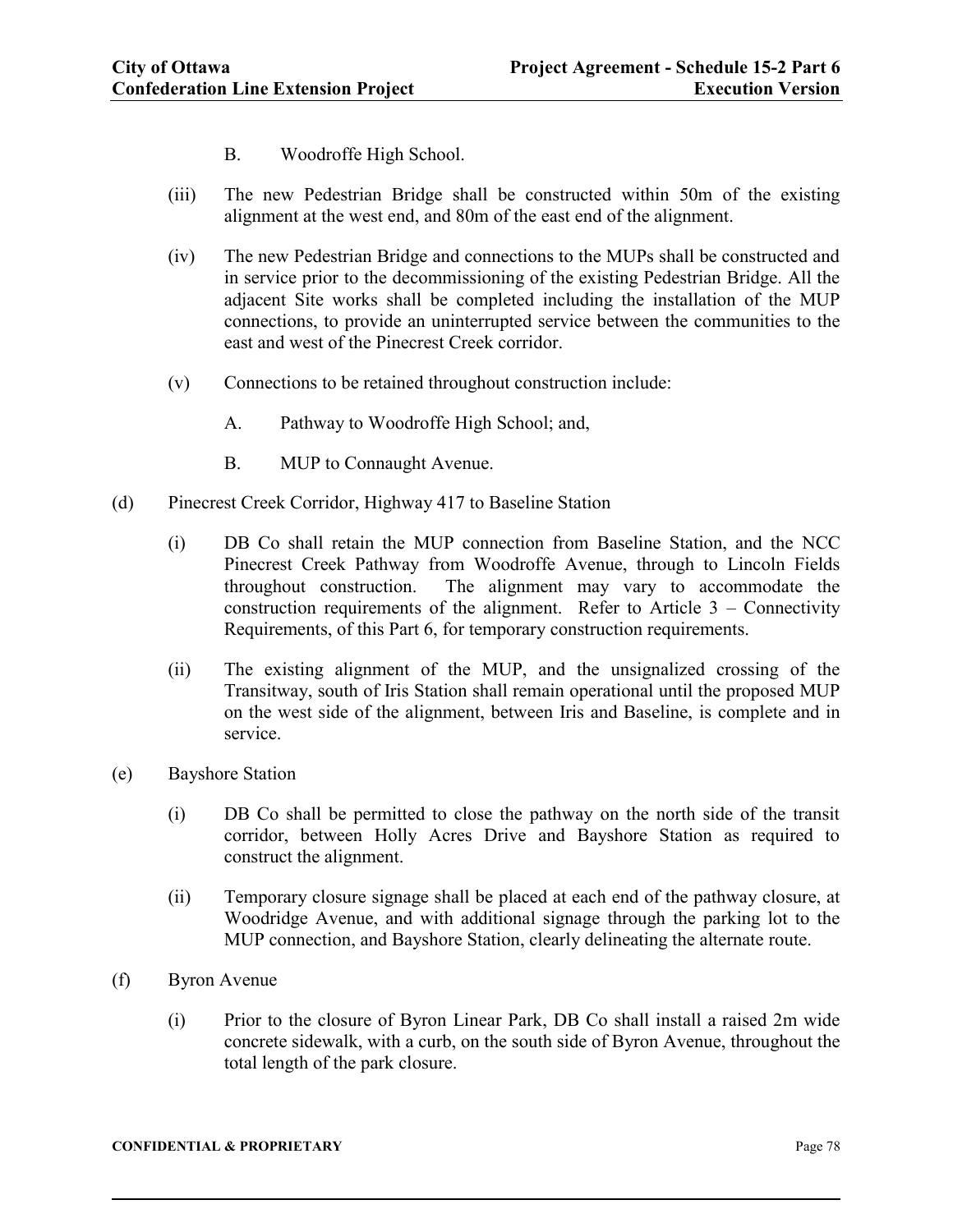- B. Woodroffe High School.
- (iii) The new Pedestrian Bridge shall be constructed within 50m of the existing alignment at the west end, and 80m of the east end of the alignment.
- (iv) The new Pedestrian Bridge and connections to the MUPs shall be constructed and in service prior to the decommissioning of the existing Pedestrian Bridge. All the adjacent Site works shall be completed including the installation of the MUP connections, to provide an uninterrupted service between the communities to the east and west of the Pinecrest Creek corridor.
- (v) Connections to be retained throughout construction include:
	- A. Pathway to Woodroffe High School; and,
	- B. MUP to Connaught Avenue.
- (d) Pinecrest Creek Corridor, Highway 417 to Baseline Station
	- (i) DB Co shall retain the MUP connection from Baseline Station, and the NCC Pinecrest Creek Pathway from Woodroffe Avenue, through to Lincoln Fields throughout construction. The alignment may vary to accommodate the construction requirements of the alignment. Refer to Article  $3$  – Connectivity Requirements, of this Part 6, for temporary construction requirements.
	- (ii) The existing alignment of the MUP, and the unsignalized crossing of the Transitway, south of Iris Station shall remain operational until the proposed MUP on the west side of the alignment, between Iris and Baseline, is complete and in service.
- (e) Bayshore Station
	- (i) DB Co shall be permitted to close the pathway on the north side of the transit corridor, between Holly Acres Drive and Bayshore Station as required to construct the alignment.
	- (ii) Temporary closure signage shall be placed at each end of the pathway closure, at Woodridge Avenue, and with additional signage through the parking lot to the MUP connection, and Bayshore Station, clearly delineating the alternate route.
- (f) Byron Avenue
	- (i) Prior to the closure of Byron Linear Park, DB Co shall install a raised 2m wide concrete sidewalk, with a curb, on the south side of Byron Avenue, throughout the total length of the park closure.